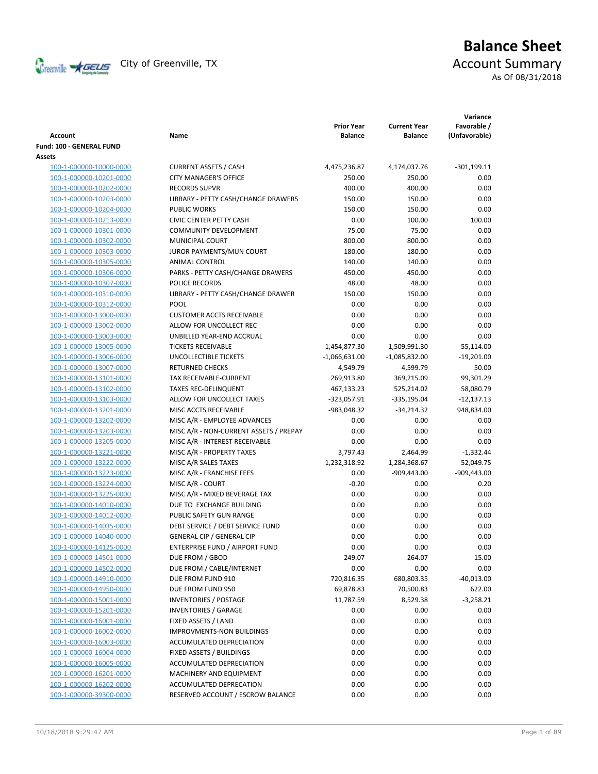

# **Balance Sheet** Creenville  $\star$  GEUS</del> City of Greenville, TX **Account Summary**

As Of 08/31/2018

| <b>Account</b>           | Name                                   | <b>Prior Year</b><br><b>Balance</b> | <b>Current Year</b><br><b>Balance</b> | Variance<br>Favorable /<br>(Unfavorable) |
|--------------------------|----------------------------------------|-------------------------------------|---------------------------------------|------------------------------------------|
| Fund: 100 - GENERAL FUND |                                        |                                     |                                       |                                          |
| Assets                   |                                        |                                     |                                       |                                          |
| 100-1-000000-10000-0000  | <b>CURRENT ASSETS / CASH</b>           | 4,475,236.87                        | 4,174,037.76                          | $-301,199.11$                            |
| 100-1-000000-10201-0000  | <b>CITY MANAGER'S OFFICE</b>           | 250.00                              | 250.00                                | 0.00                                     |
| 100-1-000000-10202-0000  | <b>RECORDS SUPVR</b>                   | 400.00                              | 400.00                                | 0.00                                     |
| 100-1-000000-10203-0000  | LIBRARY - PETTY CASH/CHANGE DRAWERS    | 150.00                              | 150.00                                | 0.00                                     |
| 100-1-000000-10204-0000  | <b>PUBLIC WORKS</b>                    | 150.00                              | 150.00                                | 0.00                                     |
| 100-1-000000-10213-0000  | <b>CIVIC CENTER PETTY CASH</b>         | 0.00                                | 100.00                                | 100.00                                   |
| 100-1-000000-10301-0000  | <b>COMMUNITY DEVELOPMENT</b>           | 75.00                               | 75.00                                 | 0.00                                     |
| 100-1-000000-10302-0000  | MUNICIPAL COURT                        | 800.00                              | 800.00                                | 0.00                                     |
| 100-1-000000-10303-0000  | JUROR PAYMENTS/MUN COURT               | 180.00                              | 180.00                                | 0.00                                     |
| 100-1-000000-10305-0000  | ANIMAL CONTROL                         | 140.00                              | 140.00                                | 0.00                                     |
| 100-1-000000-10306-0000  | PARKS - PETTY CASH/CHANGE DRAWERS      | 450.00                              | 450.00                                | 0.00                                     |
| 100-1-000000-10307-0000  | POLICE RECORDS                         | 48.00                               | 48.00                                 | 0.00                                     |
| 100-1-000000-10310-0000  | LIBRARY - PETTY CASH/CHANGE DRAWER     | 150.00                              | 150.00                                | 0.00                                     |
| 100-1-000000-10312-0000  | POOL                                   | 0.00                                | 0.00                                  | 0.00                                     |
| 100-1-000000-13000-0000  | <b>CUSTOMER ACCTS RECEIVABLE</b>       | 0.00                                | 0.00                                  | 0.00                                     |
| 100-1-000000-13002-0000  | ALLOW FOR UNCOLLECT REC                | 0.00                                | 0.00                                  | 0.00                                     |
| 100-1-000000-13003-0000  | UNBILLED YEAR-END ACCRUAL              | 0.00                                | 0.00                                  | 0.00                                     |
| 100-1-000000-13005-0000  | <b>TICKETS RECEIVABLE</b>              | 1,454,877.30                        | 1,509,991.30                          | 55,114.00                                |
| 100-1-000000-13006-0000  | <b>UNCOLLECTIBLE TICKETS</b>           | $-1,066,631.00$                     | $-1,085,832.00$                       | $-19,201.00$                             |
| 100-1-000000-13007-0000  | <b>RETURNED CHECKS</b>                 | 4,549.79                            | 4,599.79                              | 50.00                                    |
| 100-1-000000-13101-0000  | TAX RECEIVABLE-CURRENT                 | 269,913.80                          | 369,215.09                            | 99,301.29                                |
| 100-1-000000-13102-0000  | <b>TAXES REC-DELINQUENT</b>            | 467,133.23                          | 525,214.02                            | 58,080.79                                |
| 100-1-000000-13103-0000  | ALLOW FOR UNCOLLECT TAXES              | $-323,057.91$                       | -335,195.04                           | $-12,137.13$                             |
| 100-1-000000-13201-0000  | MISC ACCTS RECEIVABLE                  | -983,048.32                         | $-34,214.32$                          | 948,834.00                               |
| 100-1-000000-13202-0000  | MISC A/R - EMPLOYEE ADVANCES           | 0.00                                | 0.00                                  | 0.00                                     |
| 100-1-000000-13203-0000  | MISC A/R - NON-CURRENT ASSETS / PREPAY | 0.00                                | 0.00                                  | 0.00                                     |
| 100-1-000000-13205-0000  | MISC A/R - INTEREST RECEIVABLE         | 0.00                                | 0.00                                  | 0.00                                     |
| 100-1-000000-13221-0000  | MISC A/R - PROPERTY TAXES              | 3,797.43                            | 2,464.99                              | $-1,332.44$                              |
| 100-1-000000-13222-0000  | MISC A/R SALES TAXES                   | 1,232,318.92                        | 1,284,368.67                          | 52,049.75                                |
| 100-1-000000-13223-0000  | MISC A/R - FRANCHISE FEES              | 0.00                                | $-909,443.00$                         | $-909,443.00$                            |
| 100-1-000000-13224-0000  | MISC A/R - COURT                       | $-0.20$                             | 0.00                                  | 0.20                                     |
| 100-1-000000-13225-0000  | MISC A/R - MIXED BEVERAGE TAX          | 0.00                                | 0.00                                  | 0.00                                     |
| 100-1-000000-14010-0000  | DUE TO EXCHANGE BUILDING               | 0.00                                | 0.00                                  | 0.00                                     |
| 100-1-000000-14012-0000  | PUBLIC SAFETY GUN RANGE                | 0.00                                | 0.00                                  | 0.00                                     |
| 100-1-000000-14035-0000  | DEBT SERVICE / DEBT SERVICE FUND       | 0.00                                | 0.00                                  | 0.00                                     |
| 100-1-000000-14040-0000  | <b>GENERAL CIP / GENERAL CIP</b>       | 0.00                                | 0.00                                  | 0.00                                     |
| 100-1-000000-14125-0000  | ENTERPRISE FUND / AIRPORT FUND         | 0.00                                | 0.00                                  | 0.00                                     |
| 100-1-000000-14501-0000  | DUE FROM / GBOD                        | 249.07                              | 264.07                                | 15.00                                    |
| 100-1-000000-14502-0000  | DUE FROM / CABLE/INTERNET              | 0.00                                | 0.00                                  | 0.00                                     |
| 100-1-000000-14910-0000  | DUE FROM FUND 910                      | 720,816.35                          | 680,803.35                            | $-40,013.00$                             |
| 100-1-000000-14950-0000  | DUE FROM FUND 950                      | 69,878.83                           | 70,500.83                             | 622.00                                   |
| 100-1-000000-15001-0000  | <b>INVENTORIES / POSTAGE</b>           | 11,787.59                           | 8,529.38                              | $-3,258.21$                              |
| 100-1-000000-15201-0000  | <b>INVENTORIES / GARAGE</b>            | 0.00                                | 0.00                                  | 0.00                                     |
| 100-1-000000-16001-0000  | FIXED ASSETS / LAND                    | 0.00                                | 0.00                                  | 0.00                                     |
| 100-1-000000-16002-0000  | IMPROVMENTS-NON BUILDINGS              | 0.00                                | 0.00                                  | 0.00                                     |
| 100-1-000000-16003-0000  | ACCUMULATED DEPRECIATION               | 0.00                                | 0.00                                  | 0.00                                     |
| 100-1-000000-16004-0000  | FIXED ASSETS / BUILDINGS               | 0.00                                | 0.00                                  | 0.00                                     |
| 100-1-000000-16005-0000  | ACCUMULATED DEPRECIATION               | 0.00                                | 0.00<br>0.00                          | 0.00<br>0.00                             |
| 100-1-000000-16201-0000  | MACHINERY AND EQUIPMENT                | 0.00                                |                                       |                                          |
| 100-1-000000-16202-0000  | ACCUMULATED DEPRECATION                | 0.00                                | 0.00                                  | 0.00                                     |
| 100-1-000000-39300-0000  | RESERVED ACCOUNT / ESCROW BALANCE      | 0.00                                | 0.00                                  | 0.00                                     |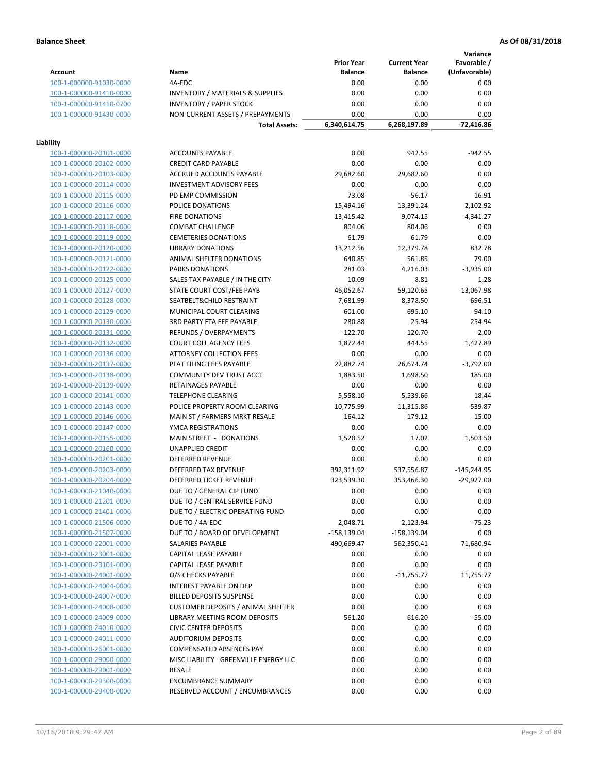**Variance**

|                         |                                             | <b>Prior Year</b> | <b>Current Year</b> | Favorable /   |
|-------------------------|---------------------------------------------|-------------------|---------------------|---------------|
| <b>Account</b>          | Name                                        | <b>Balance</b>    | <b>Balance</b>      | (Unfavorable) |
| 100-1-000000-91030-0000 | 4A-EDC                                      | 0.00              | 0.00                | 0.00          |
| 100-1-000000-91410-0000 | <b>INVENTORY / MATERIALS &amp; SUPPLIES</b> | 0.00              | 0.00                | 0.00          |
| 100-1-000000-91410-0700 | <b>INVENTORY / PAPER STOCK</b>              | 0.00              | 0.00                | 0.00          |
| 100-1-000000-91430-0000 | NON-CURRENT ASSETS / PREPAYMENTS            | 0.00              | 0.00                | 0.00          |
|                         | <b>Total Assets:</b>                        | 6,340,614.75      | 6,268,197.89        | -72,416.86    |
|                         |                                             |                   |                     |               |
| Liability               |                                             |                   |                     |               |
| 100-1-000000-20101-0000 | <b>ACCOUNTS PAYABLE</b>                     | 0.00              | 942.55              | $-942.55$     |
| 100-1-000000-20102-0000 | <b>CREDIT CARD PAYABLE</b>                  | 0.00              | 0.00                | 0.00          |
| 100-1-000000-20103-0000 | ACCRUED ACCOUNTS PAYABLE                    | 29,682.60         | 29,682.60           | 0.00          |
| 100-1-000000-20114-0000 | <b>INVESTMENT ADVISORY FEES</b>             | 0.00              | 0.00                | 0.00          |
| 100-1-000000-20115-0000 | PD EMP COMMISSION                           | 73.08             | 56.17               | 16.91         |
| 100-1-000000-20116-0000 | POLICE DONATIONS                            | 15,494.16         | 13,391.24           | 2,102.92      |
| 100-1-000000-20117-0000 | <b>FIRE DONATIONS</b>                       | 13,415.42         | 9,074.15            | 4,341.27      |
| 100-1-000000-20118-0000 | <b>COMBAT CHALLENGE</b>                     | 804.06            | 804.06              | 0.00          |
| 100-1-000000-20119-0000 | <b>CEMETERIES DONATIONS</b>                 | 61.79             | 61.79               | 0.00          |
| 100-1-000000-20120-0000 | <b>LIBRARY DONATIONS</b>                    | 13,212.56         | 12,379.78           | 832.78        |
| 100-1-000000-20121-0000 | ANIMAL SHELTER DONATIONS                    | 640.85            | 561.85              | 79.00         |
| 100-1-000000-20122-0000 | <b>PARKS DONATIONS</b>                      | 281.03            | 4,216.03            | $-3,935.00$   |
| 100-1-000000-20125-0000 | SALES TAX PAYABLE / IN THE CITY             | 10.09             | 8.81                | 1.28          |
| 100-1-000000-20127-0000 | STATE COURT COST/FEE PAYB                   | 46,052.67         | 59,120.65           | $-13,067.98$  |
| 100-1-000000-20128-0000 | SEATBELT&CHILD RESTRAINT                    | 7,681.99          | 8,378.50            | $-696.51$     |
| 100-1-000000-20129-0000 | MUNICIPAL COURT CLEARING                    | 601.00            | 695.10              | $-94.10$      |
| 100-1-000000-20130-0000 | 3RD PARTY FTA FEE PAYABLE                   | 280.88            | 25.94               | 254.94        |
| 100-1-000000-20131-0000 | REFUNDS / OVERPAYMENTS                      | $-122.70$         | $-120.70$           | $-2.00$       |
| 100-1-000000-20132-0000 | <b>COURT COLL AGENCY FEES</b>               | 1,872.44          | 444.55              | 1,427.89      |
| 100-1-000000-20136-0000 | <b>ATTORNEY COLLECTION FEES</b>             | 0.00              | 0.00                | 0.00          |
| 100-1-000000-20137-0000 | PLAT FILING FEES PAYABLE                    | 22,882.74         | 26,674.74           | $-3,792.00$   |
| 100-1-000000-20138-0000 | COMMUNITY DEV TRUST ACCT                    | 1,883.50          | 1,698.50            | 185.00        |
| 100-1-000000-20139-0000 | RETAINAGES PAYABLE                          | 0.00              | 0.00                | 0.00          |
| 100-1-000000-20141-0000 | <b>TELEPHONE CLEARING</b>                   | 5,558.10          | 5,539.66            | 18.44         |
| 100-1-000000-20143-0000 | POLICE PROPERTY ROOM CLEARING               | 10,775.99         | 11,315.86           | $-539.87$     |
| 100-1-000000-20146-0000 | MAIN ST / FARMERS MRKT RESALE               | 164.12            | 179.12              | $-15.00$      |
| 100-1-000000-20147-0000 | YMCA REGISTRATIONS                          | 0.00              | 0.00                | 0.00          |
| 100-1-000000-20155-0000 | MAIN STREET - DONATIONS                     | 1,520.52          | 17.02               | 1,503.50      |
| 100-1-000000-20160-0000 | <b>UNAPPLIED CREDIT</b>                     | 0.00              | 0.00                | 0.00          |
| 100-1-000000-20201-0000 | <b>DEFERRED REVENUE</b>                     | 0.00              | 0.00                | 0.00          |
| 100-1-000000-20203-0000 | DEFERRED TAX REVENUE                        | 392,311.92        | 537,556.87          | $-145,244.95$ |
| 100-1-000000-20204-0000 | DEFERRED TICKET REVENUE                     | 323,539.30        | 353,466.30          | $-29,927.00$  |
| 100-1-000000-21040-0000 | DUE TO / GENERAL CIP FUND                   | 0.00              | 0.00                | 0.00          |
| 100-1-000000-21201-0000 | DUE TO / CENTRAL SERVICE FUND               | 0.00              | 0.00                | 0.00          |
| 100-1-000000-21401-0000 | DUE TO / ELECTRIC OPERATING FUND            | 0.00              | 0.00                | 0.00          |
| 100-1-000000-21506-0000 | DUE TO / 4A-EDC                             | 2,048.71          | 2,123.94            | $-75.23$      |
| 100-1-000000-21507-0000 | DUE TO / BOARD OF DEVELOPMENT               | $-158,139.04$     | -158,139.04         | 0.00          |
| 100-1-000000-22001-0000 | SALARIES PAYABLE                            | 490,669.47        | 562,350.41          | $-71,680.94$  |
| 100-1-000000-23001-0000 | <b>CAPITAL LEASE PAYABLE</b>                | 0.00              | 0.00                | 0.00          |
| 100-1-000000-23101-0000 | CAPITAL LEASE PAYABLE                       | 0.00              | 0.00                | 0.00          |
| 100-1-000000-24001-0000 | O/S CHECKS PAYABLE                          | 0.00              | $-11,755.77$        | 11,755.77     |
| 100-1-000000-24004-0000 | INTEREST PAYABLE ON DEP                     | 0.00              | 0.00                | 0.00          |
| 100-1-000000-24007-0000 | <b>BILLED DEPOSITS SUSPENSE</b>             | 0.00              | 0.00                | 0.00          |
| 100-1-000000-24008-0000 | <b>CUSTOMER DEPOSITS / ANIMAL SHELTER</b>   | 0.00              | 0.00                | 0.00          |
| 100-1-000000-24009-0000 | LIBRARY MEETING ROOM DEPOSITS               | 561.20            | 616.20              | $-55.00$      |
| 100-1-000000-24010-0000 | <b>CIVIC CENTER DEPOSITS</b>                | 0.00              | 0.00                | 0.00          |
| 100-1-000000-24011-0000 | <b>AUDITORIUM DEPOSITS</b>                  | 0.00              | 0.00                | 0.00          |
| 100-1-000000-26001-0000 | COMPENSATED ABSENCES PAY                    | 0.00              | 0.00                | 0.00          |
| 100-1-000000-29000-0000 | MISC LIABILITY - GREENVILLE ENERGY LLC      | 0.00              | 0.00                | 0.00          |
|                         | <b>RESALE</b>                               |                   |                     |               |
| 100-1-000000-29001-0000 |                                             | 0.00              | 0.00                | 0.00          |
| 100-1-000000-29300-0000 | <b>ENCUMBRANCE SUMMARY</b>                  | 0.00              | 0.00                | 0.00          |
| 100-1-000000-29400-0000 | RESERVED ACCOUNT / ENCUMBRANCES             | 0.00              | 0.00                | 0.00          |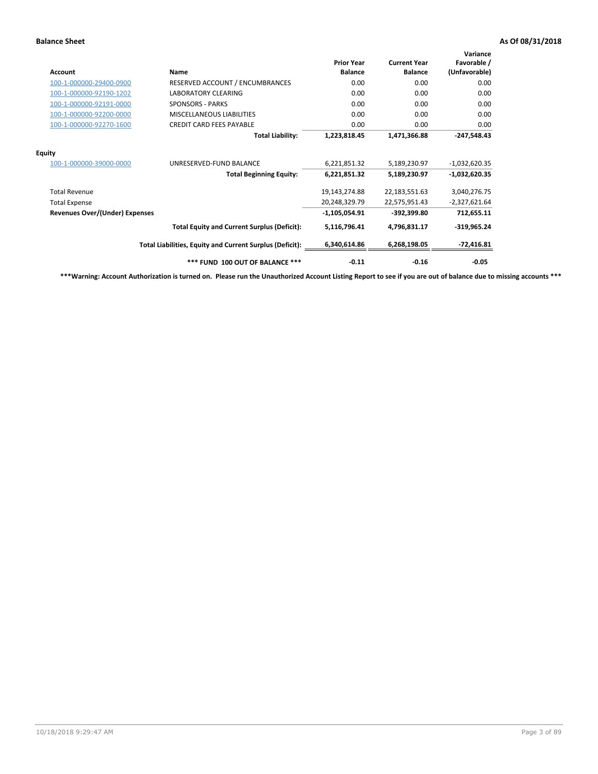| <b>Account</b>                        | Name                                                     | <b>Prior Year</b><br><b>Balance</b> | <b>Current Year</b><br><b>Balance</b> | Variance<br>Favorable /<br>(Unfavorable) |
|---------------------------------------|----------------------------------------------------------|-------------------------------------|---------------------------------------|------------------------------------------|
| 100-1-000000-29400-0900               | RESERVED ACCOUNT / ENCUMBRANCES                          | 0.00                                | 0.00                                  | 0.00                                     |
| 100-1-000000-92190-1202               | LABORATORY CLEARING                                      | 0.00                                | 0.00                                  | 0.00                                     |
| 100-1-000000-92191-0000               | <b>SPONSORS - PARKS</b>                                  | 0.00                                | 0.00                                  | 0.00                                     |
| 100-1-000000-92200-0000               | MISCELLANEOUS LIABILITIES                                | 0.00                                | 0.00                                  | 0.00                                     |
| 100-1-000000-92270-1600               | <b>CREDIT CARD FEES PAYABLE</b>                          | 0.00                                | 0.00                                  | 0.00                                     |
|                                       | <b>Total Liability:</b>                                  | 1,223,818.45                        | 1,471,366.88                          | $-247,548.43$                            |
| <b>Equity</b>                         |                                                          |                                     |                                       |                                          |
| 100-1-000000-39000-0000               | UNRESERVED-FUND BALANCE                                  | 6,221,851.32                        | 5,189,230.97                          | $-1,032,620.35$                          |
|                                       | <b>Total Beginning Equity:</b>                           | 6,221,851.32                        | 5,189,230.97                          | $-1,032,620.35$                          |
| <b>Total Revenue</b>                  |                                                          | 19,143,274.88                       | 22,183,551.63                         | 3,040,276.75                             |
| <b>Total Expense</b>                  |                                                          | 20,248,329.79                       | 22,575,951.43                         | $-2,327,621.64$                          |
| <b>Revenues Over/(Under) Expenses</b> |                                                          | $-1,105,054.91$                     | -392.399.80                           | 712,655.11                               |
|                                       | <b>Total Equity and Current Surplus (Deficit):</b>       | 5,116,796.41                        | 4,796,831.17                          | $-319,965.24$                            |
|                                       | Total Liabilities, Equity and Current Surplus (Deficit): | 6,340,614.86                        | 6,268,198.05                          | $-72,416.81$                             |
|                                       | *** FUND 100 OUT OF BALANCE ***                          | $-0.11$                             | $-0.16$                               | $-0.05$                                  |

**\*\*\*Warning: Account Authorization is turned on. Please run the Unauthorized Account Listing Report to see if you are out of balance due to missing accounts \*\*\***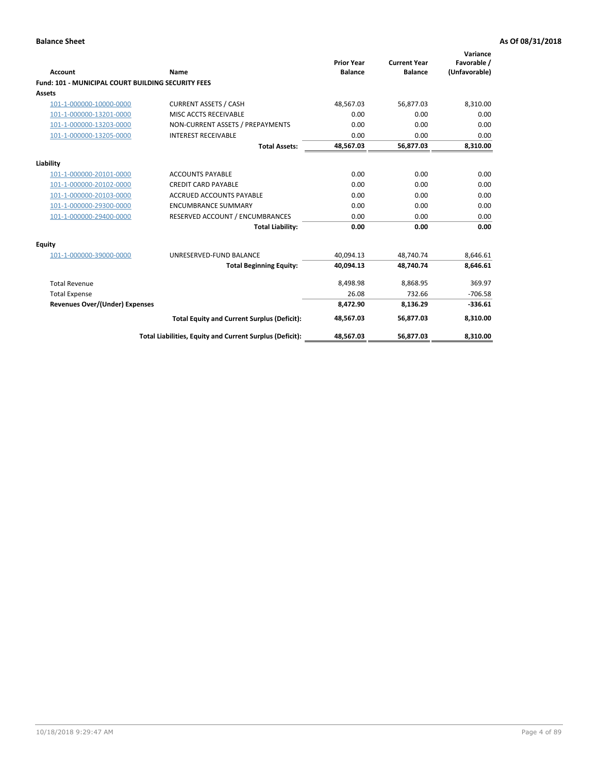| <b>Account</b>                                            | Name                                                     | <b>Prior Year</b><br><b>Balance</b> | <b>Current Year</b><br><b>Balance</b> | Variance<br>Favorable /<br>(Unfavorable) |
|-----------------------------------------------------------|----------------------------------------------------------|-------------------------------------|---------------------------------------|------------------------------------------|
| <b>Fund: 101 - MUNICIPAL COURT BUILDING SECURITY FEES</b> |                                                          |                                     |                                       |                                          |
| Assets                                                    |                                                          |                                     |                                       |                                          |
| 101-1-000000-10000-0000                                   | <b>CURRENT ASSETS / CASH</b>                             | 48,567.03                           | 56,877.03                             | 8,310.00                                 |
| 101-1-000000-13201-0000                                   | MISC ACCTS RECEIVABLE                                    | 0.00                                | 0.00                                  | 0.00                                     |
| 101-1-000000-13203-0000                                   | NON-CURRENT ASSETS / PREPAYMENTS                         | 0.00                                | 0.00                                  | 0.00                                     |
| 101-1-000000-13205-0000                                   | <b>INTEREST RECEIVABLE</b>                               | 0.00                                | 0.00                                  | 0.00                                     |
|                                                           | <b>Total Assets:</b>                                     | 48,567.03                           | 56,877.03                             | 8,310.00                                 |
| Liability                                                 |                                                          |                                     |                                       |                                          |
| 101-1-000000-20101-0000                                   | <b>ACCOUNTS PAYABLE</b>                                  | 0.00                                | 0.00                                  | 0.00                                     |
| 101-1-000000-20102-0000                                   | <b>CREDIT CARD PAYABLE</b>                               | 0.00                                | 0.00                                  | 0.00                                     |
| 101-1-000000-20103-0000                                   | <b>ACCRUED ACCOUNTS PAYABLE</b>                          | 0.00                                | 0.00                                  | 0.00                                     |
| 101-1-000000-29300-0000                                   | <b>ENCUMBRANCE SUMMARY</b>                               | 0.00                                | 0.00                                  | 0.00                                     |
| 101-1-000000-29400-0000                                   | RESERVED ACCOUNT / ENCUMBRANCES                          | 0.00                                | 0.00                                  | 0.00                                     |
|                                                           | <b>Total Liability:</b>                                  | 0.00                                | 0.00                                  | 0.00                                     |
| Equity                                                    |                                                          |                                     |                                       |                                          |
| 101-1-000000-39000-0000                                   | UNRESERVED-FUND BALANCE                                  | 40,094.13                           | 48,740.74                             | 8,646.61                                 |
|                                                           | <b>Total Beginning Equity:</b>                           | 40,094.13                           | 48,740.74                             | 8,646.61                                 |
| <b>Total Revenue</b>                                      |                                                          | 8,498.98                            | 8,868.95                              | 369.97                                   |
| <b>Total Expense</b>                                      |                                                          | 26.08                               | 732.66                                | $-706.58$                                |
| <b>Revenues Over/(Under) Expenses</b>                     |                                                          | 8,472.90                            | 8,136.29                              | $-336.61$                                |
|                                                           | <b>Total Equity and Current Surplus (Deficit):</b>       | 48,567.03                           | 56,877.03                             | 8,310.00                                 |
|                                                           | Total Liabilities, Equity and Current Surplus (Deficit): | 48,567.03                           | 56,877.03                             | 8,310.00                                 |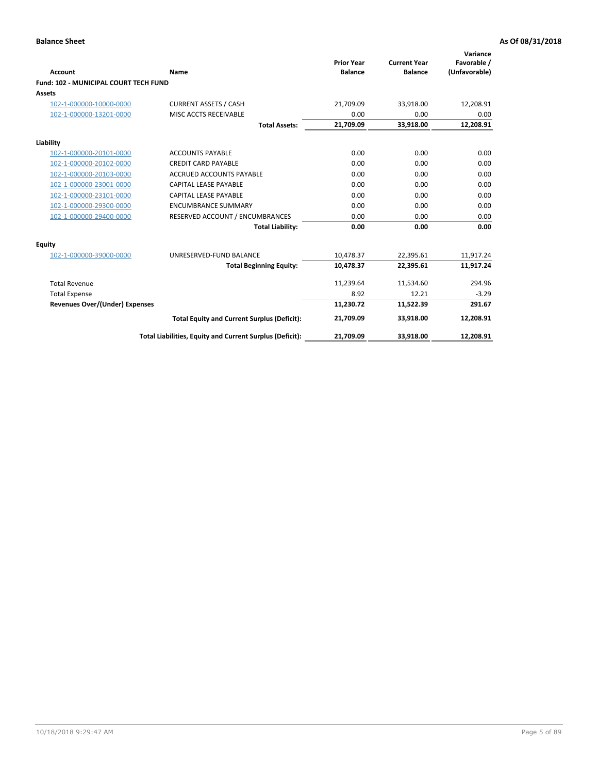| Account                                      | Name                                                     | <b>Prior Year</b><br><b>Balance</b> | <b>Current Year</b><br><b>Balance</b> | Variance<br>Favorable /<br>(Unfavorable) |
|----------------------------------------------|----------------------------------------------------------|-------------------------------------|---------------------------------------|------------------------------------------|
| <b>Fund: 102 - MUNICIPAL COURT TECH FUND</b> |                                                          |                                     |                                       |                                          |
| Assets                                       |                                                          |                                     |                                       |                                          |
| 102-1-000000-10000-0000                      | <b>CURRENT ASSETS / CASH</b>                             | 21,709.09                           | 33,918.00                             | 12,208.91                                |
| 102-1-000000-13201-0000                      | MISC ACCTS RECEIVABLE                                    | 0.00                                | 0.00                                  | 0.00                                     |
|                                              | <b>Total Assets:</b>                                     | 21,709.09                           | 33,918.00                             | 12,208.91                                |
| Liability                                    |                                                          |                                     |                                       |                                          |
| 102-1-000000-20101-0000                      | <b>ACCOUNTS PAYABLE</b>                                  | 0.00                                | 0.00                                  | 0.00                                     |
| 102-1-000000-20102-0000                      | <b>CREDIT CARD PAYABLE</b>                               | 0.00                                | 0.00                                  | 0.00                                     |
| 102-1-000000-20103-0000                      | <b>ACCRUED ACCOUNTS PAYABLE</b>                          | 0.00                                | 0.00                                  | 0.00                                     |
| 102-1-000000-23001-0000                      | <b>CAPITAL LEASE PAYABLE</b>                             | 0.00                                | 0.00                                  | 0.00                                     |
| 102-1-000000-23101-0000                      | <b>CAPITAL LEASE PAYABLE</b>                             | 0.00                                | 0.00                                  | 0.00                                     |
| 102-1-000000-29300-0000                      | <b>ENCUMBRANCE SUMMARY</b>                               | 0.00                                | 0.00                                  | 0.00                                     |
| 102-1-000000-29400-0000                      | RESERVED ACCOUNT / ENCUMBRANCES                          | 0.00                                | 0.00                                  | 0.00                                     |
|                                              | <b>Total Liability:</b>                                  | 0.00                                | 0.00                                  | 0.00                                     |
| <b>Equity</b>                                |                                                          |                                     |                                       |                                          |
| 102-1-000000-39000-0000                      | UNRESERVED-FUND BALANCE                                  | 10,478.37                           | 22,395.61                             | 11,917.24                                |
|                                              | <b>Total Beginning Equity:</b>                           | 10,478.37                           | 22,395.61                             | 11,917.24                                |
| <b>Total Revenue</b>                         |                                                          | 11,239.64                           | 11,534.60                             | 294.96                                   |
| <b>Total Expense</b>                         |                                                          | 8.92                                | 12.21                                 | $-3.29$                                  |
| <b>Revenues Over/(Under) Expenses</b>        |                                                          | 11,230.72                           | 11,522.39                             | 291.67                                   |
|                                              | <b>Total Equity and Current Surplus (Deficit):</b>       | 21,709.09                           | 33,918.00                             | 12,208.91                                |
|                                              | Total Liabilities, Equity and Current Surplus (Deficit): | 21,709.09                           | 33,918.00                             | 12,208.91                                |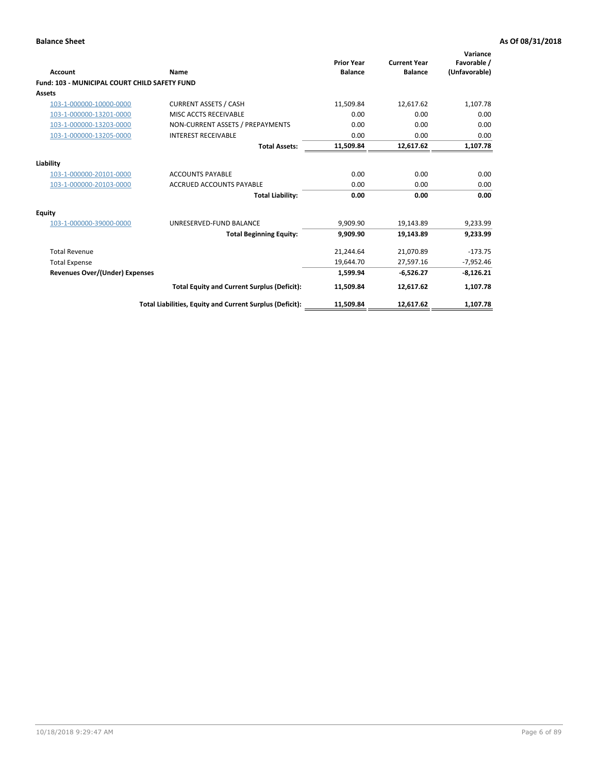| <b>Account</b>                                | Name                                                     | <b>Prior Year</b><br><b>Balance</b> | <b>Current Year</b><br><b>Balance</b> | Variance<br>Favorable /<br>(Unfavorable) |
|-----------------------------------------------|----------------------------------------------------------|-------------------------------------|---------------------------------------|------------------------------------------|
| Fund: 103 - MUNICIPAL COURT CHILD SAFETY FUND |                                                          |                                     |                                       |                                          |
| <b>Assets</b>                                 |                                                          |                                     |                                       |                                          |
| 103-1-000000-10000-0000                       | <b>CURRENT ASSETS / CASH</b>                             | 11,509.84                           | 12,617.62                             | 1,107.78                                 |
| 103-1-000000-13201-0000                       | MISC ACCTS RECEIVABLE                                    | 0.00                                | 0.00                                  | 0.00                                     |
| 103-1-000000-13203-0000                       | NON-CURRENT ASSETS / PREPAYMENTS                         | 0.00                                | 0.00                                  | 0.00                                     |
| 103-1-000000-13205-0000                       | <b>INTEREST RECEIVABLE</b>                               | 0.00                                | 0.00                                  | 0.00                                     |
|                                               | <b>Total Assets:</b>                                     | 11,509.84                           | 12,617.62                             | 1,107.78                                 |
| Liability                                     |                                                          |                                     |                                       |                                          |
| 103-1-000000-20101-0000                       | <b>ACCOUNTS PAYABLE</b>                                  | 0.00                                | 0.00                                  | 0.00                                     |
| 103-1-000000-20103-0000                       | <b>ACCRUED ACCOUNTS PAYABLE</b>                          | 0.00                                | 0.00                                  | 0.00                                     |
|                                               | <b>Total Liability:</b>                                  | 0.00                                | 0.00                                  | 0.00                                     |
| Equity                                        |                                                          |                                     |                                       |                                          |
| 103-1-000000-39000-0000                       | UNRESERVED-FUND BALANCE                                  | 9,909.90                            | 19,143.89                             | 9,233.99                                 |
|                                               | <b>Total Beginning Equity:</b>                           | 9.909.90                            | 19.143.89                             | 9.233.99                                 |
| <b>Total Revenue</b>                          |                                                          | 21,244.64                           | 21,070.89                             | $-173.75$                                |
| <b>Total Expense</b>                          |                                                          | 19,644.70                           | 27,597.16                             | $-7,952.46$                              |
| <b>Revenues Over/(Under) Expenses</b>         |                                                          | 1,599.94                            | $-6,526.27$                           | $-8,126.21$                              |
|                                               | <b>Total Equity and Current Surplus (Deficit):</b>       | 11,509.84                           | 12,617.62                             | 1,107.78                                 |
|                                               | Total Liabilities, Equity and Current Surplus (Deficit): | 11,509.84                           | 12,617.62                             | 1,107.78                                 |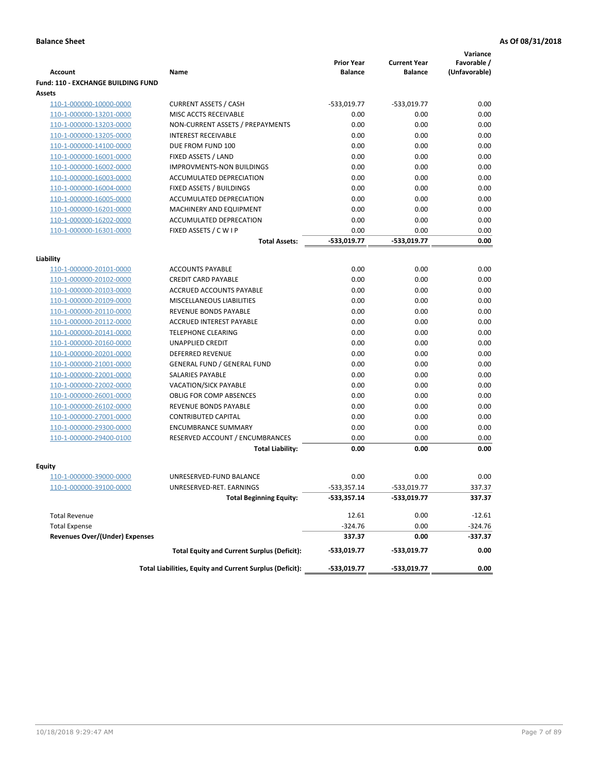|                                           |                                                          |                                     |                                       | Variance                     |
|-------------------------------------------|----------------------------------------------------------|-------------------------------------|---------------------------------------|------------------------------|
| <b>Account</b>                            | Name                                                     | <b>Prior Year</b><br><b>Balance</b> | <b>Current Year</b><br><b>Balance</b> | Favorable /<br>(Unfavorable) |
| <b>Fund: 110 - EXCHANGE BUILDING FUND</b> |                                                          |                                     |                                       |                              |
| Assets                                    |                                                          |                                     |                                       |                              |
| 110-1-000000-10000-0000                   | <b>CURRENT ASSETS / CASH</b>                             | -533,019.77                         | $-533,019.77$                         | 0.00                         |
| 110-1-000000-13201-0000                   | MISC ACCTS RECEIVABLE                                    | 0.00                                | 0.00                                  | 0.00                         |
| 110-1-000000-13203-0000                   | NON-CURRENT ASSETS / PREPAYMENTS                         | 0.00                                | 0.00                                  | 0.00                         |
| 110-1-000000-13205-0000                   | <b>INTEREST RECEIVABLE</b>                               | 0.00                                | 0.00                                  | 0.00                         |
| 110-1-000000-14100-0000                   | DUE FROM FUND 100                                        | 0.00                                | 0.00                                  | 0.00                         |
| 110-1-000000-16001-0000                   | FIXED ASSETS / LAND                                      | 0.00                                | 0.00                                  | 0.00                         |
| 110-1-000000-16002-0000                   | <b>IMPROVMENTS-NON BUILDINGS</b>                         | 0.00                                | 0.00                                  | 0.00                         |
| 110-1-000000-16003-0000                   | ACCUMULATED DEPRECIATION                                 | 0.00                                | 0.00                                  | 0.00                         |
| 110-1-000000-16004-0000                   | FIXED ASSETS / BUILDINGS                                 | 0.00                                | 0.00                                  | 0.00                         |
| 110-1-000000-16005-0000                   | ACCUMULATED DEPRECIATION                                 | 0.00                                | 0.00                                  | 0.00                         |
| 110-1-000000-16201-0000                   | <b>MACHINERY AND EQUIPMENT</b>                           | 0.00                                | 0.00                                  | 0.00                         |
| 110-1-000000-16202-0000                   | ACCUMULATED DEPRECATION                                  | 0.00                                | 0.00                                  | 0.00                         |
| 110-1-000000-16301-0000                   | FIXED ASSETS / C W I P                                   | 0.00                                | 0.00                                  | 0.00                         |
|                                           | <b>Total Assets:</b>                                     | $-533,019.77$                       | -533,019.77                           | 0.00                         |
| Liability                                 |                                                          |                                     |                                       |                              |
| 110-1-000000-20101-0000                   | <b>ACCOUNTS PAYABLE</b>                                  | 0.00                                | 0.00                                  | 0.00                         |
| 110-1-000000-20102-0000                   | <b>CREDIT CARD PAYABLE</b>                               | 0.00                                | 0.00                                  | 0.00                         |
| 110-1-000000-20103-0000                   | ACCRUED ACCOUNTS PAYABLE                                 | 0.00                                | 0.00                                  | 0.00                         |
| 110-1-000000-20109-0000                   | MISCELLANEOUS LIABILITIES                                | 0.00                                | 0.00                                  | 0.00                         |
| 110-1-000000-20110-0000                   | REVENUE BONDS PAYABLE                                    | 0.00                                | 0.00                                  | 0.00                         |
| 110-1-000000-20112-0000                   | <b>ACCRUED INTEREST PAYABLE</b>                          | 0.00                                | 0.00                                  | 0.00                         |
| 110-1-000000-20141-0000                   | <b>TELEPHONE CLEARING</b>                                | 0.00                                | 0.00                                  | 0.00                         |
| 110-1-000000-20160-0000                   | <b>UNAPPLIED CREDIT</b>                                  | 0.00                                | 0.00                                  | 0.00                         |
| 110-1-000000-20201-0000                   | <b>DEFERRED REVENUE</b>                                  | 0.00                                | 0.00                                  | 0.00                         |
| 110-1-000000-21001-0000                   | <b>GENERAL FUND / GENERAL FUND</b>                       | 0.00                                | 0.00                                  | 0.00                         |
| 110-1-000000-22001-0000                   | SALARIES PAYABLE                                         | 0.00                                | 0.00                                  | 0.00                         |
| 110-1-000000-22002-0000                   | <b>VACATION/SICK PAYABLE</b>                             | 0.00                                | 0.00                                  | 0.00                         |
| 110-1-000000-26001-0000                   | <b>OBLIG FOR COMP ABSENCES</b>                           | 0.00                                | 0.00                                  | 0.00                         |
| 110-1-000000-26102-0000                   | REVENUE BONDS PAYABLE                                    | 0.00                                | 0.00                                  | 0.00                         |
| 110-1-000000-27001-0000                   | <b>CONTRIBUTED CAPITAL</b>                               | 0.00                                | 0.00                                  | 0.00                         |
| 110-1-000000-29300-0000                   | <b>ENCUMBRANCE SUMMARY</b>                               | 0.00                                | 0.00                                  | 0.00                         |
| 110-1-000000-29400-0100                   | RESERVED ACCOUNT / ENCUMBRANCES                          | 0.00                                | 0.00                                  | 0.00                         |
|                                           | <b>Total Liability:</b>                                  | 0.00                                | 0.00                                  | 0.00                         |
|                                           |                                                          |                                     |                                       |                              |
| <b>Equity</b><br>110-1-000000-39000-0000  | UNRESERVED-FUND BALANCE                                  | 0.00                                | 0.00                                  | 0.00                         |
| 110-1-000000-39100-0000                   | UNRESERVED-RET. EARNINGS                                 | -533,357.14                         | -533,019.77                           | 337.37                       |
|                                           | <b>Total Beginning Equity:</b>                           | $-533,357.14$                       | -533,019.77                           | 337.37                       |
|                                           |                                                          |                                     |                                       |                              |
| <b>Total Revenue</b>                      |                                                          | 12.61                               | 0.00                                  | $-12.61$                     |
| <b>Total Expense</b>                      |                                                          | $-324.76$                           | 0.00                                  | $-324.76$                    |
| <b>Revenues Over/(Under) Expenses</b>     |                                                          | 337.37                              | 0.00                                  | -337.37                      |
|                                           | <b>Total Equity and Current Surplus (Deficit):</b>       | -533,019.77                         | -533,019.77                           | 0.00                         |
|                                           | Total Liabilities, Equity and Current Surplus (Deficit): | -533,019.77                         | -533,019.77                           | 0.00                         |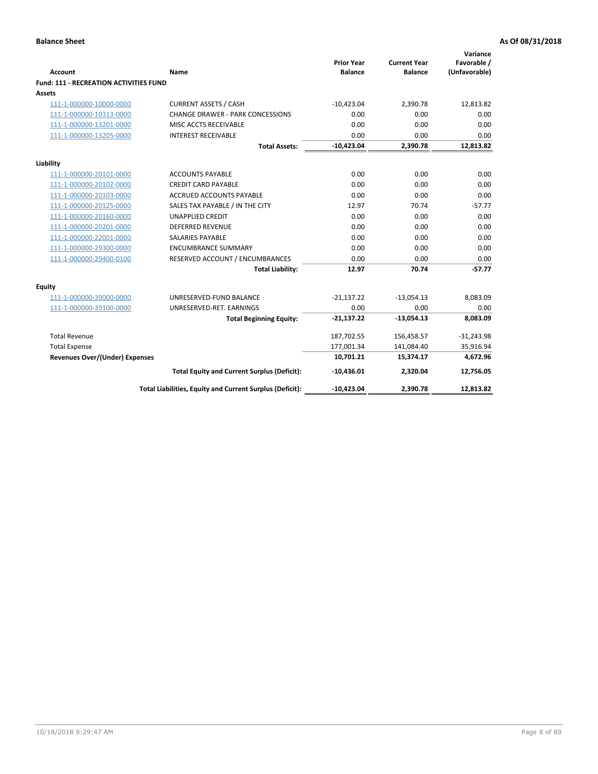| <b>Account</b>                                | Name                                                     | <b>Prior Year</b><br><b>Balance</b> | <b>Current Year</b><br><b>Balance</b> | Variance<br>Favorable /<br>(Unfavorable) |
|-----------------------------------------------|----------------------------------------------------------|-------------------------------------|---------------------------------------|------------------------------------------|
| <b>Fund: 111 - RECREATION ACTIVITIES FUND</b> |                                                          |                                     |                                       |                                          |
| Assets                                        |                                                          |                                     |                                       |                                          |
| 111-1-000000-10000-0000                       | <b>CURRENT ASSETS / CASH</b>                             | $-10,423.04$                        | 2,390.78                              | 12,813.82                                |
| 111-1-000000-10313-0000                       | CHANGE DRAWER - PARK CONCESSIONS                         | 0.00                                | 0.00                                  | 0.00                                     |
| 111-1-000000-13201-0000                       | MISC ACCTS RECEIVABLE                                    | 0.00                                | 0.00                                  | 0.00                                     |
| 111-1-000000-13205-0000                       | <b>INTEREST RECEIVABLE</b>                               | 0.00                                | 0.00                                  | 0.00                                     |
|                                               | <b>Total Assets:</b>                                     | $-10,423.04$                        | 2,390.78                              | 12,813.82                                |
| Liability                                     |                                                          |                                     |                                       |                                          |
| 111-1-000000-20101-0000                       | <b>ACCOUNTS PAYABLE</b>                                  | 0.00                                | 0.00                                  | 0.00                                     |
| 111-1-000000-20102-0000                       | <b>CREDIT CARD PAYABLE</b>                               | 0.00                                | 0.00                                  | 0.00                                     |
| 111-1-000000-20103-0000                       | ACCRUED ACCOUNTS PAYABLE                                 | 0.00                                | 0.00                                  | 0.00                                     |
| 111-1-000000-20125-0000                       | SALES TAX PAYABLE / IN THE CITY                          | 12.97                               | 70.74                                 | $-57.77$                                 |
| 111-1-000000-20160-0000                       | <b>UNAPPLIED CREDIT</b>                                  | 0.00                                | 0.00                                  | 0.00                                     |
| 111-1-000000-20201-0000                       | <b>DEFERRED REVENUE</b>                                  | 0.00                                | 0.00                                  | 0.00                                     |
| 111-1-000000-22001-0000                       | <b>SALARIES PAYABLE</b>                                  | 0.00                                | 0.00                                  | 0.00                                     |
| 111-1-000000-29300-0000                       | <b>ENCUMBRANCE SUMMARY</b>                               | 0.00                                | 0.00                                  | 0.00                                     |
| 111-1-000000-29400-0100                       | RESERVED ACCOUNT / ENCUMBRANCES                          | 0.00                                | 0.00                                  | 0.00                                     |
|                                               | <b>Total Liability:</b>                                  | 12.97                               | 70.74                                 | $-57.77$                                 |
| Equity                                        |                                                          |                                     |                                       |                                          |
| 111-1-000000-39000-0000                       | UNRESERVED-FUND BALANCE                                  | $-21,137.22$                        | $-13,054.13$                          | 8,083.09                                 |
| 111-1-000000-39100-0000                       | UNRESERVED-RET. EARNINGS                                 | 0.00                                | 0.00                                  | 0.00                                     |
|                                               | <b>Total Beginning Equity:</b>                           | $-21,137.22$                        | $-13,054.13$                          | 8,083.09                                 |
| <b>Total Revenue</b>                          |                                                          | 187,702.55                          | 156,458.57                            | $-31,243.98$                             |
| <b>Total Expense</b>                          |                                                          | 177,001.34                          | 141,084.40                            | 35,916.94                                |
| <b>Revenues Over/(Under) Expenses</b>         |                                                          | 10,701.21                           | 15,374.17                             | 4,672.96                                 |
|                                               | <b>Total Equity and Current Surplus (Deficit):</b>       | $-10,436.01$                        | 2,320.04                              | 12,756.05                                |
|                                               | Total Liabilities, Equity and Current Surplus (Deficit): | $-10,423.04$                        | 2,390.78                              | 12,813.82                                |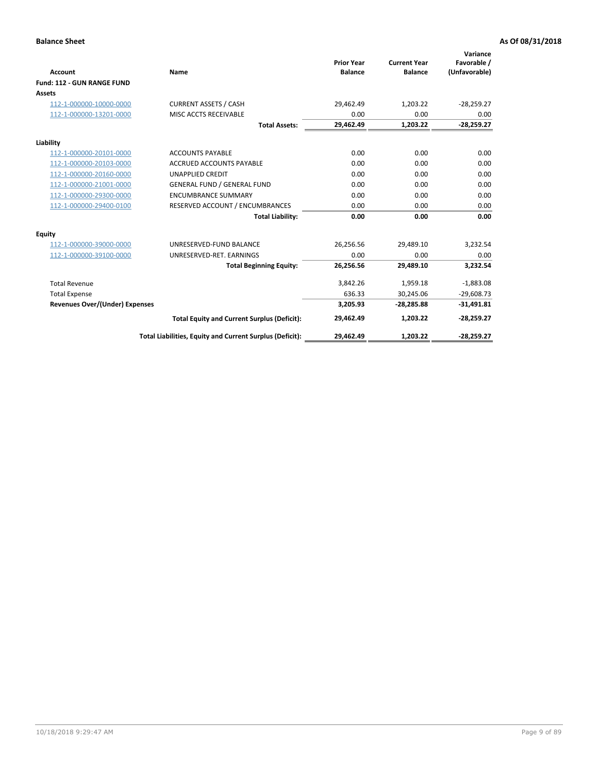|                                       |                                                          |                                     |                                       | Variance                     |
|---------------------------------------|----------------------------------------------------------|-------------------------------------|---------------------------------------|------------------------------|
| <b>Account</b>                        | Name                                                     | <b>Prior Year</b><br><b>Balance</b> | <b>Current Year</b><br><b>Balance</b> | Favorable /<br>(Unfavorable) |
| Fund: 112 - GUN RANGE FUND            |                                                          |                                     |                                       |                              |
| <b>Assets</b>                         |                                                          |                                     |                                       |                              |
| 112-1-000000-10000-0000               | <b>CURRENT ASSETS / CASH</b>                             | 29,462.49                           | 1,203.22                              | $-28,259.27$                 |
| 112-1-000000-13201-0000               | MISC ACCTS RECEIVABLE                                    | 0.00                                | 0.00                                  | 0.00                         |
|                                       | <b>Total Assets:</b>                                     | 29,462.49                           | 1,203.22                              | $-28,259.27$                 |
| Liability                             |                                                          |                                     |                                       |                              |
| 112-1-000000-20101-0000               | <b>ACCOUNTS PAYABLE</b>                                  | 0.00                                | 0.00                                  | 0.00                         |
| 112-1-000000-20103-0000               | <b>ACCRUED ACCOUNTS PAYABLE</b>                          | 0.00                                | 0.00                                  | 0.00                         |
| 112-1-000000-20160-0000               | <b>UNAPPLIED CREDIT</b>                                  | 0.00                                | 0.00                                  | 0.00                         |
| 112-1-000000-21001-0000               | <b>GENERAL FUND / GENERAL FUND</b>                       | 0.00                                | 0.00                                  | 0.00                         |
| 112-1-000000-29300-0000               | <b>ENCUMBRANCE SUMMARY</b>                               | 0.00                                | 0.00                                  | 0.00                         |
| 112-1-000000-29400-0100               | RESERVED ACCOUNT / ENCUMBRANCES                          | 0.00                                | 0.00                                  | 0.00                         |
|                                       | <b>Total Liability:</b>                                  | 0.00                                | 0.00                                  | 0.00                         |
| Equity                                |                                                          |                                     |                                       |                              |
| 112-1-000000-39000-0000               | UNRESERVED-FUND BALANCE                                  | 26,256.56                           | 29,489.10                             | 3,232.54                     |
| 112-1-000000-39100-0000               | UNRESERVED-RET. EARNINGS                                 | 0.00                                | 0.00                                  | 0.00                         |
|                                       | <b>Total Beginning Equity:</b>                           | 26,256.56                           | 29.489.10                             | 3.232.54                     |
| <b>Total Revenue</b>                  |                                                          | 3,842.26                            | 1,959.18                              | $-1,883.08$                  |
| <b>Total Expense</b>                  |                                                          | 636.33                              | 30,245.06                             | $-29,608.73$                 |
| <b>Revenues Over/(Under) Expenses</b> |                                                          | 3,205.93                            | $-28,285.88$                          | $-31,491.81$                 |
|                                       | <b>Total Equity and Current Surplus (Deficit):</b>       | 29,462.49                           | 1,203.22                              | $-28,259.27$                 |
|                                       | Total Liabilities, Equity and Current Surplus (Deficit): | 29,462.49                           | 1,203.22                              | $-28,259.27$                 |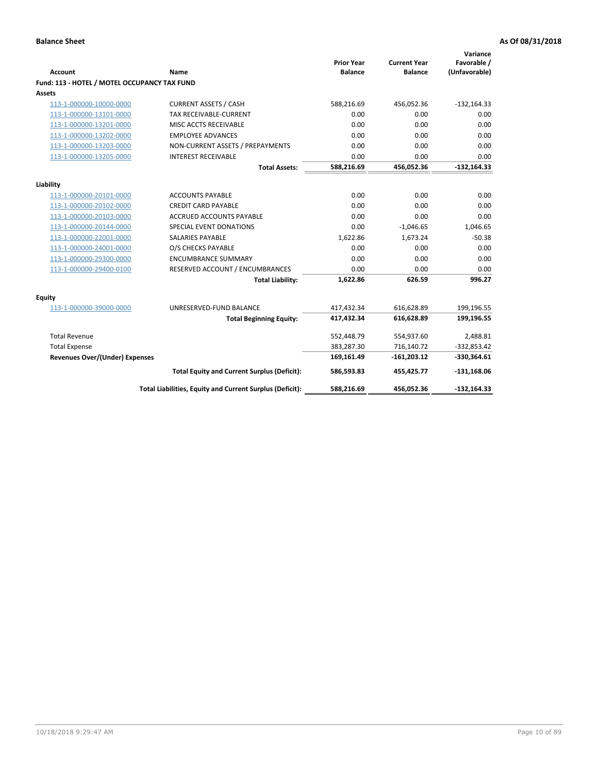| <b>Account</b>                               | Name                                                     | <b>Prior Year</b><br><b>Balance</b> | <b>Current Year</b><br><b>Balance</b> | Variance<br>Favorable /<br>(Unfavorable) |
|----------------------------------------------|----------------------------------------------------------|-------------------------------------|---------------------------------------|------------------------------------------|
| Fund: 113 - HOTEL / MOTEL OCCUPANCY TAX FUND |                                                          |                                     |                                       |                                          |
| Assets                                       |                                                          |                                     |                                       |                                          |
| 113-1-000000-10000-0000                      | <b>CURRENT ASSETS / CASH</b>                             | 588,216.69                          | 456,052.36                            | $-132,164.33$                            |
| 113-1-000000-13101-0000                      | TAX RECEIVABLE-CURRENT                                   | 0.00                                | 0.00                                  | 0.00                                     |
| 113-1-000000-13201-0000                      | MISC ACCTS RECEIVABLE                                    | 0.00                                | 0.00                                  | 0.00                                     |
| 113-1-000000-13202-0000                      | <b>EMPLOYEE ADVANCES</b>                                 | 0.00                                | 0.00                                  | 0.00                                     |
| 113-1-000000-13203-0000                      | NON-CURRENT ASSETS / PREPAYMENTS                         | 0.00                                | 0.00                                  | 0.00                                     |
| 113-1-000000-13205-0000                      | <b>INTEREST RECEIVABLE</b>                               | 0.00                                | 0.00                                  | 0.00                                     |
|                                              | <b>Total Assets:</b>                                     | 588,216.69                          | 456,052.36                            | $-132,164.33$                            |
| Liability                                    |                                                          |                                     |                                       |                                          |
| 113-1-000000-20101-0000                      | <b>ACCOUNTS PAYABLE</b>                                  | 0.00                                | 0.00                                  | 0.00                                     |
| 113-1-000000-20102-0000                      | <b>CREDIT CARD PAYABLE</b>                               | 0.00                                | 0.00                                  | 0.00                                     |
| 113-1-000000-20103-0000                      | ACCRUED ACCOUNTS PAYABLE                                 | 0.00                                | 0.00                                  | 0.00                                     |
| 113-1-000000-20144-0000                      | SPECIAL EVENT DONATIONS                                  | 0.00                                | $-1,046.65$                           | 1,046.65                                 |
| 113-1-000000-22001-0000                      | <b>SALARIES PAYABLE</b>                                  | 1,622.86                            | 1,673.24                              | $-50.38$                                 |
| 113-1-000000-24001-0000                      | O/S CHECKS PAYABLE                                       | 0.00                                | 0.00                                  | 0.00                                     |
| 113-1-000000-29300-0000                      | <b>ENCUMBRANCE SUMMARY</b>                               | 0.00                                | 0.00                                  | 0.00                                     |
| 113-1-000000-29400-0100                      | RESERVED ACCOUNT / ENCUMBRANCES                          | 0.00                                | 0.00                                  | 0.00                                     |
|                                              | <b>Total Liability:</b>                                  | 1,622.86                            | 626.59                                | 996.27                                   |
|                                              |                                                          |                                     |                                       |                                          |
| Equity                                       |                                                          |                                     |                                       |                                          |
| 113-1-000000-39000-0000                      | UNRESERVED-FUND BALANCE                                  | 417,432.34                          | 616,628.89                            | 199,196.55                               |
|                                              | <b>Total Beginning Equity:</b>                           | 417,432.34                          | 616,628.89                            | 199,196.55                               |
| <b>Total Revenue</b>                         |                                                          | 552,448.79                          | 554,937.60                            | 2,488.81                                 |
| <b>Total Expense</b>                         |                                                          | 383,287.30                          | 716,140.72                            | $-332,853.42$                            |
| Revenues Over/(Under) Expenses               |                                                          | 169,161.49                          | $-161,203.12$                         | $-330,364.61$                            |
|                                              | <b>Total Equity and Current Surplus (Deficit):</b>       | 586,593.83                          | 455,425.77                            | $-131,168.06$                            |
|                                              | Total Liabilities, Equity and Current Surplus (Deficit): | 588,216.69                          | 456,052.36                            | $-132,164.33$                            |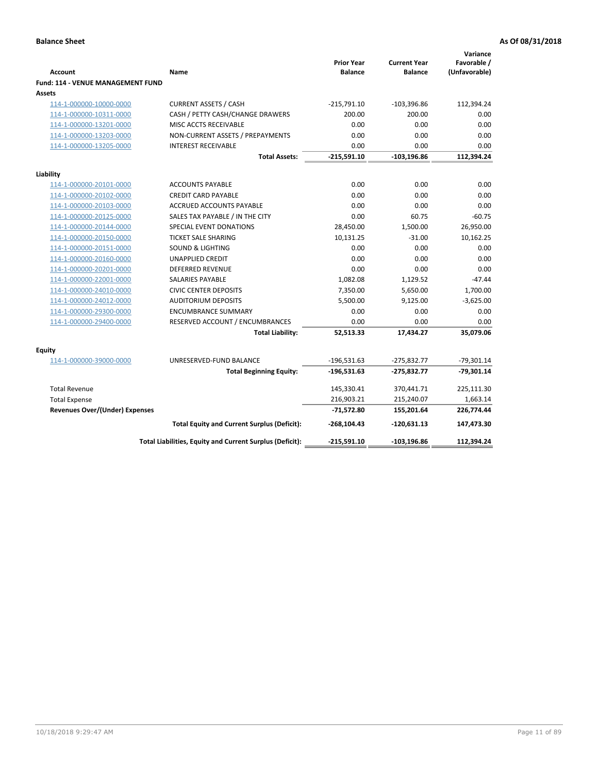| <b>Account</b>                              | Name                                                     | <b>Prior Year</b><br><b>Balance</b> | <b>Current Year</b><br><b>Balance</b> | Variance<br>Favorable /<br>(Unfavorable) |
|---------------------------------------------|----------------------------------------------------------|-------------------------------------|---------------------------------------|------------------------------------------|
| Fund: 114 - VENUE MANAGEMENT FUND<br>Assets |                                                          |                                     |                                       |                                          |
| 114-1-000000-10000-0000                     | <b>CURRENT ASSETS / CASH</b>                             | $-215,791.10$                       | $-103,396.86$                         | 112,394.24                               |
| 114-1-000000-10311-0000                     | CASH / PETTY CASH/CHANGE DRAWERS                         | 200.00                              | 200.00                                | 0.00                                     |
| 114-1-000000-13201-0000                     | MISC ACCTS RECEIVABLE                                    | 0.00                                | 0.00                                  | 0.00                                     |
| 114-1-000000-13203-0000                     | NON-CURRENT ASSETS / PREPAYMENTS                         | 0.00                                | 0.00                                  | 0.00                                     |
| 114-1-000000-13205-0000                     | <b>INTEREST RECEIVABLE</b>                               | 0.00                                | 0.00                                  | 0.00                                     |
|                                             | <b>Total Assets:</b>                                     | $-215,591.10$                       | $-103, 196.86$                        | 112,394.24                               |
| Liability                                   |                                                          |                                     |                                       |                                          |
| 114-1-000000-20101-0000                     | <b>ACCOUNTS PAYABLE</b>                                  | 0.00                                | 0.00                                  | 0.00                                     |
| 114-1-000000-20102-0000                     | <b>CREDIT CARD PAYABLE</b>                               | 0.00                                | 0.00                                  | 0.00                                     |
| 114-1-000000-20103-0000                     | <b>ACCRUED ACCOUNTS PAYABLE</b>                          | 0.00                                | 0.00                                  | 0.00                                     |
| 114-1-000000-20125-0000                     | SALES TAX PAYABLE / IN THE CITY                          | 0.00                                | 60.75                                 | $-60.75$                                 |
| 114-1-000000-20144-0000                     | SPECIAL EVENT DONATIONS                                  | 28,450.00                           | 1,500.00                              | 26,950.00                                |
| 114-1-000000-20150-0000                     | <b>TICKET SALE SHARING</b>                               | 10,131.25                           | $-31.00$                              | 10,162.25                                |
| 114-1-000000-20151-0000                     | <b>SOUND &amp; LIGHTING</b>                              | 0.00                                | 0.00                                  | 0.00                                     |
| 114-1-000000-20160-0000                     | <b>UNAPPLIED CREDIT</b>                                  | 0.00                                | 0.00                                  | 0.00                                     |
| 114-1-000000-20201-0000                     | <b>DEFERRED REVENUE</b>                                  | 0.00                                | 0.00                                  | 0.00                                     |
| 114-1-000000-22001-0000                     | <b>SALARIES PAYABLE</b>                                  | 1,082.08                            | 1,129.52                              | $-47.44$                                 |
| 114-1-000000-24010-0000                     | <b>CIVIC CENTER DEPOSITS</b>                             | 7,350.00                            | 5,650.00                              | 1,700.00                                 |
| 114-1-000000-24012-0000                     | <b>AUDITORIUM DEPOSITS</b>                               | 5,500.00                            | 9,125.00                              | $-3,625.00$                              |
| 114-1-000000-29300-0000                     | <b>ENCUMBRANCE SUMMARY</b>                               | 0.00                                | 0.00                                  | 0.00                                     |
| 114-1-000000-29400-0000                     | RESERVED ACCOUNT / ENCUMBRANCES                          | 0.00                                | 0.00                                  | 0.00                                     |
|                                             | <b>Total Liability:</b>                                  | 52,513.33                           | 17,434.27                             | 35,079.06                                |
| Equity                                      |                                                          |                                     |                                       |                                          |
| 114-1-000000-39000-0000                     | UNRESERVED-FUND BALANCE                                  | $-196,531.63$                       | $-275,832.77$                         | $-79,301.14$                             |
|                                             | <b>Total Beginning Equity:</b>                           | $-196,531.63$                       | $-275,832.77$                         | $-79,301.14$                             |
| <b>Total Revenue</b>                        |                                                          | 145,330.41                          | 370,441.71                            | 225,111.30                               |
| <b>Total Expense</b>                        |                                                          | 216,903.21                          | 215,240.07                            | 1,663.14                                 |
| <b>Revenues Over/(Under) Expenses</b>       |                                                          | $-71,572.80$                        | 155,201.64                            | 226,774.44                               |
|                                             | <b>Total Equity and Current Surplus (Deficit):</b>       | $-268, 104.43$                      | $-120,631.13$                         | 147,473.30                               |
|                                             | Total Liabilities, Equity and Current Surplus (Deficit): | $-215,591.10$                       | $-103, 196.86$                        | 112,394.24                               |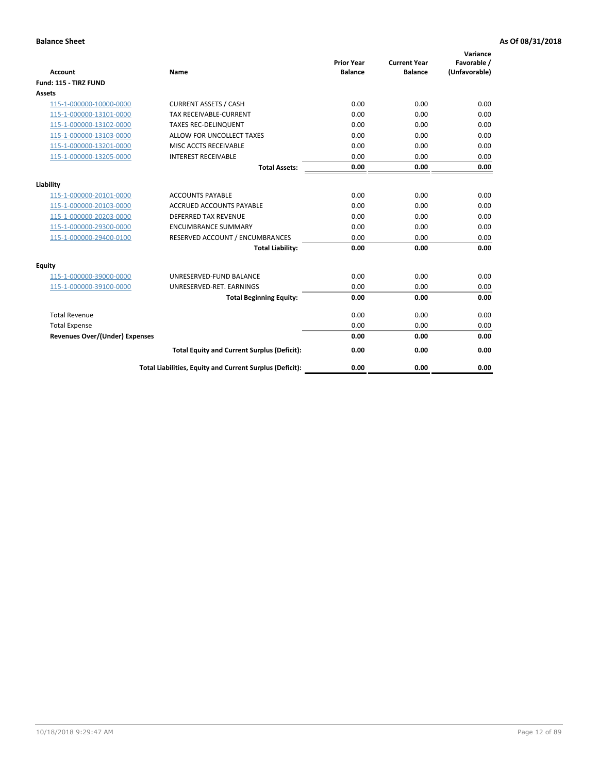| <b>Account</b>                        | <b>Name</b>                                              | <b>Prior Year</b><br><b>Balance</b> | <b>Current Year</b><br><b>Balance</b> | Variance<br>Favorable /<br>(Unfavorable) |
|---------------------------------------|----------------------------------------------------------|-------------------------------------|---------------------------------------|------------------------------------------|
| Fund: 115 - TIRZ FUND                 |                                                          |                                     |                                       |                                          |
| <b>Assets</b>                         |                                                          |                                     |                                       |                                          |
| 115-1-000000-10000-0000               | <b>CURRENT ASSETS / CASH</b>                             | 0.00                                | 0.00                                  | 0.00                                     |
| 115-1-000000-13101-0000               | TAX RECEIVABLE-CURRENT                                   | 0.00                                | 0.00                                  | 0.00                                     |
| 115-1-000000-13102-0000               | <b>TAXES REC-DELINQUENT</b>                              | 0.00                                | 0.00                                  | 0.00                                     |
| 115-1-000000-13103-0000               | ALLOW FOR UNCOLLECT TAXES                                | 0.00                                | 0.00                                  | 0.00                                     |
| 115-1-000000-13201-0000               | MISC ACCTS RECEIVABLE                                    | 0.00                                | 0.00                                  | 0.00                                     |
| 115-1-000000-13205-0000               | <b>INTEREST RECEIVABLE</b>                               | 0.00                                | 0.00                                  | 0.00                                     |
|                                       | <b>Total Assets:</b>                                     | 0.00                                | 0.00                                  | 0.00                                     |
| Liability                             |                                                          |                                     |                                       |                                          |
| 115-1-000000-20101-0000               | <b>ACCOUNTS PAYABLE</b>                                  | 0.00                                | 0.00                                  | 0.00                                     |
| 115-1-000000-20103-0000               | <b>ACCRUED ACCOUNTS PAYABLE</b>                          | 0.00                                | 0.00                                  | 0.00                                     |
| 115-1-000000-20203-0000               | <b>DEFERRED TAX REVENUE</b>                              | 0.00                                | 0.00                                  | 0.00                                     |
| 115-1-000000-29300-0000               | <b>ENCUMBRANCE SUMMARY</b>                               | 0.00                                | 0.00                                  | 0.00                                     |
| 115-1-000000-29400-0100               | RESERVED ACCOUNT / ENCUMBRANCES                          | 0.00                                | 0.00                                  | 0.00                                     |
|                                       | <b>Total Liability:</b>                                  | 0.00                                | 0.00                                  | 0.00                                     |
| Equity                                |                                                          |                                     |                                       |                                          |
| 115-1-000000-39000-0000               | UNRESERVED-FUND BALANCE                                  | 0.00                                | 0.00                                  | 0.00                                     |
| 115-1-000000-39100-0000               | UNRESERVED-RET. EARNINGS                                 | 0.00                                | 0.00                                  | 0.00                                     |
|                                       | <b>Total Beginning Equity:</b>                           | 0.00                                | 0.00                                  | 0.00                                     |
| <b>Total Revenue</b>                  |                                                          | 0.00                                | 0.00                                  | 0.00                                     |
| <b>Total Expense</b>                  |                                                          | 0.00                                | 0.00                                  | 0.00                                     |
| <b>Revenues Over/(Under) Expenses</b> |                                                          | 0.00                                | 0.00                                  | 0.00                                     |
|                                       | <b>Total Equity and Current Surplus (Deficit):</b>       | 0.00                                | 0.00                                  | 0.00                                     |
|                                       | Total Liabilities, Equity and Current Surplus (Deficit): | 0.00                                | 0.00                                  | 0.00                                     |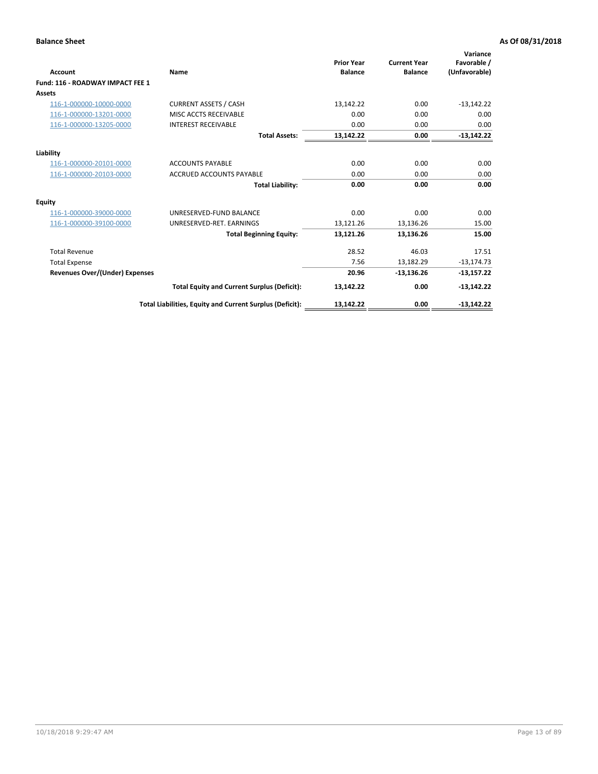| <b>Account</b>                        | Name                                                     | <b>Prior Year</b><br><b>Balance</b> | <b>Current Year</b><br><b>Balance</b> | Variance<br>Favorable /<br>(Unfavorable) |
|---------------------------------------|----------------------------------------------------------|-------------------------------------|---------------------------------------|------------------------------------------|
| Fund: 116 - ROADWAY IMPACT FEE 1      |                                                          |                                     |                                       |                                          |
| Assets                                |                                                          |                                     |                                       |                                          |
| 116-1-000000-10000-0000               | <b>CURRENT ASSETS / CASH</b>                             | 13,142.22                           | 0.00                                  | $-13,142.22$                             |
| 116-1-000000-13201-0000               | MISC ACCTS RECEIVABLE                                    | 0.00                                | 0.00                                  | 0.00                                     |
| 116-1-000000-13205-0000               | <b>INTEREST RECEIVABLE</b>                               | 0.00                                | 0.00                                  | 0.00                                     |
|                                       | <b>Total Assets:</b>                                     | 13,142.22                           | 0.00                                  | $-13,142.22$                             |
| Liability                             |                                                          |                                     |                                       |                                          |
| 116-1-000000-20101-0000               | <b>ACCOUNTS PAYABLE</b>                                  | 0.00                                | 0.00                                  | 0.00                                     |
| 116-1-000000-20103-0000               | <b>ACCRUED ACCOUNTS PAYABLE</b>                          | 0.00                                | 0.00                                  | 0.00                                     |
|                                       | <b>Total Liability:</b>                                  | 0.00                                | 0.00                                  | 0.00                                     |
| Equity                                |                                                          |                                     |                                       |                                          |
| 116-1-000000-39000-0000               | UNRESERVED-FUND BALANCE                                  | 0.00                                | 0.00                                  | 0.00                                     |
| 116-1-000000-39100-0000               | UNRESERVED-RET. EARNINGS                                 | 13,121.26                           | 13,136.26                             | 15.00                                    |
|                                       | <b>Total Beginning Equity:</b>                           | 13,121.26                           | 13,136.26                             | 15.00                                    |
| <b>Total Revenue</b>                  |                                                          | 28.52                               | 46.03                                 | 17.51                                    |
| <b>Total Expense</b>                  |                                                          | 7.56                                | 13,182.29                             | $-13,174.73$                             |
| <b>Revenues Over/(Under) Expenses</b> |                                                          | 20.96                               | $-13.136.26$                          | $-13,157.22$                             |
|                                       | <b>Total Equity and Current Surplus (Deficit):</b>       | 13,142.22                           | 0.00                                  | $-13,142.22$                             |
|                                       | Total Liabilities, Equity and Current Surplus (Deficit): | 13,142.22                           | 0.00                                  | $-13,142.22$                             |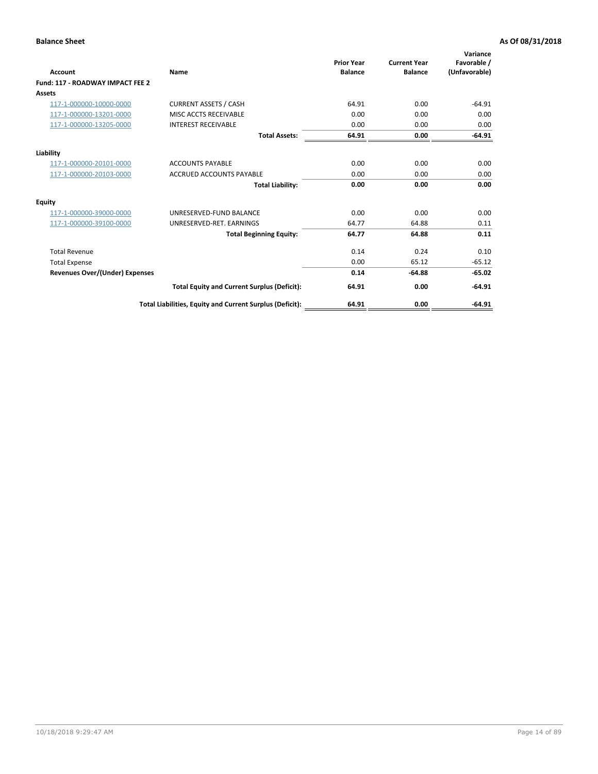| <b>Account</b>                        | Name                                                     | <b>Prior Year</b><br><b>Balance</b> | <b>Current Year</b><br><b>Balance</b> | Variance<br>Favorable /<br>(Unfavorable) |
|---------------------------------------|----------------------------------------------------------|-------------------------------------|---------------------------------------|------------------------------------------|
| Fund: 117 - ROADWAY IMPACT FEE 2      |                                                          |                                     |                                       |                                          |
| <b>Assets</b>                         |                                                          |                                     |                                       |                                          |
| 117-1-000000-10000-0000               | <b>CURRENT ASSETS / CASH</b>                             | 64.91                               | 0.00                                  | $-64.91$                                 |
| 117-1-000000-13201-0000               | MISC ACCTS RECEIVABLE                                    | 0.00                                | 0.00                                  | 0.00                                     |
| 117-1-000000-13205-0000               | <b>INTEREST RECEIVABLE</b>                               | 0.00                                | 0.00                                  | 0.00                                     |
|                                       | <b>Total Assets:</b>                                     | 64.91                               | 0.00                                  | $-64.91$                                 |
| Liability                             |                                                          |                                     |                                       |                                          |
| 117-1-000000-20101-0000               | <b>ACCOUNTS PAYABLE</b>                                  | 0.00                                | 0.00                                  | 0.00                                     |
| 117-1-000000-20103-0000               | <b>ACCRUED ACCOUNTS PAYABLE</b>                          | 0.00                                | 0.00                                  | 0.00                                     |
|                                       | <b>Total Liability:</b>                                  | 0.00                                | 0.00                                  | 0.00                                     |
| Equity                                |                                                          |                                     |                                       |                                          |
| 117-1-000000-39000-0000               | UNRESERVED-FUND BALANCE                                  | 0.00                                | 0.00                                  | 0.00                                     |
| 117-1-000000-39100-0000               | UNRESERVED-RET. EARNINGS                                 | 64.77                               | 64.88                                 | 0.11                                     |
|                                       | <b>Total Beginning Equity:</b>                           | 64.77                               | 64.88                                 | 0.11                                     |
| <b>Total Revenue</b>                  |                                                          | 0.14                                | 0.24                                  | 0.10                                     |
| <b>Total Expense</b>                  |                                                          | 0.00                                | 65.12                                 | $-65.12$                                 |
| <b>Revenues Over/(Under) Expenses</b> |                                                          | 0.14                                | $-64.88$                              | $-65.02$                                 |
|                                       | <b>Total Equity and Current Surplus (Deficit):</b>       | 64.91                               | 0.00                                  | $-64.91$                                 |
|                                       | Total Liabilities, Equity and Current Surplus (Deficit): | 64.91                               | 0.00                                  | $-64.91$                                 |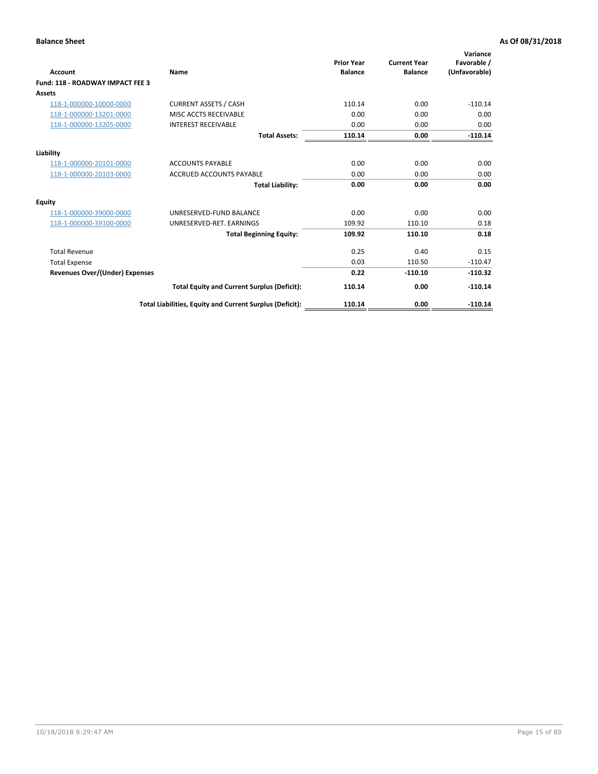| <b>Account</b>                        | <b>Name</b>                                              | <b>Prior Year</b><br><b>Balance</b> | <b>Current Year</b><br><b>Balance</b> | Variance<br>Favorable /<br>(Unfavorable) |
|---------------------------------------|----------------------------------------------------------|-------------------------------------|---------------------------------------|------------------------------------------|
| Fund: 118 - ROADWAY IMPACT FEE 3      |                                                          |                                     |                                       |                                          |
| Assets                                |                                                          |                                     |                                       |                                          |
| 118-1-000000-10000-0000               | <b>CURRENT ASSETS / CASH</b>                             | 110.14                              | 0.00                                  | $-110.14$                                |
| 118-1-000000-13201-0000               | MISC ACCTS RECEIVABLE                                    | 0.00                                | 0.00                                  | 0.00                                     |
| 118-1-000000-13205-0000               | <b>INTEREST RECEIVABLE</b>                               | 0.00                                | 0.00                                  | 0.00                                     |
|                                       | <b>Total Assets:</b>                                     | 110.14                              | 0.00                                  | $-110.14$                                |
| Liability                             |                                                          |                                     |                                       |                                          |
| 118-1-000000-20101-0000               | <b>ACCOUNTS PAYABLE</b>                                  | 0.00                                | 0.00                                  | 0.00                                     |
| 118-1-000000-20103-0000               | <b>ACCRUED ACCOUNTS PAYABLE</b>                          | 0.00                                | 0.00                                  | 0.00                                     |
|                                       | <b>Total Liability:</b>                                  | 0.00                                | 0.00                                  | 0.00                                     |
| <b>Equity</b>                         |                                                          |                                     |                                       |                                          |
| 118-1-000000-39000-0000               | UNRESERVED-FUND BALANCE                                  | 0.00                                | 0.00                                  | 0.00                                     |
| 118-1-000000-39100-0000               | UNRESERVED-RET. EARNINGS                                 | 109.92                              | 110.10                                | 0.18                                     |
|                                       | <b>Total Beginning Equity:</b>                           | 109.92                              | 110.10                                | 0.18                                     |
| <b>Total Revenue</b>                  |                                                          | 0.25                                | 0.40                                  | 0.15                                     |
| <b>Total Expense</b>                  |                                                          | 0.03                                | 110.50                                | $-110.47$                                |
| <b>Revenues Over/(Under) Expenses</b> |                                                          | 0.22                                | $-110.10$                             | $-110.32$                                |
|                                       | <b>Total Equity and Current Surplus (Deficit):</b>       | 110.14                              | 0.00                                  | $-110.14$                                |
|                                       | Total Liabilities, Equity and Current Surplus (Deficit): | 110.14                              | 0.00                                  | $-110.14$                                |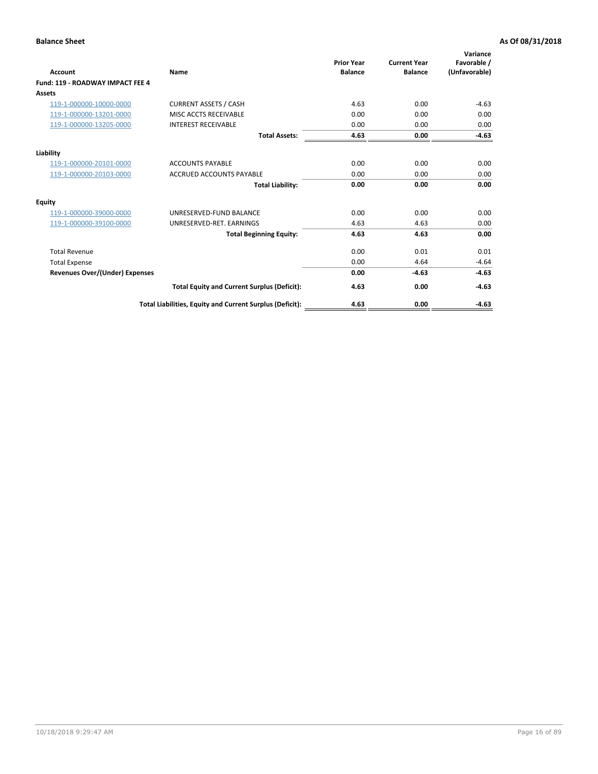| Account                               | <b>Name</b>                                              | <b>Prior Year</b><br><b>Balance</b> | <b>Current Year</b><br><b>Balance</b> | Variance<br>Favorable /<br>(Unfavorable) |
|---------------------------------------|----------------------------------------------------------|-------------------------------------|---------------------------------------|------------------------------------------|
| Fund: 119 - ROADWAY IMPACT FEE 4      |                                                          |                                     |                                       |                                          |
| Assets                                |                                                          |                                     |                                       |                                          |
| 119-1-000000-10000-0000               | <b>CURRENT ASSETS / CASH</b>                             | 4.63                                | 0.00                                  | $-4.63$                                  |
| 119-1-000000-13201-0000               | <b>MISC ACCTS RECEIVABLE</b>                             | 0.00                                | 0.00                                  | 0.00                                     |
| 119-1-000000-13205-0000               | <b>INTEREST RECEIVABLE</b>                               | 0.00                                | 0.00                                  | 0.00                                     |
|                                       | <b>Total Assets:</b>                                     | 4.63                                | 0.00                                  | $-4.63$                                  |
| Liability                             |                                                          |                                     |                                       |                                          |
| 119-1-000000-20101-0000               | <b>ACCOUNTS PAYABLE</b>                                  | 0.00                                | 0.00                                  | 0.00                                     |
| 119-1-000000-20103-0000               | <b>ACCRUED ACCOUNTS PAYABLE</b>                          | 0.00                                | 0.00                                  | 0.00                                     |
|                                       | <b>Total Liability:</b>                                  | 0.00                                | 0.00                                  | 0.00                                     |
| Equity                                |                                                          |                                     |                                       |                                          |
| 119-1-000000-39000-0000               | UNRESERVED-FUND BALANCE                                  | 0.00                                | 0.00                                  | 0.00                                     |
| 119-1-000000-39100-0000               | UNRESERVED-RET. EARNINGS                                 | 4.63                                | 4.63                                  | 0.00                                     |
|                                       | <b>Total Beginning Equity:</b>                           | 4.63                                | 4.63                                  | 0.00                                     |
| <b>Total Revenue</b>                  |                                                          | 0.00                                | 0.01                                  | 0.01                                     |
| <b>Total Expense</b>                  |                                                          | 0.00                                | 4.64                                  | $-4.64$                                  |
| <b>Revenues Over/(Under) Expenses</b> |                                                          | 0.00                                | $-4.63$                               | $-4.63$                                  |
|                                       | <b>Total Equity and Current Surplus (Deficit):</b>       | 4.63                                | 0.00                                  | $-4.63$                                  |
|                                       | Total Liabilities, Equity and Current Surplus (Deficit): | 4.63                                | 0.00                                  | $-4.63$                                  |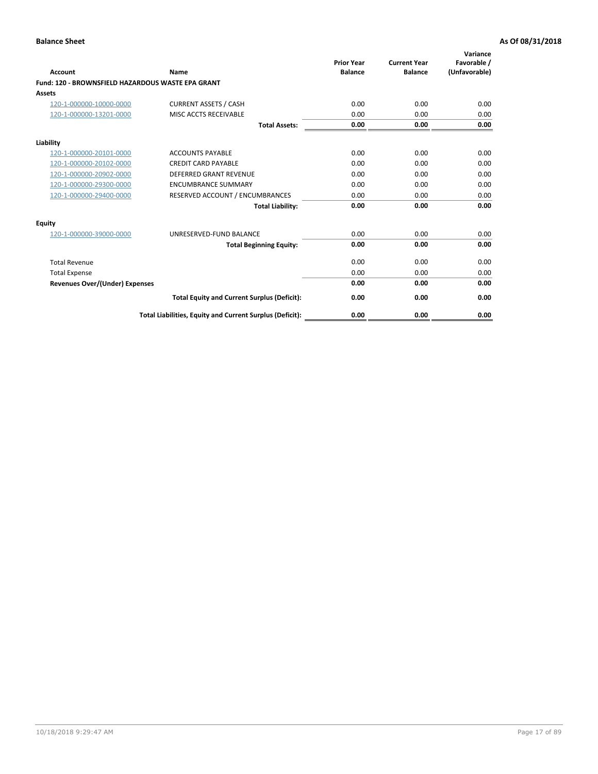|                                                   |                                                          | <b>Prior Year</b> | <b>Current Year</b> | Variance<br>Favorable / |
|---------------------------------------------------|----------------------------------------------------------|-------------------|---------------------|-------------------------|
| <b>Account</b>                                    | <b>Name</b>                                              | <b>Balance</b>    | <b>Balance</b>      | (Unfavorable)           |
| Fund: 120 - BROWNSFIELD HAZARDOUS WASTE EPA GRANT |                                                          |                   |                     |                         |
| <b>Assets</b>                                     |                                                          |                   |                     |                         |
| 120-1-000000-10000-0000                           | <b>CURRENT ASSETS / CASH</b>                             | 0.00              | 0.00                | 0.00                    |
| 120-1-000000-13201-0000                           | MISC ACCTS RECEIVABLE                                    | 0.00              | 0.00                | 0.00                    |
|                                                   | <b>Total Assets:</b>                                     | 0.00              | 0.00                | 0.00                    |
| Liability                                         |                                                          |                   |                     |                         |
| 120-1-000000-20101-0000                           | <b>ACCOUNTS PAYABLE</b>                                  | 0.00              | 0.00                | 0.00                    |
| 120-1-000000-20102-0000                           | <b>CREDIT CARD PAYABLE</b>                               | 0.00              | 0.00                | 0.00                    |
| 120-1-000000-20902-0000                           | <b>DEFERRED GRANT REVENUE</b>                            | 0.00              | 0.00                | 0.00                    |
| 120-1-000000-29300-0000                           | <b>ENCUMBRANCE SUMMARY</b>                               | 0.00              | 0.00                | 0.00                    |
| 120-1-000000-29400-0000                           | RESERVED ACCOUNT / ENCUMBRANCES                          | 0.00              | 0.00                | 0.00                    |
|                                                   | <b>Total Liability:</b>                                  | 0.00              | 0.00                | 0.00                    |
| Equity                                            |                                                          |                   |                     |                         |
| 120-1-000000-39000-0000                           | UNRESERVED-FUND BALANCE                                  | 0.00              | 0.00                | 0.00                    |
|                                                   | <b>Total Beginning Equity:</b>                           | 0.00              | 0.00                | 0.00                    |
| <b>Total Revenue</b>                              |                                                          | 0.00              | 0.00                | 0.00                    |
| <b>Total Expense</b>                              |                                                          | 0.00              | 0.00                | 0.00                    |
| <b>Revenues Over/(Under) Expenses</b>             |                                                          | 0.00              | 0.00                | 0.00                    |
|                                                   | <b>Total Equity and Current Surplus (Deficit):</b>       | 0.00              | 0.00                | 0.00                    |
|                                                   | Total Liabilities, Equity and Current Surplus (Deficit): | 0.00              | 0.00                | 0.00                    |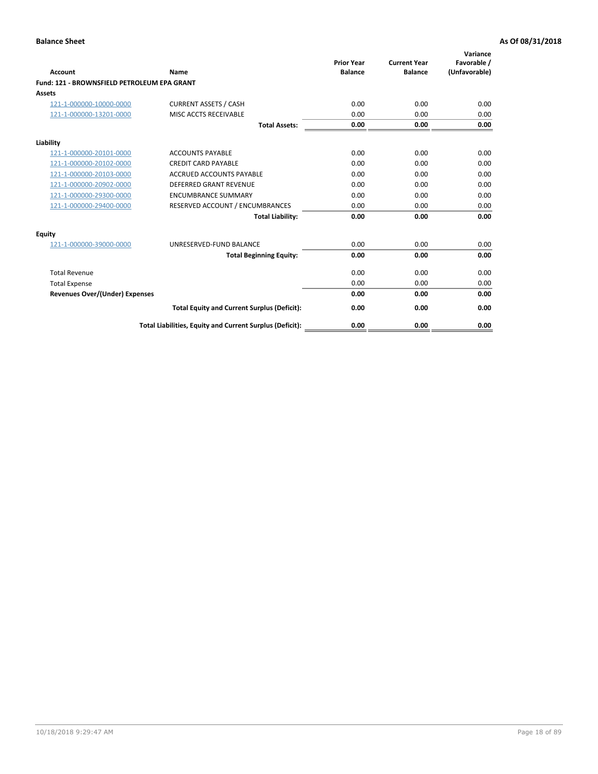| Account                                     | Name                                                     | <b>Prior Year</b><br><b>Balance</b> | <b>Current Year</b><br><b>Balance</b> | Variance<br>Favorable /<br>(Unfavorable) |
|---------------------------------------------|----------------------------------------------------------|-------------------------------------|---------------------------------------|------------------------------------------|
| Fund: 121 - BROWNSFIELD PETROLEUM EPA GRANT |                                                          |                                     |                                       |                                          |
| <b>Assets</b>                               |                                                          |                                     |                                       |                                          |
| 121-1-000000-10000-0000                     | <b>CURRENT ASSETS / CASH</b>                             | 0.00                                | 0.00                                  | 0.00                                     |
| 121-1-000000-13201-0000                     | <b>MISC ACCTS RECEIVABLE</b>                             | 0.00                                | 0.00                                  | 0.00                                     |
|                                             | <b>Total Assets:</b>                                     | 0.00                                | 0.00                                  | 0.00                                     |
| Liability                                   |                                                          |                                     |                                       |                                          |
| 121-1-000000-20101-0000                     | <b>ACCOUNTS PAYABLE</b>                                  | 0.00                                | 0.00                                  | 0.00                                     |
| 121-1-000000-20102-0000                     | <b>CREDIT CARD PAYABLE</b>                               | 0.00                                | 0.00                                  | 0.00                                     |
| 121-1-000000-20103-0000                     | <b>ACCRUED ACCOUNTS PAYABLE</b>                          | 0.00                                | 0.00                                  | 0.00                                     |
| 121-1-000000-20902-0000                     | <b>DEFERRED GRANT REVENUE</b>                            | 0.00                                | 0.00                                  | 0.00                                     |
| 121-1-000000-29300-0000                     | <b>ENCUMBRANCE SUMMARY</b>                               | 0.00                                | 0.00                                  | 0.00                                     |
| 121-1-000000-29400-0000                     | RESERVED ACCOUNT / ENCUMBRANCES                          | 0.00                                | 0.00                                  | 0.00                                     |
|                                             | <b>Total Liability:</b>                                  | 0.00                                | 0.00                                  | 0.00                                     |
| <b>Equity</b>                               |                                                          |                                     |                                       |                                          |
| 121-1-000000-39000-0000                     | UNRESERVED-FUND BALANCE                                  | 0.00                                | 0.00                                  | 0.00                                     |
|                                             | <b>Total Beginning Equity:</b>                           | 0.00                                | 0.00                                  | 0.00                                     |
| <b>Total Revenue</b>                        |                                                          | 0.00                                | 0.00                                  | 0.00                                     |
| <b>Total Expense</b>                        |                                                          | 0.00                                | 0.00                                  | 0.00                                     |
| <b>Revenues Over/(Under) Expenses</b>       |                                                          | 0.00                                | 0.00                                  | 0.00                                     |
|                                             | <b>Total Equity and Current Surplus (Deficit):</b>       | 0.00                                | 0.00                                  | 0.00                                     |
|                                             | Total Liabilities, Equity and Current Surplus (Deficit): | 0.00                                | 0.00                                  | 0.00                                     |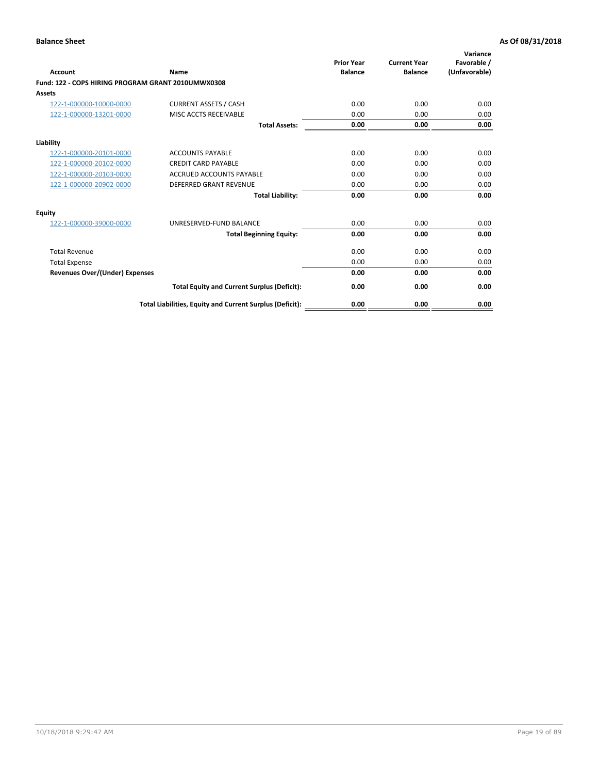| <b>Account</b>                                     | Name                                                     | <b>Prior Year</b><br><b>Balance</b> | <b>Current Year</b><br><b>Balance</b> | Variance<br>Favorable /<br>(Unfavorable) |
|----------------------------------------------------|----------------------------------------------------------|-------------------------------------|---------------------------------------|------------------------------------------|
| Fund: 122 - COPS HIRING PROGRAM GRANT 2010UMWX0308 |                                                          |                                     |                                       |                                          |
| Assets                                             |                                                          |                                     |                                       |                                          |
| 122-1-000000-10000-0000                            | <b>CURRENT ASSETS / CASH</b>                             | 0.00                                | 0.00                                  | 0.00                                     |
| 122-1-000000-13201-0000                            | MISC ACCTS RECEIVABLE                                    | 0.00                                | 0.00                                  | 0.00                                     |
|                                                    | <b>Total Assets:</b>                                     | 0.00                                | 0.00                                  | 0.00                                     |
| Liability                                          |                                                          |                                     |                                       |                                          |
| 122-1-000000-20101-0000                            | <b>ACCOUNTS PAYABLE</b>                                  | 0.00                                | 0.00                                  | 0.00                                     |
| 122-1-000000-20102-0000                            | <b>CREDIT CARD PAYABLE</b>                               | 0.00                                | 0.00                                  | 0.00                                     |
| 122-1-000000-20103-0000                            | <b>ACCRUED ACCOUNTS PAYABLE</b>                          | 0.00                                | 0.00                                  | 0.00                                     |
| 122-1-000000-20902-0000                            | <b>DEFERRED GRANT REVENUE</b>                            | 0.00                                | 0.00                                  | 0.00                                     |
|                                                    | <b>Total Liability:</b>                                  | 0.00                                | 0.00                                  | 0.00                                     |
| Equity                                             |                                                          |                                     |                                       |                                          |
| 122-1-000000-39000-0000                            | UNRESERVED-FUND BALANCE                                  | 0.00                                | 0.00                                  | 0.00                                     |
|                                                    | <b>Total Beginning Equity:</b>                           | 0.00                                | 0.00                                  | 0.00                                     |
| <b>Total Revenue</b>                               |                                                          | 0.00                                | 0.00                                  | 0.00                                     |
| <b>Total Expense</b>                               |                                                          | 0.00                                | 0.00                                  | 0.00                                     |
| <b>Revenues Over/(Under) Expenses</b>              |                                                          | 0.00                                | 0.00                                  | 0.00                                     |
|                                                    | <b>Total Equity and Current Surplus (Deficit):</b>       | 0.00                                | 0.00                                  | 0.00                                     |
|                                                    | Total Liabilities, Equity and Current Surplus (Deficit): | 0.00                                | 0.00                                  | 0.00                                     |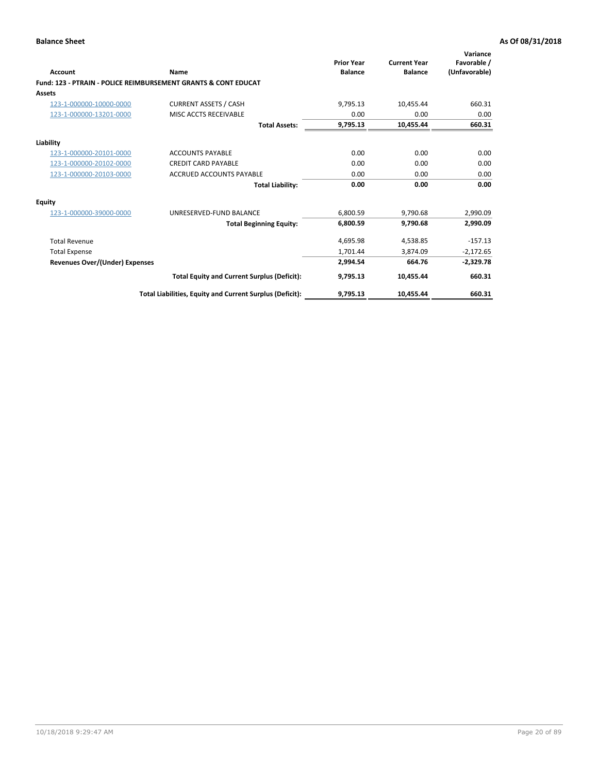| Account                        | Name                                                           | <b>Prior Year</b><br><b>Balance</b> | <b>Current Year</b><br><b>Balance</b> | Variance<br>Favorable /<br>(Unfavorable) |
|--------------------------------|----------------------------------------------------------------|-------------------------------------|---------------------------------------|------------------------------------------|
|                                | Fund: 123 - PTRAIN - POLICE REIMBURSEMENT GRANTS & CONT EDUCAT |                                     |                                       |                                          |
| Assets                         |                                                                |                                     |                                       |                                          |
| 123-1-000000-10000-0000        | <b>CURRENT ASSETS / CASH</b>                                   | 9,795.13                            | 10,455.44                             | 660.31                                   |
| 123-1-000000-13201-0000        | MISC ACCTS RECEIVABLE                                          | 0.00                                | 0.00                                  | 0.00                                     |
|                                | <b>Total Assets:</b>                                           | 9,795.13                            | 10,455.44                             | 660.31                                   |
| Liability                      |                                                                |                                     |                                       |                                          |
| 123-1-000000-20101-0000        | <b>ACCOUNTS PAYABLE</b>                                        | 0.00                                | 0.00                                  | 0.00                                     |
| 123-1-000000-20102-0000        | <b>CREDIT CARD PAYABLE</b>                                     | 0.00                                | 0.00                                  | 0.00                                     |
| 123-1-000000-20103-0000        | ACCRUED ACCOUNTS PAYABLE                                       | 0.00                                | 0.00                                  | 0.00                                     |
|                                | <b>Total Liability:</b>                                        | 0.00                                | 0.00                                  | 0.00                                     |
| Equity                         |                                                                |                                     |                                       |                                          |
| 123-1-000000-39000-0000        | UNRESERVED-FUND BALANCE                                        | 6,800.59                            | 9,790.68                              | 2,990.09                                 |
|                                | <b>Total Beginning Equity:</b>                                 | 6,800.59                            | 9,790.68                              | 2,990.09                                 |
| <b>Total Revenue</b>           |                                                                | 4,695.98                            | 4,538.85                              | $-157.13$                                |
| <b>Total Expense</b>           |                                                                | 1,701.44                            | 3.874.09                              | $-2,172.65$                              |
| Revenues Over/(Under) Expenses |                                                                | 2,994.54                            | 664.76                                | $-2,329.78$                              |
|                                | <b>Total Equity and Current Surplus (Deficit):</b>             | 9,795.13                            | 10,455.44                             | 660.31                                   |
|                                | Total Liabilities, Equity and Current Surplus (Deficit):       | 9,795.13                            | 10,455.44                             | 660.31                                   |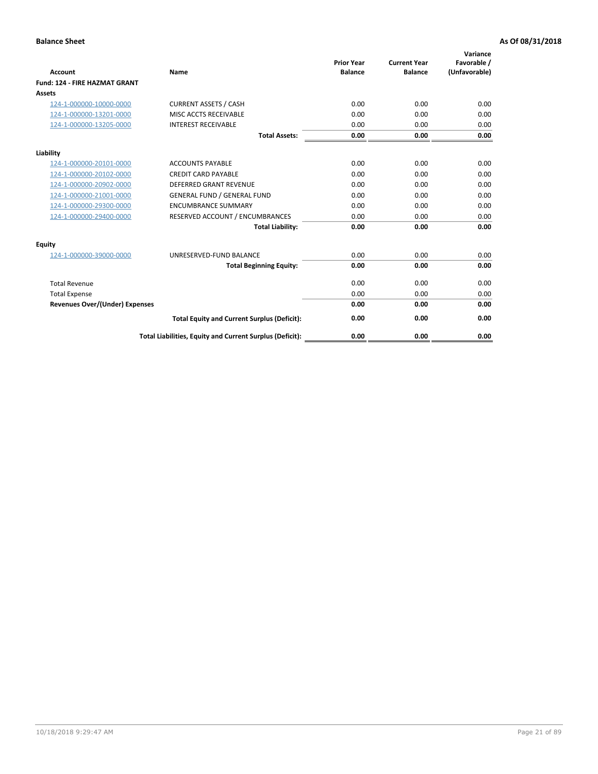| <b>Account</b>                        | Name                                                     | <b>Prior Year</b><br><b>Balance</b> | <b>Current Year</b><br><b>Balance</b> | Variance<br>Favorable /<br>(Unfavorable) |
|---------------------------------------|----------------------------------------------------------|-------------------------------------|---------------------------------------|------------------------------------------|
| Fund: 124 - FIRE HAZMAT GRANT         |                                                          |                                     |                                       |                                          |
| Assets                                |                                                          |                                     |                                       |                                          |
| 124-1-000000-10000-0000               | <b>CURRENT ASSETS / CASH</b>                             | 0.00                                | 0.00                                  | 0.00                                     |
| 124-1-000000-13201-0000               | MISC ACCTS RECEIVABLE                                    | 0.00                                | 0.00                                  | 0.00                                     |
| 124-1-000000-13205-0000               | <b>INTEREST RECEIVABLE</b>                               | 0.00                                | 0.00                                  | 0.00                                     |
|                                       | <b>Total Assets:</b>                                     | 0.00                                | 0.00                                  | 0.00                                     |
| Liability                             |                                                          |                                     |                                       |                                          |
| 124-1-000000-20101-0000               | <b>ACCOUNTS PAYABLE</b>                                  | 0.00                                | 0.00                                  | 0.00                                     |
| 124-1-000000-20102-0000               | <b>CREDIT CARD PAYABLE</b>                               | 0.00                                | 0.00                                  | 0.00                                     |
| 124-1-000000-20902-0000               | <b>DEFERRED GRANT REVENUE</b>                            | 0.00                                | 0.00                                  | 0.00                                     |
| 124-1-000000-21001-0000               | <b>GENERAL FUND / GENERAL FUND</b>                       | 0.00                                | 0.00                                  | 0.00                                     |
| 124-1-000000-29300-0000               | <b>ENCUMBRANCE SUMMARY</b>                               | 0.00                                | 0.00                                  | 0.00                                     |
| 124-1-000000-29400-0000               | RESERVED ACCOUNT / ENCUMBRANCES                          | 0.00                                | 0.00                                  | 0.00                                     |
|                                       | <b>Total Liability:</b>                                  | 0.00                                | 0.00                                  | 0.00                                     |
| Equity                                |                                                          |                                     |                                       |                                          |
| 124-1-000000-39000-0000               | UNRESERVED-FUND BALANCE                                  | 0.00                                | 0.00                                  | 0.00                                     |
|                                       | <b>Total Beginning Equity:</b>                           | 0.00                                | 0.00                                  | 0.00                                     |
| <b>Total Revenue</b>                  |                                                          | 0.00                                | 0.00                                  | 0.00                                     |
| <b>Total Expense</b>                  |                                                          | 0.00                                | 0.00                                  | 0.00                                     |
| <b>Revenues Over/(Under) Expenses</b> |                                                          | 0.00                                | 0.00                                  | 0.00                                     |
|                                       | <b>Total Equity and Current Surplus (Deficit):</b>       | 0.00                                | 0.00                                  | 0.00                                     |
|                                       | Total Liabilities, Equity and Current Surplus (Deficit): | 0.00                                | 0.00                                  | 0.00                                     |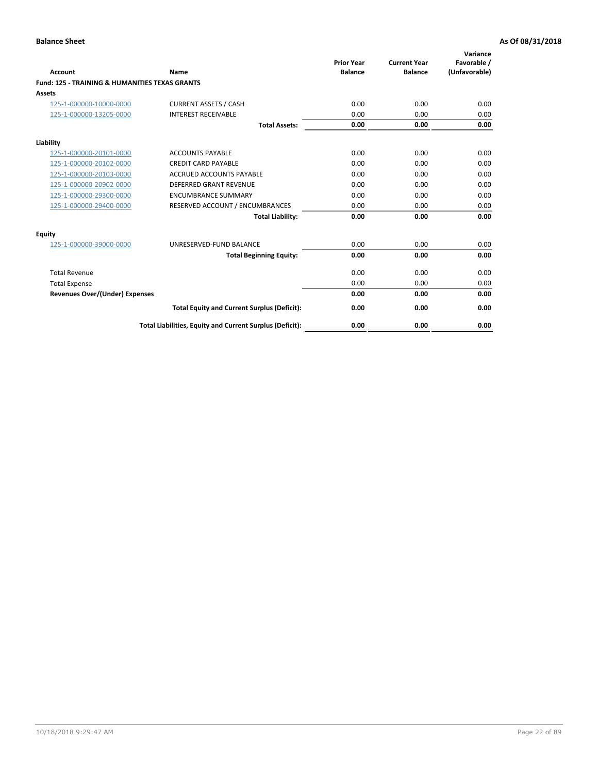| Account                                                   | Name                                                     | <b>Prior Year</b><br><b>Balance</b> | <b>Current Year</b><br><b>Balance</b> | Variance<br>Favorable /<br>(Unfavorable) |
|-----------------------------------------------------------|----------------------------------------------------------|-------------------------------------|---------------------------------------|------------------------------------------|
| <b>Fund: 125 - TRAINING &amp; HUMANITIES TEXAS GRANTS</b> |                                                          |                                     |                                       |                                          |
| <b>Assets</b>                                             |                                                          |                                     |                                       |                                          |
| 125-1-000000-10000-0000                                   | <b>CURRENT ASSETS / CASH</b>                             | 0.00                                | 0.00                                  | 0.00                                     |
| 125-1-000000-13205-0000                                   | <b>INTEREST RECEIVABLE</b>                               | 0.00                                | 0.00                                  | 0.00                                     |
|                                                           | <b>Total Assets:</b>                                     | 0.00                                | 0.00                                  | 0.00                                     |
| Liability                                                 |                                                          |                                     |                                       |                                          |
| 125-1-000000-20101-0000                                   | <b>ACCOUNTS PAYABLE</b>                                  | 0.00                                | 0.00                                  | 0.00                                     |
| 125-1-000000-20102-0000                                   | <b>CREDIT CARD PAYABLE</b>                               | 0.00                                | 0.00                                  | 0.00                                     |
| 125-1-000000-20103-0000                                   | <b>ACCRUED ACCOUNTS PAYABLE</b>                          | 0.00                                | 0.00                                  | 0.00                                     |
| 125-1-000000-20902-0000                                   | <b>DEFERRED GRANT REVENUE</b>                            | 0.00                                | 0.00                                  | 0.00                                     |
| 125-1-000000-29300-0000                                   | <b>ENCUMBRANCE SUMMARY</b>                               | 0.00                                | 0.00                                  | 0.00                                     |
| 125-1-000000-29400-0000                                   | RESERVED ACCOUNT / ENCUMBRANCES                          | 0.00                                | 0.00                                  | 0.00                                     |
|                                                           | <b>Total Liability:</b>                                  | 0.00                                | 0.00                                  | 0.00                                     |
| <b>Equity</b>                                             |                                                          |                                     |                                       |                                          |
| 125-1-000000-39000-0000                                   | UNRESERVED-FUND BALANCE                                  | 0.00                                | 0.00                                  | 0.00                                     |
|                                                           | <b>Total Beginning Equity:</b>                           | 0.00                                | 0.00                                  | 0.00                                     |
| <b>Total Revenue</b>                                      |                                                          | 0.00                                | 0.00                                  | 0.00                                     |
| <b>Total Expense</b>                                      |                                                          | 0.00                                | 0.00                                  | 0.00                                     |
| <b>Revenues Over/(Under) Expenses</b>                     |                                                          | 0.00                                | 0.00                                  | 0.00                                     |
|                                                           | <b>Total Equity and Current Surplus (Deficit):</b>       | 0.00                                | 0.00                                  | 0.00                                     |
|                                                           | Total Liabilities, Equity and Current Surplus (Deficit): | 0.00                                | 0.00                                  | 0.00                                     |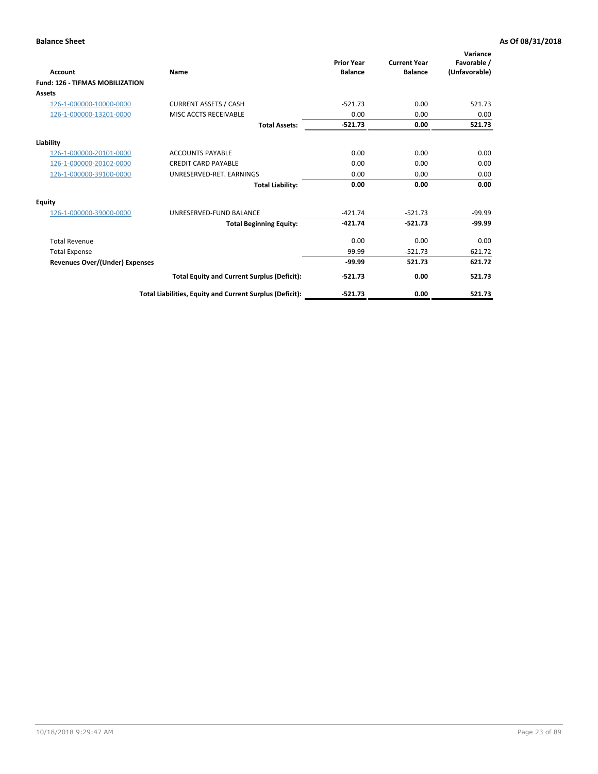| <b>Account</b>                         | Name                                                     | <b>Prior Year</b><br><b>Balance</b> | <b>Current Year</b><br><b>Balance</b> | Variance<br>Favorable /<br>(Unfavorable) |
|----------------------------------------|----------------------------------------------------------|-------------------------------------|---------------------------------------|------------------------------------------|
| <b>Fund: 126 - TIFMAS MOBILIZATION</b> |                                                          |                                     |                                       |                                          |
| Assets                                 |                                                          |                                     |                                       |                                          |
| 126-1-000000-10000-0000                | <b>CURRENT ASSETS / CASH</b>                             | $-521.73$                           | 0.00                                  | 521.73                                   |
| 126-1-000000-13201-0000                | MISC ACCTS RECEIVABLE                                    | 0.00                                | 0.00                                  | 0.00                                     |
|                                        | <b>Total Assets:</b>                                     | $-521.73$                           | 0.00                                  | 521.73                                   |
| Liability                              |                                                          |                                     |                                       |                                          |
| 126-1-000000-20101-0000                | <b>ACCOUNTS PAYABLE</b>                                  | 0.00                                | 0.00                                  | 0.00                                     |
| 126-1-000000-20102-0000                | <b>CREDIT CARD PAYABLE</b>                               | 0.00                                | 0.00                                  | 0.00                                     |
| 126-1-000000-39100-0000                | UNRESERVED-RET. EARNINGS                                 | 0.00                                | 0.00                                  | 0.00                                     |
|                                        | <b>Total Liability:</b>                                  | 0.00                                | 0.00                                  | 0.00                                     |
| Equity                                 |                                                          |                                     |                                       |                                          |
| 126-1-000000-39000-0000                | UNRESERVED-FUND BALANCE                                  | $-421.74$                           | $-521.73$                             | $-99.99$                                 |
|                                        | <b>Total Beginning Equity:</b>                           | $-421.74$                           | $-521.73$                             | $-99.99$                                 |
| <b>Total Revenue</b>                   |                                                          | 0.00                                | 0.00                                  | 0.00                                     |
| <b>Total Expense</b>                   |                                                          | 99.99                               | $-521.73$                             | 621.72                                   |
| Revenues Over/(Under) Expenses         |                                                          | $-99.99$                            | 521.73                                | 621.72                                   |
|                                        | <b>Total Equity and Current Surplus (Deficit):</b>       | $-521.73$                           | 0.00                                  | 521.73                                   |
|                                        | Total Liabilities, Equity and Current Surplus (Deficit): | $-521.73$                           | 0.00                                  | 521.73                                   |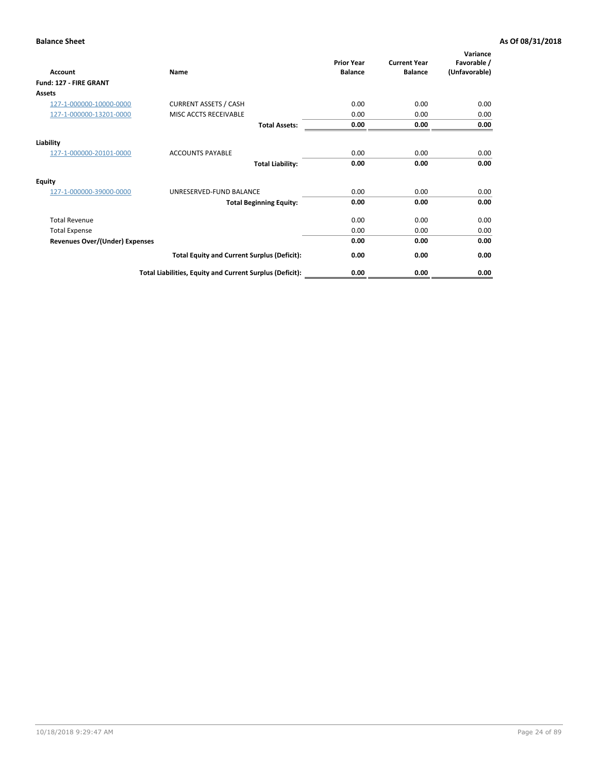| <b>Account</b>                        | Name                                                     | <b>Prior Year</b><br><b>Balance</b> | <b>Current Year</b><br><b>Balance</b> | Variance<br>Favorable /<br>(Unfavorable) |
|---------------------------------------|----------------------------------------------------------|-------------------------------------|---------------------------------------|------------------------------------------|
| Fund: 127 - FIRE GRANT                |                                                          |                                     |                                       |                                          |
| <b>Assets</b>                         |                                                          |                                     |                                       |                                          |
| 127-1-000000-10000-0000               | <b>CURRENT ASSETS / CASH</b>                             | 0.00                                | 0.00                                  | 0.00                                     |
| 127-1-000000-13201-0000               | MISC ACCTS RECEIVABLE                                    | 0.00                                | 0.00                                  | 0.00                                     |
|                                       | <b>Total Assets:</b>                                     | 0.00                                | 0.00                                  | 0.00                                     |
| Liability                             |                                                          |                                     |                                       |                                          |
| 127-1-000000-20101-0000               | <b>ACCOUNTS PAYABLE</b>                                  | 0.00                                | 0.00                                  | 0.00                                     |
|                                       | <b>Total Liability:</b>                                  | 0.00                                | 0.00                                  | 0.00                                     |
| Equity                                |                                                          |                                     |                                       |                                          |
| 127-1-000000-39000-0000               | UNRESERVED-FUND BALANCE                                  | 0.00                                | 0.00                                  | 0.00                                     |
|                                       | <b>Total Beginning Equity:</b>                           | 0.00                                | 0.00                                  | 0.00                                     |
| <b>Total Revenue</b>                  |                                                          | 0.00                                | 0.00                                  | 0.00                                     |
| <b>Total Expense</b>                  |                                                          | 0.00                                | 0.00                                  | 0.00                                     |
| <b>Revenues Over/(Under) Expenses</b> |                                                          | 0.00                                | 0.00                                  | 0.00                                     |
|                                       | <b>Total Equity and Current Surplus (Deficit):</b>       | 0.00                                | 0.00                                  | 0.00                                     |
|                                       | Total Liabilities, Equity and Current Surplus (Deficit): | 0.00                                | 0.00                                  | 0.00                                     |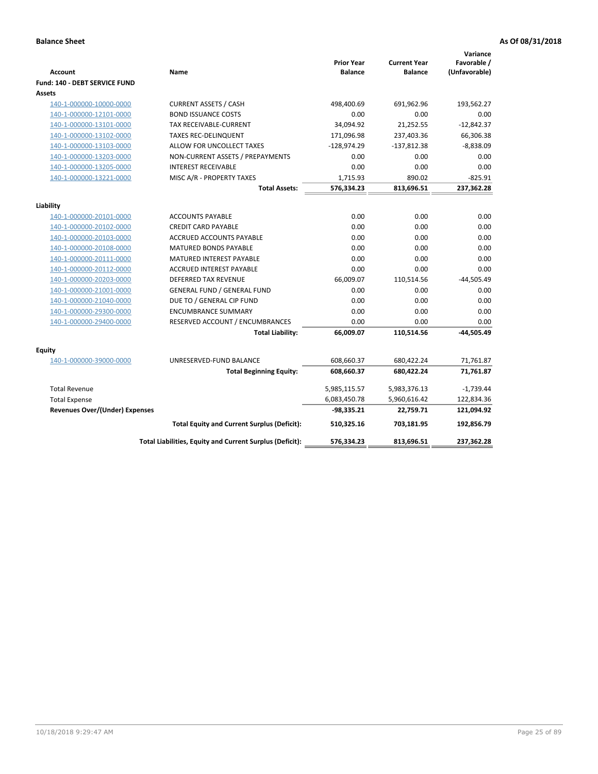| <b>Account</b>                        | Name                                                     | <b>Prior Year</b><br><b>Balance</b> | <b>Current Year</b><br><b>Balance</b> | Variance<br>Favorable /<br>(Unfavorable) |
|---------------------------------------|----------------------------------------------------------|-------------------------------------|---------------------------------------|------------------------------------------|
| Fund: 140 - DEBT SERVICE FUND         |                                                          |                                     |                                       |                                          |
| Assets                                |                                                          |                                     |                                       |                                          |
| 140-1-000000-10000-0000               | <b>CURRENT ASSETS / CASH</b>                             | 498,400.69                          | 691,962.96                            | 193,562.27                               |
| 140-1-000000-12101-0000               | <b>BOND ISSUANCE COSTS</b>                               | 0.00                                | 0.00                                  | 0.00                                     |
| 140-1-000000-13101-0000               | <b>TAX RECEIVABLE-CURRENT</b>                            | 34,094.92                           | 21,252.55                             | $-12,842.37$                             |
| 140-1-000000-13102-0000               | <b>TAXES REC-DELINQUENT</b>                              | 171,096.98                          | 237,403.36                            | 66,306.38                                |
| 140-1-000000-13103-0000               | ALLOW FOR UNCOLLECT TAXES                                | $-128,974.29$                       | $-137,812.38$                         | $-8,838.09$                              |
| 140-1-000000-13203-0000               | NON-CURRENT ASSETS / PREPAYMENTS                         | 0.00                                | 0.00                                  | 0.00                                     |
| 140-1-000000-13205-0000               | <b>INTEREST RECEIVABLE</b>                               | 0.00                                | 0.00                                  | 0.00                                     |
| 140-1-000000-13221-0000               | MISC A/R - PROPERTY TAXES                                | 1,715.93                            | 890.02                                | $-825.91$                                |
|                                       | <b>Total Assets:</b>                                     | 576,334.23                          | 813,696.51                            | 237,362.28                               |
| Liability                             |                                                          |                                     |                                       |                                          |
| 140-1-000000-20101-0000               | <b>ACCOUNTS PAYABLE</b>                                  | 0.00                                | 0.00                                  | 0.00                                     |
| 140-1-000000-20102-0000               | <b>CREDIT CARD PAYABLE</b>                               | 0.00                                | 0.00                                  | 0.00                                     |
| 140-1-000000-20103-0000               | ACCRUED ACCOUNTS PAYABLE                                 | 0.00                                | 0.00                                  | 0.00                                     |
| 140-1-000000-20108-0000               | <b>MATURED BONDS PAYABLE</b>                             | 0.00                                | 0.00                                  | 0.00                                     |
| 140-1-000000-20111-0000               | MATURED INTEREST PAYABLE                                 | 0.00                                | 0.00                                  | 0.00                                     |
| 140-1-000000-20112-0000               | <b>ACCRUED INTEREST PAYABLE</b>                          | 0.00                                | 0.00                                  | 0.00                                     |
| 140-1-000000-20203-0000               | <b>DEFERRED TAX REVENUE</b>                              | 66,009.07                           | 110,514.56                            | $-44,505.49$                             |
| 140-1-000000-21001-0000               | <b>GENERAL FUND / GENERAL FUND</b>                       | 0.00                                | 0.00                                  | 0.00                                     |
| 140-1-000000-21040-0000               | DUE TO / GENERAL CIP FUND                                | 0.00                                | 0.00                                  | 0.00                                     |
| 140-1-000000-29300-0000               | <b>ENCUMBRANCE SUMMARY</b>                               | 0.00                                | 0.00                                  | 0.00                                     |
| 140-1-000000-29400-0000               | RESERVED ACCOUNT / ENCUMBRANCES                          | 0.00                                | 0.00                                  | 0.00                                     |
|                                       | <b>Total Liability:</b>                                  | 66,009.07                           | 110,514.56                            | -44,505.49                               |
| Fquity                                |                                                          |                                     |                                       |                                          |
| 140-1-000000-39000-0000               | UNRESERVED-FUND BALANCE                                  | 608,660.37                          | 680,422.24                            | 71,761.87                                |
|                                       | <b>Total Beginning Equity:</b>                           | 608,660.37                          | 680,422.24                            | 71,761.87                                |
| <b>Total Revenue</b>                  |                                                          | 5,985,115.57                        | 5,983,376.13                          | $-1,739.44$                              |
| <b>Total Expense</b>                  |                                                          | 6,083,450.78                        | 5,960,616.42                          | 122,834.36                               |
| <b>Revenues Over/(Under) Expenses</b> |                                                          | $-98,335.21$                        | 22,759.71                             | 121,094.92                               |
|                                       | <b>Total Equity and Current Surplus (Deficit):</b>       | 510,325.16                          | 703,181.95                            | 192,856.79                               |
|                                       | Total Liabilities, Equity and Current Surplus (Deficit): | 576,334.23                          | 813,696.51                            | 237,362.28                               |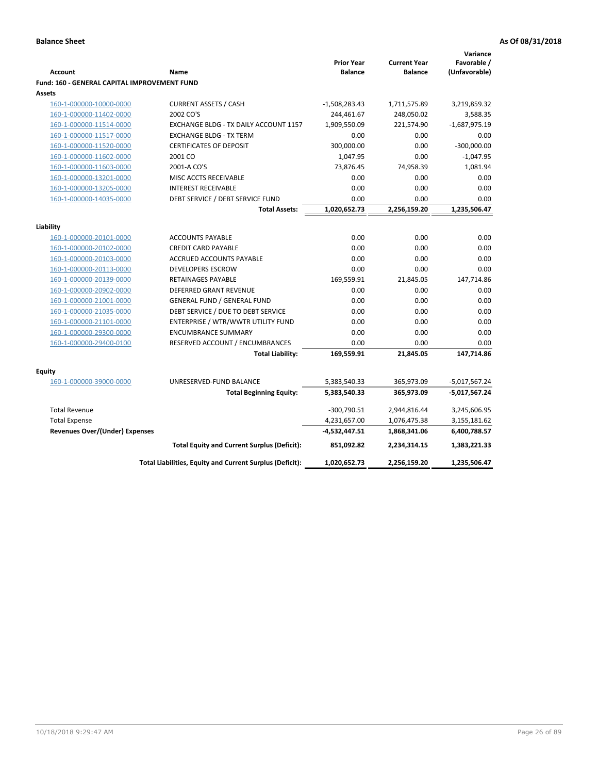|                                                    |                                                          |                   |                     | Variance        |
|----------------------------------------------------|----------------------------------------------------------|-------------------|---------------------|-----------------|
|                                                    |                                                          | <b>Prior Year</b> | <b>Current Year</b> | Favorable /     |
| <b>Account</b>                                     | Name                                                     | <b>Balance</b>    | <b>Balance</b>      | (Unfavorable)   |
| Fund: 160 - GENERAL CAPITAL IMPROVEMENT FUND       |                                                          |                   |                     |                 |
| Assets                                             |                                                          |                   |                     |                 |
| 160-1-000000-10000-0000                            | <b>CURRENT ASSETS / CASH</b>                             | $-1,508,283.43$   | 1,711,575.89        | 3,219,859.32    |
| 160-1-000000-11402-0000                            | 2002 CO'S                                                | 244,461.67        | 248,050.02          | 3,588.35        |
| 160-1-000000-11514-0000                            | EXCHANGE BLDG - TX DAILY ACCOUNT 1157                    | 1,909,550.09      | 221,574.90          | $-1,687,975.19$ |
| 160-1-000000-11517-0000                            | <b>EXCHANGE BLDG - TX TERM</b>                           | 0.00              | 0.00                | 0.00            |
| 160-1-000000-11520-0000                            | <b>CERTIFICATES OF DEPOSIT</b>                           | 300,000.00        | 0.00                | $-300,000.00$   |
| 160-1-000000-11602-0000                            | 2001 CO                                                  | 1,047.95          | 0.00                | $-1,047.95$     |
| 160-1-000000-11603-0000                            | 2001-A CO'S                                              | 73,876.45         | 74,958.39           | 1,081.94        |
| 160-1-000000-13201-0000                            | MISC ACCTS RECEIVABLE                                    | 0.00              | 0.00                | 0.00            |
| 160-1-000000-13205-0000                            | <b>INTEREST RECEIVABLE</b>                               | 0.00              | 0.00                | 0.00            |
| 160-1-000000-14035-0000                            | DEBT SERVICE / DEBT SERVICE FUND                         | 0.00              | 0.00                | 0.00            |
|                                                    | <b>Total Assets:</b>                                     | 1,020,652.73      | 2,256,159.20        | 1,235,506.47    |
| Liability                                          |                                                          |                   |                     |                 |
| 160-1-000000-20101-0000                            | <b>ACCOUNTS PAYABLE</b>                                  | 0.00              | 0.00                | 0.00            |
| 160-1-000000-20102-0000                            | <b>CREDIT CARD PAYABLE</b>                               | 0.00              | 0.00                | 0.00            |
|                                                    | <b>ACCRUED ACCOUNTS PAYABLE</b>                          | 0.00              | 0.00                | 0.00            |
| 160-1-000000-20103-0000<br>160-1-000000-20113-0000 | <b>DEVELOPERS ESCROW</b>                                 | 0.00              | 0.00                | 0.00            |
|                                                    | <b>RETAINAGES PAYABLE</b>                                | 169,559.91        | 21,845.05           | 147,714.86      |
| 160-1-000000-20139-0000<br>160-1-000000-20902-0000 | <b>DEFERRED GRANT REVENUE</b>                            | 0.00              | 0.00                | 0.00            |
|                                                    |                                                          | 0.00              | 0.00                | 0.00            |
| 160-1-000000-21001-0000                            | <b>GENERAL FUND / GENERAL FUND</b>                       |                   | 0.00                | 0.00            |
| 160-1-000000-21035-0000                            | DEBT SERVICE / DUE TO DEBT SERVICE                       | 0.00<br>0.00      | 0.00                |                 |
| 160-1-000000-21101-0000                            | ENTERPRISE / WTR/WWTR UTILITY FUND                       |                   |                     | 0.00            |
| 160-1-000000-29300-0000                            | <b>ENCUMBRANCE SUMMARY</b>                               | 0.00              | 0.00                | 0.00            |
| 160-1-000000-29400-0100                            | RESERVED ACCOUNT / ENCUMBRANCES                          | 0.00              | 0.00                | 0.00            |
|                                                    | <b>Total Liability:</b>                                  | 169,559.91        | 21,845.05           | 147,714.86      |
| <b>Equity</b>                                      |                                                          |                   |                     |                 |
| 160-1-000000-39000-0000                            | UNRESERVED-FUND BALANCE                                  | 5,383,540.33      | 365,973.09          | $-5,017,567.24$ |
|                                                    | <b>Total Beginning Equity:</b>                           | 5,383,540.33      | 365,973.09          | -5,017,567.24   |
|                                                    |                                                          |                   |                     |                 |
| <b>Total Revenue</b>                               |                                                          | $-300,790.51$     | 2,944,816.44        | 3,245,606.95    |
| <b>Total Expense</b>                               |                                                          | 4,231,657.00      | 1,076,475.38        | 3,155,181.62    |
| <b>Revenues Over/(Under) Expenses</b>              |                                                          | $-4,532,447.51$   | 1,868,341.06        | 6,400,788.57    |
|                                                    | <b>Total Equity and Current Surplus (Deficit):</b>       | 851,092.82        | 2,234,314.15        | 1,383,221.33    |
|                                                    | Total Liabilities, Equity and Current Surplus (Deficit): | 1,020,652.73      | 2,256,159.20        | 1,235,506.47    |
|                                                    |                                                          |                   |                     |                 |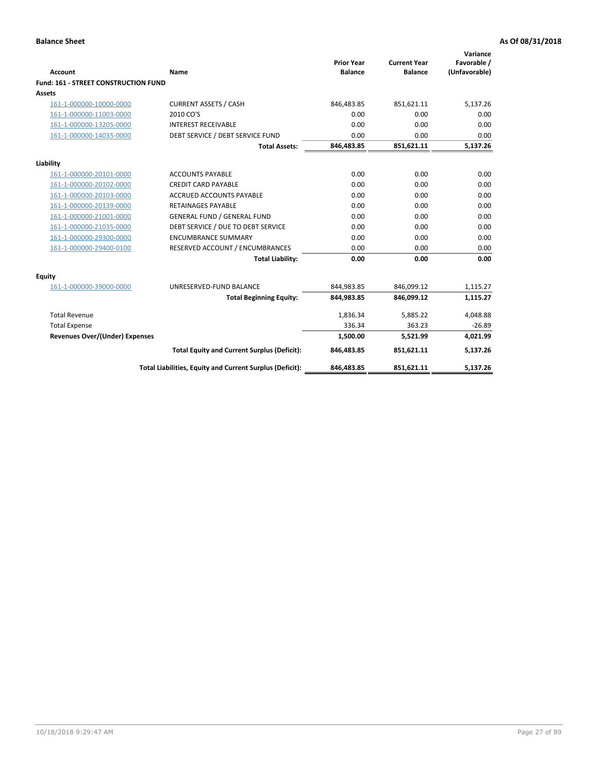| <b>Account</b>                        | Name                                                     | <b>Prior Year</b><br><b>Balance</b> | <b>Current Year</b><br><b>Balance</b> | Variance<br>Favorable /<br>(Unfavorable) |
|---------------------------------------|----------------------------------------------------------|-------------------------------------|---------------------------------------|------------------------------------------|
| Fund: 161 - STREET CONSTRUCTION FUND  |                                                          |                                     |                                       |                                          |
| <b>Assets</b>                         |                                                          |                                     |                                       |                                          |
| 161-1-000000-10000-0000               | <b>CURRENT ASSETS / CASH</b>                             | 846,483.85                          | 851,621.11                            | 5,137.26                                 |
| 161-1-000000-11003-0000               | 2010 CO'S                                                | 0.00                                | 0.00                                  | 0.00                                     |
| 161-1-000000-13205-0000               | <b>INTEREST RECEIVABLE</b>                               | 0.00                                | 0.00                                  | 0.00                                     |
| 161-1-000000-14035-0000               | DEBT SERVICE / DEBT SERVICE FUND                         | 0.00                                | 0.00                                  | 0.00                                     |
|                                       | <b>Total Assets:</b>                                     | 846,483.85                          | 851,621.11                            | 5,137.26                                 |
| Liability                             |                                                          |                                     |                                       |                                          |
| 161-1-000000-20101-0000               | <b>ACCOUNTS PAYABLE</b>                                  | 0.00                                | 0.00                                  | 0.00                                     |
| 161-1-000000-20102-0000               | <b>CREDIT CARD PAYABLE</b>                               | 0.00                                | 0.00                                  | 0.00                                     |
| 161-1-000000-20103-0000               | <b>ACCRUED ACCOUNTS PAYABLE</b>                          | 0.00                                | 0.00                                  | 0.00                                     |
| 161-1-000000-20139-0000               | <b>RETAINAGES PAYABLE</b>                                | 0.00                                | 0.00                                  | 0.00                                     |
| 161-1-000000-21001-0000               | <b>GENERAL FUND / GENERAL FUND</b>                       | 0.00                                | 0.00                                  | 0.00                                     |
| 161-1-000000-21035-0000               | DEBT SERVICE / DUE TO DEBT SERVICE                       | 0.00                                | 0.00                                  | 0.00                                     |
| 161-1-000000-29300-0000               | <b>ENCUMBRANCE SUMMARY</b>                               | 0.00                                | 0.00                                  | 0.00                                     |
| 161-1-000000-29400-0100               | RESERVED ACCOUNT / ENCUMBRANCES                          | 0.00                                | 0.00                                  | 0.00                                     |
|                                       | <b>Total Liability:</b>                                  | 0.00                                | 0.00                                  | 0.00                                     |
| <b>Equity</b>                         |                                                          |                                     |                                       |                                          |
| 161-1-000000-39000-0000               | UNRESERVED-FUND BALANCE                                  | 844,983.85                          | 846,099.12                            | 1,115.27                                 |
|                                       | <b>Total Beginning Equity:</b>                           | 844,983.85                          | 846.099.12                            | 1,115.27                                 |
| <b>Total Revenue</b>                  |                                                          | 1.836.34                            | 5.885.22                              | 4.048.88                                 |
| <b>Total Expense</b>                  |                                                          | 336.34                              | 363.23                                | $-26.89$                                 |
| <b>Revenues Over/(Under) Expenses</b> |                                                          | 1,500.00                            | 5,521.99                              | 4,021.99                                 |
|                                       | <b>Total Equity and Current Surplus (Deficit):</b>       | 846,483.85                          | 851,621.11                            | 5,137.26                                 |
|                                       | Total Liabilities, Equity and Current Surplus (Deficit): | 846,483.85                          | 851,621.11                            | 5,137.26                                 |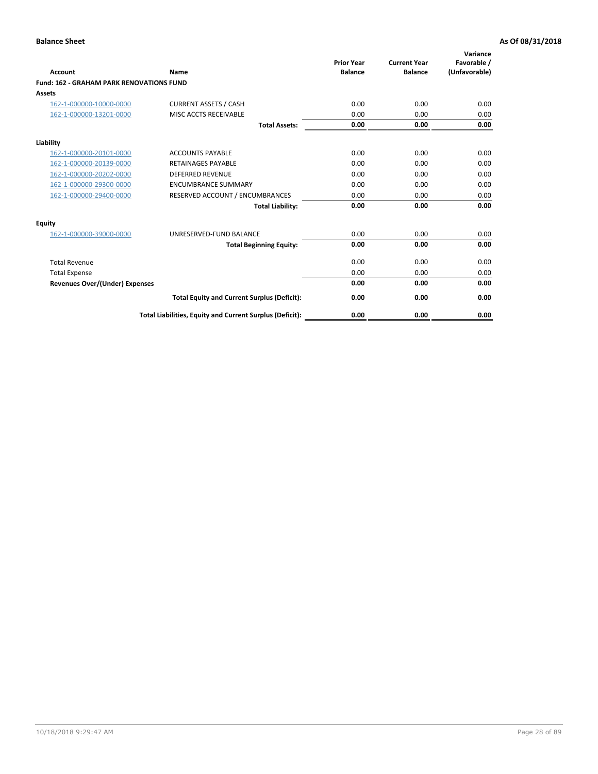| Account                                         | Name                                                     | <b>Prior Year</b><br><b>Balance</b> | <b>Current Year</b><br><b>Balance</b> | Variance<br>Favorable /<br>(Unfavorable) |
|-------------------------------------------------|----------------------------------------------------------|-------------------------------------|---------------------------------------|------------------------------------------|
| <b>Fund: 162 - GRAHAM PARK RENOVATIONS FUND</b> |                                                          |                                     |                                       |                                          |
| <b>Assets</b>                                   |                                                          |                                     |                                       |                                          |
| 162-1-000000-10000-0000                         | <b>CURRENT ASSETS / CASH</b>                             | 0.00                                | 0.00                                  | 0.00                                     |
| 162-1-000000-13201-0000                         | MISC ACCTS RECEIVABLE                                    | 0.00                                | 0.00                                  | 0.00                                     |
|                                                 | <b>Total Assets:</b>                                     | 0.00                                | 0.00                                  | 0.00                                     |
| Liability                                       |                                                          |                                     |                                       |                                          |
| 162-1-000000-20101-0000                         | <b>ACCOUNTS PAYABLE</b>                                  | 0.00                                | 0.00                                  | 0.00                                     |
| 162-1-000000-20139-0000                         | <b>RETAINAGES PAYABLE</b>                                | 0.00                                | 0.00                                  | 0.00                                     |
| 162-1-000000-20202-0000                         | <b>DEFERRED REVENUE</b>                                  | 0.00                                | 0.00                                  | 0.00                                     |
| 162-1-000000-29300-0000                         | <b>ENCUMBRANCE SUMMARY</b>                               | 0.00                                | 0.00                                  | 0.00                                     |
| 162-1-000000-29400-0000                         | RESERVED ACCOUNT / ENCUMBRANCES                          | 0.00                                | 0.00                                  | 0.00                                     |
|                                                 | <b>Total Liability:</b>                                  | 0.00                                | 0.00                                  | 0.00                                     |
| Equity                                          |                                                          |                                     |                                       |                                          |
| 162-1-000000-39000-0000                         | UNRESERVED-FUND BALANCE                                  | 0.00                                | 0.00                                  | 0.00                                     |
|                                                 | <b>Total Beginning Equity:</b>                           | 0.00                                | 0.00                                  | 0.00                                     |
| <b>Total Revenue</b>                            |                                                          | 0.00                                | 0.00                                  | 0.00                                     |
| <b>Total Expense</b>                            |                                                          | 0.00                                | 0.00                                  | 0.00                                     |
| <b>Revenues Over/(Under) Expenses</b>           |                                                          | 0.00                                | 0.00                                  | 0.00                                     |
|                                                 | <b>Total Equity and Current Surplus (Deficit):</b>       | 0.00                                | 0.00                                  | 0.00                                     |
|                                                 | Total Liabilities, Equity and Current Surplus (Deficit): | 0.00                                | 0.00                                  | 0.00                                     |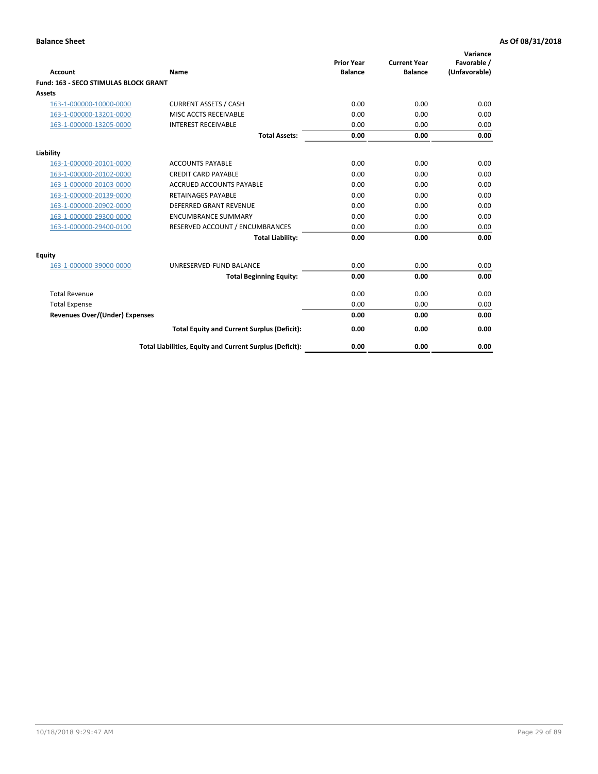| Account                               | Name                                                     | <b>Prior Year</b><br><b>Balance</b> | <b>Current Year</b><br><b>Balance</b> | Variance<br>Favorable /<br>(Unfavorable) |
|---------------------------------------|----------------------------------------------------------|-------------------------------------|---------------------------------------|------------------------------------------|
| Fund: 163 - SECO STIMULAS BLOCK GRANT |                                                          |                                     |                                       |                                          |
| <b>Assets</b>                         |                                                          |                                     |                                       |                                          |
| 163-1-000000-10000-0000               | <b>CURRENT ASSETS / CASH</b>                             | 0.00                                | 0.00                                  | 0.00                                     |
| 163-1-000000-13201-0000               | MISC ACCTS RECEIVABLE                                    | 0.00                                | 0.00                                  | 0.00                                     |
| 163-1-000000-13205-0000               | <b>INTEREST RECEIVABLE</b>                               | 0.00                                | 0.00                                  | 0.00                                     |
|                                       | <b>Total Assets:</b>                                     | 0.00                                | 0.00                                  | 0.00                                     |
| Liability                             |                                                          |                                     |                                       |                                          |
| 163-1-000000-20101-0000               | <b>ACCOUNTS PAYABLE</b>                                  | 0.00                                | 0.00                                  | 0.00                                     |
| 163-1-000000-20102-0000               | <b>CREDIT CARD PAYABLE</b>                               | 0.00                                | 0.00                                  | 0.00                                     |
| 163-1-000000-20103-0000               | <b>ACCRUED ACCOUNTS PAYABLE</b>                          | 0.00                                | 0.00                                  | 0.00                                     |
| 163-1-000000-20139-0000               | <b>RETAINAGES PAYABLE</b>                                | 0.00                                | 0.00                                  | 0.00                                     |
| 163-1-000000-20902-0000               | DEFERRED GRANT REVENUE                                   | 0.00                                | 0.00                                  | 0.00                                     |
| 163-1-000000-29300-0000               | <b>ENCUMBRANCE SUMMARY</b>                               | 0.00                                | 0.00                                  | 0.00                                     |
| 163-1-000000-29400-0100               | RESERVED ACCOUNT / ENCUMBRANCES                          | 0.00                                | 0.00                                  | 0.00                                     |
|                                       | <b>Total Liability:</b>                                  | 0.00                                | 0.00                                  | 0.00                                     |
| <b>Equity</b>                         |                                                          |                                     |                                       |                                          |
| 163-1-000000-39000-0000               | UNRESERVED-FUND BALANCE                                  | 0.00                                | 0.00                                  | 0.00                                     |
|                                       | <b>Total Beginning Equity:</b>                           | 0.00                                | 0.00                                  | 0.00                                     |
| <b>Total Revenue</b>                  |                                                          | 0.00                                | 0.00                                  | 0.00                                     |
| <b>Total Expense</b>                  |                                                          | 0.00                                | 0.00                                  | 0.00                                     |
| <b>Revenues Over/(Under) Expenses</b> |                                                          | 0.00                                | 0.00                                  | 0.00                                     |
|                                       | <b>Total Equity and Current Surplus (Deficit):</b>       | 0.00                                | 0.00                                  | 0.00                                     |
|                                       | Total Liabilities, Equity and Current Surplus (Deficit): | 0.00                                | 0.00                                  | 0.00                                     |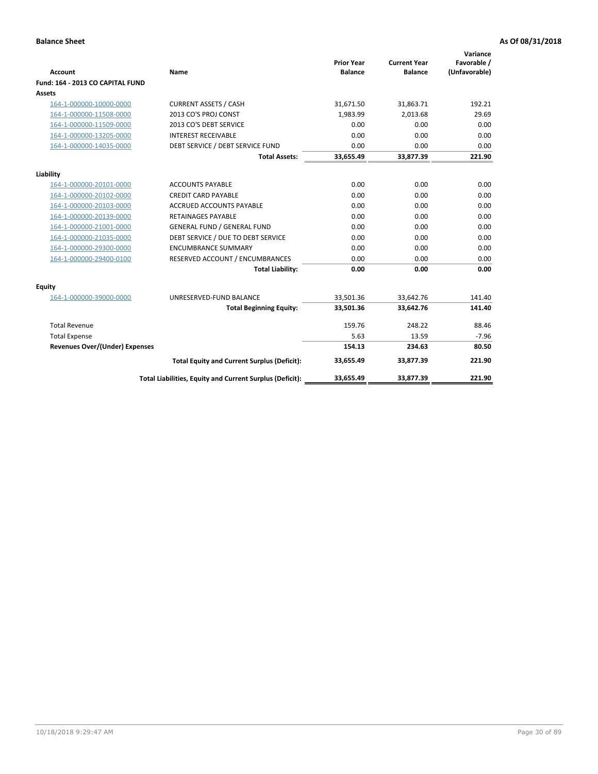| <b>Account</b>                   | Name                                                     | <b>Prior Year</b><br><b>Balance</b> | <b>Current Year</b><br><b>Balance</b> | Variance<br>Favorable /<br>(Unfavorable) |
|----------------------------------|----------------------------------------------------------|-------------------------------------|---------------------------------------|------------------------------------------|
| Fund: 164 - 2013 CO CAPITAL FUND |                                                          |                                     |                                       |                                          |
| <b>Assets</b>                    |                                                          |                                     |                                       |                                          |
| 164-1-000000-10000-0000          | <b>CURRENT ASSETS / CASH</b>                             | 31,671.50                           | 31,863.71                             | 192.21                                   |
| 164-1-000000-11508-0000          | 2013 CO'S PROJ CONST                                     | 1,983.99                            | 2,013.68                              | 29.69                                    |
| 164-1-000000-11509-0000          | 2013 CO'S DEBT SERVICE                                   | 0.00                                | 0.00                                  | 0.00                                     |
| 164-1-000000-13205-0000          | <b>INTEREST RECEIVABLE</b>                               | 0.00                                | 0.00                                  | 0.00                                     |
| 164-1-000000-14035-0000          | DEBT SERVICE / DEBT SERVICE FUND                         | 0.00                                | 0.00                                  | 0.00                                     |
|                                  | <b>Total Assets:</b>                                     | 33,655.49                           | 33,877.39                             | 221.90                                   |
| Liability                        |                                                          |                                     |                                       |                                          |
| 164-1-000000-20101-0000          | <b>ACCOUNTS PAYABLE</b>                                  | 0.00                                | 0.00                                  | 0.00                                     |
| 164-1-000000-20102-0000          | <b>CREDIT CARD PAYABLE</b>                               | 0.00                                | 0.00                                  | 0.00                                     |
| 164-1-000000-20103-0000          | <b>ACCRUED ACCOUNTS PAYABLE</b>                          | 0.00                                | 0.00                                  | 0.00                                     |
| 164-1-000000-20139-0000          | <b>RETAINAGES PAYABLE</b>                                | 0.00                                | 0.00                                  | 0.00                                     |
| 164-1-000000-21001-0000          | <b>GENERAL FUND / GENERAL FUND</b>                       | 0.00                                | 0.00                                  | 0.00                                     |
| 164-1-000000-21035-0000          | DEBT SERVICE / DUE TO DEBT SERVICE                       | 0.00                                | 0.00                                  | 0.00                                     |
| 164-1-000000-29300-0000          | <b>ENCUMBRANCE SUMMARY</b>                               | 0.00                                | 0.00                                  | 0.00                                     |
| 164-1-000000-29400-0100          | RESERVED ACCOUNT / ENCUMBRANCES                          | 0.00                                | 0.00                                  | 0.00                                     |
|                                  | <b>Total Liability:</b>                                  | 0.00                                | 0.00                                  | 0.00                                     |
| Equity                           |                                                          |                                     |                                       |                                          |
| 164-1-000000-39000-0000          | UNRESERVED-FUND BALANCE                                  | 33,501.36                           | 33,642.76                             | 141.40                                   |
|                                  | <b>Total Beginning Equity:</b>                           | 33,501.36                           | 33,642.76                             | 141.40                                   |
| <b>Total Revenue</b>             |                                                          | 159.76                              | 248.22                                | 88.46                                    |
| <b>Total Expense</b>             |                                                          | 5.63                                | 13.59                                 | $-7.96$                                  |
| Revenues Over/(Under) Expenses   |                                                          | 154.13                              | 234.63                                | 80.50                                    |
|                                  | <b>Total Equity and Current Surplus (Deficit):</b>       | 33,655.49                           | 33,877.39                             | 221.90                                   |
|                                  | Total Liabilities, Equity and Current Surplus (Deficit): | 33,655.49                           | 33,877.39                             | 221.90                                   |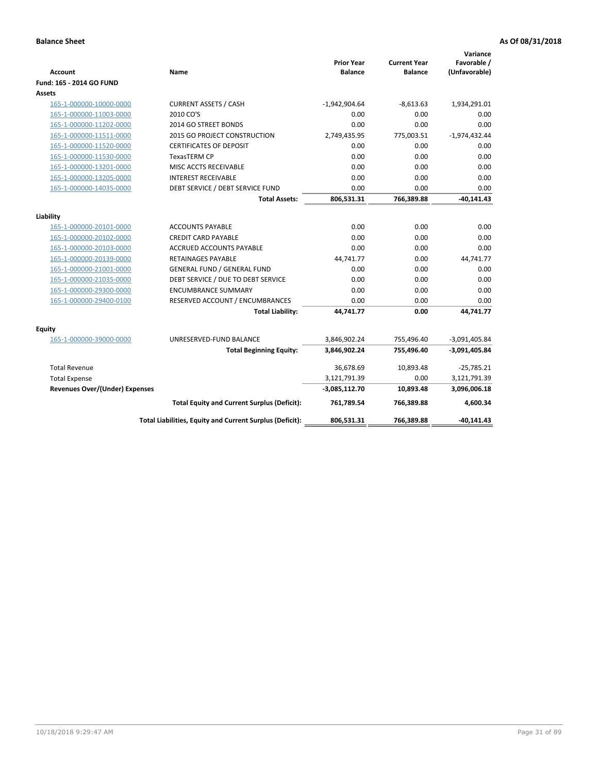| <b>Account</b>                        | Name                                                     | <b>Prior Year</b><br><b>Balance</b> | <b>Current Year</b><br><b>Balance</b> | Variance<br>Favorable /<br>(Unfavorable) |
|---------------------------------------|----------------------------------------------------------|-------------------------------------|---------------------------------------|------------------------------------------|
| Fund: 165 - 2014 GO FUND              |                                                          |                                     |                                       |                                          |
| Assets                                |                                                          |                                     |                                       |                                          |
| 165-1-000000-10000-0000               | <b>CURRENT ASSETS / CASH</b>                             | $-1,942,904.64$                     | $-8,613.63$                           | 1,934,291.01                             |
| 165-1-000000-11003-0000               | 2010 CO'S                                                | 0.00                                | 0.00                                  | 0.00                                     |
| 165-1-000000-11202-0000               | 2014 GO STREET BONDS                                     | 0.00                                | 0.00                                  | 0.00                                     |
| 165-1-000000-11511-0000               | <b>2015 GO PROJECT CONSTRUCTION</b>                      | 2,749,435.95                        | 775,003.51                            | $-1,974,432.44$                          |
| 165-1-000000-11520-0000               | <b>CERTIFICATES OF DEPOSIT</b>                           | 0.00                                | 0.00                                  | 0.00                                     |
| 165-1-000000-11530-0000               | <b>TexasTERM CP</b>                                      | 0.00                                | 0.00                                  | 0.00                                     |
| 165-1-000000-13201-0000               | MISC ACCTS RECEIVABLE                                    | 0.00                                | 0.00                                  | 0.00                                     |
| 165-1-000000-13205-0000               | <b>INTEREST RECEIVABLE</b>                               | 0.00                                | 0.00                                  | 0.00                                     |
| 165-1-000000-14035-0000               | DEBT SERVICE / DEBT SERVICE FUND                         | 0.00                                | 0.00                                  | 0.00                                     |
|                                       | <b>Total Assets:</b>                                     | 806,531.31                          | 766,389.88                            | $-40,141.43$                             |
| Liability                             |                                                          |                                     |                                       |                                          |
| 165-1-000000-20101-0000               | <b>ACCOUNTS PAYABLE</b>                                  | 0.00                                | 0.00                                  | 0.00                                     |
| 165-1-000000-20102-0000               | <b>CREDIT CARD PAYABLE</b>                               | 0.00                                | 0.00                                  | 0.00                                     |
| 165-1-000000-20103-0000               | <b>ACCRUED ACCOUNTS PAYABLE</b>                          | 0.00                                | 0.00                                  | 0.00                                     |
| 165-1-000000-20139-0000               | RETAINAGES PAYABLE                                       | 44,741.77                           | 0.00                                  | 44,741.77                                |
| 165-1-000000-21001-0000               | <b>GENERAL FUND / GENERAL FUND</b>                       | 0.00                                | 0.00                                  | 0.00                                     |
| 165-1-000000-21035-0000               | DEBT SERVICE / DUE TO DEBT SERVICE                       | 0.00                                | 0.00                                  | 0.00                                     |
| 165-1-000000-29300-0000               | <b>ENCUMBRANCE SUMMARY</b>                               | 0.00                                | 0.00                                  | 0.00                                     |
| 165-1-000000-29400-0100               | RESERVED ACCOUNT / ENCUMBRANCES                          | 0.00                                | 0.00                                  | 0.00                                     |
|                                       | <b>Total Liability:</b>                                  | 44,741.77                           | 0.00                                  | 44,741.77                                |
| <b>Equity</b>                         |                                                          |                                     |                                       |                                          |
| 165-1-000000-39000-0000               | UNRESERVED-FUND BALANCE                                  | 3,846,902.24                        | 755,496.40                            | $-3,091,405.84$                          |
|                                       | <b>Total Beginning Equity:</b>                           | 3,846,902.24                        | 755,496.40                            | $-3,091,405.84$                          |
| <b>Total Revenue</b>                  |                                                          | 36,678.69                           | 10,893.48                             | $-25,785.21$                             |
| <b>Total Expense</b>                  |                                                          | 3,121,791.39                        | 0.00                                  | 3,121,791.39                             |
| <b>Revenues Over/(Under) Expenses</b> |                                                          | $-3,085,112.70$                     | 10,893.48                             | 3,096,006.18                             |
|                                       | <b>Total Equity and Current Surplus (Deficit):</b>       | 761,789.54                          | 766,389.88                            | 4,600.34                                 |
|                                       | Total Liabilities, Equity and Current Surplus (Deficit): | 806,531.31                          | 766,389.88                            | $-40,141.43$                             |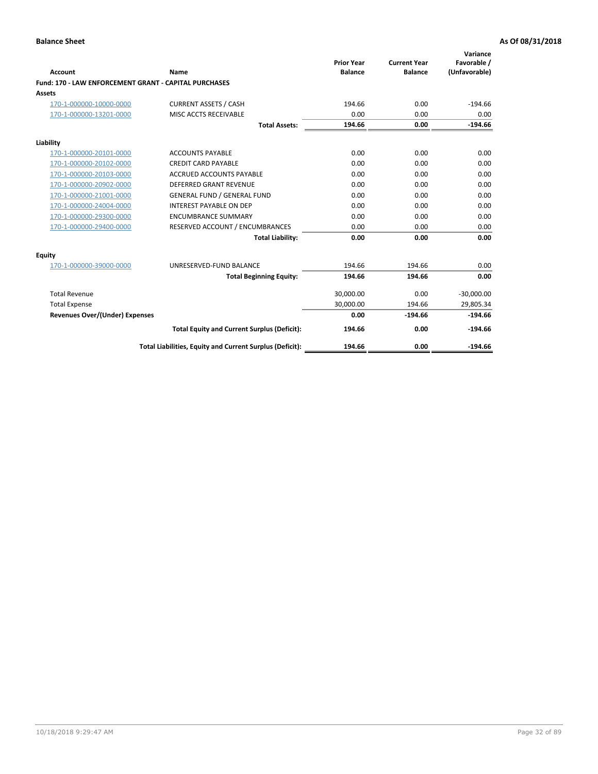|                                                       |                                                          |                                     |                                       | Variance                     |
|-------------------------------------------------------|----------------------------------------------------------|-------------------------------------|---------------------------------------|------------------------------|
| Account                                               | Name                                                     | <b>Prior Year</b><br><b>Balance</b> | <b>Current Year</b><br><b>Balance</b> | Favorable /<br>(Unfavorable) |
| Fund: 170 - LAW ENFORCEMENT GRANT - CAPITAL PURCHASES |                                                          |                                     |                                       |                              |
| Assets                                                |                                                          |                                     |                                       |                              |
| 170-1-000000-10000-0000                               | <b>CURRENT ASSETS / CASH</b>                             | 194.66                              | 0.00                                  | $-194.66$                    |
| 170-1-000000-13201-0000                               | MISC ACCTS RECEIVABLE                                    | 0.00                                | 0.00                                  | 0.00                         |
|                                                       | <b>Total Assets:</b>                                     | 194.66                              | 0.00                                  | $-194.66$                    |
| Liability                                             |                                                          |                                     |                                       |                              |
| 170-1-000000-20101-0000                               | <b>ACCOUNTS PAYABLE</b>                                  | 0.00                                | 0.00                                  | 0.00                         |
| 170-1-000000-20102-0000                               | <b>CREDIT CARD PAYABLE</b>                               | 0.00                                | 0.00                                  | 0.00                         |
| 170-1-000000-20103-0000                               | <b>ACCRUED ACCOUNTS PAYABLE</b>                          | 0.00                                | 0.00                                  | 0.00                         |
| 170-1-000000-20902-0000                               | DEFERRED GRANT REVENUE                                   | 0.00                                | 0.00                                  | 0.00                         |
| 170-1-000000-21001-0000                               | <b>GENERAL FUND / GENERAL FUND</b>                       | 0.00                                | 0.00                                  | 0.00                         |
| 170-1-000000-24004-0000                               | <b>INTEREST PAYABLE ON DEP</b>                           | 0.00                                | 0.00                                  | 0.00                         |
| 170-1-000000-29300-0000                               | <b>ENCUMBRANCE SUMMARY</b>                               | 0.00                                | 0.00                                  | 0.00                         |
| 170-1-000000-29400-0000                               | RESERVED ACCOUNT / ENCUMBRANCES                          | 0.00                                | 0.00                                  | 0.00                         |
|                                                       | <b>Total Liability:</b>                                  | 0.00                                | 0.00                                  | 0.00                         |
| <b>Equity</b>                                         |                                                          |                                     |                                       |                              |
| 170-1-000000-39000-0000                               | UNRESERVED-FUND BALANCE                                  | 194.66                              | 194.66                                | 0.00                         |
|                                                       | <b>Total Beginning Equity:</b>                           | 194.66                              | 194.66                                | 0.00                         |
| <b>Total Revenue</b>                                  |                                                          | 30.000.00                           | 0.00                                  | $-30,000.00$                 |
| <b>Total Expense</b>                                  |                                                          | 30,000.00                           | 194.66                                | 29.805.34                    |
| <b>Revenues Over/(Under) Expenses</b>                 |                                                          | 0.00                                | $-194.66$                             | $-194.66$                    |
|                                                       | <b>Total Equity and Current Surplus (Deficit):</b>       | 194.66                              | 0.00                                  | $-194.66$                    |
|                                                       | Total Liabilities, Equity and Current Surplus (Deficit): | 194.66                              | 0.00                                  | $-194.66$                    |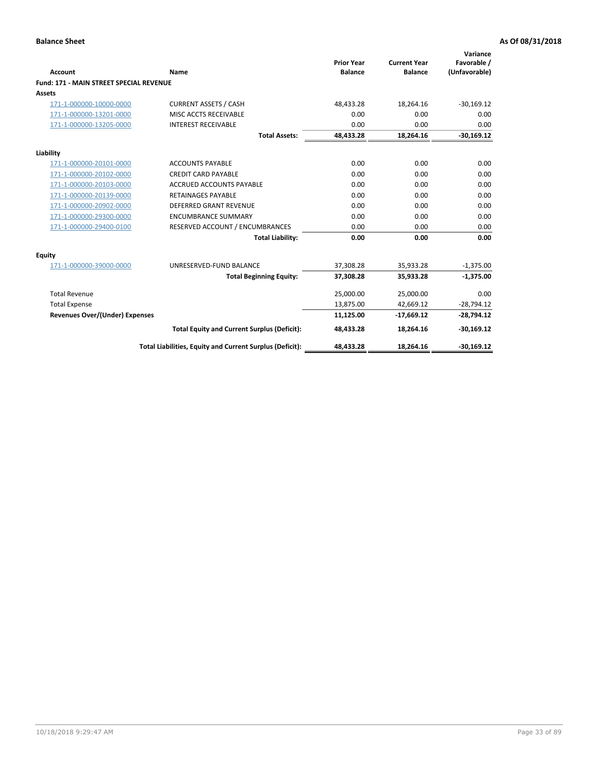|                                                |                                                          | <b>Prior Year</b> | <b>Current Year</b> | Variance<br>Favorable / |
|------------------------------------------------|----------------------------------------------------------|-------------------|---------------------|-------------------------|
| <b>Account</b>                                 | Name                                                     | <b>Balance</b>    | <b>Balance</b>      | (Unfavorable)           |
| <b>Fund: 171 - MAIN STREET SPECIAL REVENUE</b> |                                                          |                   |                     |                         |
| Assets                                         |                                                          |                   |                     |                         |
| 171-1-000000-10000-0000                        | <b>CURRENT ASSETS / CASH</b>                             | 48.433.28         | 18,264.16           | $-30,169.12$            |
| 171-1-000000-13201-0000                        | MISC ACCTS RECEIVABLE                                    | 0.00              | 0.00                | 0.00                    |
| 171-1-000000-13205-0000                        | <b>INTEREST RECEIVABLE</b>                               | 0.00              | 0.00                | 0.00                    |
|                                                | <b>Total Assets:</b>                                     | 48,433.28         | 18,264.16           | $-30,169.12$            |
| Liability                                      |                                                          |                   |                     |                         |
| 171-1-000000-20101-0000                        | <b>ACCOUNTS PAYABLE</b>                                  | 0.00              | 0.00                | 0.00                    |
| 171-1-000000-20102-0000                        | <b>CREDIT CARD PAYABLE</b>                               | 0.00              | 0.00                | 0.00                    |
| 171-1-000000-20103-0000                        | <b>ACCRUED ACCOUNTS PAYABLE</b>                          | 0.00              | 0.00                | 0.00                    |
| 171-1-000000-20139-0000                        | <b>RETAINAGES PAYABLE</b>                                | 0.00              | 0.00                | 0.00                    |
| 171-1-000000-20902-0000                        | <b>DEFERRED GRANT REVENUE</b>                            | 0.00              | 0.00                | 0.00                    |
| 171-1-000000-29300-0000                        | <b>ENCUMBRANCE SUMMARY</b>                               | 0.00              | 0.00                | 0.00                    |
| 171-1-000000-29400-0100                        | RESERVED ACCOUNT / ENCUMBRANCES                          | 0.00              | 0.00                | 0.00                    |
|                                                | <b>Total Liability:</b>                                  | 0.00              | 0.00                | 0.00                    |
| <b>Equity</b>                                  |                                                          |                   |                     |                         |
| 171-1-000000-39000-0000                        | UNRESERVED-FUND BALANCE                                  | 37,308.28         | 35,933.28           | $-1,375.00$             |
|                                                | <b>Total Beginning Equity:</b>                           | 37,308.28         | 35,933.28           | $-1,375.00$             |
| <b>Total Revenue</b>                           |                                                          | 25,000.00         | 25,000.00           | 0.00                    |
| <b>Total Expense</b>                           |                                                          | 13,875.00         | 42,669.12           | $-28,794.12$            |
| <b>Revenues Over/(Under) Expenses</b>          |                                                          | 11,125.00         | $-17,669.12$        | $-28,794.12$            |
|                                                | <b>Total Equity and Current Surplus (Deficit):</b>       | 48,433.28         | 18,264.16           | $-30,169.12$            |
|                                                | Total Liabilities, Equity and Current Surplus (Deficit): | 48,433.28         | 18,264.16           | $-30.169.12$            |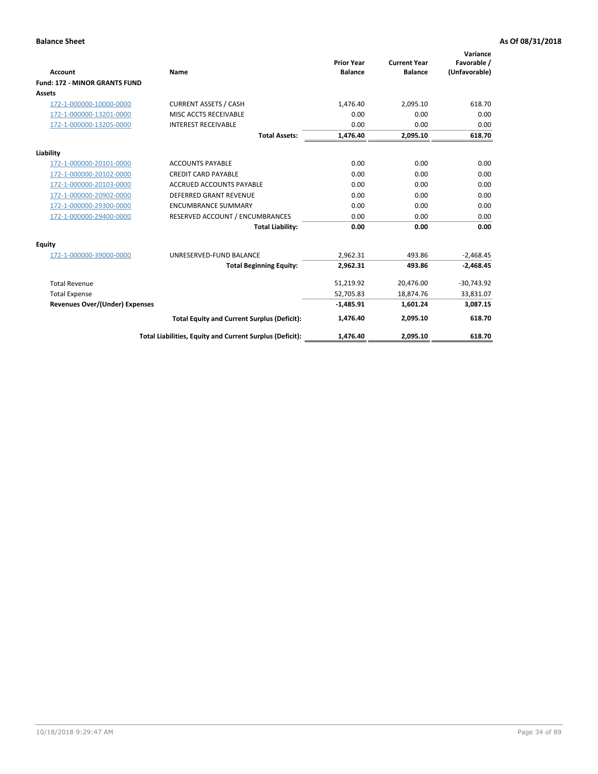|                                       |                                                          | <b>Prior Year</b> | <b>Current Year</b> | Variance<br>Favorable / |
|---------------------------------------|----------------------------------------------------------|-------------------|---------------------|-------------------------|
| <b>Account</b>                        | Name                                                     | <b>Balance</b>    | <b>Balance</b>      | (Unfavorable)           |
| <b>Fund: 172 - MINOR GRANTS FUND</b>  |                                                          |                   |                     |                         |
| <b>Assets</b>                         |                                                          |                   |                     |                         |
| 172-1-000000-10000-0000               | <b>CURRENT ASSETS / CASH</b>                             | 1.476.40          | 2,095.10            | 618.70                  |
| 172-1-000000-13201-0000               | MISC ACCTS RECEIVABLE                                    | 0.00              | 0.00                | 0.00                    |
| 172-1-000000-13205-0000               | <b>INTEREST RECEIVABLE</b>                               | 0.00              | 0.00                | 0.00                    |
|                                       | <b>Total Assets:</b>                                     | 1,476.40          | 2,095.10            | 618.70                  |
| Liability                             |                                                          |                   |                     |                         |
| 172-1-000000-20101-0000               | <b>ACCOUNTS PAYABLE</b>                                  | 0.00              | 0.00                | 0.00                    |
| 172-1-000000-20102-0000               | <b>CREDIT CARD PAYABLE</b>                               | 0.00              | 0.00                | 0.00                    |
| 172-1-000000-20103-0000               | <b>ACCRUED ACCOUNTS PAYABLE</b>                          | 0.00              | 0.00                | 0.00                    |
| 172-1-000000-20902-0000               | <b>DEFERRED GRANT REVENUE</b>                            | 0.00              | 0.00                | 0.00                    |
| 172-1-000000-29300-0000               | <b>ENCUMBRANCE SUMMARY</b>                               | 0.00              | 0.00                | 0.00                    |
| 172-1-000000-29400-0000               | RESERVED ACCOUNT / ENCUMBRANCES                          | 0.00              | 0.00                | 0.00                    |
|                                       | <b>Total Liability:</b>                                  | 0.00              | 0.00                | 0.00                    |
| Equity                                |                                                          |                   |                     |                         |
| 172-1-000000-39000-0000               | UNRESERVED-FUND BALANCE                                  | 2,962.31          | 493.86              | $-2,468.45$             |
|                                       | <b>Total Beginning Equity:</b>                           | 2,962.31          | 493.86              | $-2,468.45$             |
| <b>Total Revenue</b>                  |                                                          | 51,219.92         | 20,476.00           | $-30,743.92$            |
| <b>Total Expense</b>                  |                                                          | 52,705.83         | 18,874.76           | 33,831.07               |
| <b>Revenues Over/(Under) Expenses</b> |                                                          | $-1,485.91$       | 1,601.24            | 3,087.15                |
|                                       | <b>Total Equity and Current Surplus (Deficit):</b>       | 1,476.40          | 2,095.10            | 618.70                  |
|                                       | Total Liabilities, Equity and Current Surplus (Deficit): | 1,476.40          | 2,095.10            | 618.70                  |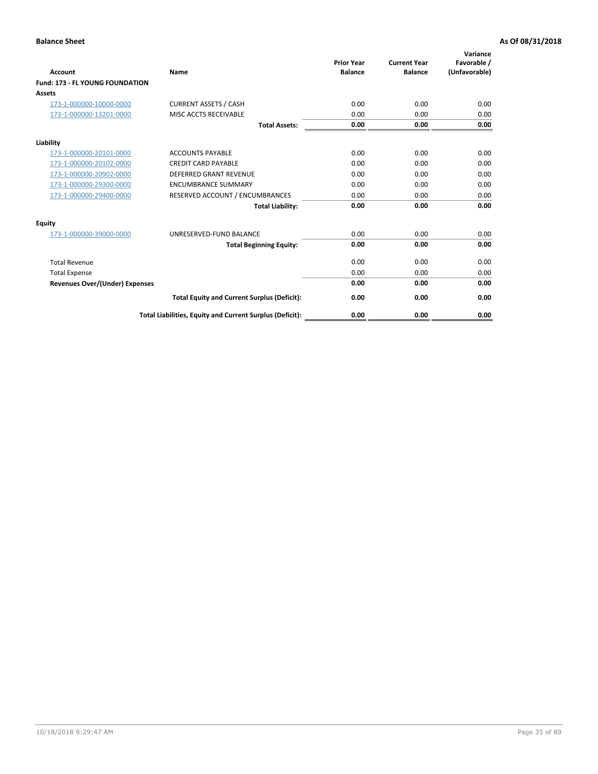| <b>Account</b>                         | <b>Name</b>                                              | <b>Prior Year</b><br><b>Balance</b> | <b>Current Year</b><br><b>Balance</b> | Variance<br>Favorable /<br>(Unfavorable) |
|----------------------------------------|----------------------------------------------------------|-------------------------------------|---------------------------------------|------------------------------------------|
| <b>Fund: 173 - FL YOUNG FOUNDATION</b> |                                                          |                                     |                                       |                                          |
| Assets                                 |                                                          |                                     |                                       |                                          |
| 173-1-000000-10000-0000                | <b>CURRENT ASSETS / CASH</b>                             | 0.00                                | 0.00                                  | 0.00                                     |
| 173-1-000000-13201-0000                | MISC ACCTS RECEIVABLE                                    | 0.00                                | 0.00                                  | 0.00                                     |
|                                        | <b>Total Assets:</b>                                     | 0.00                                | 0.00                                  | 0.00                                     |
| Liability                              |                                                          |                                     |                                       |                                          |
| 173-1-000000-20101-0000                | <b>ACCOUNTS PAYABLE</b>                                  | 0.00                                | 0.00                                  | 0.00                                     |
| 173-1-000000-20102-0000                | <b>CREDIT CARD PAYABLE</b>                               | 0.00                                | 0.00                                  | 0.00                                     |
| 173-1-000000-20902-0000                | <b>DEFERRED GRANT REVENUE</b>                            | 0.00                                | 0.00                                  | 0.00                                     |
| 173-1-000000-29300-0000                | <b>ENCUMBRANCE SUMMARY</b>                               | 0.00                                | 0.00                                  | 0.00                                     |
| 173-1-000000-29400-0000                | RESERVED ACCOUNT / ENCUMBRANCES                          | 0.00                                | 0.00                                  | 0.00                                     |
|                                        | <b>Total Liability:</b>                                  | 0.00                                | 0.00                                  | 0.00                                     |
| Equity                                 |                                                          |                                     |                                       |                                          |
| 173-1-000000-39000-0000                | UNRESERVED-FUND BALANCE                                  | 0.00                                | 0.00                                  | 0.00                                     |
|                                        | <b>Total Beginning Equity:</b>                           | 0.00                                | 0.00                                  | 0.00                                     |
| <b>Total Revenue</b>                   |                                                          | 0.00                                | 0.00                                  | 0.00                                     |
| <b>Total Expense</b>                   |                                                          | 0.00                                | 0.00                                  | 0.00                                     |
| <b>Revenues Over/(Under) Expenses</b>  |                                                          | 0.00                                | 0.00                                  | 0.00                                     |
|                                        | <b>Total Equity and Current Surplus (Deficit):</b>       | 0.00                                | 0.00                                  | 0.00                                     |
|                                        | Total Liabilities, Equity and Current Surplus (Deficit): | 0.00                                | 0.00                                  | 0.00                                     |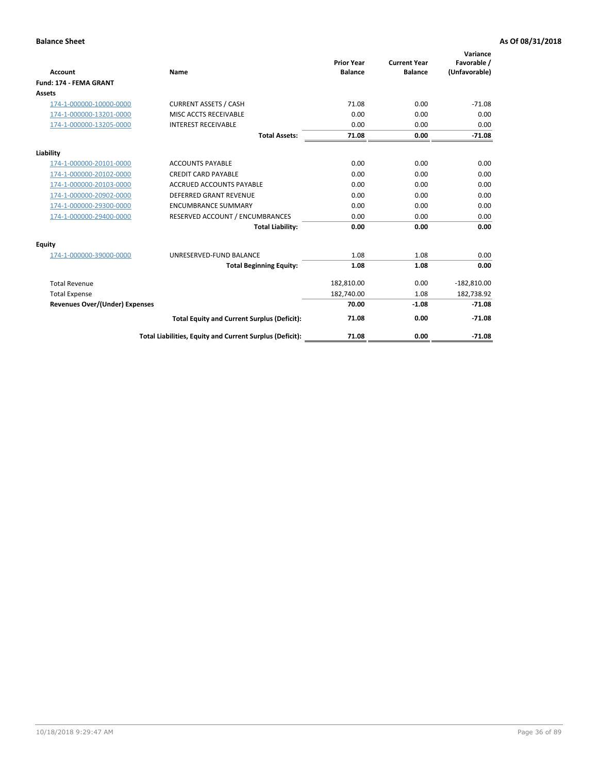|                                       |                                                          | <b>Prior Year</b> | <b>Current Year</b> | Variance<br>Favorable / |
|---------------------------------------|----------------------------------------------------------|-------------------|---------------------|-------------------------|
| <b>Account</b>                        | Name                                                     | <b>Balance</b>    | <b>Balance</b>      | (Unfavorable)           |
| Fund: 174 - FEMA GRANT                |                                                          |                   |                     |                         |
| <b>Assets</b>                         |                                                          |                   |                     |                         |
| 174-1-000000-10000-0000               | <b>CURRENT ASSETS / CASH</b>                             | 71.08             | 0.00                | $-71.08$                |
| 174-1-000000-13201-0000               | MISC ACCTS RECEIVABLE                                    | 0.00              | 0.00                | 0.00                    |
| 174-1-000000-13205-0000               | <b>INTEREST RECEIVABLE</b>                               | 0.00              | 0.00                | 0.00                    |
|                                       | <b>Total Assets:</b>                                     | 71.08             | 0.00                | $-71.08$                |
| Liability                             |                                                          |                   |                     |                         |
| 174-1-000000-20101-0000               | <b>ACCOUNTS PAYABLE</b>                                  | 0.00              | 0.00                | 0.00                    |
| 174-1-000000-20102-0000               | <b>CREDIT CARD PAYABLE</b>                               | 0.00              | 0.00                | 0.00                    |
| 174-1-000000-20103-0000               | <b>ACCRUED ACCOUNTS PAYABLE</b>                          | 0.00              | 0.00                | 0.00                    |
| 174-1-000000-20902-0000               | DEFERRED GRANT REVENUE                                   | 0.00              | 0.00                | 0.00                    |
| 174-1-000000-29300-0000               | <b>ENCUMBRANCE SUMMARY</b>                               | 0.00              | 0.00                | 0.00                    |
| 174-1-000000-29400-0000               | RESERVED ACCOUNT / ENCUMBRANCES                          | 0.00              | 0.00                | 0.00                    |
|                                       | <b>Total Liability:</b>                                  | 0.00              | 0.00                | 0.00                    |
| Equity                                |                                                          |                   |                     |                         |
| 174-1-000000-39000-0000               | UNRESERVED-FUND BALANCE                                  | 1.08              | 1.08                | 0.00                    |
|                                       | <b>Total Beginning Equity:</b>                           | 1.08              | 1.08                | 0.00                    |
| <b>Total Revenue</b>                  |                                                          | 182,810.00        | 0.00                | $-182,810.00$           |
| <b>Total Expense</b>                  |                                                          | 182,740.00        | 1.08                | 182,738.92              |
| <b>Revenues Over/(Under) Expenses</b> |                                                          | 70.00             | $-1.08$             | $-71.08$                |
|                                       | <b>Total Equity and Current Surplus (Deficit):</b>       | 71.08             | 0.00                | $-71.08$                |
|                                       | Total Liabilities, Equity and Current Surplus (Deficit): | 71.08             | 0.00                | $-71.08$                |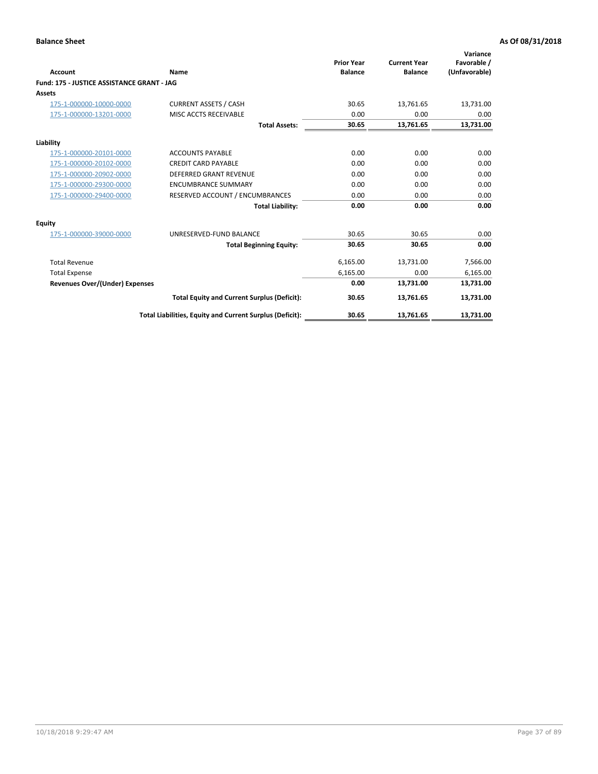| <b>Account</b>                             | Name                                                     | <b>Prior Year</b><br><b>Balance</b> | <b>Current Year</b><br><b>Balance</b> | Variance<br>Favorable /<br>(Unfavorable) |
|--------------------------------------------|----------------------------------------------------------|-------------------------------------|---------------------------------------|------------------------------------------|
| Fund: 175 - JUSTICE ASSISTANCE GRANT - JAG |                                                          |                                     |                                       |                                          |
| <b>Assets</b>                              |                                                          |                                     |                                       |                                          |
| 175-1-000000-10000-0000                    | <b>CURRENT ASSETS / CASH</b>                             | 30.65                               | 13,761.65                             | 13,731.00                                |
| 175-1-000000-13201-0000                    | MISC ACCTS RECEIVABLE                                    | 0.00                                | 0.00                                  | 0.00                                     |
|                                            | <b>Total Assets:</b>                                     | 30.65                               | 13,761.65                             | 13,731.00                                |
| Liability                                  |                                                          |                                     |                                       |                                          |
| 175-1-000000-20101-0000                    | <b>ACCOUNTS PAYABLE</b>                                  | 0.00                                | 0.00                                  | 0.00                                     |
| 175-1-000000-20102-0000                    | <b>CREDIT CARD PAYABLE</b>                               | 0.00                                | 0.00                                  | 0.00                                     |
| 175-1-000000-20902-0000                    | <b>DEFERRED GRANT REVENUE</b>                            | 0.00                                | 0.00                                  | 0.00                                     |
| 175-1-000000-29300-0000                    | <b>ENCUMBRANCE SUMMARY</b>                               | 0.00                                | 0.00                                  | 0.00                                     |
| 175-1-000000-29400-0000                    | RESERVED ACCOUNT / ENCUMBRANCES                          | 0.00                                | 0.00                                  | 0.00                                     |
|                                            | <b>Total Liability:</b>                                  | 0.00                                | 0.00                                  | 0.00                                     |
| Equity                                     |                                                          |                                     |                                       |                                          |
| 175-1-000000-39000-0000                    | UNRESERVED-FUND BALANCE                                  | 30.65                               | 30.65                                 | 0.00                                     |
|                                            | <b>Total Beginning Equity:</b>                           | 30.65                               | 30.65                                 | 0.00                                     |
| <b>Total Revenue</b>                       |                                                          | 6,165.00                            | 13,731.00                             | 7,566.00                                 |
| <b>Total Expense</b>                       |                                                          | 6,165.00                            | 0.00                                  | 6,165.00                                 |
| <b>Revenues Over/(Under) Expenses</b>      |                                                          | 0.00                                | 13,731.00                             | 13,731.00                                |
|                                            | <b>Total Equity and Current Surplus (Deficit):</b>       | 30.65                               | 13,761.65                             | 13,731.00                                |
|                                            | Total Liabilities, Equity and Current Surplus (Deficit): | 30.65                               | 13,761.65                             | 13,731.00                                |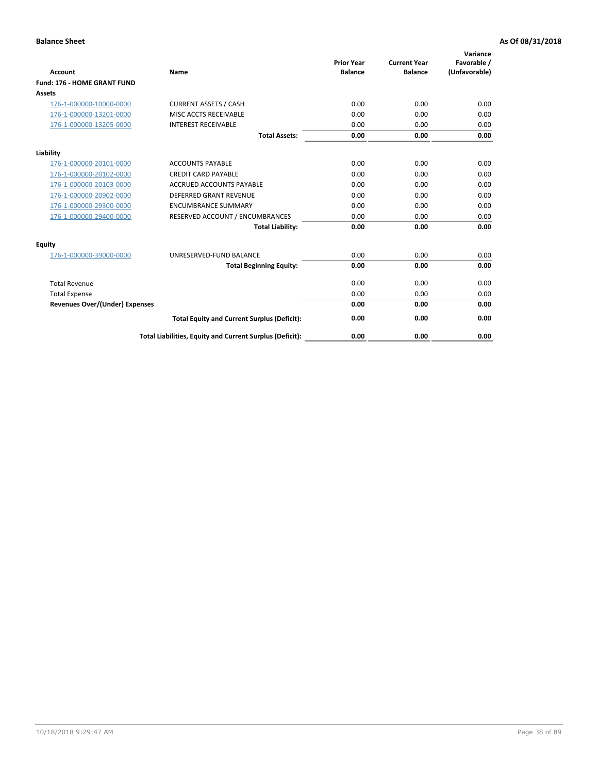| <b>Account</b>                        | Name                                                     | <b>Prior Year</b><br><b>Balance</b> | <b>Current Year</b><br><b>Balance</b> | Variance<br>Favorable /<br>(Unfavorable) |
|---------------------------------------|----------------------------------------------------------|-------------------------------------|---------------------------------------|------------------------------------------|
| Fund: 176 - HOME GRANT FUND           |                                                          |                                     |                                       |                                          |
| Assets                                |                                                          |                                     |                                       |                                          |
| 176-1-000000-10000-0000               | <b>CURRENT ASSETS / CASH</b>                             | 0.00                                | 0.00                                  | 0.00                                     |
| 176-1-000000-13201-0000               | MISC ACCTS RECEIVABLE                                    | 0.00                                | 0.00                                  | 0.00                                     |
| 176-1-000000-13205-0000               | <b>INTEREST RECEIVABLE</b>                               | 0.00                                | 0.00                                  | 0.00                                     |
|                                       | <b>Total Assets:</b>                                     | 0.00                                | 0.00                                  | 0.00                                     |
| Liability                             |                                                          |                                     |                                       |                                          |
| 176-1-000000-20101-0000               | <b>ACCOUNTS PAYABLE</b>                                  | 0.00                                | 0.00                                  | 0.00                                     |
| 176-1-000000-20102-0000               | <b>CREDIT CARD PAYABLE</b>                               | 0.00                                | 0.00                                  | 0.00                                     |
| 176-1-000000-20103-0000               | <b>ACCRUED ACCOUNTS PAYABLE</b>                          | 0.00                                | 0.00                                  | 0.00                                     |
| 176-1-000000-20902-0000               | <b>DEFERRED GRANT REVENUE</b>                            | 0.00                                | 0.00                                  | 0.00                                     |
| 176-1-000000-29300-0000               | <b>ENCUMBRANCE SUMMARY</b>                               | 0.00                                | 0.00                                  | 0.00                                     |
| 176-1-000000-29400-0000               | RESERVED ACCOUNT / ENCUMBRANCES                          | 0.00                                | 0.00                                  | 0.00                                     |
|                                       | <b>Total Liability:</b>                                  | 0.00                                | 0.00                                  | 0.00                                     |
| <b>Equity</b>                         |                                                          |                                     |                                       |                                          |
| 176-1-000000-39000-0000               | UNRESERVED-FUND BALANCE                                  | 0.00                                | 0.00                                  | 0.00                                     |
|                                       | <b>Total Beginning Equity:</b>                           | 0.00                                | 0.00                                  | 0.00                                     |
| <b>Total Revenue</b>                  |                                                          | 0.00                                | 0.00                                  | 0.00                                     |
| <b>Total Expense</b>                  |                                                          | 0.00                                | 0.00                                  | 0.00                                     |
| <b>Revenues Over/(Under) Expenses</b> |                                                          | 0.00                                | 0.00                                  | 0.00                                     |
|                                       | <b>Total Equity and Current Surplus (Deficit):</b>       | 0.00                                | 0.00                                  | 0.00                                     |
|                                       | Total Liabilities, Equity and Current Surplus (Deficit): | 0.00                                | 0.00                                  | 0.00                                     |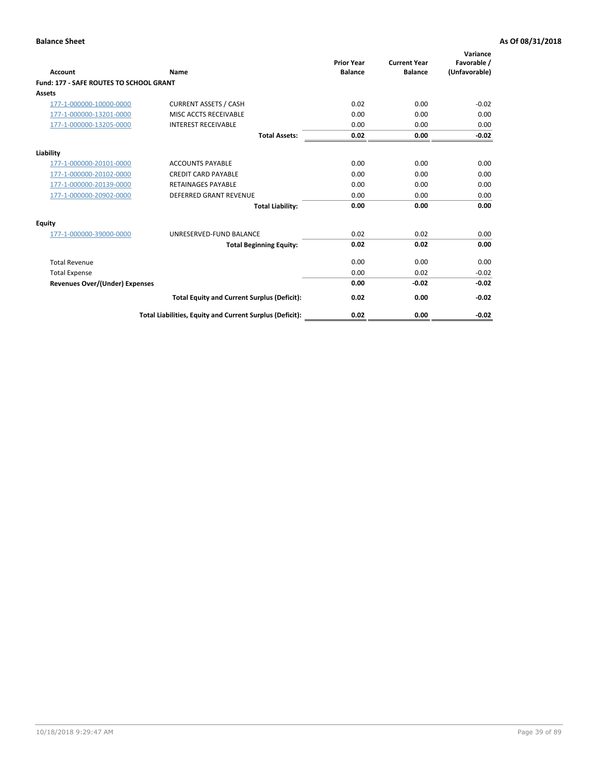| Account                                        | Name                                                     | <b>Prior Year</b><br><b>Balance</b> | <b>Current Year</b><br><b>Balance</b> | Variance<br>Favorable /<br>(Unfavorable) |
|------------------------------------------------|----------------------------------------------------------|-------------------------------------|---------------------------------------|------------------------------------------|
| <b>Fund: 177 - SAFE ROUTES TO SCHOOL GRANT</b> |                                                          |                                     |                                       |                                          |
| <b>Assets</b>                                  |                                                          |                                     |                                       |                                          |
| 177-1-000000-10000-0000                        | <b>CURRENT ASSETS / CASH</b>                             | 0.02                                | 0.00                                  | $-0.02$                                  |
| 177-1-000000-13201-0000                        | MISC ACCTS RECEIVABLE                                    | 0.00                                | 0.00                                  | 0.00                                     |
| 177-1-000000-13205-0000                        | <b>INTEREST RECEIVABLE</b>                               | 0.00                                | 0.00                                  | 0.00                                     |
|                                                | <b>Total Assets:</b>                                     | 0.02                                | 0.00                                  | $-0.02$                                  |
| Liability                                      |                                                          |                                     |                                       |                                          |
| 177-1-000000-20101-0000                        | <b>ACCOUNTS PAYABLE</b>                                  | 0.00                                | 0.00                                  | 0.00                                     |
| 177-1-000000-20102-0000                        | <b>CREDIT CARD PAYABLE</b>                               | 0.00                                | 0.00                                  | 0.00                                     |
| 177-1-000000-20139-0000                        | <b>RETAINAGES PAYABLE</b>                                | 0.00                                | 0.00                                  | 0.00                                     |
| 177-1-000000-20902-0000                        | <b>DEFERRED GRANT REVENUE</b>                            | 0.00                                | 0.00                                  | 0.00                                     |
|                                                | <b>Total Liability:</b>                                  | 0.00                                | 0.00                                  | 0.00                                     |
| Equity                                         |                                                          |                                     |                                       |                                          |
| 177-1-000000-39000-0000                        | UNRESERVED-FUND BALANCE                                  | 0.02                                | 0.02                                  | 0.00                                     |
|                                                | <b>Total Beginning Equity:</b>                           | 0.02                                | 0.02                                  | 0.00                                     |
| <b>Total Revenue</b>                           |                                                          | 0.00                                | 0.00                                  | 0.00                                     |
| <b>Total Expense</b>                           |                                                          | 0.00                                | 0.02                                  | $-0.02$                                  |
| <b>Revenues Over/(Under) Expenses</b>          |                                                          | 0.00                                | $-0.02$                               | $-0.02$                                  |
|                                                | <b>Total Equity and Current Surplus (Deficit):</b>       | 0.02                                | 0.00                                  | $-0.02$                                  |
|                                                | Total Liabilities, Equity and Current Surplus (Deficit): | 0.02                                | 0.00                                  | $-0.02$                                  |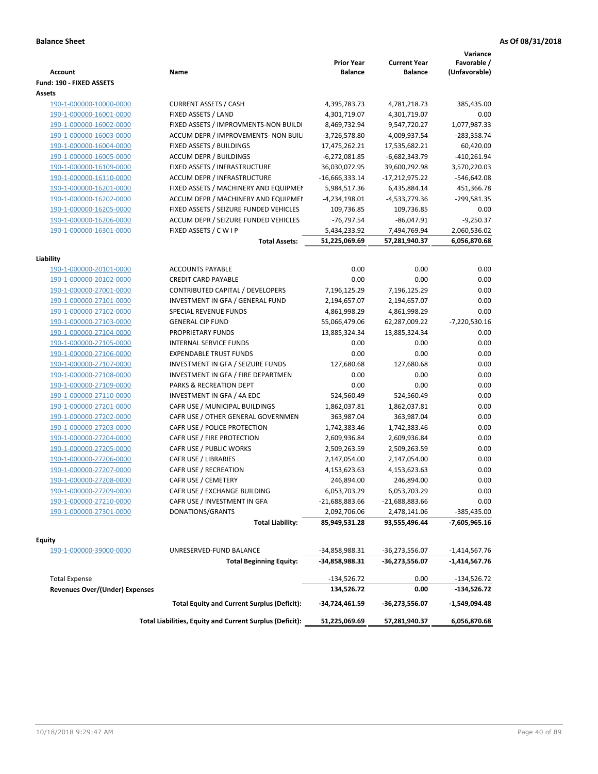| <b>Account</b>                        | Name                                                     | <b>Prior Year</b><br><b>Balance</b> | <b>Current Year</b><br><b>Balance</b> | Variance<br>Favorable /<br>(Unfavorable) |
|---------------------------------------|----------------------------------------------------------|-------------------------------------|---------------------------------------|------------------------------------------|
| Fund: 190 - FIXED ASSETS              |                                                          |                                     |                                       |                                          |
| Assets                                |                                                          |                                     |                                       |                                          |
| 190-1-000000-10000-0000               | <b>CURRENT ASSETS / CASH</b>                             | 4,395,783.73                        | 4,781,218.73                          | 385,435.00                               |
| 190-1-000000-16001-0000               | FIXED ASSETS / LAND                                      | 4,301,719.07                        | 4,301,719.07                          | 0.00                                     |
| 190-1-000000-16002-0000               | FIXED ASSETS / IMPROVMENTS-NON BUILDI                    | 8,469,732.94                        | 9,547,720.27                          | 1,077,987.33                             |
| 190-1-000000-16003-0000               | ACCUM DEPR / IMPROVEMENTS- NON BUIL                      | $-3,726,578.80$                     | -4,009,937.54                         | $-283,358.74$                            |
| 190-1-000000-16004-0000               | FIXED ASSETS / BUILDINGS                                 | 17,475,262.21                       | 17,535,682.21                         | 60,420.00                                |
| 190-1-000000-16005-0000               | <b>ACCUM DEPR / BUILDINGS</b>                            | $-6,272,081.85$                     | $-6,682,343.79$                       | $-410,261.94$                            |
| 190-1-000000-16109-0000               | FIXED ASSETS / INFRASTRUCTURE                            | 36,030,072.95                       | 39,600,292.98                         | 3,570,220.03                             |
| 190-1-000000-16110-0000               | ACCUM DEPR / INFRASTRUCTURE                              | $-16,666,333.14$                    | $-17,212,975.22$                      | $-546,642.08$                            |
| 190-1-000000-16201-0000               | FIXED ASSETS / MACHINERY AND EQUIPMEN                    | 5,984,517.36                        | 6,435,884.14                          | 451,366.78                               |
| 190-1-000000-16202-0000               | ACCUM DEPR / MACHINERY AND EQUIPMEI                      | -4,234,198.01                       | -4,533,779.36                         | -299,581.35                              |
| 190-1-000000-16205-0000               | FIXED ASSETS / SEIZURE FUNDED VEHICLES                   | 109,736.85                          | 109,736.85                            | 0.00                                     |
| 190-1-000000-16206-0000               | ACCUM DEPR / SEIZURE FUNDED VEHICLES                     | $-76,797.54$                        | $-86,047.91$                          | $-9,250.37$                              |
| 190-1-000000-16301-0000               | FIXED ASSETS / C W I P                                   | 5,434,233.92                        | 7,494,769.94                          | 2,060,536.02                             |
|                                       | <b>Total Assets:</b>                                     | 51,225,069.69                       | 57,281,940.37                         | 6,056,870.68                             |
|                                       |                                                          |                                     |                                       |                                          |
| Liability                             |                                                          |                                     |                                       |                                          |
| 190-1-000000-20101-0000               | <b>ACCOUNTS PAYABLE</b>                                  | 0.00                                | 0.00                                  | 0.00                                     |
| 190-1-000000-20102-0000               | <b>CREDIT CARD PAYABLE</b>                               | 0.00                                | 0.00                                  | 0.00                                     |
| 190-1-000000-27001-0000               | CONTRIBUTED CAPITAL / DEVELOPERS                         | 7,196,125.29                        | 7,196,125.29                          | 0.00                                     |
| 190-1-000000-27101-0000               | INVESTMENT IN GFA / GENERAL FUND                         | 2,194,657.07                        | 2,194,657.07                          | 0.00                                     |
| 190-1-000000-27102-0000               | <b>SPECIAL REVENUE FUNDS</b>                             | 4,861,998.29                        | 4,861,998.29                          | 0.00                                     |
| 190-1-000000-27103-0000               | <b>GENERAL CIP FUND</b>                                  | 55,066,479.06                       | 62,287,009.22                         | $-7,220,530.16$                          |
| 190-1-000000-27104-0000               | PROPRIETARY FUNDS                                        | 13,885,324.34                       | 13,885,324.34                         | 0.00                                     |
| 190-1-000000-27105-0000               | <b>INTERNAL SERVICE FUNDS</b>                            | 0.00                                | 0.00                                  | 0.00                                     |
| 190-1-000000-27106-0000               | <b>EXPENDABLE TRUST FUNDS</b>                            | 0.00                                | 0.00                                  | 0.00                                     |
| 190-1-000000-27107-0000               | INVESTMENT IN GFA / SEIZURE FUNDS                        | 127,680.68                          | 127,680.68                            | 0.00                                     |
| 190-1-000000-27108-0000               | INVESTMENT IN GFA / FIRE DEPARTMEN                       | 0.00                                | 0.00                                  | 0.00                                     |
| 190-1-000000-27109-0000               | PARKS & RECREATION DEPT                                  | 0.00                                | 0.00                                  | 0.00                                     |
| 190-1-000000-27110-0000               | INVESTMENT IN GFA / 4A EDC                               | 524,560.49                          | 524,560.49                            | 0.00                                     |
| 190-1-000000-27201-0000               | CAFR USE / MUNICIPAL BUILDINGS                           | 1,862,037.81                        | 1,862,037.81                          | 0.00                                     |
| 190-1-000000-27202-0000               | CAFR USE / OTHER GENERAL GOVERNMEN                       | 363,987.04                          | 363,987.04                            | 0.00                                     |
| 190-1-000000-27203-0000               | CAFR USE / POLICE PROTECTION                             | 1,742,383.46                        | 1,742,383.46                          | 0.00                                     |
| 190-1-000000-27204-0000               | CAFR USE / FIRE PROTECTION                               | 2,609,936.84                        | 2,609,936.84                          | 0.00                                     |
| 190-1-000000-27205-0000               | CAFR USE / PUBLIC WORKS                                  | 2,509,263.59                        | 2,509,263.59                          | 0.00                                     |
| 190-1-000000-27206-0000               | <b>CAFR USE / LIBRARIES</b>                              | 2,147,054.00                        | 2,147,054.00                          | 0.00                                     |
| 190-1-000000-27207-0000               | CAFR USE / RECREATION                                    | 4,153,623.63                        | 4,153,623.63                          | 0.00                                     |
| 190-1-000000-27208-0000               | CAFR USE / CEMETERY                                      | 246,894.00                          | 246,894.00                            | 0.00                                     |
| 190-1-000000-27209-0000               | CAFR USE / EXCHANGE BUILDING                             | 6,053,703.29                        | 6,053,703.29                          | 0.00                                     |
| 190-1-000000-27210-0000               | CAFR USE / INVESTMENT IN GFA                             | -21,688,883.66                      | -21,688,883.66                        | 0.00                                     |
| 190-1-000000-27301-0000               | DONATIONS/GRANTS                                         | 2,092,706.06                        | 2,478,141.06                          | -385,435.00                              |
|                                       | <b>Total Liability:</b>                                  | 85,949,531.28                       | 93,555,496.44                         | -7,605,965.16                            |
| <b>Equity</b>                         |                                                          |                                     |                                       |                                          |
| 190-1-000000-39000-0000               | UNRESERVED-FUND BALANCE                                  | -34,858,988.31                      | -36,273,556.07                        | $-1,414,567.76$                          |
|                                       | <b>Total Beginning Equity:</b>                           | -34,858,988.31                      | -36,273,556.07                        | $-1,414,567.76$                          |
| <b>Total Expense</b>                  |                                                          |                                     | 0.00                                  |                                          |
| <b>Revenues Over/(Under) Expenses</b> |                                                          | $-134,526.72$<br>134,526.72         | 0.00                                  | -134,526.72<br>-134,526.72               |
|                                       | <b>Total Equity and Current Surplus (Deficit):</b>       | -34,724,461.59                      | -36,273,556.07                        | $-1,549,094.48$                          |
|                                       | Total Liabilities, Equity and Current Surplus (Deficit): | 51,225,069.69                       | 57,281,940.37                         | 6,056,870.68                             |
|                                       |                                                          |                                     |                                       |                                          |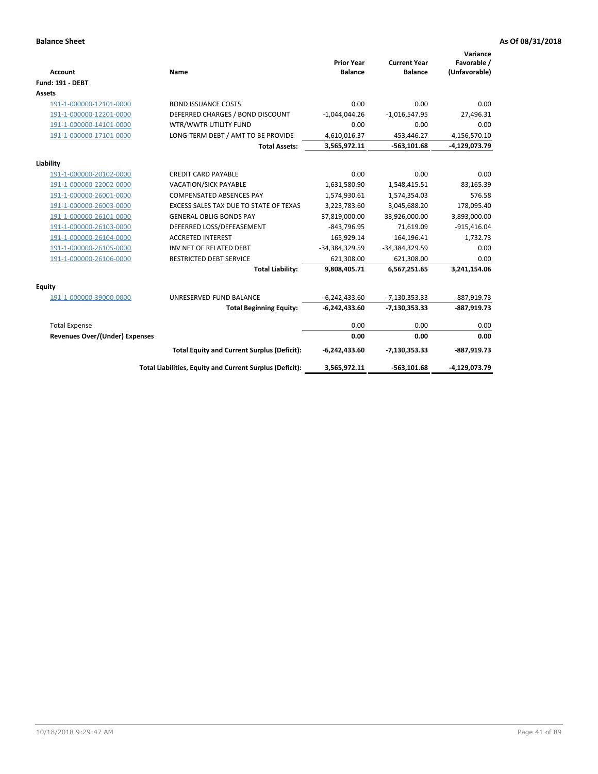| <b>Account</b>                 | Name                                                     | <b>Prior Year</b><br><b>Balance</b> | <b>Current Year</b><br><b>Balance</b> | Variance<br>Favorable /<br>(Unfavorable) |
|--------------------------------|----------------------------------------------------------|-------------------------------------|---------------------------------------|------------------------------------------|
| <b>Fund: 191 - DEBT</b>        |                                                          |                                     |                                       |                                          |
| <b>Assets</b>                  |                                                          |                                     |                                       |                                          |
| 191-1-000000-12101-0000        | <b>BOND ISSUANCE COSTS</b>                               | 0.00                                | 0.00                                  | 0.00                                     |
| 191-1-000000-12201-0000        | DEFERRED CHARGES / BOND DISCOUNT                         | $-1,044,044.26$                     | $-1,016,547.95$                       | 27,496.31                                |
| 191-1-000000-14101-0000        | WTR/WWTR UTILITY FUND                                    | 0.00                                | 0.00                                  | 0.00                                     |
| 191-1-000000-17101-0000        | LONG-TERM DEBT / AMT TO BE PROVIDE                       | 4,610,016.37                        | 453,446.27                            | $-4, 156, 570.10$                        |
|                                | <b>Total Assets:</b>                                     | 3,565,972.11                        | $-563,101.68$                         | -4,129,073.79                            |
| Liability                      |                                                          |                                     |                                       |                                          |
| 191-1-000000-20102-0000        | <b>CREDIT CARD PAYABLE</b>                               | 0.00                                | 0.00                                  | 0.00                                     |
| 191-1-000000-22002-0000        | <b>VACATION/SICK PAYABLE</b>                             | 1,631,580.90                        | 1,548,415.51                          | 83,165.39                                |
| 191-1-000000-26001-0000        | <b>COMPENSATED ABSENCES PAY</b>                          | 1,574,930.61                        | 1,574,354.03                          | 576.58                                   |
| 191-1-000000-26003-0000        | EXCESS SALES TAX DUE TO STATE OF TEXAS                   | 3,223,783.60                        | 3,045,688.20                          | 178,095.40                               |
| 191-1-000000-26101-0000        | <b>GENERAL OBLIG BONDS PAY</b>                           | 37,819,000.00                       | 33,926,000.00                         | 3,893,000.00                             |
| 191-1-000000-26103-0000        | DEFERRED LOSS/DEFEASEMENT                                | $-843,796.95$                       | 71,619.09                             | $-915,416.04$                            |
| 191-1-000000-26104-0000        | <b>ACCRETED INTEREST</b>                                 | 165,929.14                          | 164,196.41                            | 1,732.73                                 |
| 191-1-000000-26105-0000        | INV NET OF RELATED DEBT                                  | -34,384,329.59                      | -34,384,329.59                        | 0.00                                     |
| 191-1-000000-26106-0000        | <b>RESTRICTED DEBT SERVICE</b>                           | 621,308.00                          | 621,308.00                            | 0.00                                     |
|                                | <b>Total Liability:</b>                                  | 9,808,405.71                        | 6,567,251.65                          | 3,241,154.06                             |
| Equity                         |                                                          |                                     |                                       |                                          |
| 191-1-000000-39000-0000        | UNRESERVED-FUND BALANCE                                  | $-6,242,433.60$                     | $-7,130,353.33$                       | $-887,919.73$                            |
|                                | <b>Total Beginning Equity:</b>                           | $-6,242,433.60$                     | $-7,130,353.33$                       | $-887,919.73$                            |
| <b>Total Expense</b>           |                                                          | 0.00                                | 0.00                                  | 0.00                                     |
| Revenues Over/(Under) Expenses |                                                          | 0.00                                | 0.00                                  | 0.00                                     |
|                                | <b>Total Equity and Current Surplus (Deficit):</b>       | $-6,242,433.60$                     | $-7,130,353.33$                       | $-887,919.73$                            |
|                                | Total Liabilities, Equity and Current Surplus (Deficit): | 3,565,972.11                        | $-563, 101.68$                        | -4,129,073.79                            |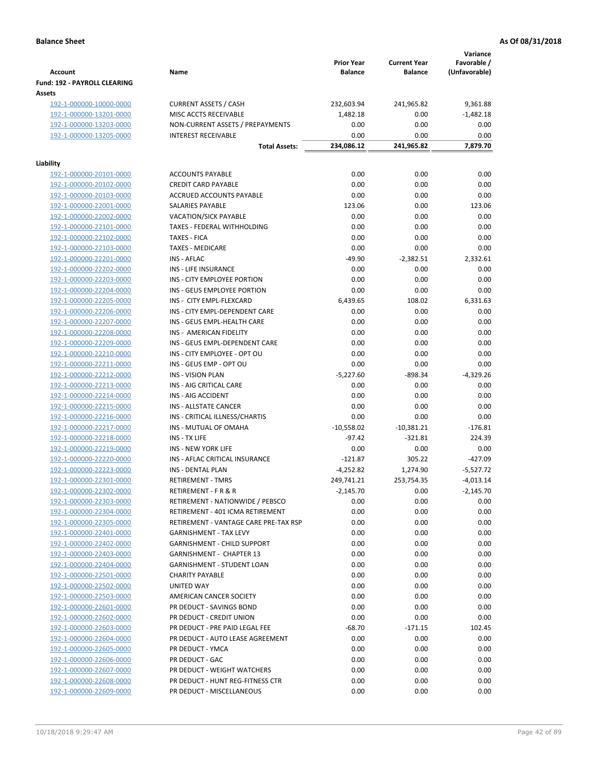| <b>Account</b>                                | Name                                  | <b>Prior Year</b><br><b>Balance</b> | <b>Current Year</b><br><b>Balance</b> | Variance<br>Favorable /<br>(Unfavorable) |
|-----------------------------------------------|---------------------------------------|-------------------------------------|---------------------------------------|------------------------------------------|
| <b>Fund: 192 - PAYROLL CLEARING</b><br>Assets |                                       |                                     |                                       |                                          |
| 192-1-000000-10000-0000                       | <b>CURRENT ASSETS / CASH</b>          | 232,603.94                          | 241,965.82                            | 9,361.88                                 |
| 192-1-000000-13201-0000                       | MISC ACCTS RECEIVABLE                 | 1,482.18                            | 0.00                                  | $-1,482.18$                              |
| 192-1-000000-13203-0000                       | NON-CURRENT ASSETS / PREPAYMENTS      | 0.00                                | 0.00                                  | 0.00                                     |
| 192-1-000000-13205-0000                       | <b>INTEREST RECEIVABLE</b>            | 0.00                                | 0.00                                  | 0.00                                     |
|                                               | <b>Total Assets:</b>                  | 234,086.12                          | 241,965.82                            | 7,879.70                                 |
| Liability                                     |                                       |                                     |                                       |                                          |
| 192-1-000000-20101-0000                       | <b>ACCOUNTS PAYABLE</b>               | 0.00                                | 0.00                                  | 0.00                                     |
| 192-1-000000-20102-0000                       | <b>CREDIT CARD PAYABLE</b>            | 0.00                                | 0.00                                  | 0.00                                     |
| 192-1-000000-20103-0000                       | ACCRUED ACCOUNTS PAYABLE              | 0.00                                | 0.00                                  | 0.00                                     |
| 192-1-000000-22001-0000                       | <b>SALARIES PAYABLE</b>               | 123.06                              | 0.00                                  | 123.06                                   |
| 192-1-000000-22002-0000                       | VACATION/SICK PAYABLE                 | 0.00                                | 0.00                                  | 0.00                                     |
| 192-1-000000-22101-0000                       | TAXES - FEDERAL WITHHOLDING           | 0.00                                | 0.00                                  | 0.00                                     |
| 192-1-000000-22102-0000                       | <b>TAXES - FICA</b>                   | 0.00                                | 0.00                                  | 0.00                                     |
| 192-1-000000-22103-0000                       | <b>TAXES - MEDICARE</b>               | 0.00                                | 0.00                                  | 0.00                                     |
| 192-1-000000-22201-0000                       | <b>INS - AFLAC</b>                    | $-49.90$                            | $-2,382.51$                           | 2,332.61                                 |
| 192-1-000000-22202-0000                       | INS - LIFE INSURANCE                  | 0.00                                | 0.00                                  | 0.00                                     |
| 192-1-000000-22203-0000                       | INS - CITY EMPLOYEE PORTION           | 0.00                                | 0.00                                  | 0.00                                     |
| 192-1-000000-22204-0000                       | INS - GEUS EMPLOYEE PORTION           | 0.00                                | 0.00                                  | 0.00                                     |
| 192-1-000000-22205-0000                       | INS - CITY EMPL-FLEXCARD              | 6,439.65                            | 108.02                                | 6,331.63                                 |
| 192-1-000000-22206-0000                       | INS - CITY EMPL-DEPENDENT CARE        | 0.00                                | 0.00                                  | 0.00                                     |
| 192-1-000000-22207-0000                       | INS - GEUS EMPL-HEALTH CARE           | 0.00                                | 0.00                                  | 0.00                                     |
| 192-1-000000-22208-0000                       | INS - AMERICAN FIDELITY               | 0.00                                | 0.00                                  | 0.00                                     |
| 192-1-000000-22209-0000                       | INS - GEUS EMPL-DEPENDENT CARE        | 0.00                                | 0.00                                  | 0.00                                     |
| 192-1-000000-22210-0000                       | INS - CITY EMPLOYEE - OPT OU          | 0.00                                | 0.00                                  | 0.00                                     |
| 192-1-000000-22211-0000                       | INS - GEUS EMP - OPT OU               | 0.00                                | 0.00                                  | 0.00                                     |
| 192-1-000000-22212-0000                       | <b>INS - VISION PLAN</b>              | $-5,227.60$                         | -898.34                               | $-4,329.26$                              |
| 192-1-000000-22213-0000                       | INS - AIG CRITICAL CARE               | 0.00                                | 0.00                                  | 0.00                                     |
| 192-1-000000-22214-0000                       | INS - AIG ACCIDENT                    | 0.00                                | 0.00                                  | 0.00                                     |
| 192-1-000000-22215-0000                       | INS - ALLSTATE CANCER                 | 0.00                                | 0.00                                  | 0.00                                     |
| 192-1-000000-22216-0000                       | INS - CRITICAL ILLNESS/CHARTIS        | 0.00                                | 0.00                                  | 0.00                                     |
| 192-1-000000-22217-0000                       | INS - MUTUAL OF OMAHA                 | $-10,558.02$                        | $-10,381.21$                          | $-176.81$                                |
| 192-1-000000-22218-0000                       | INS - TX LIFE                         | $-97.42$                            | $-321.81$                             | 224.39                                   |
| 192-1-000000-22219-0000                       | <b>INS - NEW YORK LIFE</b>            | 0.00                                | 0.00                                  | 0.00                                     |
| 192-1-000000-22220-0000                       | INS - AFLAC CRITICAL INSURANCE        | $-121.87$                           | 305.22                                | $-427.09$                                |
| 192-1-000000-22223-0000                       | INS - DENTAL PLAN                     | $-4,252.82$                         | 1,274.90                              | $-5,527.72$                              |
| 192-1-000000-22301-0000                       | <b>RETIREMENT - TMRS</b>              | 249,741.21                          | 253,754.35                            | -4,013.14                                |
| 192-1-000000-22302-0000                       | RETIREMENT - F R & R                  | $-2,145.70$                         | 0.00                                  | $-2,145.70$                              |
| 192-1-000000-22303-0000                       | RETIREMENT - NATIONWIDE / PEBSCO      | 0.00                                | 0.00                                  | 0.00                                     |
| 192-1-000000-22304-0000                       | RETIREMENT - 401 ICMA RETIREMENT      | 0.00                                | 0.00                                  | 0.00                                     |
| 192-1-000000-22305-0000                       | RETIREMENT - VANTAGE CARE PRE-TAX RSP | 0.00                                | 0.00                                  | 0.00                                     |
| 192-1-000000-22401-0000                       | <b>GARNISHMENT - TAX LEVY</b>         | 0.00                                | 0.00                                  | 0.00                                     |
| 192-1-000000-22402-0000                       | GARNISHMENT - CHILD SUPPORT           | 0.00                                | 0.00                                  | 0.00                                     |
| 192-1-000000-22403-0000                       | GARNISHMENT - CHAPTER 13              | 0.00                                | 0.00                                  | 0.00                                     |
| 192-1-000000-22404-0000                       | <b>GARNISHMENT - STUDENT LOAN</b>     | 0.00                                | 0.00                                  | 0.00                                     |
| 192-1-000000-22501-0000                       | <b>CHARITY PAYABLE</b>                | 0.00                                | 0.00                                  | 0.00                                     |
| 192-1-000000-22502-0000                       | UNITED WAY                            | 0.00                                | 0.00                                  | 0.00                                     |
| 192-1-000000-22503-0000                       | AMERICAN CANCER SOCIETY               | 0.00                                | 0.00                                  | 0.00                                     |
| 192-1-000000-22601-0000                       | PR DEDUCT - SAVINGS BOND              | 0.00                                | 0.00                                  | 0.00                                     |
| 192-1-000000-22602-0000                       | PR DEDUCT - CREDIT UNION              | 0.00                                | 0.00                                  | 0.00                                     |
| 192-1-000000-22603-0000                       | PR DEDUCT - PRE PAID LEGAL FEE        | $-68.70$                            | $-171.15$                             | 102.45                                   |
| 192-1-000000-22604-0000                       | PR DEDUCT - AUTO LEASE AGREEMENT      | 0.00                                | 0.00                                  | 0.00                                     |
| 192-1-000000-22605-0000                       | PR DEDUCT - YMCA                      | 0.00                                | 0.00                                  | 0.00                                     |
| 192-1-000000-22606-0000                       | PR DEDUCT - GAC                       | 0.00                                | 0.00                                  | 0.00                                     |
| 192-1-000000-22607-0000                       | PR DEDUCT - WEIGHT WATCHERS           | 0.00                                | 0.00                                  | 0.00                                     |
| 192-1-000000-22608-0000                       | PR DEDUCT - HUNT REG-FITNESS CTR      | 0.00                                | 0.00                                  | 0.00                                     |
| 192-1-000000-22609-0000                       | PR DEDUCT - MISCELLANEOUS             | 0.00                                | 0.00                                  | 0.00                                     |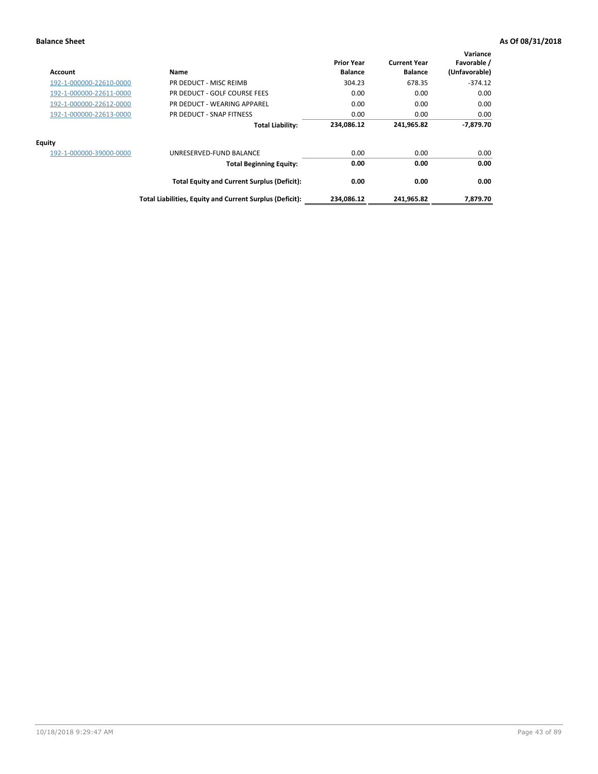| Account                 | Name                                                     | <b>Prior Year</b><br><b>Balance</b> | <b>Current Year</b><br><b>Balance</b> | Variance<br>Favorable /<br>(Unfavorable) |
|-------------------------|----------------------------------------------------------|-------------------------------------|---------------------------------------|------------------------------------------|
| 192-1-000000-22610-0000 | PR DEDUCT - MISC REIMB                                   | 304.23                              | 678.35                                | $-374.12$                                |
| 192-1-000000-22611-0000 | PR DEDUCT - GOLF COURSE FEES                             | 0.00                                | 0.00                                  | 0.00                                     |
| 192-1-000000-22612-0000 | PR DEDUCT - WEARING APPAREL                              | 0.00                                | 0.00                                  | 0.00                                     |
| 192-1-000000-22613-0000 | PR DEDUCT - SNAP FITNESS                                 | 0.00                                | 0.00                                  | 0.00                                     |
|                         | <b>Total Liability:</b>                                  | 234,086.12                          | 241,965.82                            | $-7,879.70$                              |
| Equity                  |                                                          |                                     |                                       |                                          |
| 192-1-000000-39000-0000 | UNRESERVED-FUND BALANCE                                  | 0.00                                | 0.00                                  | 0.00                                     |
|                         | <b>Total Beginning Equity:</b>                           | 0.00                                | 0.00                                  | 0.00                                     |
|                         | <b>Total Equity and Current Surplus (Deficit):</b>       | 0.00                                | 0.00                                  | 0.00                                     |
|                         | Total Liabilities, Equity and Current Surplus (Deficit): | 234,086.12                          | 241,965.82                            | 7,879.70                                 |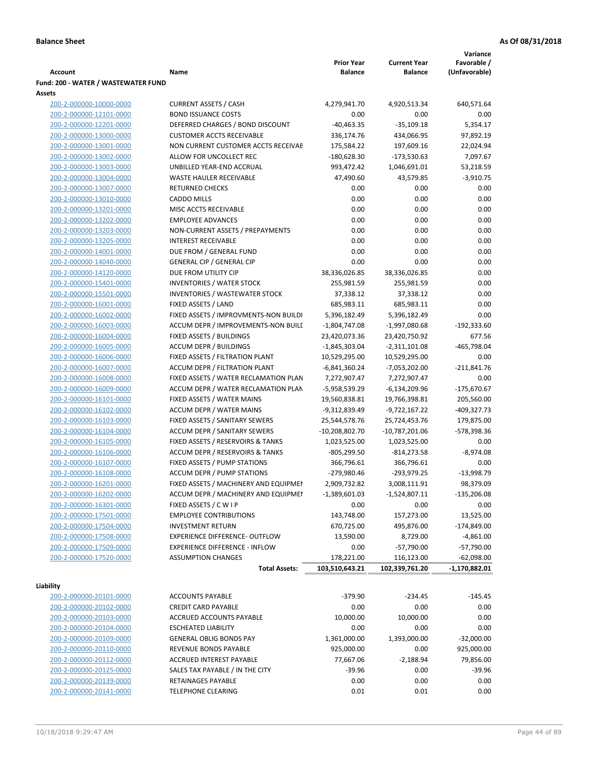|                                     |                                            |                   |                     | Variance        |
|-------------------------------------|--------------------------------------------|-------------------|---------------------|-----------------|
|                                     |                                            | <b>Prior Year</b> | <b>Current Year</b> | Favorable /     |
| Account                             | Name                                       | <b>Balance</b>    | <b>Balance</b>      | (Unfavorable)   |
| Fund: 200 - WATER / WASTEWATER FUND |                                            |                   |                     |                 |
| Assets                              |                                            |                   |                     |                 |
| 200-2-000000-10000-0000             | <b>CURRENT ASSETS / CASH</b>               | 4,279,941.70      | 4,920,513.34        | 640,571.64      |
| 200-2-000000-12101-0000             | <b>BOND ISSUANCE COSTS</b>                 | 0.00              | 0.00                | 0.00            |
| 200-2-000000-12201-0000             | DEFERRED CHARGES / BOND DISCOUNT           | $-40,463.35$      | $-35,109.18$        | 5,354.17        |
| 200-2-000000-13000-0000             | <b>CUSTOMER ACCTS RECEIVABLE</b>           | 336,174.76        | 434,066.95          | 97,892.19       |
| 200-2-000000-13001-0000             | NON CURRENT CUSTOMER ACCTS RECEIVAE        | 175,584.22        | 197,609.16          | 22,024.94       |
| 200-2-000000-13002-0000             | ALLOW FOR UNCOLLECT REC                    | $-180,628.30$     | $-173,530.63$       | 7,097.67        |
| 200-2-000000-13003-0000             | UNBILLED YEAR-END ACCRUAL                  | 993,472.42        | 1,046,691.01        | 53,218.59       |
| 200-2-000000-13004-0000             | <b>WASTE HAULER RECEIVABLE</b>             | 47,490.60         | 43,579.85           | $-3,910.75$     |
| 200-2-000000-13007-0000             | <b>RETURNED CHECKS</b>                     | 0.00              | 0.00                | 0.00            |
| 200-2-000000-13010-0000             | <b>CADDO MILLS</b>                         | 0.00              | 0.00                | 0.00            |
|                                     | MISC ACCTS RECEIVABLE                      | 0.00              | 0.00                | 0.00            |
| 200-2-000000-13201-0000             |                                            |                   |                     |                 |
| 200-2-000000-13202-0000             | <b>EMPLOYEE ADVANCES</b>                   | 0.00              | 0.00                | 0.00            |
| 200-2-000000-13203-0000             | NON-CURRENT ASSETS / PREPAYMENTS           | 0.00              | 0.00                | 0.00            |
| 200-2-000000-13205-0000             | <b>INTEREST RECEIVABLE</b>                 | 0.00              | 0.00                | 0.00            |
| 200-2-000000-14001-0000             | DUE FROM / GENERAL FUND                    | 0.00              | 0.00                | 0.00            |
| 200-2-000000-14040-0000             | <b>GENERAL CIP / GENERAL CIP</b>           | 0.00              | 0.00                | 0.00            |
| 200-2-000000-14120-0000             | DUE FROM UTILITY CIP                       | 38,336,026.85     | 38,336,026.85       | 0.00            |
| 200-2-000000-15401-0000             | <b>INVENTORIES / WATER STOCK</b>           | 255,981.59        | 255,981.59          | 0.00            |
| 200-2-000000-15501-0000             | <b>INVENTORIES / WASTEWATER STOCK</b>      | 37,338.12         | 37,338.12           | 0.00            |
| 200-2-000000-16001-0000             | FIXED ASSETS / LAND                        | 685,983.11        | 685,983.11          | 0.00            |
| 200-2-000000-16002-0000             | FIXED ASSETS / IMPROVMENTS-NON BUILDI      | 5,396,182.49      | 5,396,182.49        | 0.00            |
| 200-2-000000-16003-0000             | ACCUM DEPR / IMPROVEMENTS-NON BUILI        | $-1,804,747.08$   | $-1,997,080.68$     | -192,333.60     |
| 200-2-000000-16004-0000             | FIXED ASSETS / BUILDINGS                   | 23,420,073.36     | 23,420,750.92       | 677.56          |
| 200-2-000000-16005-0000             | <b>ACCUM DEPR / BUILDINGS</b>              | $-1,845,303.04$   | $-2,311,101.08$     | $-465,798.04$   |
| 200-2-000000-16006-0000             | FIXED ASSETS / FILTRATION PLANT            | 10,529,295.00     | 10,529,295.00       | 0.00            |
| 200-2-000000-16007-0000             | ACCUM DEPR / FILTRATION PLANT              | $-6,841,360.24$   | $-7,053,202.00$     | $-211,841.76$   |
| 200-2-000000-16008-0000             | FIXED ASSETS / WATER RECLAMATION PLAN      | 7,272,907.47      | 7,272,907.47        | 0.00            |
| 200-2-000000-16009-0000             | ACCUM DEPR / WATER RECLAMATION PLAN        | -5,958,539.29     | $-6,134,209.96$     | $-175,670.67$   |
| 200-2-000000-16101-0000             | FIXED ASSETS / WATER MAINS                 | 19,560,838.81     | 19,766,398.81       | 205,560.00      |
| 200-2-000000-16102-0000             | <b>ACCUM DEPR / WATER MAINS</b>            | -9,312,839.49     | -9,722,167.22       | $-409,327.73$   |
| 200-2-000000-16103-0000             | FIXED ASSETS / SANITARY SEWERS             | 25,544,578.76     | 25,724,453.76       | 179,875.00      |
| 200-2-000000-16104-0000             | <b>ACCUM DEPR / SANITARY SEWERS</b>        | -10,208,802.70    | $-10,787,201.06$    | -578,398.36     |
| 200-2-000000-16105-0000             | FIXED ASSETS / RESERVOIRS & TANKS          | 1,023,525.00      | 1,023,525.00        | 0.00            |
| 200-2-000000-16106-0000             | <b>ACCUM DEPR / RESERVOIRS &amp; TANKS</b> | $-805,299.50$     | $-814,273.58$       | $-8,974.08$     |
| 200-2-000000-16107-0000             | FIXED ASSETS / PUMP STATIONS               | 366,796.61        | 366,796.61          | 0.00            |
| 200-2-000000-16108-0000             | <b>ACCUM DEPR / PUMP STATIONS</b>          | -279,980.46       | -293,979.25         | $-13,998.79$    |
| 200-2-000000-16201-0000             | FIXED ASSETS / MACHINERY AND EQUIPMEN      | 2,909,732.82      | 3,008,111.91        | 98,379.09       |
| 200-2-000000-16202-0000             | ACCUM DEPR / MACHINERY AND EQUIPMEI        | $-1,389,601.03$   | $-1,524,807.11$     | $-135,206.08$   |
| 200-2-000000-16301-0000             | FIXED ASSETS / C W I P                     | 0.00              | 0.00                | 0.00            |
| 200-2-000000-17501-0000             |                                            |                   |                     |                 |
|                                     | <b>EMPLOYEE CONTRIBUTIONS</b>              | 143,748.00        | 157,273.00          | 13,525.00       |
| 200-2-000000-17504-0000             | <b>INVESTMENT RETURN</b>                   | 670,725.00        | 495,876.00          | $-174,849.00$   |
| 200-2-000000-17508-0000             | EXPERIENCE DIFFERENCE- OUTFLOW             | 13,590.00         | 8,729.00            | $-4,861.00$     |
| 200-2-000000-17509-0000             | <b>EXPERIENCE DIFFERENCE - INFLOW</b>      | 0.00              | $-57,790.00$        | $-57,790.00$    |
| 200-2-000000-17520-0000             | <b>ASSUMPTION CHANGES</b>                  | 178,221.00        | 116,123.00          | $-62,098.00$    |
|                                     | <b>Total Assets:</b>                       | 103,510,643.21    | 102,339,761.20      | $-1,170,882.01$ |
| Liability                           |                                            |                   |                     |                 |
| 200-2-000000-20101-0000             | <b>ACCOUNTS PAYABLE</b>                    | $-379.90$         | $-234.45$           | $-145.45$       |
|                                     |                                            | 0.00              | 0.00                | 0.00            |
| 200-2-000000-20102-0000             | <b>CREDIT CARD PAYABLE</b>                 |                   |                     |                 |
| 200-2-000000-20103-0000             | ACCRUED ACCOUNTS PAYABLE                   | 10,000.00         | 10,000.00           | 0.00            |
| 200-2-000000-20104-0000             | <b>ESCHEATED LIABILITY</b>                 | 0.00              | 0.00                | 0.00            |
| 200-2-000000-20109-0000             | <b>GENERAL OBLIG BONDS PAY</b>             | 1,361,000.00      | 1,393,000.00        | $-32,000.00$    |
| 200-2-000000-20110-0000             | REVENUE BONDS PAYABLE                      | 925,000.00        | 0.00                | 925,000.00      |
| 200-2-000000-20112-0000             | ACCRUED INTEREST PAYABLE                   | 77,667.06         | $-2,188.94$         | 79,856.00       |
| 200-2-000000-20125-0000             | SALES TAX PAYABLE / IN THE CITY            | $-39.96$          | 0.00                | $-39.96$        |
| 200-2-000000-20139-0000             | RETAINAGES PAYABLE                         | 0.00              | 0.00                | 0.00            |
| 200-2-000000-20141-0000             | <b>TELEPHONE CLEARING</b>                  | 0.01              | 0.01                | 0.00            |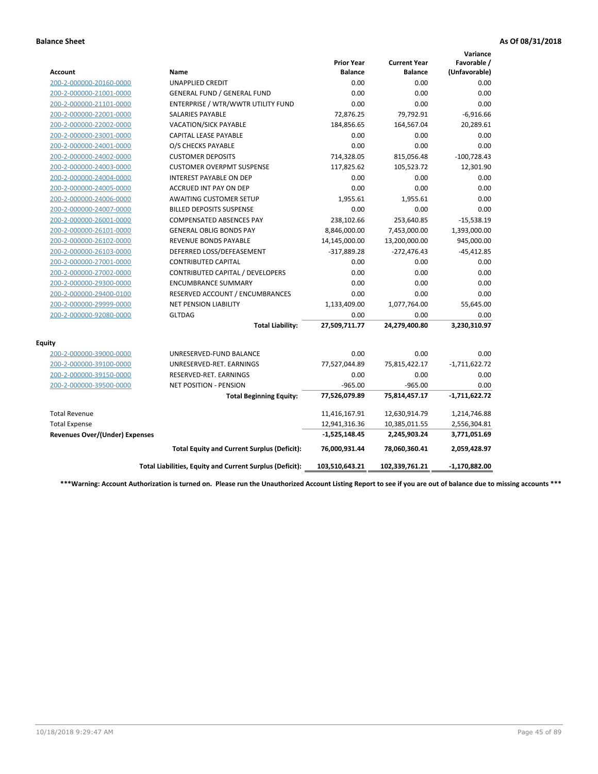|                                       |                                                          |                                     |                                       | Variance                     |
|---------------------------------------|----------------------------------------------------------|-------------------------------------|---------------------------------------|------------------------------|
| <b>Account</b>                        | Name                                                     | <b>Prior Year</b><br><b>Balance</b> | <b>Current Year</b><br><b>Balance</b> | Favorable /<br>(Unfavorable) |
| 200-2-000000-20160-0000               | <b>UNAPPLIED CREDIT</b>                                  | 0.00                                | 0.00                                  | 0.00                         |
| 200-2-000000-21001-0000               | <b>GENERAL FUND / GENERAL FUND</b>                       | 0.00                                | 0.00                                  | 0.00                         |
| 200-2-000000-21101-0000               | ENTERPRISE / WTR/WWTR UTILITY FUND                       | 0.00                                | 0.00                                  | 0.00                         |
| 200-2-000000-22001-0000               | <b>SALARIES PAYABLE</b>                                  | 72,876.25                           | 79,792.91                             | $-6,916.66$                  |
| 200-2-000000-22002-0000               | VACATION/SICK PAYABLE                                    | 184,856.65                          | 164,567.04                            | 20,289.61                    |
| 200-2-000000-23001-0000               | <b>CAPITAL LEASE PAYABLE</b>                             | 0.00                                | 0.00                                  | 0.00                         |
| 200-2-000000-24001-0000               | O/S CHECKS PAYABLE                                       | 0.00                                | 0.00                                  | 0.00                         |
| 200-2-000000-24002-0000               | <b>CUSTOMER DEPOSITS</b>                                 | 714,328.05                          | 815,056.48                            | $-100,728.43$                |
| 200-2-000000-24003-0000               | <b>CUSTOMER OVERPMT SUSPENSE</b>                         | 117,825.62                          | 105,523.72                            | 12,301.90                    |
| 200-2-000000-24004-0000               | <b>INTEREST PAYABLE ON DEP</b>                           | 0.00                                | 0.00                                  | 0.00                         |
| 200-2-000000-24005-0000               | <b>ACCRUED INT PAY ON DEP</b>                            | 0.00                                | 0.00                                  | 0.00                         |
| 200-2-000000-24006-0000               | <b>AWAITING CUSTOMER SETUP</b>                           | 1,955.61                            | 1,955.61                              | 0.00                         |
| 200-2-000000-24007-0000               | <b>BILLED DEPOSITS SUSPENSE</b>                          | 0.00                                | 0.00                                  | 0.00                         |
| 200-2-000000-26001-0000               | <b>COMPENSATED ABSENCES PAY</b>                          | 238,102.66                          | 253,640.85                            | $-15,538.19$                 |
| 200-2-000000-26101-0000               | <b>GENERAL OBLIG BONDS PAY</b>                           | 8,846,000.00                        | 7,453,000.00                          | 1,393,000.00                 |
| 200-2-000000-26102-0000               | <b>REVENUE BONDS PAYABLE</b>                             | 14,145,000.00                       | 13,200,000.00                         | 945,000.00                   |
| 200-2-000000-26103-0000               | DEFERRED LOSS/DEFEASEMENT                                | $-317,889.28$                       | $-272,476.43$                         | $-45,412.85$                 |
| 200-2-000000-27001-0000               | <b>CONTRIBUTED CAPITAL</b>                               | 0.00                                | 0.00                                  | 0.00                         |
| 200-2-000000-27002-0000               | CONTRIBUTED CAPITAL / DEVELOPERS                         | 0.00                                | 0.00                                  | 0.00                         |
| 200-2-000000-29300-0000               | <b>ENCUMBRANCE SUMMARY</b>                               | 0.00                                | 0.00                                  | 0.00                         |
| 200-2-000000-29400-0100               | RESERVED ACCOUNT / ENCUMBRANCES                          | 0.00                                | 0.00                                  | 0.00                         |
| 200-2-000000-29999-0000               | NET PENSION LIABILITY                                    | 1,133,409.00                        | 1,077,764.00                          | 55,645.00                    |
| 200-2-000000-92080-0000               | <b>GLTDAG</b>                                            | 0.00                                | 0.00                                  | 0.00                         |
|                                       | <b>Total Liability:</b>                                  | 27,509,711.77                       | 24,279,400.80                         | 3,230,310.97                 |
| <b>Equity</b>                         |                                                          |                                     |                                       |                              |
| 200-2-000000-39000-0000               | UNRESERVED-FUND BALANCE                                  | 0.00                                | 0.00                                  | 0.00                         |
| 200-2-000000-39100-0000               | UNRESERVED-RET. EARNINGS                                 | 77,527,044.89                       | 75,815,422.17                         | $-1,711,622.72$              |
| 200-2-000000-39150-0000               | RESERVED-RET. EARNINGS                                   | 0.00                                | 0.00                                  | 0.00                         |
| 200-2-000000-39500-0000               | <b>NET POSITION - PENSION</b>                            | $-965.00$                           | $-965.00$                             | 0.00                         |
|                                       | <b>Total Beginning Equity:</b>                           | 77,526,079.89                       | 75,814,457.17                         | $-1,711,622.72$              |
| <b>Total Revenue</b>                  |                                                          | 11,416,167.91                       | 12,630,914.79                         | 1,214,746.88                 |
| <b>Total Expense</b>                  |                                                          | 12,941,316.36                       | 10,385,011.55                         | 2,556,304.81                 |
| <b>Revenues Over/(Under) Expenses</b> |                                                          | $-1,525,148.45$                     | 2,245,903.24                          | 3,771,051.69                 |
|                                       | <b>Total Equity and Current Surplus (Deficit):</b>       | 76,000,931.44                       | 78,060,360.41                         | 2,059,428.97                 |
|                                       | Total Liabilities, Equity and Current Surplus (Deficit): | 103,510,643.21                      | 102,339,761.21                        | $-1,170,882.00$              |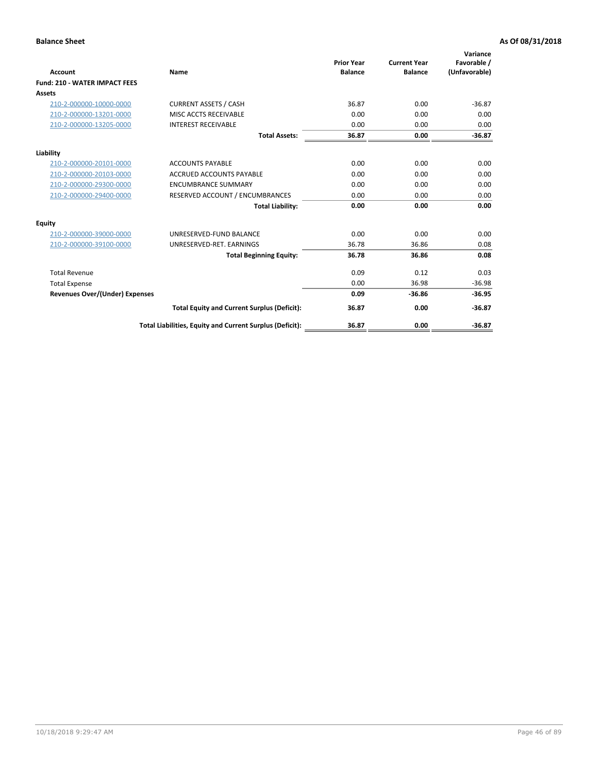| <b>Account</b>                        | Name                                                     | <b>Prior Year</b><br><b>Balance</b> | <b>Current Year</b><br><b>Balance</b> | Variance<br>Favorable /<br>(Unfavorable) |
|---------------------------------------|----------------------------------------------------------|-------------------------------------|---------------------------------------|------------------------------------------|
| <b>Fund: 210 - WATER IMPACT FEES</b>  |                                                          |                                     |                                       |                                          |
| <b>Assets</b>                         |                                                          |                                     |                                       |                                          |
| 210-2-000000-10000-0000               | <b>CURRENT ASSETS / CASH</b>                             | 36.87                               | 0.00                                  | $-36.87$                                 |
| 210-2-000000-13201-0000               | MISC ACCTS RECEIVABLE                                    | 0.00                                | 0.00                                  | 0.00                                     |
| 210-2-000000-13205-0000               | <b>INTEREST RECEIVABLE</b>                               | 0.00                                | 0.00                                  | 0.00                                     |
|                                       | <b>Total Assets:</b>                                     | 36.87                               | 0.00                                  | $-36.87$                                 |
| Liability                             |                                                          |                                     |                                       |                                          |
| 210-2-000000-20101-0000               | <b>ACCOUNTS PAYABLE</b>                                  | 0.00                                | 0.00                                  | 0.00                                     |
| 210-2-000000-20103-0000               | <b>ACCRUED ACCOUNTS PAYABLE</b>                          | 0.00                                | 0.00                                  | 0.00                                     |
| 210-2-000000-29300-0000               | <b>ENCUMBRANCE SUMMARY</b>                               | 0.00                                | 0.00                                  | 0.00                                     |
| 210-2-000000-29400-0000               | RESERVED ACCOUNT / ENCUMBRANCES                          | 0.00                                | 0.00                                  | 0.00                                     |
|                                       | <b>Total Liability:</b>                                  | 0.00                                | 0.00                                  | 0.00                                     |
| <b>Equity</b>                         |                                                          |                                     |                                       |                                          |
| 210-2-000000-39000-0000               | UNRESERVED-FUND BALANCE                                  | 0.00                                | 0.00                                  | 0.00                                     |
| 210-2-000000-39100-0000               | UNRESERVED-RET. EARNINGS                                 | 36.78                               | 36.86                                 | 0.08                                     |
|                                       | <b>Total Beginning Equity:</b>                           | 36.78                               | 36.86                                 | 0.08                                     |
| <b>Total Revenue</b>                  |                                                          | 0.09                                | 0.12                                  | 0.03                                     |
| <b>Total Expense</b>                  |                                                          | 0.00                                | 36.98                                 | $-36.98$                                 |
| <b>Revenues Over/(Under) Expenses</b> |                                                          | 0.09                                | $-36.86$                              | $-36.95$                                 |
|                                       | <b>Total Equity and Current Surplus (Deficit):</b>       | 36.87                               | 0.00                                  | $-36.87$                                 |
|                                       | Total Liabilities, Equity and Current Surplus (Deficit): | 36.87                               | 0.00                                  | $-36.87$                                 |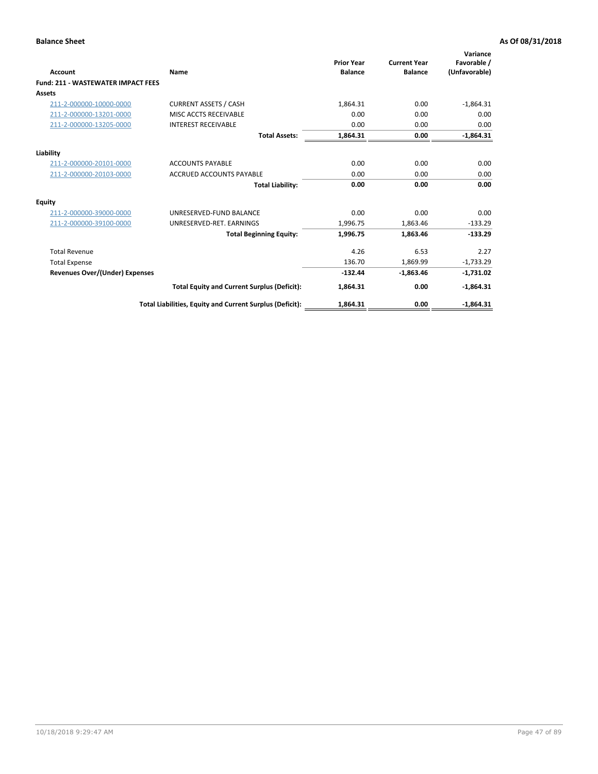| <b>Account</b>                            | Name                                                     | <b>Prior Year</b><br><b>Balance</b> | <b>Current Year</b><br><b>Balance</b> | Variance<br>Favorable /<br>(Unfavorable) |
|-------------------------------------------|----------------------------------------------------------|-------------------------------------|---------------------------------------|------------------------------------------|
| <b>Fund: 211 - WASTEWATER IMPACT FEES</b> |                                                          |                                     |                                       |                                          |
| <b>Assets</b>                             |                                                          |                                     |                                       |                                          |
| 211-2-000000-10000-0000                   | <b>CURRENT ASSETS / CASH</b>                             | 1,864.31                            | 0.00                                  | $-1,864.31$                              |
| 211-2-000000-13201-0000                   | MISC ACCTS RECEIVABLE                                    | 0.00                                | 0.00                                  | 0.00                                     |
| 211-2-000000-13205-0000                   | <b>INTEREST RECEIVABLE</b>                               | 0.00                                | 0.00                                  | 0.00                                     |
|                                           | <b>Total Assets:</b>                                     | 1,864.31                            | 0.00                                  | $-1,864.31$                              |
| Liability                                 |                                                          |                                     |                                       |                                          |
| 211-2-000000-20101-0000                   | <b>ACCOUNTS PAYABLE</b>                                  | 0.00                                | 0.00                                  | 0.00                                     |
| 211-2-000000-20103-0000                   | <b>ACCRUED ACCOUNTS PAYABLE</b>                          | 0.00                                | 0.00                                  | 0.00                                     |
|                                           | <b>Total Liability:</b>                                  | 0.00                                | 0.00                                  | 0.00                                     |
| Equity                                    |                                                          |                                     |                                       |                                          |
| 211-2-000000-39000-0000                   | UNRESERVED-FUND BALANCE                                  | 0.00                                | 0.00                                  | 0.00                                     |
| 211-2-000000-39100-0000                   | UNRESERVED-RET. EARNINGS                                 | 1,996.75                            | 1,863.46                              | $-133.29$                                |
|                                           | <b>Total Beginning Equity:</b>                           | 1,996.75                            | 1,863.46                              | $-133.29$                                |
| <b>Total Revenue</b>                      |                                                          | 4.26                                | 6.53                                  | 2.27                                     |
| <b>Total Expense</b>                      |                                                          | 136.70                              | 1,869.99                              | $-1,733.29$                              |
| <b>Revenues Over/(Under) Expenses</b>     |                                                          | $-132.44$                           | $-1.863.46$                           | $-1,731.02$                              |
|                                           | <b>Total Equity and Current Surplus (Deficit):</b>       | 1,864.31                            | 0.00                                  | $-1,864.31$                              |
|                                           | Total Liabilities, Equity and Current Surplus (Deficit): | 1,864.31                            | 0.00                                  | $-1,864.31$                              |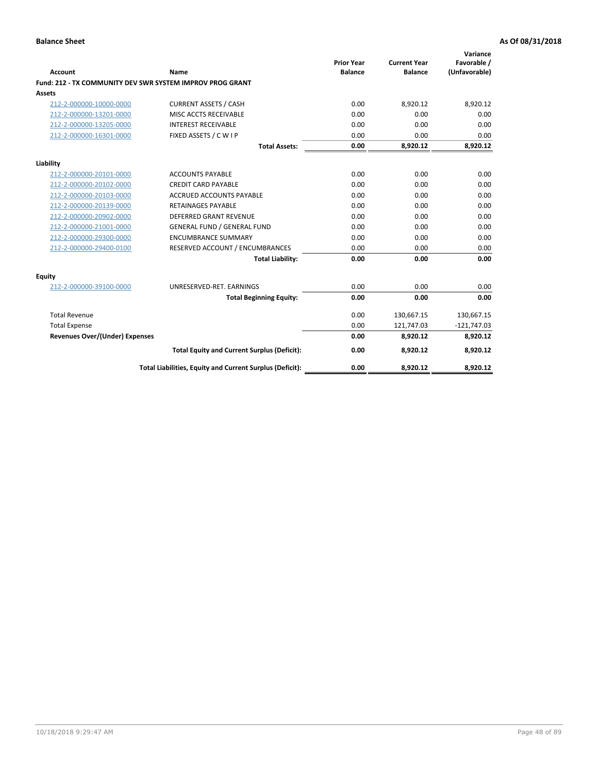| <b>Account</b>                        | Name                                                      | <b>Prior Year</b><br><b>Balance</b> | <b>Current Year</b><br><b>Balance</b> | Variance<br>Favorable /<br>(Unfavorable) |
|---------------------------------------|-----------------------------------------------------------|-------------------------------------|---------------------------------------|------------------------------------------|
|                                       | Fund: 212 - TX COMMUNITY DEV SWR SYSTEM IMPROV PROG GRANT |                                     |                                       |                                          |
| <b>Assets</b>                         |                                                           |                                     |                                       |                                          |
| 212-2-000000-10000-0000               | <b>CURRENT ASSETS / CASH</b>                              | 0.00                                | 8,920.12                              | 8,920.12                                 |
| 212-2-000000-13201-0000               | MISC ACCTS RECEIVABLE                                     | 0.00                                | 0.00                                  | 0.00                                     |
| 212-2-000000-13205-0000               | <b>INTEREST RECEIVABLE</b>                                | 0.00                                | 0.00                                  | 0.00                                     |
| 212-2-000000-16301-0000               | FIXED ASSETS / C W I P                                    | 0.00                                | 0.00                                  | 0.00                                     |
|                                       | <b>Total Assets:</b>                                      | 0.00                                | 8,920.12                              | 8,920.12                                 |
| Liability                             |                                                           |                                     |                                       |                                          |
| 212-2-000000-20101-0000               | <b>ACCOUNTS PAYABLE</b>                                   | 0.00                                | 0.00                                  | 0.00                                     |
| 212-2-000000-20102-0000               | <b>CREDIT CARD PAYABLE</b>                                | 0.00                                | 0.00                                  | 0.00                                     |
| 212-2-000000-20103-0000               | <b>ACCRUED ACCOUNTS PAYABLE</b>                           | 0.00                                | 0.00                                  | 0.00                                     |
| 212-2-000000-20139-0000               | <b>RETAINAGES PAYABLE</b>                                 | 0.00                                | 0.00                                  | 0.00                                     |
| 212-2-000000-20902-0000               | <b>DEFERRED GRANT REVENUE</b>                             | 0.00                                | 0.00                                  | 0.00                                     |
| 212-2-000000-21001-0000               | <b>GENERAL FUND / GENERAL FUND</b>                        | 0.00                                | 0.00                                  | 0.00                                     |
| 212-2-000000-29300-0000               | <b>ENCUMBRANCE SUMMARY</b>                                | 0.00                                | 0.00                                  | 0.00                                     |
| 212-2-000000-29400-0100               | RESERVED ACCOUNT / ENCUMBRANCES                           | 0.00                                | 0.00                                  | 0.00                                     |
|                                       | <b>Total Liability:</b>                                   | 0.00                                | 0.00                                  | 0.00                                     |
| <b>Equity</b>                         |                                                           |                                     |                                       |                                          |
| 212-2-000000-39100-0000               | UNRESERVED-RET. EARNINGS                                  | 0.00                                | 0.00                                  | 0.00                                     |
|                                       | <b>Total Beginning Equity:</b>                            | 0.00                                | 0.00                                  | 0.00                                     |
| <b>Total Revenue</b>                  |                                                           | 0.00                                | 130,667.15                            | 130,667.15                               |
| <b>Total Expense</b>                  |                                                           | 0.00                                | 121,747.03                            | $-121,747.03$                            |
| <b>Revenues Over/(Under) Expenses</b> |                                                           | 0.00                                | 8,920.12                              | 8,920.12                                 |
|                                       | <b>Total Equity and Current Surplus (Deficit):</b>        | 0.00                                | 8,920.12                              | 8,920.12                                 |
|                                       | Total Liabilities, Equity and Current Surplus (Deficit):  | 0.00                                | 8,920.12                              | 8,920.12                                 |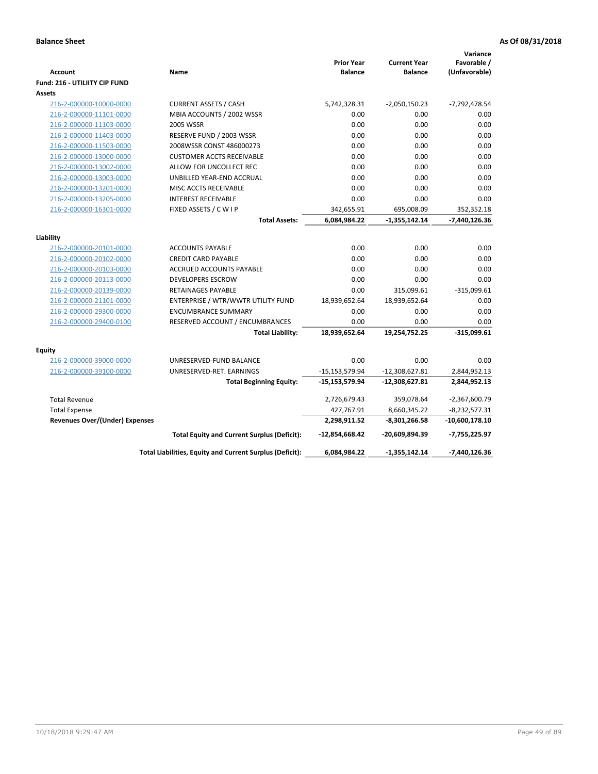| Account                                                       | Name                                                     | <b>Prior Year</b><br><b>Balance</b> | <b>Current Year</b><br><b>Balance</b> | Variance<br>Favorable /<br>(Unfavorable) |
|---------------------------------------------------------------|----------------------------------------------------------|-------------------------------------|---------------------------------------|------------------------------------------|
| Fund: 216 - UTILIITY CIP FUND                                 |                                                          |                                     |                                       |                                          |
| <b>Assets</b>                                                 |                                                          |                                     |                                       |                                          |
| 216-2-000000-10000-0000                                       | <b>CURRENT ASSETS / CASH</b>                             | 5,742,328.31                        | $-2,050,150.23$                       | $-7,792,478.54$                          |
| 216-2-000000-11101-0000                                       | MBIA ACCOUNTS / 2002 WSSR                                | 0.00                                | 0.00                                  | 0.00                                     |
| 216-2-000000-11103-0000                                       | <b>2005 WSSR</b>                                         | 0.00                                | 0.00                                  | 0.00                                     |
| 216-2-000000-11403-0000                                       | RESERVE FUND / 2003 WSSR                                 | 0.00                                | 0.00                                  | 0.00                                     |
| 216-2-000000-11503-0000                                       | 2008WSSR CONST 486000273                                 | 0.00                                | 0.00                                  | 0.00                                     |
| 216-2-000000-13000-0000                                       | <b>CUSTOMER ACCTS RECEIVABLE</b>                         | 0.00                                | 0.00                                  | 0.00                                     |
| 216-2-000000-13002-0000                                       | ALLOW FOR UNCOLLECT REC                                  | 0.00                                | 0.00                                  | 0.00                                     |
| 216-2-000000-13003-0000                                       | UNBILLED YEAR-END ACCRUAL                                | 0.00                                | 0.00                                  | 0.00                                     |
| 216-2-000000-13201-0000                                       | MISC ACCTS RECEIVABLE                                    | 0.00                                | 0.00                                  | 0.00                                     |
| 216-2-000000-13205-0000                                       | <b>INTEREST RECEIVABLE</b>                               | 0.00                                | 0.00                                  | 0.00                                     |
| 216-2-000000-16301-0000                                       | FIXED ASSETS / C W I P                                   | 342,655.91                          | 695,008.09                            | 352,352.18                               |
|                                                               | <b>Total Assets:</b>                                     | 6,084,984.22                        | $-1,355,142.14$                       | $-7,440,126.36$                          |
| Liability                                                     |                                                          |                                     |                                       |                                          |
| 216-2-000000-20101-0000                                       | <b>ACCOUNTS PAYABLE</b>                                  | 0.00                                | 0.00                                  | 0.00                                     |
| 216-2-000000-20102-0000                                       | <b>CREDIT CARD PAYABLE</b>                               | 0.00                                | 0.00                                  | 0.00                                     |
| 216-2-000000-20103-0000                                       | <b>ACCRUED ACCOUNTS PAYABLE</b>                          | 0.00                                | 0.00                                  | 0.00                                     |
| 216-2-000000-20113-0000                                       | <b>DEVELOPERS ESCROW</b>                                 | 0.00                                | 0.00                                  | 0.00                                     |
| 216-2-000000-20139-0000                                       | <b>RETAINAGES PAYABLE</b>                                | 0.00                                | 315,099.61                            | $-315,099.61$                            |
| 216-2-000000-21101-0000                                       | ENTERPRISE / WTR/WWTR UTILITY FUND                       | 18,939,652.64                       | 18,939,652.64                         | 0.00                                     |
| 216-2-000000-29300-0000                                       | <b>ENCUMBRANCE SUMMARY</b>                               | 0.00                                | 0.00                                  | 0.00                                     |
| 216-2-000000-29400-0100                                       | RESERVED ACCOUNT / ENCUMBRANCES                          | 0.00                                | 0.00                                  | 0.00                                     |
|                                                               | <b>Total Liability:</b>                                  | 18,939,652.64                       | 19,254,752.25                         | $-315,099.61$                            |
| Equity                                                        |                                                          |                                     |                                       |                                          |
| 216-2-000000-39000-0000                                       | UNRESERVED-FUND BALANCE                                  | 0.00                                | 0.00                                  | 0.00                                     |
| 216-2-000000-39100-0000                                       | UNRESERVED-RET. EARNINGS                                 | $-15, 153, 579.94$                  | $-12,308,627.81$                      | 2,844,952.13                             |
|                                                               | <b>Total Beginning Equity:</b>                           | $-15,153,579.94$                    | $-12,308,627.81$                      | 2,844,952.13                             |
| <b>Total Revenue</b>                                          |                                                          | 2,726,679.43                        | 359,078.64                            | $-2,367,600.79$                          |
|                                                               |                                                          | 427,767.91                          | 8,660,345.22                          | $-8,232,577.31$                          |
| <b>Total Expense</b><br><b>Revenues Over/(Under) Expenses</b> |                                                          | 2,298,911.52                        | $-8,301,266.58$                       | -10,600,178.10                           |
|                                                               |                                                          |                                     |                                       |                                          |
|                                                               | <b>Total Equity and Current Surplus (Deficit):</b>       | -12,854,668.42                      | -20,609,894.39                        | -7,755,225.97                            |
|                                                               | Total Liabilities, Equity and Current Surplus (Deficit): | 6,084,984.22                        | $-1,355,142.14$                       | $-7,440,126.36$                          |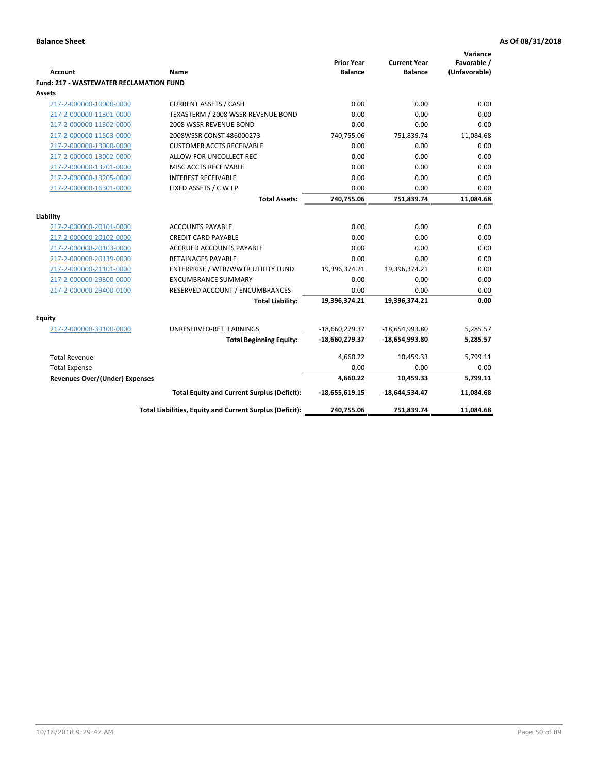| <b>Account</b>                                 | <b>Name</b>                                              | <b>Prior Year</b><br><b>Balance</b> | <b>Current Year</b><br><b>Balance</b> | Variance<br>Favorable /<br>(Unfavorable) |
|------------------------------------------------|----------------------------------------------------------|-------------------------------------|---------------------------------------|------------------------------------------|
| <b>Fund: 217 - WASTEWATER RECLAMATION FUND</b> |                                                          |                                     |                                       |                                          |
| <b>Assets</b>                                  |                                                          |                                     |                                       |                                          |
| 217-2-000000-10000-0000                        | <b>CURRENT ASSETS / CASH</b>                             | 0.00                                | 0.00                                  | 0.00                                     |
| 217-2-000000-11301-0000                        | TEXASTERM / 2008 WSSR REVENUE BOND                       | 0.00                                | 0.00                                  | 0.00                                     |
| 217-2-000000-11302-0000                        | 2008 WSSR REVENUE BOND                                   | 0.00                                | 0.00                                  | 0.00                                     |
| 217-2-000000-11503-0000                        | 2008WSSR CONST 486000273                                 | 740,755.06                          | 751,839.74                            | 11,084.68                                |
| 217-2-000000-13000-0000                        | <b>CUSTOMER ACCTS RECEIVABLE</b>                         | 0.00                                | 0.00                                  | 0.00                                     |
| 217-2-000000-13002-0000                        | ALLOW FOR UNCOLLECT REC                                  | 0.00                                | 0.00                                  | 0.00                                     |
| 217-2-000000-13201-0000                        | MISC ACCTS RECEIVABLE                                    | 0.00                                | 0.00                                  | 0.00                                     |
| 217-2-000000-13205-0000                        | <b>INTEREST RECEIVABLE</b>                               | 0.00                                | 0.00                                  | 0.00                                     |
| 217-2-000000-16301-0000                        | FIXED ASSETS / C W I P                                   | 0.00                                | 0.00                                  | 0.00                                     |
|                                                | <b>Total Assets:</b>                                     | 740,755.06                          | 751,839.74                            | 11,084.68                                |
|                                                |                                                          |                                     |                                       |                                          |
| Liability                                      |                                                          |                                     |                                       |                                          |
| 217-2-000000-20101-0000                        | <b>ACCOUNTS PAYABLE</b>                                  | 0.00                                | 0.00                                  | 0.00                                     |
| 217-2-000000-20102-0000                        | <b>CREDIT CARD PAYABLE</b>                               | 0.00                                | 0.00                                  | 0.00                                     |
| 217-2-000000-20103-0000                        | <b>ACCRUED ACCOUNTS PAYABLE</b>                          | 0.00                                | 0.00                                  | 0.00                                     |
| 217-2-000000-20139-0000                        | <b>RETAINAGES PAYABLE</b>                                | 0.00                                | 0.00                                  | 0.00                                     |
| 217-2-000000-21101-0000                        | ENTERPRISE / WTR/WWTR UTILITY FUND                       | 19,396,374.21                       | 19,396,374.21                         | 0.00                                     |
| 217-2-000000-29300-0000                        | <b>ENCUMBRANCE SUMMARY</b>                               | 0.00                                | 0.00                                  | 0.00                                     |
| 217-2-000000-29400-0100                        | RESERVED ACCOUNT / ENCUMBRANCES                          | 0.00                                | 0.00                                  | 0.00                                     |
|                                                | <b>Total Liability:</b>                                  | 19,396,374.21                       | 19,396,374.21                         | 0.00                                     |
| <b>Equity</b>                                  |                                                          |                                     |                                       |                                          |
| 217-2-000000-39100-0000                        | UNRESERVED-RET. EARNINGS                                 | -18,660,279.37                      | -18,654,993.80                        | 5,285.57                                 |
|                                                | <b>Total Beginning Equity:</b>                           | -18,660,279.37                      | $-18,654,993.80$                      | 5,285.57                                 |
| <b>Total Revenue</b>                           |                                                          | 4,660.22                            | 10,459.33                             | 5,799.11                                 |
| <b>Total Expense</b>                           |                                                          | 0.00                                | 0.00                                  | 0.00                                     |
| Revenues Over/(Under) Expenses                 |                                                          | 4,660.22                            | 10,459.33                             | 5,799.11                                 |
|                                                | <b>Total Equity and Current Surplus (Deficit):</b>       | $-18,655,619.15$                    | $-18,644,534.47$                      | 11,084.68                                |
|                                                | Total Liabilities, Equity and Current Surplus (Deficit): | 740,755.06                          | 751,839.74                            | 11,084.68                                |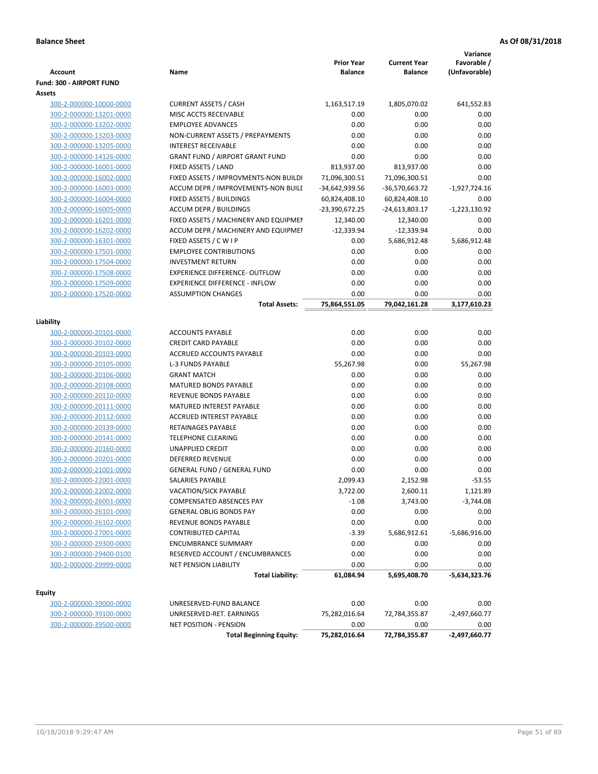|                                    |                                        |                       |                       | Variance             |
|------------------------------------|----------------------------------------|-----------------------|-----------------------|----------------------|
|                                    |                                        | <b>Prior Year</b>     | <b>Current Year</b>   | Favorable /          |
| <b>Account</b>                     | Name                                   | <b>Balance</b>        | <b>Balance</b>        | (Unfavorable)        |
| Fund: 300 - AIRPORT FUND<br>Assets |                                        |                       |                       |                      |
| 300-2-000000-10000-0000            | <b>CURRENT ASSETS / CASH</b>           | 1,163,517.19          | 1,805,070.02          | 641,552.83           |
| 300-2-000000-13201-0000            | MISC ACCTS RECEIVABLE                  | 0.00                  | 0.00                  | 0.00                 |
| 300-2-000000-13202-0000            | <b>EMPLOYEE ADVANCES</b>               | 0.00                  | 0.00                  | 0.00                 |
| 300-2-000000-13203-0000            | NON-CURRENT ASSETS / PREPAYMENTS       | 0.00                  | 0.00                  | 0.00                 |
| 300-2-000000-13205-0000            | <b>INTEREST RECEIVABLE</b>             | 0.00                  | 0.00                  | 0.00                 |
| 300-2-000000-14126-0000            | <b>GRANT FUND / AIRPORT GRANT FUND</b> | 0.00                  | 0.00                  | 0.00                 |
| 300-2-000000-16001-0000            | FIXED ASSETS / LAND                    | 813,937.00            | 813,937.00            | 0.00                 |
| 300-2-000000-16002-0000            | FIXED ASSETS / IMPROVMENTS-NON BUILDI  | 71,096,300.51         | 71,096,300.51         | 0.00                 |
| 300-2-000000-16003-0000            | ACCUM DEPR / IMPROVEMENTS-NON BUILI    | -34,642,939.56        | -36,570,663.72        | $-1,927,724.16$      |
| 300-2-000000-16004-0000            | FIXED ASSETS / BUILDINGS               | 60,824,408.10         | 60,824,408.10         | 0.00                 |
| 300-2-000000-16005-0000            | <b>ACCUM DEPR / BUILDINGS</b>          | -23,390,672.25        | $-24,613,803.17$      | $-1,223,130.92$      |
| 300-2-000000-16201-0000            | FIXED ASSETS / MACHINERY AND EQUIPMEN  | 12,340.00             | 12,340.00             | 0.00                 |
| 300-2-000000-16202-0000            | ACCUM DEPR / MACHINERY AND EQUIPMEI    | $-12,339.94$          | $-12,339.94$          | 0.00                 |
| 300-2-000000-16301-0000            | FIXED ASSETS / C W I P                 | 0.00                  | 5,686,912.48          | 5,686,912.48         |
| 300-2-000000-17501-0000            | <b>EMPLOYEE CONTRIBUTIONS</b>          | 0.00                  | 0.00                  | 0.00                 |
| 300-2-000000-17504-0000            | <b>INVESTMENT RETURN</b>               | 0.00                  | 0.00                  | 0.00                 |
| 300-2-000000-17508-0000            | <b>EXPERIENCE DIFFERENCE- OUTFLOW</b>  | 0.00                  | 0.00                  | 0.00                 |
|                                    |                                        | 0.00                  | 0.00                  | 0.00                 |
| 300-2-000000-17509-0000            | <b>EXPERIENCE DIFFERENCE - INFLOW</b>  |                       |                       |                      |
| 300-2-000000-17520-0000            | <b>ASSUMPTION CHANGES</b>              | 0.00<br>75,864,551.05 | 0.00<br>79,042,161.28 | 0.00<br>3,177,610.23 |
|                                    | <b>Total Assets:</b>                   |                       |                       |                      |
| Liability                          |                                        |                       |                       |                      |
| 300-2-000000-20101-0000            | <b>ACCOUNTS PAYABLE</b>                | 0.00                  | 0.00                  | 0.00                 |
| 300-2-000000-20102-0000            | <b>CREDIT CARD PAYABLE</b>             | 0.00                  | 0.00                  | 0.00                 |
| 300-2-000000-20103-0000            | ACCRUED ACCOUNTS PAYABLE               | 0.00                  | 0.00                  | 0.00                 |
| 300-2-000000-20105-0000            | <b>L-3 FUNDS PAYABLE</b>               | 55,267.98             | 0.00                  | 55,267.98            |
| 300-2-000000-20106-0000            | <b>GRANT MATCH</b>                     | 0.00                  | 0.00                  | 0.00                 |
| 300-2-000000-20108-0000            | MATURED BONDS PAYABLE                  | 0.00                  | 0.00                  | 0.00                 |
| 300-2-000000-20110-0000            | REVENUE BONDS PAYABLE                  | 0.00                  | 0.00                  | 0.00                 |
| 300-2-000000-20111-0000            | MATURED INTEREST PAYABLE               | 0.00                  | 0.00                  | 0.00                 |
| 300-2-000000-20112-0000            | <b>ACCRUED INTEREST PAYABLE</b>        | 0.00                  | 0.00                  | 0.00                 |
| 300-2-000000-20139-0000            | RETAINAGES PAYABLE                     | 0.00                  | 0.00                  | 0.00                 |
| 300-2-000000-20141-0000            | <b>TELEPHONE CLEARING</b>              | 0.00                  | 0.00                  | 0.00                 |
| 300-2-000000-20160-0000            | <b>UNAPPLIED CREDIT</b>                | 0.00                  | 0.00                  | 0.00                 |
| 300-2-000000-20201-0000            | <b>DEFERRED REVENUE</b>                | 0.00                  | 0.00                  | 0.00                 |
| 300-2-000000-21001-0000            | <b>GENERAL FUND / GENERAL FUND</b>     | 0.00                  | 0.00                  | 0.00                 |
| 300-2-000000-22001-0000            | SALARIES PAYABLE                       | 2,099.43              | 2,152.98              | $-53.55$             |
| 300-2-000000-22002-0000            | VACATION/SICK PAYABLE                  | 3,722.00              | 2,600.11              | 1,121.89             |
| 300-2-000000-26001-0000            | COMPENSATED ABSENCES PAY               | $-1.08$               | 3,743.00              | -3,744.08            |
| 300-2-000000-26101-0000            | <b>GENERAL OBLIG BONDS PAY</b>         | 0.00                  | 0.00                  | 0.00                 |
| 300-2-000000-26102-0000            | REVENUE BONDS PAYABLE                  | 0.00                  | 0.00                  | 0.00                 |
| 300-2-000000-27001-0000            | <b>CONTRIBUTED CAPITAL</b>             | $-3.39$               | 5,686,912.61          | $-5,686,916.00$      |
| 300-2-000000-29300-0000            | <b>ENCUMBRANCE SUMMARY</b>             | 0.00                  | 0.00                  | 0.00                 |
| 300-2-000000-29400-0100            | RESERVED ACCOUNT / ENCUMBRANCES        | 0.00                  | 0.00                  | 0.00                 |
| 300-2-000000-29999-0000            | <b>NET PENSION LIABILITY</b>           | 0.00                  | 0.00                  | 0.00                 |
|                                    | <b>Total Liability:</b>                | 61,084.94             | 5,695,408.70          | $-5,634,323.76$      |
|                                    |                                        |                       |                       |                      |
| <b>Equity</b>                      |                                        |                       |                       |                      |
| 300-2-000000-39000-0000            | UNRESERVED-FUND BALANCE                | 0.00                  | 0.00                  | 0.00                 |
| 300-2-000000-39100-0000            | UNRESERVED-RET. EARNINGS               | 75,282,016.64         | 72,784,355.87         | $-2,497,660.77$      |
| 300-2-000000-39500-0000            | <b>NET POSITION - PENSION</b>          | 0.00                  | 0.00                  | 0.00                 |
|                                    | <b>Total Beginning Equity:</b>         | 75,282,016.64         | 72,784,355.87         | $-2,497,660.77$      |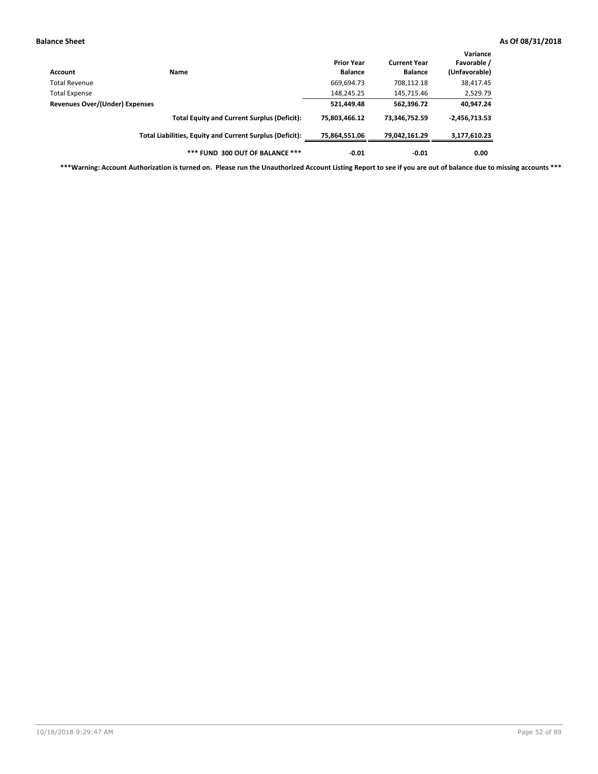| Account                        | <b>Name</b>                                              | <b>Prior Year</b><br><b>Balance</b> | <b>Current Year</b><br><b>Balance</b> | Variance<br>Favorable /<br>(Unfavorable) |
|--------------------------------|----------------------------------------------------------|-------------------------------------|---------------------------------------|------------------------------------------|
| Total Revenue                  |                                                          | 669,694.73                          | 708,112.18                            | 38,417.45                                |
| Total Expense                  |                                                          | 148,245.25                          | 145,715.46                            | 2,529.79                                 |
| Revenues Over/(Under) Expenses |                                                          | 521,449.48                          | 562,396.72                            | 40,947.24                                |
|                                | <b>Total Equity and Current Surplus (Deficit):</b>       | 75.803.466.12                       | 73.346.752.59                         | $-2,456,713.53$                          |
|                                | Total Liabilities, Equity and Current Surplus (Deficit): | 75,864,551.06                       | 79,042,161.29                         | 3,177,610.23                             |
|                                | *** FUND 300 OUT OF BALANCE ***                          | $-0.01$                             | $-0.01$                               | 0.00                                     |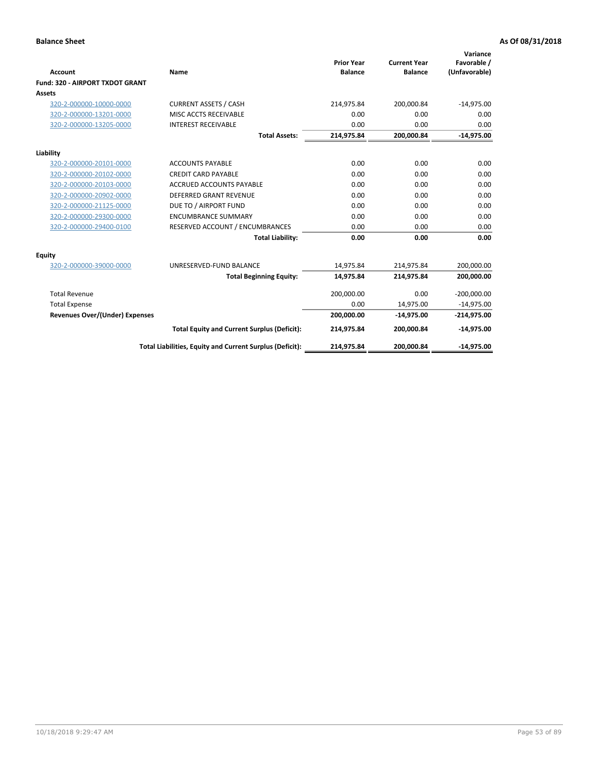|                                       |                                                          |                                     |                                       | Variance                     |
|---------------------------------------|----------------------------------------------------------|-------------------------------------|---------------------------------------|------------------------------|
| Account                               | Name                                                     | <b>Prior Year</b><br><b>Balance</b> | <b>Current Year</b><br><b>Balance</b> | Favorable /<br>(Unfavorable) |
| Fund: 320 - AIRPORT TXDOT GRANT       |                                                          |                                     |                                       |                              |
| Assets                                |                                                          |                                     |                                       |                              |
| 320-2-000000-10000-0000               | <b>CURRENT ASSETS / CASH</b>                             | 214,975.84                          | 200,000.84                            | $-14,975.00$                 |
| 320-2-000000-13201-0000               | MISC ACCTS RECEIVABLE                                    | 0.00                                | 0.00                                  | 0.00                         |
| 320-2-000000-13205-0000               | <b>INTEREST RECEIVABLE</b>                               | 0.00                                | 0.00                                  | 0.00                         |
|                                       | <b>Total Assets:</b>                                     | 214,975.84                          | 200,000.84                            | $-14,975.00$                 |
| Liability                             |                                                          |                                     |                                       |                              |
| 320-2-000000-20101-0000               | <b>ACCOUNTS PAYABLE</b>                                  | 0.00                                | 0.00                                  | 0.00                         |
| 320-2-000000-20102-0000               | <b>CREDIT CARD PAYABLE</b>                               | 0.00                                | 0.00                                  | 0.00                         |
| 320-2-000000-20103-0000               | <b>ACCRUED ACCOUNTS PAYABLE</b>                          | 0.00                                | 0.00                                  | 0.00                         |
| 320-2-000000-20902-0000               | <b>DEFERRED GRANT REVENUE</b>                            | 0.00                                | 0.00                                  | 0.00                         |
| 320-2-000000-21125-0000               | DUE TO / AIRPORT FUND                                    | 0.00                                | 0.00                                  | 0.00                         |
| 320-2-000000-29300-0000               | <b>ENCUMBRANCE SUMMARY</b>                               | 0.00                                | 0.00                                  | 0.00                         |
| 320-2-000000-29400-0100               | RESERVED ACCOUNT / ENCUMBRANCES                          | 0.00                                | 0.00                                  | 0.00                         |
|                                       | <b>Total Liability:</b>                                  | 0.00                                | 0.00                                  | 0.00                         |
| <b>Equity</b>                         |                                                          |                                     |                                       |                              |
| 320-2-000000-39000-0000               | UNRESERVED-FUND BALANCE                                  | 14,975.84                           | 214,975.84                            | 200,000.00                   |
|                                       | <b>Total Beginning Equity:</b>                           | 14,975.84                           | 214,975.84                            | 200,000.00                   |
| <b>Total Revenue</b>                  |                                                          | 200,000.00                          | 0.00                                  | $-200,000.00$                |
| <b>Total Expense</b>                  |                                                          | 0.00                                | 14,975.00                             | $-14,975.00$                 |
| <b>Revenues Over/(Under) Expenses</b> |                                                          | 200,000.00                          | $-14,975.00$                          | $-214,975.00$                |
|                                       | <b>Total Equity and Current Surplus (Deficit):</b>       | 214,975.84                          | 200,000.84                            | $-14,975.00$                 |
|                                       | Total Liabilities, Equity and Current Surplus (Deficit): | 214,975.84                          | 200,000.84                            | $-14,975.00$                 |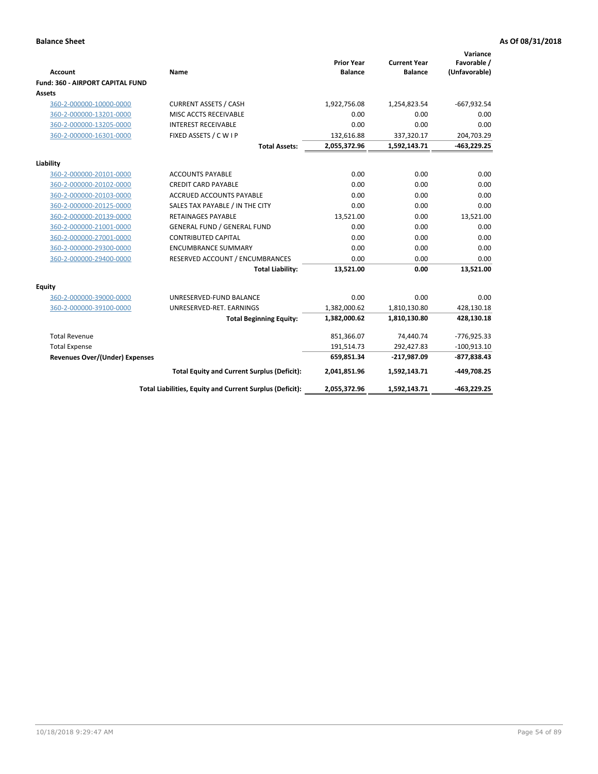| <b>Account</b>                          | Name                                                     | <b>Prior Year</b><br><b>Balance</b> | <b>Current Year</b><br><b>Balance</b> | Variance<br>Favorable /<br>(Unfavorable) |
|-----------------------------------------|----------------------------------------------------------|-------------------------------------|---------------------------------------|------------------------------------------|
| <b>Fund: 360 - AIRPORT CAPITAL FUND</b> |                                                          |                                     |                                       |                                          |
| <b>Assets</b>                           |                                                          |                                     |                                       |                                          |
| 360-2-000000-10000-0000                 | <b>CURRENT ASSETS / CASH</b>                             | 1,922,756.08                        | 1,254,823.54                          | $-667,932.54$                            |
| 360-2-000000-13201-0000                 | MISC ACCTS RECEIVABLE                                    | 0.00                                | 0.00                                  | 0.00                                     |
| 360-2-000000-13205-0000                 | <b>INTEREST RECEIVABLE</b>                               | 0.00                                | 0.00                                  | 0.00                                     |
| 360-2-000000-16301-0000                 | FIXED ASSETS / CWIP                                      | 132,616.88                          | 337,320.17                            | 204,703.29                               |
|                                         | <b>Total Assets:</b>                                     | 2,055,372.96                        | 1,592,143.71                          | $-463,229.25$                            |
| Liability                               |                                                          |                                     |                                       |                                          |
| 360-2-000000-20101-0000                 | <b>ACCOUNTS PAYABLE</b>                                  | 0.00                                | 0.00                                  | 0.00                                     |
| 360-2-000000-20102-0000                 | <b>CREDIT CARD PAYABLE</b>                               | 0.00                                | 0.00                                  | 0.00                                     |
| 360-2-000000-20103-0000                 | ACCRUED ACCOUNTS PAYABLE                                 | 0.00                                | 0.00                                  | 0.00                                     |
| 360-2-000000-20125-0000                 | SALES TAX PAYABLE / IN THE CITY                          | 0.00                                | 0.00                                  | 0.00                                     |
| 360-2-000000-20139-0000                 | <b>RETAINAGES PAYABLE</b>                                | 13,521.00                           | 0.00                                  | 13,521.00                                |
| 360-2-000000-21001-0000                 | <b>GENERAL FUND / GENERAL FUND</b>                       | 0.00                                | 0.00                                  | 0.00                                     |
| 360-2-000000-27001-0000                 | <b>CONTRIBUTED CAPITAL</b>                               | 0.00                                | 0.00                                  | 0.00                                     |
| 360-2-000000-29300-0000                 | <b>ENCUMBRANCE SUMMARY</b>                               | 0.00                                | 0.00                                  | 0.00                                     |
| 360-2-000000-29400-0000                 | RESERVED ACCOUNT / ENCUMBRANCES                          | 0.00                                | 0.00                                  | 0.00                                     |
|                                         | <b>Total Liability:</b>                                  | 13,521.00                           | 0.00                                  | 13,521.00                                |
| Equity                                  |                                                          |                                     |                                       |                                          |
| 360-2-000000-39000-0000                 | UNRESERVED-FUND BALANCE                                  | 0.00                                | 0.00                                  | 0.00                                     |
| 360-2-000000-39100-0000                 | UNRESERVED-RET. EARNINGS                                 | 1,382,000.62                        | 1,810,130.80                          | 428,130.18                               |
|                                         | <b>Total Beginning Equity:</b>                           | 1,382,000.62                        | 1,810,130.80                          | 428,130.18                               |
| <b>Total Revenue</b>                    |                                                          | 851,366.07                          | 74,440.74                             | $-776,925.33$                            |
| <b>Total Expense</b>                    |                                                          | 191,514.73                          | 292,427.83                            | $-100,913.10$                            |
| <b>Revenues Over/(Under) Expenses</b>   |                                                          | 659,851.34                          | $-217,987.09$                         | $-877,838.43$                            |
|                                         | <b>Total Equity and Current Surplus (Deficit):</b>       | 2,041,851.96                        | 1,592,143.71                          | -449.708.25                              |
|                                         | Total Liabilities, Equity and Current Surplus (Deficit): | 2,055,372.96                        | 1,592,143.71                          | $-463,229.25$                            |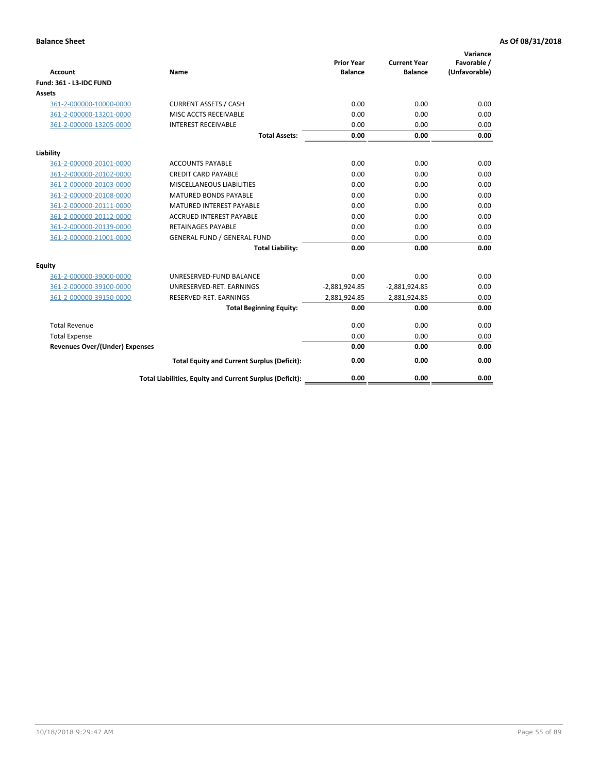| <b>Account</b>                        | <b>Name</b>                                              | <b>Prior Year</b><br><b>Balance</b> | <b>Current Year</b><br><b>Balance</b> | Variance<br>Favorable /<br>(Unfavorable) |
|---------------------------------------|----------------------------------------------------------|-------------------------------------|---------------------------------------|------------------------------------------|
| <b>Fund: 361 - L3-IDC FUND</b>        |                                                          |                                     |                                       |                                          |
| Assets                                |                                                          |                                     |                                       |                                          |
| 361-2-000000-10000-0000               | <b>CURRENT ASSETS / CASH</b>                             | 0.00                                | 0.00                                  | 0.00                                     |
| 361-2-000000-13201-0000               | MISC ACCTS RECEIVABLE                                    | 0.00                                | 0.00                                  | 0.00                                     |
| 361-2-000000-13205-0000               | <b>INTEREST RECEIVABLE</b>                               | 0.00                                | 0.00                                  | 0.00                                     |
|                                       | <b>Total Assets:</b>                                     | 0.00                                | 0.00                                  | 0.00                                     |
| Liability                             |                                                          |                                     |                                       |                                          |
| 361-2-000000-20101-0000               | <b>ACCOUNTS PAYABLE</b>                                  | 0.00                                | 0.00                                  | 0.00                                     |
| 361-2-000000-20102-0000               | <b>CREDIT CARD PAYABLE</b>                               | 0.00                                | 0.00                                  | 0.00                                     |
| 361-2-000000-20103-0000               | MISCELLANEOUS LIABILITIES                                | 0.00                                | 0.00                                  | 0.00                                     |
| 361-2-000000-20108-0000               | <b>MATURED BONDS PAYABLE</b>                             | 0.00                                | 0.00                                  | 0.00                                     |
| 361-2-000000-20111-0000               | <b>MATURED INTEREST PAYABLE</b>                          | 0.00                                | 0.00                                  | 0.00                                     |
| 361-2-000000-20112-0000               | <b>ACCRUED INTEREST PAYABLE</b>                          | 0.00                                | 0.00                                  | 0.00                                     |
| 361-2-000000-20139-0000               | <b>RETAINAGES PAYABLE</b>                                | 0.00                                | 0.00                                  | 0.00                                     |
| 361-2-000000-21001-0000               | <b>GENERAL FUND / GENERAL FUND</b>                       | 0.00                                | 0.00                                  | 0.00                                     |
|                                       | <b>Total Liability:</b>                                  | 0.00                                | 0.00                                  | 0.00                                     |
| Equity                                |                                                          |                                     |                                       |                                          |
| 361-2-000000-39000-0000               | UNRESERVED-FUND BALANCE                                  | 0.00                                | 0.00                                  | 0.00                                     |
| 361-2-000000-39100-0000               | UNRESERVED-RET. EARNINGS                                 | $-2,881,924.85$                     | $-2,881,924.85$                       | 0.00                                     |
| 361-2-000000-39150-0000               | RESERVED-RET. EARNINGS                                   | 2,881,924.85                        | 2,881,924.85                          | 0.00                                     |
|                                       | <b>Total Beginning Equity:</b>                           | 0.00                                | 0.00                                  | 0.00                                     |
| <b>Total Revenue</b>                  |                                                          | 0.00                                | 0.00                                  | 0.00                                     |
| <b>Total Expense</b>                  |                                                          | 0.00                                | 0.00                                  | 0.00                                     |
| <b>Revenues Over/(Under) Expenses</b> |                                                          | 0.00                                | 0.00                                  | 0.00                                     |
|                                       | <b>Total Equity and Current Surplus (Deficit):</b>       | 0.00                                | 0.00                                  | 0.00                                     |
|                                       | Total Liabilities, Equity and Current Surplus (Deficit): | 0.00                                | 0.00                                  | 0.00                                     |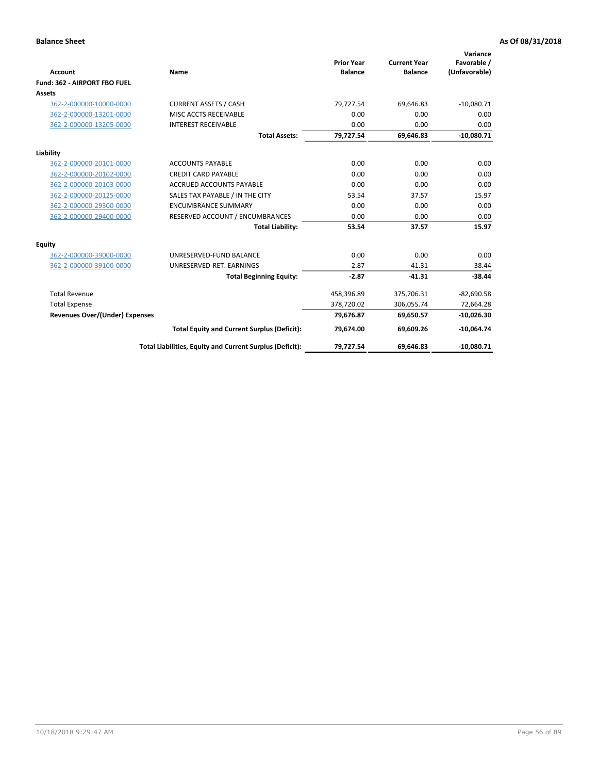|                                |                                                          |                                     |                                       | Variance                     |
|--------------------------------|----------------------------------------------------------|-------------------------------------|---------------------------------------|------------------------------|
| Account                        | Name                                                     | <b>Prior Year</b><br><b>Balance</b> | <b>Current Year</b><br><b>Balance</b> | Favorable /<br>(Unfavorable) |
| Fund: 362 - AIRPORT FBO FUEL   |                                                          |                                     |                                       |                              |
| Assets                         |                                                          |                                     |                                       |                              |
| 362-2-000000-10000-0000        | <b>CURRENT ASSETS / CASH</b>                             | 79,727.54                           | 69,646.83                             | $-10,080.71$                 |
| 362-2-000000-13201-0000        | MISC ACCTS RECEIVABLE                                    | 0.00                                | 0.00                                  | 0.00                         |
| 362-2-000000-13205-0000        | <b>INTEREST RECEIVABLE</b>                               | 0.00                                | 0.00                                  | 0.00                         |
|                                | <b>Total Assets:</b>                                     | 79,727.54                           | 69,646.83                             | $-10,080.71$                 |
| Liability                      |                                                          |                                     |                                       |                              |
| 362-2-000000-20101-0000        | <b>ACCOUNTS PAYABLE</b>                                  | 0.00                                | 0.00                                  | 0.00                         |
| 362-2-000000-20102-0000        | <b>CREDIT CARD PAYABLE</b>                               | 0.00                                | 0.00                                  | 0.00                         |
| 362-2-000000-20103-0000        | <b>ACCRUED ACCOUNTS PAYABLE</b>                          | 0.00                                | 0.00                                  | 0.00                         |
| 362-2-000000-20125-0000        | SALES TAX PAYABLE / IN THE CITY                          | 53.54                               | 37.57                                 | 15.97                        |
| 362-2-000000-29300-0000        | <b>ENCUMBRANCE SUMMARY</b>                               | 0.00                                | 0.00                                  | 0.00                         |
| 362-2-000000-29400-0000        | RESERVED ACCOUNT / ENCUMBRANCES                          | 0.00                                | 0.00                                  | 0.00                         |
|                                | <b>Total Liability:</b>                                  | 53.54                               | 37.57                                 | 15.97                        |
| Equity                         |                                                          |                                     |                                       |                              |
| 362-2-000000-39000-0000        | UNRESERVED-FUND BALANCE                                  | 0.00                                | 0.00                                  | 0.00                         |
| 362-2-000000-39100-0000        | UNRESERVED-RET. EARNINGS                                 | $-2.87$                             | $-41.31$                              | $-38.44$                     |
|                                | <b>Total Beginning Equity:</b>                           | $-2.87$                             | $-41.31$                              | $-38.44$                     |
| <b>Total Revenue</b>           |                                                          | 458,396.89                          | 375,706.31                            | $-82,690.58$                 |
| <b>Total Expense</b>           |                                                          | 378,720.02                          | 306,055.74                            | 72,664.28                    |
| Revenues Over/(Under) Expenses |                                                          | 79,676.87                           | 69,650.57                             | $-10,026.30$                 |
|                                | <b>Total Equity and Current Surplus (Deficit):</b>       | 79,674.00                           | 69,609.26                             | $-10,064.74$                 |
|                                | Total Liabilities, Equity and Current Surplus (Deficit): | 79,727.54                           | 69,646.83                             | $-10,080.71$                 |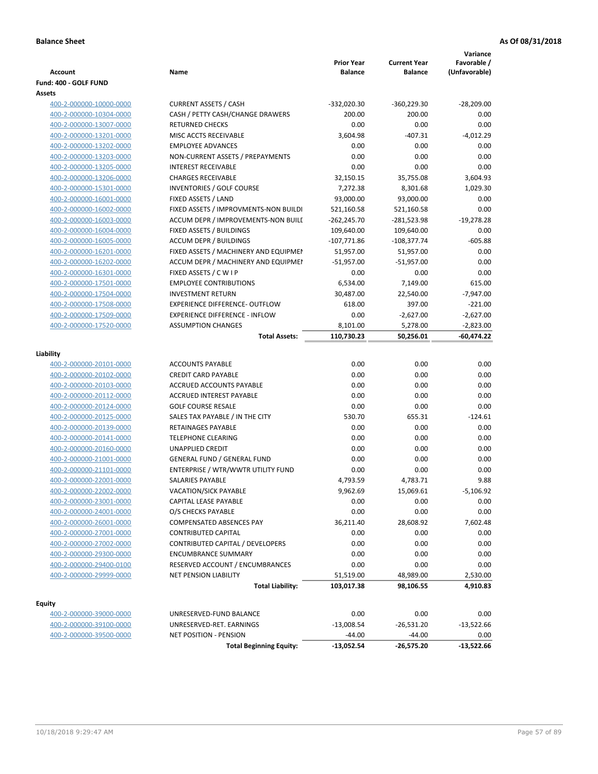| Account                 | Name                                  | <b>Prior Year</b><br><b>Balance</b> | <b>Current Year</b><br><b>Balance</b> | Variance<br>Favorable /<br>(Unfavorable) |
|-------------------------|---------------------------------------|-------------------------------------|---------------------------------------|------------------------------------------|
| Fund: 400 - GOLF FUND   |                                       |                                     |                                       |                                          |
| Assets                  |                                       |                                     |                                       |                                          |
| 400-2-000000-10000-0000 | <b>CURRENT ASSETS / CASH</b>          | -332,020.30                         | -360,229.30                           | $-28,209.00$                             |
| 400-2-000000-10304-0000 | CASH / PETTY CASH/CHANGE DRAWERS      | 200.00                              | 200.00                                | 0.00                                     |
| 400-2-000000-13007-0000 | <b>RETURNED CHECKS</b>                | 0.00                                | 0.00                                  | 0.00                                     |
| 400-2-000000-13201-0000 | MISC ACCTS RECEIVABLE                 | 3,604.98                            | $-407.31$                             | $-4,012.29$                              |
| 400-2-000000-13202-0000 | <b>EMPLOYEE ADVANCES</b>              | 0.00                                | 0.00                                  | 0.00                                     |
| 400-2-000000-13203-0000 | NON-CURRENT ASSETS / PREPAYMENTS      | 0.00                                | 0.00                                  | 0.00                                     |
| 400-2-000000-13205-0000 | <b>INTEREST RECEIVABLE</b>            | 0.00                                | 0.00                                  | 0.00                                     |
| 400-2-000000-13206-0000 | <b>CHARGES RECEIVABLE</b>             | 32,150.15                           | 35,755.08                             | 3,604.93                                 |
| 400-2-000000-15301-0000 | INVENTORIES / GOLF COURSE             | 7,272.38                            | 8,301.68                              | 1,029.30                                 |
| 400-2-000000-16001-0000 | FIXED ASSETS / LAND                   | 93,000.00                           | 93,000.00                             | 0.00                                     |
| 400-2-000000-16002-0000 | FIXED ASSETS / IMPROVMENTS-NON BUILDI | 521,160.58                          | 521,160.58                            | 0.00                                     |
| 400-2-000000-16003-0000 | ACCUM DEPR / IMPROVEMENTS-NON BUILI   | $-262,245.70$                       | -281,523.98                           | $-19,278.28$                             |
| 400-2-000000-16004-0000 | FIXED ASSETS / BUILDINGS              | 109,640.00                          | 109,640.00                            | 0.00                                     |
| 400-2-000000-16005-0000 | <b>ACCUM DEPR / BUILDINGS</b>         | $-107,771.86$                       | $-108,377.74$                         | $-605.88$                                |
| 400-2-000000-16201-0000 | FIXED ASSETS / MACHINERY AND EQUIPMEN | 51,957.00                           | 51,957.00                             | 0.00                                     |
| 400-2-000000-16202-0000 | ACCUM DEPR / MACHINERY AND EQUIPMEI   | $-51,957.00$                        | $-51,957.00$                          | 0.00                                     |
| 400-2-000000-16301-0000 | FIXED ASSETS / C W I P                | 0.00                                | 0.00                                  | 0.00                                     |
| 400-2-000000-17501-0000 | <b>EMPLOYEE CONTRIBUTIONS</b>         | 6,534.00                            | 7,149.00                              | 615.00                                   |
| 400-2-000000-17504-0000 | <b>INVESTMENT RETURN</b>              | 30,487.00                           | 22,540.00                             | $-7,947.00$                              |
| 400-2-000000-17508-0000 | <b>EXPERIENCE DIFFERENCE- OUTFLOW</b> | 618.00                              | 397.00                                | $-221.00$                                |
| 400-2-000000-17509-0000 | <b>EXPERIENCE DIFFERENCE - INFLOW</b> | 0.00                                | $-2,627.00$                           | $-2,627.00$                              |
| 400-2-000000-17520-0000 | <b>ASSUMPTION CHANGES</b>             | 8,101.00                            | 5,278.00                              | $-2,823.00$                              |
|                         | <b>Total Assets:</b>                  | 110,730.23                          | 50,256.01                             | -60,474.22                               |
|                         |                                       |                                     |                                       |                                          |
| Liability               |                                       |                                     |                                       |                                          |
| 400-2-000000-20101-0000 | <b>ACCOUNTS PAYABLE</b>               | 0.00                                | 0.00                                  | 0.00                                     |
| 400-2-000000-20102-0000 | <b>CREDIT CARD PAYABLE</b>            | 0.00                                | 0.00                                  | 0.00                                     |
| 400-2-000000-20103-0000 | ACCRUED ACCOUNTS PAYABLE              | 0.00                                | 0.00                                  | 0.00                                     |
| 400-2-000000-20112-0000 | <b>ACCRUED INTEREST PAYABLE</b>       | 0.00                                | 0.00                                  | 0.00                                     |
| 400-2-000000-20124-0000 | <b>GOLF COURSE RESALE</b>             | 0.00                                | 0.00                                  | 0.00                                     |
| 400-2-000000-20125-0000 | SALES TAX PAYABLE / IN THE CITY       | 530.70                              | 655.31                                | $-124.61$                                |
| 400-2-000000-20139-0000 | <b>RETAINAGES PAYABLE</b>             | 0.00                                | 0.00                                  | 0.00                                     |
| 400-2-000000-20141-0000 | <b>TELEPHONE CLEARING</b>             | 0.00                                | 0.00                                  | 0.00                                     |
| 400-2-000000-20160-0000 | <b>UNAPPLIED CREDIT</b>               | 0.00                                | 0.00                                  | 0.00                                     |
| 400-2-000000-21001-0000 | <b>GENERAL FUND / GENERAL FUND</b>    | 0.00                                | 0.00                                  | 0.00                                     |
| 400-2-000000-21101-0000 | ENTERPRISE / WTR/WWTR UTILITY FUND    | 0.00                                | 0.00                                  | 0.00                                     |
| 400-2-000000-22001-0000 | SALARIES PAYABLE                      | 4,793.59                            | 4,783.71                              | 9.88                                     |
| 400-2-000000-22002-0000 | VACATION/SICK PAYABLE                 | 9,962.69                            | 15,069.61                             | $-5,106.92$                              |
| 400-2-000000-23001-0000 | CAPITAL LEASE PAYABLE                 | 0.00                                | 0.00                                  | 0.00                                     |
| 400-2-000000-24001-0000 | O/S CHECKS PAYABLE                    | 0.00                                | 0.00                                  | 0.00                                     |
| 400-2-000000-26001-0000 | COMPENSATED ABSENCES PAY              | 36,211.40                           | 28,608.92                             | 7,602.48                                 |
| 400-2-000000-27001-0000 | <b>CONTRIBUTED CAPITAL</b>            | 0.00                                | 0.00                                  | 0.00                                     |
| 400-2-000000-27002-0000 | CONTRIBUTED CAPITAL / DEVELOPERS      | 0.00                                | 0.00                                  | 0.00                                     |
| 400-2-000000-29300-0000 | <b>ENCUMBRANCE SUMMARY</b>            | 0.00                                | 0.00                                  | 0.00                                     |
| 400-2-000000-29400-0100 | RESERVED ACCOUNT / ENCUMBRANCES       | 0.00                                | 0.00                                  | 0.00                                     |
| 400-2-000000-29999-0000 | <b>NET PENSION LIABILITY</b>          | 51,519.00                           | 48,989.00                             | 2,530.00                                 |
|                         | <b>Total Liability:</b>               | 103,017.38                          | 98,106.55                             | 4,910.83                                 |
| <b>Equity</b>           |                                       |                                     |                                       |                                          |
| 400-2-000000-39000-0000 | UNRESERVED-FUND BALANCE               | 0.00                                | 0.00                                  | 0.00                                     |
| 400-2-000000-39100-0000 | UNRESERVED-RET. EARNINGS              | $-13,008.54$                        | $-26,531.20$                          | $-13,522.66$                             |
| 400-2-000000-39500-0000 | <b>NET POSITION - PENSION</b>         | $-44.00$                            | $-44.00$                              | 0.00                                     |
|                         | <b>Total Beginning Equity:</b>        | $-13,052.54$                        | $-26,575.20$                          | $-13,522.66$                             |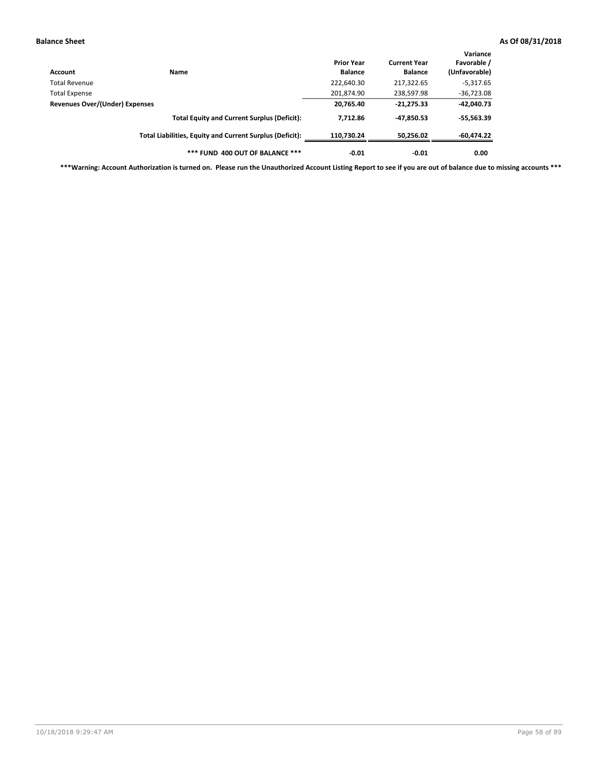| Account                        | Name                                                     | <b>Prior Year</b><br><b>Balance</b> | <b>Current Year</b><br><b>Balance</b> | Variance<br>Favorable /<br>(Unfavorable) |
|--------------------------------|----------------------------------------------------------|-------------------------------------|---------------------------------------|------------------------------------------|
| Total Revenue                  |                                                          | 222,640.30                          | 217,322.65                            | $-5,317.65$                              |
| <b>Total Expense</b>           |                                                          | 201,874.90                          | 238,597.98                            | $-36,723.08$                             |
| Revenues Over/(Under) Expenses |                                                          | 20,765.40                           | $-21,275.33$                          | $-42,040.73$                             |
|                                | <b>Total Equity and Current Surplus (Deficit):</b>       | 7.712.86                            | $-47.850.53$                          | $-55,563.39$                             |
|                                | Total Liabilities, Equity and Current Surplus (Deficit): | 110,730.24                          | 50,256.02                             | -60,474.22                               |
|                                | *** FUND 400 OUT OF BALANCE ***                          | $-0.01$                             | $-0.01$                               | 0.00                                     |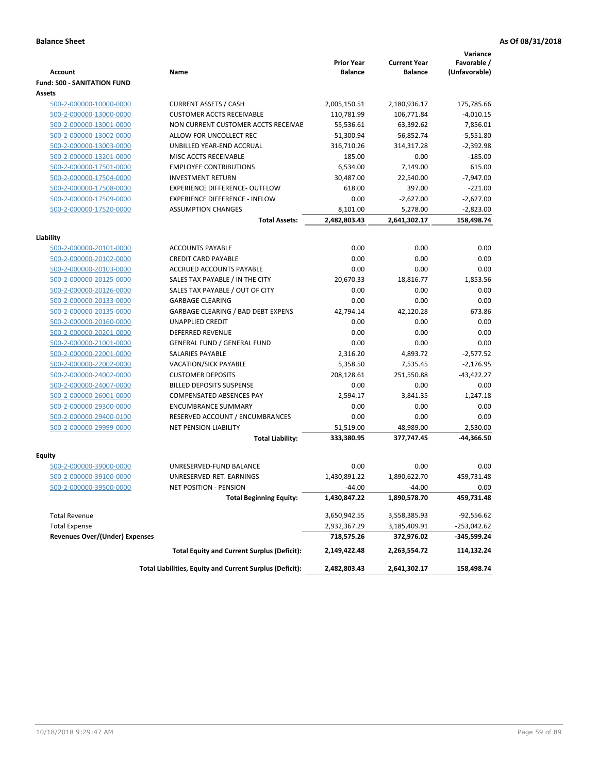|                                       |                                                          | <b>Prior Year</b> | <b>Current Year</b> | Variance<br>Favorable / |
|---------------------------------------|----------------------------------------------------------|-------------------|---------------------|-------------------------|
| <b>Account</b>                        | Name                                                     | <b>Balance</b>    | <b>Balance</b>      | (Unfavorable)           |
| <b>Fund: 500 - SANITATION FUND</b>    |                                                          |                   |                     |                         |
| Assets                                |                                                          |                   |                     |                         |
| 500-2-000000-10000-0000               | <b>CURRENT ASSETS / CASH</b>                             | 2,005,150.51      | 2,180,936.17        | 175,785.66              |
| 500-2-000000-13000-0000               | <b>CUSTOMER ACCTS RECEIVABLE</b>                         | 110,781.99        | 106,771.84          | $-4,010.15$             |
| 500-2-000000-13001-0000               | NON CURRENT CUSTOMER ACCTS RECEIVAE                      | 55,536.61         | 63,392.62           | 7,856.01                |
| 500-2-000000-13002-0000               | ALLOW FOR UNCOLLECT REC                                  | $-51,300.94$      | $-56,852.74$        | $-5,551.80$             |
| 500-2-000000-13003-0000               | UNBILLED YEAR-END ACCRUAL                                | 316,710.26        | 314,317.28          | $-2,392.98$             |
| 500-2-000000-13201-0000               | <b>MISC ACCTS RECEIVABLE</b>                             | 185.00            | 0.00                | $-185.00$               |
| 500-2-000000-17501-0000               | <b>EMPLOYEE CONTRIBUTIONS</b>                            | 6.534.00          | 7,149.00            | 615.00                  |
| 500-2-000000-17504-0000               | <b>INVESTMENT RETURN</b>                                 | 30,487.00         | 22,540.00           | $-7.947.00$             |
| 500-2-000000-17508-0000               | <b>EXPERIENCE DIFFERENCE- OUTFLOW</b>                    | 618.00            | 397.00              | $-221.00$               |
| 500-2-000000-17509-0000               | <b>EXPERIENCE DIFFERENCE - INFLOW</b>                    | 0.00              | $-2,627.00$         | $-2,627.00$             |
| 500-2-000000-17520-0000               | <b>ASSUMPTION CHANGES</b>                                | 8,101.00          | 5,278.00            | $-2,823.00$             |
|                                       | <b>Total Assets:</b>                                     | 2,482,803.43      | 2,641,302.17        | 158,498.74              |
|                                       |                                                          |                   |                     |                         |
| Liability                             |                                                          |                   |                     |                         |
| 500-2-000000-20101-0000               | <b>ACCOUNTS PAYABLE</b>                                  | 0.00              | 0.00                | 0.00                    |
| 500-2-000000-20102-0000               | <b>CREDIT CARD PAYABLE</b>                               | 0.00              | 0.00                | 0.00                    |
| 500-2-000000-20103-0000               | ACCRUED ACCOUNTS PAYABLE                                 | 0.00              | 0.00                | 0.00                    |
| 500-2-000000-20125-0000               | SALES TAX PAYABLE / IN THE CITY                          | 20,670.33         | 18,816.77           | 1,853.56                |
| 500-2-000000-20126-0000               | SALES TAX PAYABLE / OUT OF CITY                          | 0.00              | 0.00                | 0.00                    |
| 500-2-000000-20133-0000               | <b>GARBAGE CLEARING</b>                                  | 0.00              | 0.00                | 0.00                    |
| 500-2-000000-20135-0000               | <b>GARBAGE CLEARING / BAD DEBT EXPENS</b>                | 42,794.14         | 42,120.28           | 673.86                  |
| 500-2-000000-20160-0000               | <b>UNAPPLIED CREDIT</b>                                  | 0.00              | 0.00                | 0.00                    |
| 500-2-000000-20201-0000               | <b>DEFERRED REVENUE</b>                                  | 0.00              | 0.00                | 0.00                    |
| 500-2-000000-21001-0000               | <b>GENERAL FUND / GENERAL FUND</b>                       | 0.00              | 0.00                | 0.00                    |
| 500-2-000000-22001-0000               | <b>SALARIES PAYABLE</b>                                  | 2,316.20          | 4,893.72            | $-2,577.52$             |
| 500-2-000000-22002-0000               | <b>VACATION/SICK PAYABLE</b>                             | 5,358.50          | 7,535.45            | $-2,176.95$             |
| 500-2-000000-24002-0000               | <b>CUSTOMER DEPOSITS</b>                                 | 208,128.61        | 251,550.88          | $-43,422.27$            |
| 500-2-000000-24007-0000               | <b>BILLED DEPOSITS SUSPENSE</b>                          | 0.00              | 0.00                | 0.00                    |
| 500-2-000000-26001-0000               | <b>COMPENSATED ABSENCES PAY</b>                          | 2,594.17          | 3,841.35            | $-1,247.18$             |
| 500-2-000000-29300-0000               | <b>ENCUMBRANCE SUMMARY</b>                               | 0.00              | 0.00                | 0.00                    |
| 500-2-000000-29400-0100               | RESERVED ACCOUNT / ENCUMBRANCES                          | 0.00              | 0.00                | 0.00                    |
| 500-2-000000-29999-0000               | <b>NET PENSION LIABILITY</b>                             | 51,519.00         | 48,989.00           | 2.530.00                |
|                                       | <b>Total Liability:</b>                                  | 333,380.95        | 377,747.45          | -44,366.50              |
| Equity                                |                                                          |                   |                     |                         |
| 500-2-000000-39000-0000               | UNRESERVED-FUND BALANCE                                  | 0.00              | 0.00                | 0.00                    |
| 500-2-000000-39100-0000               | UNRESERVED-RET. EARNINGS                                 | 1,430,891.22      | 1,890,622.70        | 459,731.48              |
| <u>500-2-000000-39500-0000</u>        | NET POSITION - PENSION                                   | $-44.00$          | $-44.00$            | 0.00                    |
|                                       | <b>Total Beginning Equity:</b>                           | 1,430,847.22      | 1,890,578.70        | 459,731.48              |
|                                       |                                                          |                   |                     |                         |
| <b>Total Revenue</b>                  |                                                          | 3,650,942.55      | 3,558,385.93        | $-92,556.62$            |
| <b>Total Expense</b>                  |                                                          | 2,932,367.29      | 3,185,409.91        | -253,042.62             |
| <b>Revenues Over/(Under) Expenses</b> |                                                          | 718,575.26        | 372,976.02          | -345,599.24             |
|                                       | <b>Total Equity and Current Surplus (Deficit):</b>       | 2,149,422.48      | 2,263,554.72        | 114,132.24              |
|                                       | Total Liabilities, Equity and Current Surplus (Deficit): | 2,482,803.43      | 2,641,302.17        | 158,498.74              |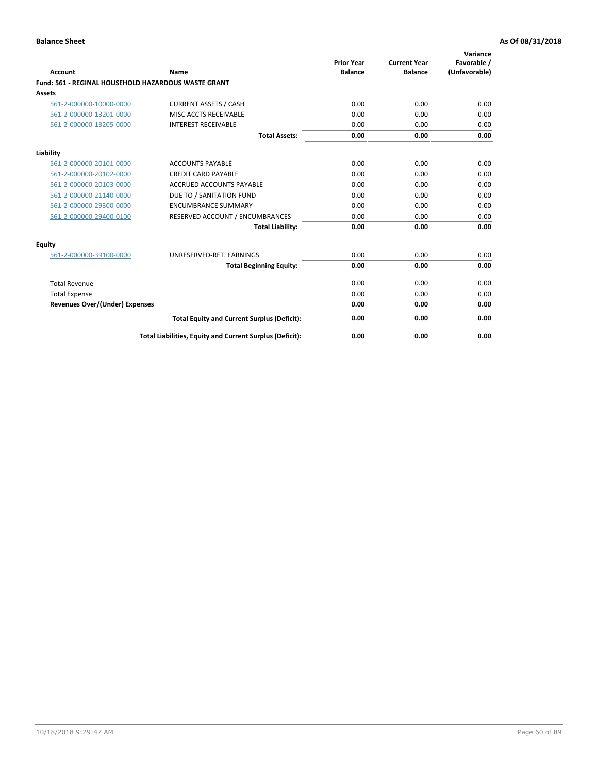| <b>Account</b>                        | Name                                                       | <b>Prior Year</b><br><b>Balance</b> | <b>Current Year</b><br><b>Balance</b> | Variance<br>Favorable /<br>(Unfavorable) |
|---------------------------------------|------------------------------------------------------------|-------------------------------------|---------------------------------------|------------------------------------------|
|                                       | <b>Fund: 561 - REGINAL HOUSEHOLD HAZARDOUS WASTE GRANT</b> |                                     |                                       |                                          |
| Assets                                |                                                            |                                     |                                       |                                          |
| 561-2-000000-10000-0000               | <b>CURRENT ASSETS / CASH</b>                               | 0.00                                | 0.00                                  | 0.00                                     |
| 561-2-000000-13201-0000               | MISC ACCTS RECEIVABLE                                      | 0.00                                | 0.00                                  | 0.00                                     |
| 561-2-000000-13205-0000               | <b>INTEREST RECEIVABLE</b>                                 | 0.00                                | 0.00                                  | 0.00                                     |
|                                       | <b>Total Assets:</b>                                       | 0.00                                | 0.00                                  | 0.00                                     |
| Liability                             |                                                            |                                     |                                       |                                          |
| 561-2-000000-20101-0000               | <b>ACCOUNTS PAYABLE</b>                                    | 0.00                                | 0.00                                  | 0.00                                     |
| 561-2-000000-20102-0000               | <b>CREDIT CARD PAYABLE</b>                                 | 0.00                                | 0.00                                  | 0.00                                     |
| 561-2-000000-20103-0000               | <b>ACCRUED ACCOUNTS PAYABLE</b>                            | 0.00                                | 0.00                                  | 0.00                                     |
| 561-2-000000-21140-0000               | DUE TO / SANITATION FUND                                   | 0.00                                | 0.00                                  | 0.00                                     |
| 561-2-000000-29300-0000               | <b>ENCUMBRANCE SUMMARY</b>                                 | 0.00                                | 0.00                                  | 0.00                                     |
| 561-2-000000-29400-0100               | RESERVED ACCOUNT / ENCUMBRANCES                            | 0.00                                | 0.00                                  | 0.00                                     |
|                                       | <b>Total Liability:</b>                                    | 0.00                                | 0.00                                  | 0.00                                     |
| <b>Equity</b>                         |                                                            |                                     |                                       |                                          |
| 561-2-000000-39100-0000               | UNRESERVED-RET. EARNINGS                                   | 0.00                                | 0.00                                  | 0.00                                     |
|                                       | <b>Total Beginning Equity:</b>                             | 0.00                                | 0.00                                  | 0.00                                     |
| <b>Total Revenue</b>                  |                                                            | 0.00                                | 0.00                                  | 0.00                                     |
| <b>Total Expense</b>                  |                                                            | 0.00                                | 0.00                                  | 0.00                                     |
| <b>Revenues Over/(Under) Expenses</b> |                                                            | 0.00                                | 0.00                                  | 0.00                                     |
|                                       | <b>Total Equity and Current Surplus (Deficit):</b>         | 0.00                                | 0.00                                  | 0.00                                     |
|                                       | Total Liabilities, Equity and Current Surplus (Deficit):   | 0.00                                | 0.00                                  | 0.00                                     |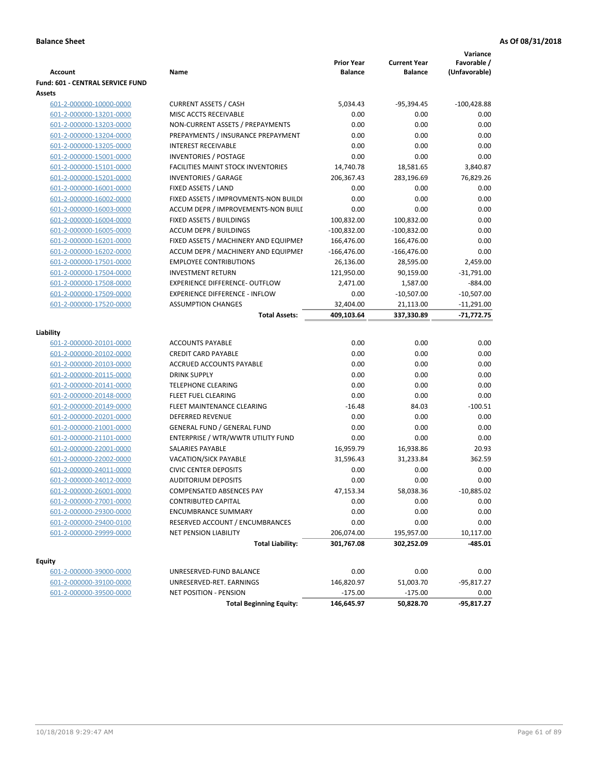| <b>Fund: 601 - CENTRAL SERVICE FUND</b><br>Assets<br><b>CURRENT ASSETS / CASH</b><br>5,034.43<br>$-95,394.45$<br>$-100,428.88$<br>601-2-000000-10000-0000<br>MISC ACCTS RECEIVABLE<br>0.00<br>0.00<br>0.00<br>601-2-000000-13201-0000<br>601-2-000000-13203-0000<br>NON-CURRENT ASSETS / PREPAYMENTS<br>0.00<br>0.00<br>0.00<br>0.00<br>601-2-000000-13204-0000<br>PREPAYMENTS / INSURANCE PREPAYMENT<br>0.00<br>0.00<br>0.00<br>0.00<br>601-2-000000-13205-0000<br><b>INTEREST RECEIVABLE</b><br>0.00<br>INVENTORIES / POSTAGE<br>0.00<br>0.00<br>0.00<br>601-2-000000-15001-0000<br><b>FACILITIES MAINT STOCK INVENTORIES</b><br>14,740.78<br>18,581.65<br>3,840.87<br>601-2-000000-15101-0000<br>206,367.43<br>76,829.26<br>601-2-000000-15201-0000<br><b>INVENTORIES / GARAGE</b><br>283,196.69<br>601-2-000000-16001-0000<br>FIXED ASSETS / LAND<br>0.00<br>0.00<br>0.00<br>0.00<br>601-2-000000-16002-0000<br>FIXED ASSETS / IMPROVMENTS-NON BUILDI<br>0.00<br>0.00<br>0.00<br>0.00<br>ACCUM DEPR / IMPROVEMENTS-NON BUILI<br>0.00<br>601-2-000000-16003-0000<br>FIXED ASSETS / BUILDINGS<br>100,832.00<br>100,832.00<br>0.00<br>601-2-000000-16004-0000<br>0.00<br>601-2-000000-16005-0000<br><b>ACCUM DEPR / BUILDINGS</b><br>$-100,832.00$<br>$-100,832.00$<br>0.00<br>601-2-000000-16201-0000<br>FIXED ASSETS / MACHINERY AND EQUIPMEN<br>166,476.00<br>166,476.00<br>0.00<br>601-2-000000-16202-0000<br>ACCUM DEPR / MACHINERY AND EQUIPMEI<br>$-166,476.00$<br>$-166,476.00$<br><b>EMPLOYEE CONTRIBUTIONS</b><br>26,136.00<br>28,595.00<br>2,459.00<br>601-2-000000-17501-0000<br>601-2-000000-17504-0000<br><b>INVESTMENT RETURN</b><br>121,950.00<br>$-31,791.00$<br>90,159.00<br>$-884.00$<br>601-2-000000-17508-0000<br><b>EXPERIENCE DIFFERENCE- OUTFLOW</b><br>2,471.00<br>1,587.00<br>601-2-000000-17509-0000<br><b>EXPERIENCE DIFFERENCE - INFLOW</b><br>0.00<br>$-10,507.00$<br>$-10,507.00$<br>601-2-000000-17520-0000<br><b>ASSUMPTION CHANGES</b><br>32,404.00<br>$-11,291.00$<br>21,113.00<br>409,103.64<br>337,330.89<br>-71,772.75<br><b>Total Assets:</b><br>Liability<br>0.00<br><b>ACCOUNTS PAYABLE</b><br>0.00<br>0.00<br>601-2-000000-20101-0000<br>601-2-000000-20102-0000<br><b>CREDIT CARD PAYABLE</b><br>0.00<br>0.00<br>0.00<br>ACCRUED ACCOUNTS PAYABLE<br>0.00<br>601-2-000000-20103-0000<br>0.00<br>0.00<br>0.00<br>0.00<br>601-2-000000-20115-0000<br><b>DRINK SUPPLY</b><br>0.00<br>0.00<br><b>TELEPHONE CLEARING</b><br>0.00<br>0.00<br>601-2-000000-20141-0000<br>0.00<br><b>FLEET FUEL CLEARING</b><br>0.00<br>0.00<br>601-2-000000-20148-0000<br>$-100.51$<br>601-2-000000-20149-0000<br>FLEET MAINTENANCE CLEARING<br>$-16.48$<br>84.03<br><b>DEFERRED REVENUE</b><br>0.00<br>601-2-000000-20201-0000<br>0.00<br>0.00<br>0.00<br>0.00<br>601-2-000000-21001-0000<br><b>GENERAL FUND / GENERAL FUND</b><br>0.00<br>ENTERPRISE / WTR/WWTR UTILITY FUND<br>0.00<br>0.00<br>601-2-000000-21101-0000<br>0.00<br>601-2-000000-22001-0000<br>SALARIES PAYABLE<br>16,959.79<br>16,938.86<br>20.93<br>601-2-000000-22002-0000<br><b>VACATION/SICK PAYABLE</b><br>31,596.43<br>31,233.84<br>362.59<br><b>CIVIC CENTER DEPOSITS</b><br>601-2-000000-24011-0000<br>0.00<br>0.00<br>0.00<br>0.00<br>0.00<br>601-2-000000-24012-0000<br><b>AUDITORIUM DEPOSITS</b><br>0.00<br>58,038.36<br>$-10,885.02$<br>601-2-000000-26001-0000<br>COMPENSATED ABSENCES PAY<br>47,153.34<br>601-2-000000-27001-0000<br><b>CONTRIBUTED CAPITAL</b><br>0.00<br>0.00<br>0.00<br>601-2-000000-29300-0000<br><b>ENCUMBRANCE SUMMARY</b><br>0.00<br>0.00<br>0.00<br>601-2-000000-29400-0100<br>RESERVED ACCOUNT / ENCUMBRANCES<br>0.00<br>0.00<br>0.00<br>601-2-000000-29999-0000<br><b>NET PENSION LIABILITY</b><br>206,074.00<br>195,957.00<br>10,117.00<br><b>Total Liability:</b><br>301,767.08<br>-485.01<br>302,252.09<br><b>Equity</b><br>UNRESERVED-FUND BALANCE<br>0.00<br>0.00<br>0.00<br>601-2-000000-39000-0000<br>601-2-000000-39100-0000<br>UNRESERVED-RET. EARNINGS<br>146,820.97<br>51,003.70<br>-95,817.27<br>601-2-000000-39500-0000<br>NET POSITION - PENSION<br>$-175.00$<br>$-175.00$<br>0.00<br>$-95,817.27$<br>146,645.97<br>50,828.70<br><b>Total Beginning Equity:</b> | <b>Account</b> | Name | <b>Prior Year</b><br><b>Balance</b> | <b>Current Year</b><br><b>Balance</b> | Variance<br>Favorable /<br>(Unfavorable) |
|---------------------------------------------------------------------------------------------------------------------------------------------------------------------------------------------------------------------------------------------------------------------------------------------------------------------------------------------------------------------------------------------------------------------------------------------------------------------------------------------------------------------------------------------------------------------------------------------------------------------------------------------------------------------------------------------------------------------------------------------------------------------------------------------------------------------------------------------------------------------------------------------------------------------------------------------------------------------------------------------------------------------------------------------------------------------------------------------------------------------------------------------------------------------------------------------------------------------------------------------------------------------------------------------------------------------------------------------------------------------------------------------------------------------------------------------------------------------------------------------------------------------------------------------------------------------------------------------------------------------------------------------------------------------------------------------------------------------------------------------------------------------------------------------------------------------------------------------------------------------------------------------------------------------------------------------------------------------------------------------------------------------------------------------------------------------------------------------------------------------------------------------------------------------------------------------------------------------------------------------------------------------------------------------------------------------------------------------------------------------------------------------------------------------------------------------------------------------------------------------------------------------------------------------------------------------------------------------------------------------------------------------------------------------------------------------------------------------------------------------------------------------------------------------------------------------------------------------------------------------------------------------------------------------------------------------------------------------------------------------------------------------------------------------------------------------------------------------------------------------------------------------------------------------------------------------------------------------------------------------------------------------------------------------------------------------------------------------------------------------------------------------------------------------------------------------------------------------------------------------------------------------------------------------------------------------------------------------------------------------------------------------------------------------------------------------------------------------------------------------------------------------------------------------------------------------------------------------------------------------------------------------------------------------------------------------------------------------------------------------------------------------------------------------------------------------------------------------------------------------------------------------------------------------------------------------------------------|----------------|------|-------------------------------------|---------------------------------------|------------------------------------------|
|                                                                                                                                                                                                                                                                                                                                                                                                                                                                                                                                                                                                                                                                                                                                                                                                                                                                                                                                                                                                                                                                                                                                                                                                                                                                                                                                                                                                                                                                                                                                                                                                                                                                                                                                                                                                                                                                                                                                                                                                                                                                                                                                                                                                                                                                                                                                                                                                                                                                                                                                                                                                                                                                                                                                                                                                                                                                                                                                                                                                                                                                                                                                                                                                                                                                                                                                                                                                                                                                                                                                                                                                                                                                                                                                                                                                                                                                                                                                                                                                                                                                                                                                                                                                               |                |      |                                     |                                       |                                          |
|                                                                                                                                                                                                                                                                                                                                                                                                                                                                                                                                                                                                                                                                                                                                                                                                                                                                                                                                                                                                                                                                                                                                                                                                                                                                                                                                                                                                                                                                                                                                                                                                                                                                                                                                                                                                                                                                                                                                                                                                                                                                                                                                                                                                                                                                                                                                                                                                                                                                                                                                                                                                                                                                                                                                                                                                                                                                                                                                                                                                                                                                                                                                                                                                                                                                                                                                                                                                                                                                                                                                                                                                                                                                                                                                                                                                                                                                                                                                                                                                                                                                                                                                                                                                               |                |      |                                     |                                       |                                          |
|                                                                                                                                                                                                                                                                                                                                                                                                                                                                                                                                                                                                                                                                                                                                                                                                                                                                                                                                                                                                                                                                                                                                                                                                                                                                                                                                                                                                                                                                                                                                                                                                                                                                                                                                                                                                                                                                                                                                                                                                                                                                                                                                                                                                                                                                                                                                                                                                                                                                                                                                                                                                                                                                                                                                                                                                                                                                                                                                                                                                                                                                                                                                                                                                                                                                                                                                                                                                                                                                                                                                                                                                                                                                                                                                                                                                                                                                                                                                                                                                                                                                                                                                                                                                               |                |      |                                     |                                       |                                          |
|                                                                                                                                                                                                                                                                                                                                                                                                                                                                                                                                                                                                                                                                                                                                                                                                                                                                                                                                                                                                                                                                                                                                                                                                                                                                                                                                                                                                                                                                                                                                                                                                                                                                                                                                                                                                                                                                                                                                                                                                                                                                                                                                                                                                                                                                                                                                                                                                                                                                                                                                                                                                                                                                                                                                                                                                                                                                                                                                                                                                                                                                                                                                                                                                                                                                                                                                                                                                                                                                                                                                                                                                                                                                                                                                                                                                                                                                                                                                                                                                                                                                                                                                                                                                               |                |      |                                     |                                       |                                          |
|                                                                                                                                                                                                                                                                                                                                                                                                                                                                                                                                                                                                                                                                                                                                                                                                                                                                                                                                                                                                                                                                                                                                                                                                                                                                                                                                                                                                                                                                                                                                                                                                                                                                                                                                                                                                                                                                                                                                                                                                                                                                                                                                                                                                                                                                                                                                                                                                                                                                                                                                                                                                                                                                                                                                                                                                                                                                                                                                                                                                                                                                                                                                                                                                                                                                                                                                                                                                                                                                                                                                                                                                                                                                                                                                                                                                                                                                                                                                                                                                                                                                                                                                                                                                               |                |      |                                     |                                       |                                          |
|                                                                                                                                                                                                                                                                                                                                                                                                                                                                                                                                                                                                                                                                                                                                                                                                                                                                                                                                                                                                                                                                                                                                                                                                                                                                                                                                                                                                                                                                                                                                                                                                                                                                                                                                                                                                                                                                                                                                                                                                                                                                                                                                                                                                                                                                                                                                                                                                                                                                                                                                                                                                                                                                                                                                                                                                                                                                                                                                                                                                                                                                                                                                                                                                                                                                                                                                                                                                                                                                                                                                                                                                                                                                                                                                                                                                                                                                                                                                                                                                                                                                                                                                                                                                               |                |      |                                     |                                       |                                          |
|                                                                                                                                                                                                                                                                                                                                                                                                                                                                                                                                                                                                                                                                                                                                                                                                                                                                                                                                                                                                                                                                                                                                                                                                                                                                                                                                                                                                                                                                                                                                                                                                                                                                                                                                                                                                                                                                                                                                                                                                                                                                                                                                                                                                                                                                                                                                                                                                                                                                                                                                                                                                                                                                                                                                                                                                                                                                                                                                                                                                                                                                                                                                                                                                                                                                                                                                                                                                                                                                                                                                                                                                                                                                                                                                                                                                                                                                                                                                                                                                                                                                                                                                                                                                               |                |      |                                     |                                       |                                          |
|                                                                                                                                                                                                                                                                                                                                                                                                                                                                                                                                                                                                                                                                                                                                                                                                                                                                                                                                                                                                                                                                                                                                                                                                                                                                                                                                                                                                                                                                                                                                                                                                                                                                                                                                                                                                                                                                                                                                                                                                                                                                                                                                                                                                                                                                                                                                                                                                                                                                                                                                                                                                                                                                                                                                                                                                                                                                                                                                                                                                                                                                                                                                                                                                                                                                                                                                                                                                                                                                                                                                                                                                                                                                                                                                                                                                                                                                                                                                                                                                                                                                                                                                                                                                               |                |      |                                     |                                       |                                          |
|                                                                                                                                                                                                                                                                                                                                                                                                                                                                                                                                                                                                                                                                                                                                                                                                                                                                                                                                                                                                                                                                                                                                                                                                                                                                                                                                                                                                                                                                                                                                                                                                                                                                                                                                                                                                                                                                                                                                                                                                                                                                                                                                                                                                                                                                                                                                                                                                                                                                                                                                                                                                                                                                                                                                                                                                                                                                                                                                                                                                                                                                                                                                                                                                                                                                                                                                                                                                                                                                                                                                                                                                                                                                                                                                                                                                                                                                                                                                                                                                                                                                                                                                                                                                               |                |      |                                     |                                       |                                          |
|                                                                                                                                                                                                                                                                                                                                                                                                                                                                                                                                                                                                                                                                                                                                                                                                                                                                                                                                                                                                                                                                                                                                                                                                                                                                                                                                                                                                                                                                                                                                                                                                                                                                                                                                                                                                                                                                                                                                                                                                                                                                                                                                                                                                                                                                                                                                                                                                                                                                                                                                                                                                                                                                                                                                                                                                                                                                                                                                                                                                                                                                                                                                                                                                                                                                                                                                                                                                                                                                                                                                                                                                                                                                                                                                                                                                                                                                                                                                                                                                                                                                                                                                                                                                               |                |      |                                     |                                       |                                          |
|                                                                                                                                                                                                                                                                                                                                                                                                                                                                                                                                                                                                                                                                                                                                                                                                                                                                                                                                                                                                                                                                                                                                                                                                                                                                                                                                                                                                                                                                                                                                                                                                                                                                                                                                                                                                                                                                                                                                                                                                                                                                                                                                                                                                                                                                                                                                                                                                                                                                                                                                                                                                                                                                                                                                                                                                                                                                                                                                                                                                                                                                                                                                                                                                                                                                                                                                                                                                                                                                                                                                                                                                                                                                                                                                                                                                                                                                                                                                                                                                                                                                                                                                                                                                               |                |      |                                     |                                       |                                          |
|                                                                                                                                                                                                                                                                                                                                                                                                                                                                                                                                                                                                                                                                                                                                                                                                                                                                                                                                                                                                                                                                                                                                                                                                                                                                                                                                                                                                                                                                                                                                                                                                                                                                                                                                                                                                                                                                                                                                                                                                                                                                                                                                                                                                                                                                                                                                                                                                                                                                                                                                                                                                                                                                                                                                                                                                                                                                                                                                                                                                                                                                                                                                                                                                                                                                                                                                                                                                                                                                                                                                                                                                                                                                                                                                                                                                                                                                                                                                                                                                                                                                                                                                                                                                               |                |      |                                     |                                       |                                          |
|                                                                                                                                                                                                                                                                                                                                                                                                                                                                                                                                                                                                                                                                                                                                                                                                                                                                                                                                                                                                                                                                                                                                                                                                                                                                                                                                                                                                                                                                                                                                                                                                                                                                                                                                                                                                                                                                                                                                                                                                                                                                                                                                                                                                                                                                                                                                                                                                                                                                                                                                                                                                                                                                                                                                                                                                                                                                                                                                                                                                                                                                                                                                                                                                                                                                                                                                                                                                                                                                                                                                                                                                                                                                                                                                                                                                                                                                                                                                                                                                                                                                                                                                                                                                               |                |      |                                     |                                       |                                          |
|                                                                                                                                                                                                                                                                                                                                                                                                                                                                                                                                                                                                                                                                                                                                                                                                                                                                                                                                                                                                                                                                                                                                                                                                                                                                                                                                                                                                                                                                                                                                                                                                                                                                                                                                                                                                                                                                                                                                                                                                                                                                                                                                                                                                                                                                                                                                                                                                                                                                                                                                                                                                                                                                                                                                                                                                                                                                                                                                                                                                                                                                                                                                                                                                                                                                                                                                                                                                                                                                                                                                                                                                                                                                                                                                                                                                                                                                                                                                                                                                                                                                                                                                                                                                               |                |      |                                     |                                       |                                          |
|                                                                                                                                                                                                                                                                                                                                                                                                                                                                                                                                                                                                                                                                                                                                                                                                                                                                                                                                                                                                                                                                                                                                                                                                                                                                                                                                                                                                                                                                                                                                                                                                                                                                                                                                                                                                                                                                                                                                                                                                                                                                                                                                                                                                                                                                                                                                                                                                                                                                                                                                                                                                                                                                                                                                                                                                                                                                                                                                                                                                                                                                                                                                                                                                                                                                                                                                                                                                                                                                                                                                                                                                                                                                                                                                                                                                                                                                                                                                                                                                                                                                                                                                                                                                               |                |      |                                     |                                       |                                          |
|                                                                                                                                                                                                                                                                                                                                                                                                                                                                                                                                                                                                                                                                                                                                                                                                                                                                                                                                                                                                                                                                                                                                                                                                                                                                                                                                                                                                                                                                                                                                                                                                                                                                                                                                                                                                                                                                                                                                                                                                                                                                                                                                                                                                                                                                                                                                                                                                                                                                                                                                                                                                                                                                                                                                                                                                                                                                                                                                                                                                                                                                                                                                                                                                                                                                                                                                                                                                                                                                                                                                                                                                                                                                                                                                                                                                                                                                                                                                                                                                                                                                                                                                                                                                               |                |      |                                     |                                       |                                          |
|                                                                                                                                                                                                                                                                                                                                                                                                                                                                                                                                                                                                                                                                                                                                                                                                                                                                                                                                                                                                                                                                                                                                                                                                                                                                                                                                                                                                                                                                                                                                                                                                                                                                                                                                                                                                                                                                                                                                                                                                                                                                                                                                                                                                                                                                                                                                                                                                                                                                                                                                                                                                                                                                                                                                                                                                                                                                                                                                                                                                                                                                                                                                                                                                                                                                                                                                                                                                                                                                                                                                                                                                                                                                                                                                                                                                                                                                                                                                                                                                                                                                                                                                                                                                               |                |      |                                     |                                       |                                          |
|                                                                                                                                                                                                                                                                                                                                                                                                                                                                                                                                                                                                                                                                                                                                                                                                                                                                                                                                                                                                                                                                                                                                                                                                                                                                                                                                                                                                                                                                                                                                                                                                                                                                                                                                                                                                                                                                                                                                                                                                                                                                                                                                                                                                                                                                                                                                                                                                                                                                                                                                                                                                                                                                                                                                                                                                                                                                                                                                                                                                                                                                                                                                                                                                                                                                                                                                                                                                                                                                                                                                                                                                                                                                                                                                                                                                                                                                                                                                                                                                                                                                                                                                                                                                               |                |      |                                     |                                       |                                          |
|                                                                                                                                                                                                                                                                                                                                                                                                                                                                                                                                                                                                                                                                                                                                                                                                                                                                                                                                                                                                                                                                                                                                                                                                                                                                                                                                                                                                                                                                                                                                                                                                                                                                                                                                                                                                                                                                                                                                                                                                                                                                                                                                                                                                                                                                                                                                                                                                                                                                                                                                                                                                                                                                                                                                                                                                                                                                                                                                                                                                                                                                                                                                                                                                                                                                                                                                                                                                                                                                                                                                                                                                                                                                                                                                                                                                                                                                                                                                                                                                                                                                                                                                                                                                               |                |      |                                     |                                       |                                          |
|                                                                                                                                                                                                                                                                                                                                                                                                                                                                                                                                                                                                                                                                                                                                                                                                                                                                                                                                                                                                                                                                                                                                                                                                                                                                                                                                                                                                                                                                                                                                                                                                                                                                                                                                                                                                                                                                                                                                                                                                                                                                                                                                                                                                                                                                                                                                                                                                                                                                                                                                                                                                                                                                                                                                                                                                                                                                                                                                                                                                                                                                                                                                                                                                                                                                                                                                                                                                                                                                                                                                                                                                                                                                                                                                                                                                                                                                                                                                                                                                                                                                                                                                                                                                               |                |      |                                     |                                       |                                          |
|                                                                                                                                                                                                                                                                                                                                                                                                                                                                                                                                                                                                                                                                                                                                                                                                                                                                                                                                                                                                                                                                                                                                                                                                                                                                                                                                                                                                                                                                                                                                                                                                                                                                                                                                                                                                                                                                                                                                                                                                                                                                                                                                                                                                                                                                                                                                                                                                                                                                                                                                                                                                                                                                                                                                                                                                                                                                                                                                                                                                                                                                                                                                                                                                                                                                                                                                                                                                                                                                                                                                                                                                                                                                                                                                                                                                                                                                                                                                                                                                                                                                                                                                                                                                               |                |      |                                     |                                       |                                          |
|                                                                                                                                                                                                                                                                                                                                                                                                                                                                                                                                                                                                                                                                                                                                                                                                                                                                                                                                                                                                                                                                                                                                                                                                                                                                                                                                                                                                                                                                                                                                                                                                                                                                                                                                                                                                                                                                                                                                                                                                                                                                                                                                                                                                                                                                                                                                                                                                                                                                                                                                                                                                                                                                                                                                                                                                                                                                                                                                                                                                                                                                                                                                                                                                                                                                                                                                                                                                                                                                                                                                                                                                                                                                                                                                                                                                                                                                                                                                                                                                                                                                                                                                                                                                               |                |      |                                     |                                       |                                          |
|                                                                                                                                                                                                                                                                                                                                                                                                                                                                                                                                                                                                                                                                                                                                                                                                                                                                                                                                                                                                                                                                                                                                                                                                                                                                                                                                                                                                                                                                                                                                                                                                                                                                                                                                                                                                                                                                                                                                                                                                                                                                                                                                                                                                                                                                                                                                                                                                                                                                                                                                                                                                                                                                                                                                                                                                                                                                                                                                                                                                                                                                                                                                                                                                                                                                                                                                                                                                                                                                                                                                                                                                                                                                                                                                                                                                                                                                                                                                                                                                                                                                                                                                                                                                               |                |      |                                     |                                       |                                          |
|                                                                                                                                                                                                                                                                                                                                                                                                                                                                                                                                                                                                                                                                                                                                                                                                                                                                                                                                                                                                                                                                                                                                                                                                                                                                                                                                                                                                                                                                                                                                                                                                                                                                                                                                                                                                                                                                                                                                                                                                                                                                                                                                                                                                                                                                                                                                                                                                                                                                                                                                                                                                                                                                                                                                                                                                                                                                                                                                                                                                                                                                                                                                                                                                                                                                                                                                                                                                                                                                                                                                                                                                                                                                                                                                                                                                                                                                                                                                                                                                                                                                                                                                                                                                               |                |      |                                     |                                       |                                          |
|                                                                                                                                                                                                                                                                                                                                                                                                                                                                                                                                                                                                                                                                                                                                                                                                                                                                                                                                                                                                                                                                                                                                                                                                                                                                                                                                                                                                                                                                                                                                                                                                                                                                                                                                                                                                                                                                                                                                                                                                                                                                                                                                                                                                                                                                                                                                                                                                                                                                                                                                                                                                                                                                                                                                                                                                                                                                                                                                                                                                                                                                                                                                                                                                                                                                                                                                                                                                                                                                                                                                                                                                                                                                                                                                                                                                                                                                                                                                                                                                                                                                                                                                                                                                               |                |      |                                     |                                       |                                          |
|                                                                                                                                                                                                                                                                                                                                                                                                                                                                                                                                                                                                                                                                                                                                                                                                                                                                                                                                                                                                                                                                                                                                                                                                                                                                                                                                                                                                                                                                                                                                                                                                                                                                                                                                                                                                                                                                                                                                                                                                                                                                                                                                                                                                                                                                                                                                                                                                                                                                                                                                                                                                                                                                                                                                                                                                                                                                                                                                                                                                                                                                                                                                                                                                                                                                                                                                                                                                                                                                                                                                                                                                                                                                                                                                                                                                                                                                                                                                                                                                                                                                                                                                                                                                               |                |      |                                     |                                       |                                          |
|                                                                                                                                                                                                                                                                                                                                                                                                                                                                                                                                                                                                                                                                                                                                                                                                                                                                                                                                                                                                                                                                                                                                                                                                                                                                                                                                                                                                                                                                                                                                                                                                                                                                                                                                                                                                                                                                                                                                                                                                                                                                                                                                                                                                                                                                                                                                                                                                                                                                                                                                                                                                                                                                                                                                                                                                                                                                                                                                                                                                                                                                                                                                                                                                                                                                                                                                                                                                                                                                                                                                                                                                                                                                                                                                                                                                                                                                                                                                                                                                                                                                                                                                                                                                               |                |      |                                     |                                       |                                          |
|                                                                                                                                                                                                                                                                                                                                                                                                                                                                                                                                                                                                                                                                                                                                                                                                                                                                                                                                                                                                                                                                                                                                                                                                                                                                                                                                                                                                                                                                                                                                                                                                                                                                                                                                                                                                                                                                                                                                                                                                                                                                                                                                                                                                                                                                                                                                                                                                                                                                                                                                                                                                                                                                                                                                                                                                                                                                                                                                                                                                                                                                                                                                                                                                                                                                                                                                                                                                                                                                                                                                                                                                                                                                                                                                                                                                                                                                                                                                                                                                                                                                                                                                                                                                               |                |      |                                     |                                       |                                          |
|                                                                                                                                                                                                                                                                                                                                                                                                                                                                                                                                                                                                                                                                                                                                                                                                                                                                                                                                                                                                                                                                                                                                                                                                                                                                                                                                                                                                                                                                                                                                                                                                                                                                                                                                                                                                                                                                                                                                                                                                                                                                                                                                                                                                                                                                                                                                                                                                                                                                                                                                                                                                                                                                                                                                                                                                                                                                                                                                                                                                                                                                                                                                                                                                                                                                                                                                                                                                                                                                                                                                                                                                                                                                                                                                                                                                                                                                                                                                                                                                                                                                                                                                                                                                               |                |      |                                     |                                       |                                          |
|                                                                                                                                                                                                                                                                                                                                                                                                                                                                                                                                                                                                                                                                                                                                                                                                                                                                                                                                                                                                                                                                                                                                                                                                                                                                                                                                                                                                                                                                                                                                                                                                                                                                                                                                                                                                                                                                                                                                                                                                                                                                                                                                                                                                                                                                                                                                                                                                                                                                                                                                                                                                                                                                                                                                                                                                                                                                                                                                                                                                                                                                                                                                                                                                                                                                                                                                                                                                                                                                                                                                                                                                                                                                                                                                                                                                                                                                                                                                                                                                                                                                                                                                                                                                               |                |      |                                     |                                       |                                          |
|                                                                                                                                                                                                                                                                                                                                                                                                                                                                                                                                                                                                                                                                                                                                                                                                                                                                                                                                                                                                                                                                                                                                                                                                                                                                                                                                                                                                                                                                                                                                                                                                                                                                                                                                                                                                                                                                                                                                                                                                                                                                                                                                                                                                                                                                                                                                                                                                                                                                                                                                                                                                                                                                                                                                                                                                                                                                                                                                                                                                                                                                                                                                                                                                                                                                                                                                                                                                                                                                                                                                                                                                                                                                                                                                                                                                                                                                                                                                                                                                                                                                                                                                                                                                               |                |      |                                     |                                       |                                          |
|                                                                                                                                                                                                                                                                                                                                                                                                                                                                                                                                                                                                                                                                                                                                                                                                                                                                                                                                                                                                                                                                                                                                                                                                                                                                                                                                                                                                                                                                                                                                                                                                                                                                                                                                                                                                                                                                                                                                                                                                                                                                                                                                                                                                                                                                                                                                                                                                                                                                                                                                                                                                                                                                                                                                                                                                                                                                                                                                                                                                                                                                                                                                                                                                                                                                                                                                                                                                                                                                                                                                                                                                                                                                                                                                                                                                                                                                                                                                                                                                                                                                                                                                                                                                               |                |      |                                     |                                       |                                          |
|                                                                                                                                                                                                                                                                                                                                                                                                                                                                                                                                                                                                                                                                                                                                                                                                                                                                                                                                                                                                                                                                                                                                                                                                                                                                                                                                                                                                                                                                                                                                                                                                                                                                                                                                                                                                                                                                                                                                                                                                                                                                                                                                                                                                                                                                                                                                                                                                                                                                                                                                                                                                                                                                                                                                                                                                                                                                                                                                                                                                                                                                                                                                                                                                                                                                                                                                                                                                                                                                                                                                                                                                                                                                                                                                                                                                                                                                                                                                                                                                                                                                                                                                                                                                               |                |      |                                     |                                       |                                          |
|                                                                                                                                                                                                                                                                                                                                                                                                                                                                                                                                                                                                                                                                                                                                                                                                                                                                                                                                                                                                                                                                                                                                                                                                                                                                                                                                                                                                                                                                                                                                                                                                                                                                                                                                                                                                                                                                                                                                                                                                                                                                                                                                                                                                                                                                                                                                                                                                                                                                                                                                                                                                                                                                                                                                                                                                                                                                                                                                                                                                                                                                                                                                                                                                                                                                                                                                                                                                                                                                                                                                                                                                                                                                                                                                                                                                                                                                                                                                                                                                                                                                                                                                                                                                               |                |      |                                     |                                       |                                          |
|                                                                                                                                                                                                                                                                                                                                                                                                                                                                                                                                                                                                                                                                                                                                                                                                                                                                                                                                                                                                                                                                                                                                                                                                                                                                                                                                                                                                                                                                                                                                                                                                                                                                                                                                                                                                                                                                                                                                                                                                                                                                                                                                                                                                                                                                                                                                                                                                                                                                                                                                                                                                                                                                                                                                                                                                                                                                                                                                                                                                                                                                                                                                                                                                                                                                                                                                                                                                                                                                                                                                                                                                                                                                                                                                                                                                                                                                                                                                                                                                                                                                                                                                                                                                               |                |      |                                     |                                       |                                          |
|                                                                                                                                                                                                                                                                                                                                                                                                                                                                                                                                                                                                                                                                                                                                                                                                                                                                                                                                                                                                                                                                                                                                                                                                                                                                                                                                                                                                                                                                                                                                                                                                                                                                                                                                                                                                                                                                                                                                                                                                                                                                                                                                                                                                                                                                                                                                                                                                                                                                                                                                                                                                                                                                                                                                                                                                                                                                                                                                                                                                                                                                                                                                                                                                                                                                                                                                                                                                                                                                                                                                                                                                                                                                                                                                                                                                                                                                                                                                                                                                                                                                                                                                                                                                               |                |      |                                     |                                       |                                          |
|                                                                                                                                                                                                                                                                                                                                                                                                                                                                                                                                                                                                                                                                                                                                                                                                                                                                                                                                                                                                                                                                                                                                                                                                                                                                                                                                                                                                                                                                                                                                                                                                                                                                                                                                                                                                                                                                                                                                                                                                                                                                                                                                                                                                                                                                                                                                                                                                                                                                                                                                                                                                                                                                                                                                                                                                                                                                                                                                                                                                                                                                                                                                                                                                                                                                                                                                                                                                                                                                                                                                                                                                                                                                                                                                                                                                                                                                                                                                                                                                                                                                                                                                                                                                               |                |      |                                     |                                       |                                          |
|                                                                                                                                                                                                                                                                                                                                                                                                                                                                                                                                                                                                                                                                                                                                                                                                                                                                                                                                                                                                                                                                                                                                                                                                                                                                                                                                                                                                                                                                                                                                                                                                                                                                                                                                                                                                                                                                                                                                                                                                                                                                                                                                                                                                                                                                                                                                                                                                                                                                                                                                                                                                                                                                                                                                                                                                                                                                                                                                                                                                                                                                                                                                                                                                                                                                                                                                                                                                                                                                                                                                                                                                                                                                                                                                                                                                                                                                                                                                                                                                                                                                                                                                                                                                               |                |      |                                     |                                       |                                          |
|                                                                                                                                                                                                                                                                                                                                                                                                                                                                                                                                                                                                                                                                                                                                                                                                                                                                                                                                                                                                                                                                                                                                                                                                                                                                                                                                                                                                                                                                                                                                                                                                                                                                                                                                                                                                                                                                                                                                                                                                                                                                                                                                                                                                                                                                                                                                                                                                                                                                                                                                                                                                                                                                                                                                                                                                                                                                                                                                                                                                                                                                                                                                                                                                                                                                                                                                                                                                                                                                                                                                                                                                                                                                                                                                                                                                                                                                                                                                                                                                                                                                                                                                                                                                               |                |      |                                     |                                       |                                          |
|                                                                                                                                                                                                                                                                                                                                                                                                                                                                                                                                                                                                                                                                                                                                                                                                                                                                                                                                                                                                                                                                                                                                                                                                                                                                                                                                                                                                                                                                                                                                                                                                                                                                                                                                                                                                                                                                                                                                                                                                                                                                                                                                                                                                                                                                                                                                                                                                                                                                                                                                                                                                                                                                                                                                                                                                                                                                                                                                                                                                                                                                                                                                                                                                                                                                                                                                                                                                                                                                                                                                                                                                                                                                                                                                                                                                                                                                                                                                                                                                                                                                                                                                                                                                               |                |      |                                     |                                       |                                          |
|                                                                                                                                                                                                                                                                                                                                                                                                                                                                                                                                                                                                                                                                                                                                                                                                                                                                                                                                                                                                                                                                                                                                                                                                                                                                                                                                                                                                                                                                                                                                                                                                                                                                                                                                                                                                                                                                                                                                                                                                                                                                                                                                                                                                                                                                                                                                                                                                                                                                                                                                                                                                                                                                                                                                                                                                                                                                                                                                                                                                                                                                                                                                                                                                                                                                                                                                                                                                                                                                                                                                                                                                                                                                                                                                                                                                                                                                                                                                                                                                                                                                                                                                                                                                               |                |      |                                     |                                       |                                          |
|                                                                                                                                                                                                                                                                                                                                                                                                                                                                                                                                                                                                                                                                                                                                                                                                                                                                                                                                                                                                                                                                                                                                                                                                                                                                                                                                                                                                                                                                                                                                                                                                                                                                                                                                                                                                                                                                                                                                                                                                                                                                                                                                                                                                                                                                                                                                                                                                                                                                                                                                                                                                                                                                                                                                                                                                                                                                                                                                                                                                                                                                                                                                                                                                                                                                                                                                                                                                                                                                                                                                                                                                                                                                                                                                                                                                                                                                                                                                                                                                                                                                                                                                                                                                               |                |      |                                     |                                       |                                          |
|                                                                                                                                                                                                                                                                                                                                                                                                                                                                                                                                                                                                                                                                                                                                                                                                                                                                                                                                                                                                                                                                                                                                                                                                                                                                                                                                                                                                                                                                                                                                                                                                                                                                                                                                                                                                                                                                                                                                                                                                                                                                                                                                                                                                                                                                                                                                                                                                                                                                                                                                                                                                                                                                                                                                                                                                                                                                                                                                                                                                                                                                                                                                                                                                                                                                                                                                                                                                                                                                                                                                                                                                                                                                                                                                                                                                                                                                                                                                                                                                                                                                                                                                                                                                               |                |      |                                     |                                       |                                          |
|                                                                                                                                                                                                                                                                                                                                                                                                                                                                                                                                                                                                                                                                                                                                                                                                                                                                                                                                                                                                                                                                                                                                                                                                                                                                                                                                                                                                                                                                                                                                                                                                                                                                                                                                                                                                                                                                                                                                                                                                                                                                                                                                                                                                                                                                                                                                                                                                                                                                                                                                                                                                                                                                                                                                                                                                                                                                                                                                                                                                                                                                                                                                                                                                                                                                                                                                                                                                                                                                                                                                                                                                                                                                                                                                                                                                                                                                                                                                                                                                                                                                                                                                                                                                               |                |      |                                     |                                       |                                          |
|                                                                                                                                                                                                                                                                                                                                                                                                                                                                                                                                                                                                                                                                                                                                                                                                                                                                                                                                                                                                                                                                                                                                                                                                                                                                                                                                                                                                                                                                                                                                                                                                                                                                                                                                                                                                                                                                                                                                                                                                                                                                                                                                                                                                                                                                                                                                                                                                                                                                                                                                                                                                                                                                                                                                                                                                                                                                                                                                                                                                                                                                                                                                                                                                                                                                                                                                                                                                                                                                                                                                                                                                                                                                                                                                                                                                                                                                                                                                                                                                                                                                                                                                                                                                               |                |      |                                     |                                       |                                          |
|                                                                                                                                                                                                                                                                                                                                                                                                                                                                                                                                                                                                                                                                                                                                                                                                                                                                                                                                                                                                                                                                                                                                                                                                                                                                                                                                                                                                                                                                                                                                                                                                                                                                                                                                                                                                                                                                                                                                                                                                                                                                                                                                                                                                                                                                                                                                                                                                                                                                                                                                                                                                                                                                                                                                                                                                                                                                                                                                                                                                                                                                                                                                                                                                                                                                                                                                                                                                                                                                                                                                                                                                                                                                                                                                                                                                                                                                                                                                                                                                                                                                                                                                                                                                               |                |      |                                     |                                       |                                          |
|                                                                                                                                                                                                                                                                                                                                                                                                                                                                                                                                                                                                                                                                                                                                                                                                                                                                                                                                                                                                                                                                                                                                                                                                                                                                                                                                                                                                                                                                                                                                                                                                                                                                                                                                                                                                                                                                                                                                                                                                                                                                                                                                                                                                                                                                                                                                                                                                                                                                                                                                                                                                                                                                                                                                                                                                                                                                                                                                                                                                                                                                                                                                                                                                                                                                                                                                                                                                                                                                                                                                                                                                                                                                                                                                                                                                                                                                                                                                                                                                                                                                                                                                                                                                               |                |      |                                     |                                       |                                          |
|                                                                                                                                                                                                                                                                                                                                                                                                                                                                                                                                                                                                                                                                                                                                                                                                                                                                                                                                                                                                                                                                                                                                                                                                                                                                                                                                                                                                                                                                                                                                                                                                                                                                                                                                                                                                                                                                                                                                                                                                                                                                                                                                                                                                                                                                                                                                                                                                                                                                                                                                                                                                                                                                                                                                                                                                                                                                                                                                                                                                                                                                                                                                                                                                                                                                                                                                                                                                                                                                                                                                                                                                                                                                                                                                                                                                                                                                                                                                                                                                                                                                                                                                                                                                               |                |      |                                     |                                       |                                          |
|                                                                                                                                                                                                                                                                                                                                                                                                                                                                                                                                                                                                                                                                                                                                                                                                                                                                                                                                                                                                                                                                                                                                                                                                                                                                                                                                                                                                                                                                                                                                                                                                                                                                                                                                                                                                                                                                                                                                                                                                                                                                                                                                                                                                                                                                                                                                                                                                                                                                                                                                                                                                                                                                                                                                                                                                                                                                                                                                                                                                                                                                                                                                                                                                                                                                                                                                                                                                                                                                                                                                                                                                                                                                                                                                                                                                                                                                                                                                                                                                                                                                                                                                                                                                               |                |      |                                     |                                       |                                          |
|                                                                                                                                                                                                                                                                                                                                                                                                                                                                                                                                                                                                                                                                                                                                                                                                                                                                                                                                                                                                                                                                                                                                                                                                                                                                                                                                                                                                                                                                                                                                                                                                                                                                                                                                                                                                                                                                                                                                                                                                                                                                                                                                                                                                                                                                                                                                                                                                                                                                                                                                                                                                                                                                                                                                                                                                                                                                                                                                                                                                                                                                                                                                                                                                                                                                                                                                                                                                                                                                                                                                                                                                                                                                                                                                                                                                                                                                                                                                                                                                                                                                                                                                                                                                               |                |      |                                     |                                       |                                          |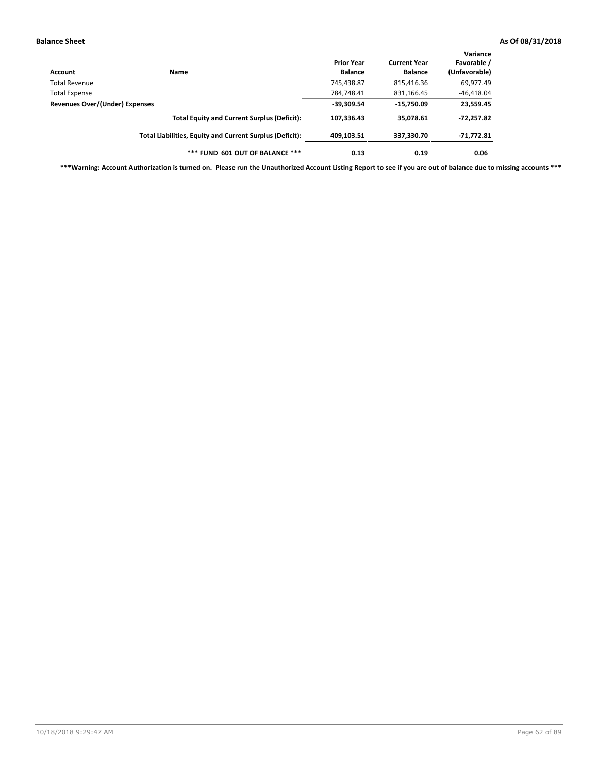| Account                        | Name                                                     | <b>Prior Year</b><br><b>Balance</b> | <b>Current Year</b><br><b>Balance</b> | Variance<br>Favorable /<br>(Unfavorable) |
|--------------------------------|----------------------------------------------------------|-------------------------------------|---------------------------------------|------------------------------------------|
| Total Revenue                  |                                                          | 745,438.87                          | 815,416.36                            | 69,977.49                                |
| <b>Total Expense</b>           |                                                          | 784,748.41                          | 831,166.45                            | $-46,418.04$                             |
| Revenues Over/(Under) Expenses | $-39,309.54$                                             | $-15,750.09$                        | 23,559.45                             |                                          |
|                                | <b>Total Equity and Current Surplus (Deficit):</b>       | 107,336.43                          | 35,078.61                             | $-72,257.82$                             |
|                                | Total Liabilities, Equity and Current Surplus (Deficit): | 409,103.51                          | 337.330.70                            | -71,772.81                               |
|                                | *** FUND 601 OUT OF BALANCE ***                          | 0.13                                | 0.19                                  | 0.06                                     |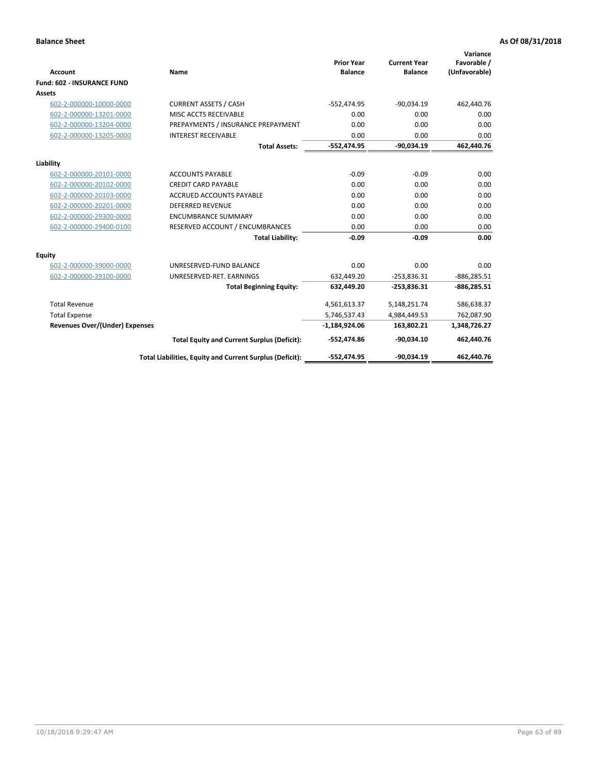|                                       |                                                          |                                     |                                       | Variance                     |
|---------------------------------------|----------------------------------------------------------|-------------------------------------|---------------------------------------|------------------------------|
| Account                               | <b>Name</b>                                              | <b>Prior Year</b><br><b>Balance</b> | <b>Current Year</b><br><b>Balance</b> | Favorable /<br>(Unfavorable) |
| <b>Fund: 602 - INSURANCE FUND</b>     |                                                          |                                     |                                       |                              |
| Assets                                |                                                          |                                     |                                       |                              |
| 602-2-000000-10000-0000               | <b>CURRENT ASSETS / CASH</b>                             | $-552,474.95$                       | $-90,034.19$                          | 462,440.76                   |
| 602-2-000000-13201-0000               | MISC ACCTS RECEIVABLE                                    | 0.00                                | 0.00                                  | 0.00                         |
| 602-2-000000-13204-0000               | PREPAYMENTS / INSURANCE PREPAYMENT                       | 0.00                                | 0.00                                  | 0.00                         |
| 602-2-000000-13205-0000               | <b>INTEREST RECEIVABLE</b>                               | 0.00                                | 0.00                                  | 0.00                         |
|                                       | <b>Total Assets:</b>                                     | $-552,474.95$                       | $-90,034.19$                          | 462,440.76                   |
| Liability                             |                                                          |                                     |                                       |                              |
| 602-2-000000-20101-0000               | <b>ACCOUNTS PAYABLE</b>                                  | $-0.09$                             | $-0.09$                               | 0.00                         |
| 602-2-000000-20102-0000               | <b>CREDIT CARD PAYABLE</b>                               | 0.00                                | 0.00                                  | 0.00                         |
| 602-2-000000-20103-0000               | <b>ACCRUED ACCOUNTS PAYABLE</b>                          | 0.00                                | 0.00                                  | 0.00                         |
| 602-2-000000-20201-0000               | <b>DEFERRED REVENUE</b>                                  | 0.00                                | 0.00                                  | 0.00                         |
| 602-2-000000-29300-0000               | <b>ENCUMBRANCE SUMMARY</b>                               | 0.00                                | 0.00                                  | 0.00                         |
| 602-2-000000-29400-0100               | RESERVED ACCOUNT / ENCUMBRANCES                          | 0.00                                | 0.00                                  | 0.00                         |
|                                       | <b>Total Liability:</b>                                  | $-0.09$                             | $-0.09$                               | 0.00                         |
| Equity                                |                                                          |                                     |                                       |                              |
| 602-2-000000-39000-0000               | UNRESERVED-FUND BALANCE                                  | 0.00                                | 0.00                                  | 0.00                         |
| 602-2-000000-39100-0000               | UNRESERVED-RET. EARNINGS                                 | 632,449.20                          | $-253,836.31$                         | $-886, 285.51$               |
|                                       | <b>Total Beginning Equity:</b>                           | 632,449.20                          | $-253,836.31$                         | $-886,285.51$                |
| <b>Total Revenue</b>                  |                                                          | 4,561,613.37                        | 5,148,251.74                          | 586,638.37                   |
| <b>Total Expense</b>                  |                                                          | 5,746,537.43                        | 4,984,449.53                          | 762,087.90                   |
| <b>Revenues Over/(Under) Expenses</b> |                                                          | $-1,184,924.06$                     | 163,802.21                            | 1,348,726.27                 |
|                                       | <b>Total Equity and Current Surplus (Deficit):</b>       | $-552,474.86$                       | $-90.034.10$                          | 462,440.76                   |
|                                       | Total Liabilities, Equity and Current Surplus (Deficit): | $-552,474.95$                       | $-90,034.19$                          | 462,440.76                   |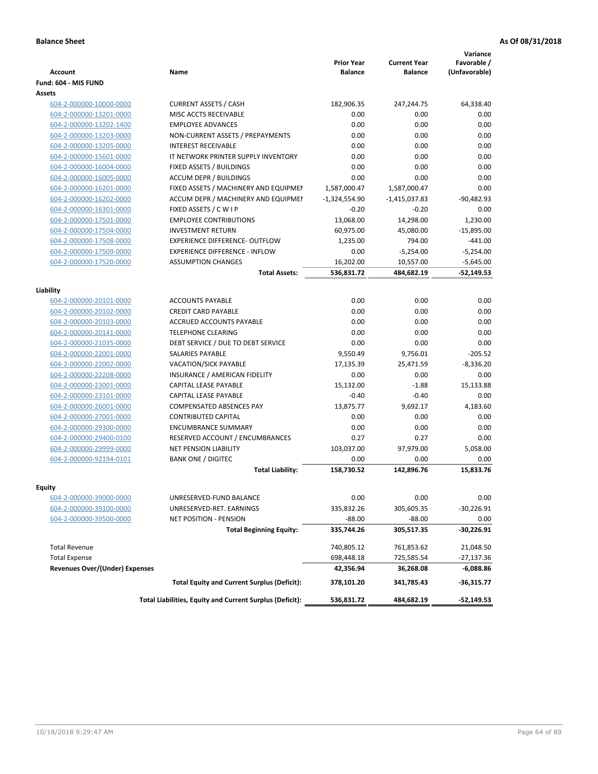|                                                    |                                                                              | <b>Prior Year</b>               | <b>Current Year</b>             | Variance<br>Favorable / |
|----------------------------------------------------|------------------------------------------------------------------------------|---------------------------------|---------------------------------|-------------------------|
| <b>Account</b>                                     | <b>Name</b>                                                                  | <b>Balance</b>                  | <b>Balance</b>                  | (Unfavorable)           |
| Fund: 604 - MIS FUND                               |                                                                              |                                 |                                 |                         |
| Assets                                             | <b>CURRENT ASSETS / CASH</b>                                                 |                                 |                                 |                         |
| 604-2-000000-10000-0000                            | <b>MISC ACCTS RECEIVABLE</b>                                                 | 182,906.35<br>0.00              | 247,244.75<br>0.00              | 64,338.40<br>0.00       |
| 604-2-000000-13201-0000                            | <b>EMPLOYEE ADVANCES</b>                                                     | 0.00                            | 0.00                            | 0.00                    |
| 604-2-000000-13202-1400<br>604-2-000000-13203-0000 | NON-CURRENT ASSETS / PREPAYMENTS                                             | 0.00                            | 0.00                            | 0.00                    |
|                                                    | <b>INTEREST RECEIVABLE</b>                                                   | 0.00                            | 0.00                            | 0.00                    |
| 604-2-000000-13205-0000<br>604-2-000000-15601-0000 | IT NETWORK PRINTER SUPPLY INVENTORY                                          | 0.00                            | 0.00                            | 0.00                    |
|                                                    | <b>FIXED ASSETS / BUILDINGS</b>                                              | 0.00                            | 0.00                            | 0.00                    |
| 604-2-000000-16004-0000                            | <b>ACCUM DEPR / BUILDINGS</b>                                                | 0.00                            | 0.00                            | 0.00                    |
| 604-2-000000-16005-0000<br>604-2-000000-16201-0000 |                                                                              |                                 |                                 | 0.00                    |
|                                                    | FIXED ASSETS / MACHINERY AND EQUIPMEN<br>ACCUM DEPR / MACHINERY AND EQUIPMEI | 1,587,000.47<br>$-1,324,554.90$ | 1,587,000.47<br>$-1,415,037.83$ | $-90,482.93$            |
| 604-2-000000-16202-0000<br>604-2-000000-16301-0000 | FIXED ASSETS / C W I P                                                       | $-0.20$                         | $-0.20$                         | 0.00                    |
|                                                    | <b>EMPLOYEE CONTRIBUTIONS</b>                                                | 13,068.00                       |                                 | 1,230.00                |
| 604-2-000000-17501-0000                            | <b>INVESTMENT RETURN</b>                                                     |                                 | 14,298.00<br>45,080.00          | $-15,895.00$            |
| 604-2-000000-17504-0000                            | <b>EXPERIENCE DIFFERENCE- OUTFLOW</b>                                        | 60,975.00                       |                                 |                         |
| 604-2-000000-17508-0000<br>604-2-000000-17509-0000 | <b>EXPERIENCE DIFFERENCE - INFLOW</b>                                        | 1,235.00<br>0.00                | 794.00                          | $-441.00$               |
|                                                    |                                                                              |                                 | $-5,254.00$                     | $-5,254.00$             |
| 604-2-000000-17520-0000                            | <b>ASSUMPTION CHANGES</b>                                                    | 16,202.00                       | 10,557.00                       | $-5,645.00$             |
|                                                    | <b>Total Assets:</b>                                                         | 536,831.72                      | 484,682.19                      | $-52,149.53$            |
| Liability                                          |                                                                              |                                 |                                 |                         |
| 604-2-000000-20101-0000                            | <b>ACCOUNTS PAYABLE</b>                                                      | 0.00                            | 0.00                            | 0.00                    |
| 604-2-000000-20102-0000                            | <b>CREDIT CARD PAYABLE</b>                                                   | 0.00                            | 0.00                            | 0.00                    |
| 604-2-000000-20103-0000                            | ACCRUED ACCOUNTS PAYABLE                                                     | 0.00                            | 0.00                            | 0.00                    |
| 604-2-000000-20141-0000                            | <b>TELEPHONE CLEARING</b>                                                    | 0.00                            | 0.00                            | 0.00                    |
| 604-2-000000-21035-0000                            | DEBT SERVICE / DUE TO DEBT SERVICE                                           | 0.00                            | 0.00                            | 0.00                    |
| 604-2-000000-22001-0000                            | SALARIES PAYABLE                                                             | 9,550.49                        | 9,756.01                        | $-205.52$               |
| 604-2-000000-22002-0000                            | VACATION/SICK PAYABLE                                                        | 17,135.39                       | 25,471.59                       | $-8,336.20$             |
| 604-2-000000-22208-0000                            | INSURANCE / AMERICAN FIDELITY                                                | 0.00                            | 0.00                            | 0.00                    |
| 604-2-000000-23001-0000                            | CAPITAL LEASE PAYABLE                                                        | 15,132.00                       | $-1.88$                         | 15,133.88               |
| 604-2-000000-23101-0000                            | CAPITAL LEASE PAYABLE                                                        | $-0.40$                         | $-0.40$                         | 0.00                    |
| 604-2-000000-26001-0000                            | <b>COMPENSATED ABSENCES PAY</b>                                              | 13,875.77                       | 9,692.17                        | 4,183.60                |
| 604-2-000000-27001-0000                            | <b>CONTRIBUTED CAPITAL</b>                                                   | 0.00                            | 0.00                            | 0.00                    |
| 604-2-000000-29300-0000                            | <b>ENCUMBRANCE SUMMARY</b>                                                   | 0.00                            | 0.00                            | 0.00                    |
| 604-2-000000-29400-0100                            | RESERVED ACCOUNT / ENCUMBRANCES                                              | 0.27                            | 0.27                            | 0.00                    |
| 604-2-000000-29999-0000                            | <b>NET PENSION LIABILITY</b>                                                 | 103,037.00                      | 97,979.00                       | 5,058.00                |
| 604-2-000000-92194-0101                            | <b>BANK ONE / DIGITEC</b>                                                    | 0.00                            | 0.00                            | 0.00                    |
|                                                    | <b>Total Liability:</b>                                                      | 158,730.52                      | 142.896.76                      | 15,833.76               |
|                                                    |                                                                              |                                 |                                 |                         |
| Equity                                             |                                                                              |                                 |                                 |                         |
| 604-2-000000-39000-0000                            | UNRESERVED-FUND BALANCE                                                      | 0.00                            | 0.00                            | 0.00                    |
| 604-2-000000-39100-0000                            | UNRESERVED-RET. EARNINGS                                                     | 335,832.26                      | 305,605.35                      | $-30,226.91$            |
| 604-2-000000-39500-0000                            | NET POSITION - PENSION                                                       | $-88.00$                        | $-88.00$                        | 0.00                    |
|                                                    | <b>Total Beginning Equity:</b>                                               | 335,744.26                      | 305,517.35                      | -30,226.91              |
| <b>Total Revenue</b>                               |                                                                              | 740,805.12                      | 761,853.62                      | 21,048.50               |
| <b>Total Expense</b>                               |                                                                              | 698,448.18                      | 725,585.54                      | -27,137.36              |
| <b>Revenues Over/(Under) Expenses</b>              |                                                                              | 42,356.94                       | 36,268.08                       | -6,088.86               |
|                                                    | <b>Total Equity and Current Surplus (Deficit):</b>                           | 378,101.20                      | 341,785.43                      | $-36,315.77$            |
|                                                    | Total Liabilities, Equity and Current Surplus (Deficit):                     | 536,831.72                      | 484,682.19                      | $-52,149.53$            |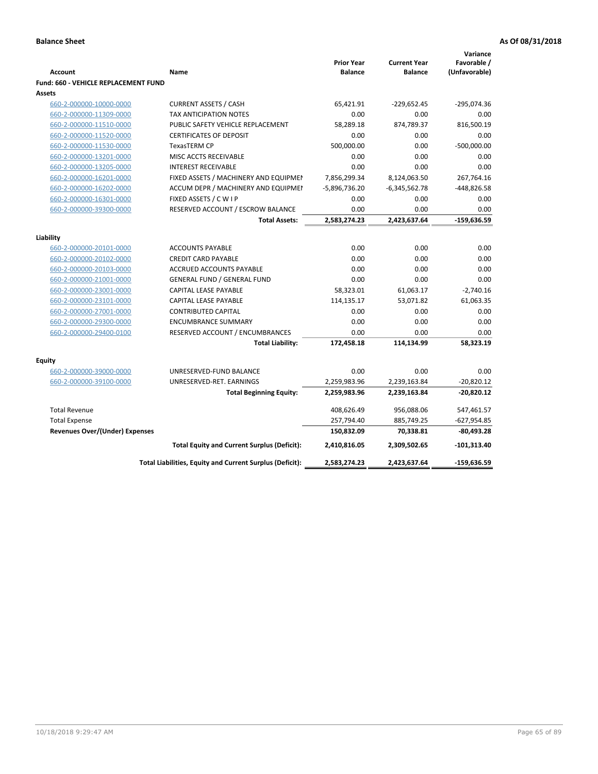|                                             |                                                          |                                     |                                       | Variance                     |
|---------------------------------------------|----------------------------------------------------------|-------------------------------------|---------------------------------------|------------------------------|
| <b>Account</b>                              | Name                                                     | <b>Prior Year</b><br><b>Balance</b> | <b>Current Year</b><br><b>Balance</b> | Favorable /<br>(Unfavorable) |
| <b>Fund: 660 - VEHICLE REPLACEMENT FUND</b> |                                                          |                                     |                                       |                              |
| Assets                                      |                                                          |                                     |                                       |                              |
| 660-2-000000-10000-0000                     | <b>CURRENT ASSETS / CASH</b>                             | 65,421.91                           | $-229,652.45$                         | -295,074.36                  |
| 660-2-000000-11309-0000                     | <b>TAX ANTICIPATION NOTES</b>                            | 0.00                                | 0.00                                  | 0.00                         |
| 660-2-000000-11510-0000                     | PUBLIC SAFETY VEHICLE REPLACEMENT                        | 58,289.18                           | 874,789.37                            | 816,500.19                   |
| 660-2-000000-11520-0000                     | <b>CERTIFICATES OF DEPOSIT</b>                           | 0.00                                | 0.00                                  | 0.00                         |
| 660-2-000000-11530-0000                     | TexasTERM CP                                             | 500,000.00                          | 0.00                                  | $-500,000.00$                |
| 660-2-000000-13201-0000                     | MISC ACCTS RECEIVABLE                                    | 0.00                                | 0.00                                  | 0.00                         |
| 660-2-000000-13205-0000                     | <b>INTEREST RECEIVABLE</b>                               | 0.00                                | 0.00                                  | 0.00                         |
| 660-2-000000-16201-0000                     | FIXED ASSETS / MACHINERY AND EQUIPMEN                    | 7,856,299.34                        | 8,124,063.50                          | 267,764.16                   |
| 660-2-000000-16202-0000                     | ACCUM DEPR / MACHINERY AND EQUIPMEI                      | $-5,896,736.20$                     | $-6,345,562.78$                       | -448,826.58                  |
| 660-2-000000-16301-0000                     | FIXED ASSETS / C W I P                                   | 0.00                                | 0.00                                  | 0.00                         |
| 660-2-000000-39300-0000                     | RESERVED ACCOUNT / ESCROW BALANCE                        | 0.00                                | 0.00                                  | 0.00                         |
|                                             | <b>Total Assets:</b>                                     | 2,583,274.23                        | 2,423,637.64                          | -159,636.59                  |
|                                             |                                                          |                                     |                                       |                              |
| Liability                                   |                                                          |                                     |                                       |                              |
| 660-2-000000-20101-0000                     | <b>ACCOUNTS PAYABLE</b>                                  | 0.00                                | 0.00                                  | 0.00                         |
| 660-2-000000-20102-0000                     | <b>CREDIT CARD PAYABLE</b>                               | 0.00                                | 0.00                                  | 0.00                         |
| 660-2-000000-20103-0000                     | ACCRUED ACCOUNTS PAYABLE                                 | 0.00                                | 0.00                                  | 0.00                         |
| 660-2-000000-21001-0000                     | <b>GENERAL FUND / GENERAL FUND</b>                       | 0.00                                | 0.00                                  | 0.00                         |
| 660-2-000000-23001-0000                     | CAPITAL LEASE PAYABLE                                    | 58,323.01                           | 61,063.17                             | $-2,740.16$                  |
| 660-2-000000-23101-0000                     | <b>CAPITAL LEASE PAYABLE</b>                             | 114,135.17                          | 53,071.82                             | 61,063.35                    |
| 660-2-000000-27001-0000                     | <b>CONTRIBUTED CAPITAL</b>                               | 0.00                                | 0.00                                  | 0.00                         |
| 660-2-000000-29300-0000                     | <b>ENCUMBRANCE SUMMARY</b>                               | 0.00                                | 0.00                                  | 0.00                         |
| 660-2-000000-29400-0100                     | RESERVED ACCOUNT / ENCUMBRANCES                          | 0.00                                | 0.00                                  | 0.00                         |
|                                             | <b>Total Liability:</b>                                  | 172,458.18                          | 114,134.99                            | 58,323.19                    |
| <b>Equity</b>                               |                                                          |                                     |                                       |                              |
| 660-2-000000-39000-0000                     | UNRESERVED-FUND BALANCE                                  | 0.00                                | 0.00                                  | 0.00                         |
| 660-2-000000-39100-0000                     | UNRESERVED-RET. EARNINGS                                 | 2,259,983.96                        | 2,239,163.84                          | $-20,820.12$                 |
|                                             | <b>Total Beginning Equity:</b>                           | 2,259,983.96                        | 2,239,163.84                          | $-20,820.12$                 |
|                                             |                                                          |                                     |                                       |                              |
| <b>Total Revenue</b>                        |                                                          | 408,626.49                          | 956,088.06                            | 547,461.57                   |
| <b>Total Expense</b>                        |                                                          | 257,794.40                          | 885,749.25                            | $-627,954.85$                |
| Revenues Over/(Under) Expenses              |                                                          | 150,832.09                          | 70,338.81                             | $-80,493.28$                 |
|                                             | <b>Total Equity and Current Surplus (Deficit):</b>       | 2,410,816.05                        | 2,309,502.65                          | $-101,313.40$                |
|                                             | Total Liabilities, Equity and Current Surplus (Deficit): | 2,583,274.23                        | 2,423,637.64                          | $-159,636.59$                |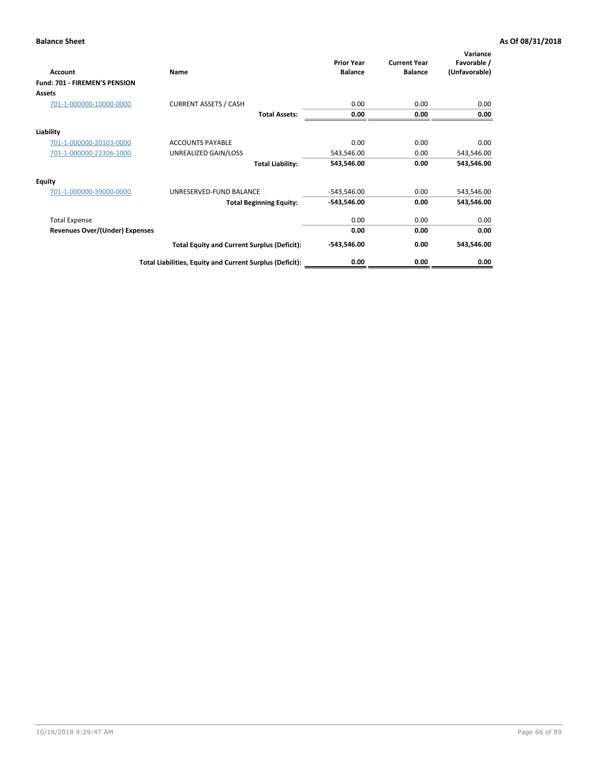| Account                               | Name                                                     | <b>Prior Year</b><br><b>Balance</b> | <b>Current Year</b><br><b>Balance</b> | Variance<br>Favorable /<br>(Unfavorable) |
|---------------------------------------|----------------------------------------------------------|-------------------------------------|---------------------------------------|------------------------------------------|
| Fund: 701 - FIREMEN'S PENSION         |                                                          |                                     |                                       |                                          |
| <b>Assets</b>                         |                                                          |                                     |                                       |                                          |
| 701-1-000000-10000-0000               | <b>CURRENT ASSETS / CASH</b>                             | 0.00                                | 0.00                                  | 0.00                                     |
|                                       | <b>Total Assets:</b>                                     | 0.00                                | 0.00                                  | 0.00                                     |
| Liability                             |                                                          |                                     |                                       |                                          |
| 701-1-000000-20103-0000               | <b>ACCOUNTS PAYABLE</b>                                  | 0.00                                | 0.00                                  | 0.00                                     |
| 701-1-000000-22306-1000               | UNREALIZED GAIN/LOSS                                     | 543,546.00                          | 0.00                                  | 543,546.00                               |
|                                       | <b>Total Liability:</b>                                  | 543,546.00                          | 0.00                                  | 543,546.00                               |
| <b>Equity</b>                         |                                                          |                                     |                                       |                                          |
| 701-1-000000-39000-0000               | UNRESERVED-FUND BALANCE                                  | $-543,546.00$                       | 0.00                                  | 543,546.00                               |
|                                       | <b>Total Beginning Equity:</b>                           | $-543,546.00$                       | 0.00                                  | 543,546.00                               |
| <b>Total Expense</b>                  |                                                          | 0.00                                | 0.00                                  | 0.00                                     |
| <b>Revenues Over/(Under) Expenses</b> |                                                          | 0.00                                | 0.00                                  | 0.00                                     |
|                                       | <b>Total Equity and Current Surplus (Deficit):</b>       | $-543,546.00$                       | 0.00                                  | 543,546.00                               |
|                                       | Total Liabilities, Equity and Current Surplus (Deficit): | 0.00                                | 0.00                                  | 0.00                                     |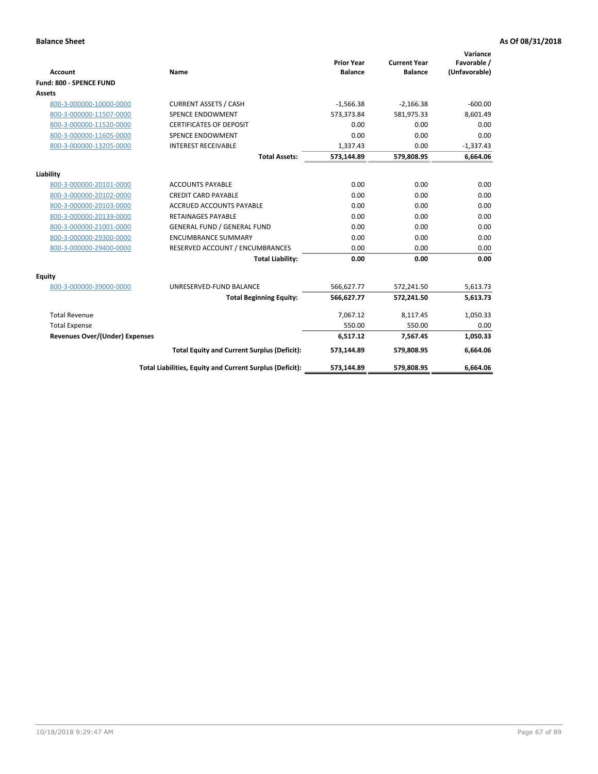|                                       |                                                          |                                     |                                       | Variance                     |
|---------------------------------------|----------------------------------------------------------|-------------------------------------|---------------------------------------|------------------------------|
| <b>Account</b>                        | <b>Name</b>                                              | <b>Prior Year</b><br><b>Balance</b> | <b>Current Year</b><br><b>Balance</b> | Favorable /<br>(Unfavorable) |
| Fund: 800 - SPENCE FUND               |                                                          |                                     |                                       |                              |
| <b>Assets</b>                         |                                                          |                                     |                                       |                              |
| 800-3-000000-10000-0000               | <b>CURRENT ASSETS / CASH</b>                             | $-1,566.38$                         | $-2,166.38$                           | $-600.00$                    |
| 800-3-000000-11507-0000               | <b>SPENCE ENDOWMENT</b>                                  | 573,373.84                          | 581,975.33                            | 8,601.49                     |
| 800-3-000000-11520-0000               | <b>CERTIFICATES OF DEPOSIT</b>                           | 0.00                                | 0.00                                  | 0.00                         |
| 800-3-000000-11605-0000               | <b>SPENCE ENDOWMENT</b>                                  | 0.00                                | 0.00                                  | 0.00                         |
| 800-3-000000-13205-0000               | <b>INTEREST RECEIVABLE</b>                               | 1,337.43                            | 0.00                                  | $-1,337.43$                  |
|                                       | <b>Total Assets:</b>                                     | 573,144.89                          | 579,808.95                            | 6,664.06                     |
| Liability                             |                                                          |                                     |                                       |                              |
| 800-3-000000-20101-0000               | <b>ACCOUNTS PAYABLE</b>                                  | 0.00                                | 0.00                                  | 0.00                         |
| 800-3-000000-20102-0000               | <b>CREDIT CARD PAYABLE</b>                               | 0.00                                | 0.00                                  | 0.00                         |
| 800-3-000000-20103-0000               | <b>ACCRUED ACCOUNTS PAYABLE</b>                          | 0.00                                | 0.00                                  | 0.00                         |
| 800-3-000000-20139-0000               | <b>RETAINAGES PAYABLE</b>                                | 0.00                                | 0.00                                  | 0.00                         |
| 800-3-000000-21001-0000               | <b>GENERAL FUND / GENERAL FUND</b>                       | 0.00                                | 0.00                                  | 0.00                         |
| 800-3-000000-29300-0000               | <b>ENCUMBRANCE SUMMARY</b>                               | 0.00                                | 0.00                                  | 0.00                         |
| 800-3-000000-29400-0000               | RESERVED ACCOUNT / ENCUMBRANCES                          | 0.00                                | 0.00                                  | 0.00                         |
|                                       | <b>Total Liability:</b>                                  | 0.00                                | 0.00                                  | 0.00                         |
| Equity                                |                                                          |                                     |                                       |                              |
| 800-3-000000-39000-0000               | UNRESERVED-FUND BALANCE                                  | 566,627.77                          | 572,241.50                            | 5,613.73                     |
|                                       | <b>Total Beginning Equity:</b>                           | 566,627.77                          | 572,241.50                            | 5,613.73                     |
| <b>Total Revenue</b>                  |                                                          | 7,067.12                            | 8,117.45                              | 1,050.33                     |
| <b>Total Expense</b>                  |                                                          | 550.00                              | 550.00                                | 0.00                         |
| <b>Revenues Over/(Under) Expenses</b> |                                                          | 6,517.12                            | 7,567.45                              | 1,050.33                     |
|                                       | <b>Total Equity and Current Surplus (Deficit):</b>       | 573,144.89                          | 579,808.95                            | 6,664.06                     |
|                                       | Total Liabilities, Equity and Current Surplus (Deficit): | 573,144.89                          | 579,808.95                            | 6,664.06                     |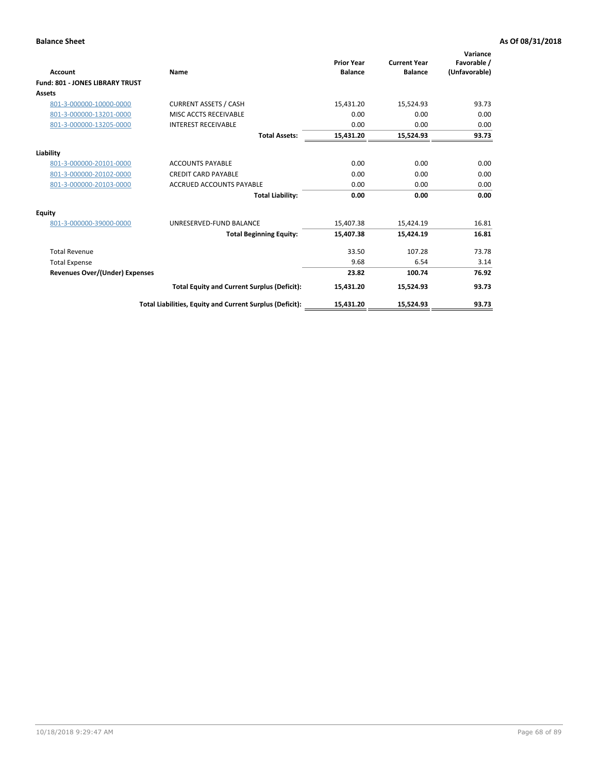| Account                         | Name                                                     | <b>Prior Year</b><br><b>Balance</b> | <b>Current Year</b><br><b>Balance</b> | Variance<br>Favorable /<br>(Unfavorable) |
|---------------------------------|----------------------------------------------------------|-------------------------------------|---------------------------------------|------------------------------------------|
| Fund: 801 - JONES LIBRARY TRUST |                                                          |                                     |                                       |                                          |
| <b>Assets</b>                   |                                                          |                                     |                                       |                                          |
| 801-3-000000-10000-0000         | <b>CURRENT ASSETS / CASH</b>                             | 15,431.20                           | 15,524.93                             | 93.73                                    |
| 801-3-000000-13201-0000         | MISC ACCTS RECEIVABLE                                    | 0.00                                | 0.00                                  | 0.00                                     |
| 801-3-000000-13205-0000         | <b>INTEREST RECEIVABLE</b>                               | 0.00                                | 0.00                                  | 0.00                                     |
|                                 | <b>Total Assets:</b>                                     | 15,431.20                           | 15,524.93                             | 93.73                                    |
| Liability                       |                                                          |                                     |                                       |                                          |
| 801-3-000000-20101-0000         | <b>ACCOUNTS PAYABLE</b>                                  | 0.00                                | 0.00                                  | 0.00                                     |
| 801-3-000000-20102-0000         | <b>CREDIT CARD PAYABLE</b>                               | 0.00                                | 0.00                                  | 0.00                                     |
| 801-3-000000-20103-0000         | <b>ACCRUED ACCOUNTS PAYABLE</b>                          | 0.00                                | 0.00                                  | 0.00                                     |
|                                 | <b>Total Liability:</b>                                  | 0.00                                | 0.00                                  | 0.00                                     |
| Equity                          |                                                          |                                     |                                       |                                          |
| 801-3-000000-39000-0000         | UNRESERVED-FUND BALANCE                                  | 15,407.38                           | 15,424.19                             | 16.81                                    |
|                                 | <b>Total Beginning Equity:</b>                           | 15,407.38                           | 15,424.19                             | 16.81                                    |
| <b>Total Revenue</b>            |                                                          | 33.50                               | 107.28                                | 73.78                                    |
| <b>Total Expense</b>            |                                                          | 9.68                                | 6.54                                  | 3.14                                     |
| Revenues Over/(Under) Expenses  |                                                          | 23.82                               | 100.74                                | 76.92                                    |
|                                 | <b>Total Equity and Current Surplus (Deficit):</b>       | 15,431.20                           | 15,524.93                             | 93.73                                    |
|                                 | Total Liabilities, Equity and Current Surplus (Deficit): | 15,431.20                           | 15,524.93                             | 93.73                                    |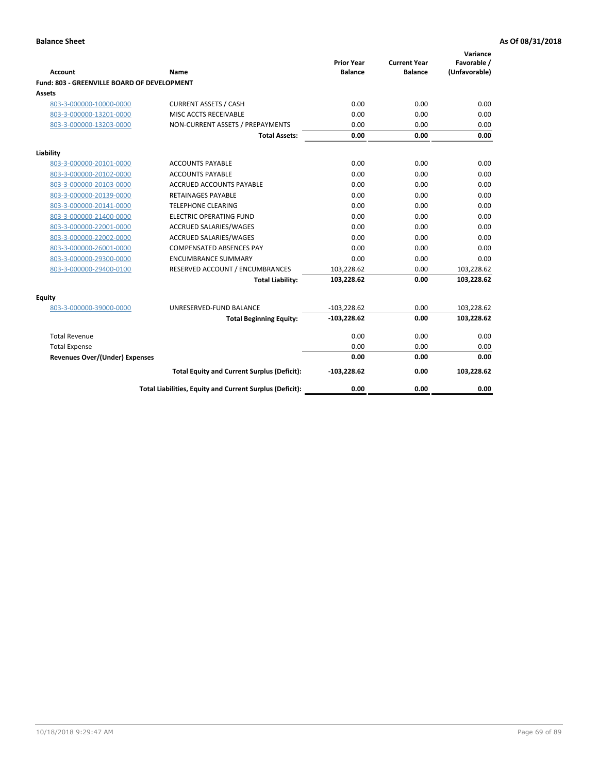| <b>Account</b>                              | Name                                                     | <b>Prior Year</b><br><b>Balance</b> | <b>Current Year</b><br><b>Balance</b> | Variance<br>Favorable /<br>(Unfavorable) |
|---------------------------------------------|----------------------------------------------------------|-------------------------------------|---------------------------------------|------------------------------------------|
| Fund: 803 - GREENVILLE BOARD OF DEVELOPMENT |                                                          |                                     |                                       |                                          |
| <b>Assets</b>                               |                                                          |                                     |                                       |                                          |
| 803-3-000000-10000-0000                     | <b>CURRENT ASSETS / CASH</b>                             | 0.00                                | 0.00                                  | 0.00                                     |
| 803-3-000000-13201-0000                     | MISC ACCTS RECEIVABLE                                    | 0.00                                | 0.00                                  | 0.00                                     |
| 803-3-000000-13203-0000                     | NON-CURRENT ASSETS / PREPAYMENTS                         | 0.00                                | 0.00                                  | 0.00                                     |
|                                             | <b>Total Assets:</b>                                     | 0.00                                | 0.00                                  | 0.00                                     |
| Liability                                   |                                                          |                                     |                                       |                                          |
| 803-3-000000-20101-0000                     | <b>ACCOUNTS PAYABLE</b>                                  | 0.00                                | 0.00                                  | 0.00                                     |
| 803-3-000000-20102-0000                     | <b>ACCOUNTS PAYABLE</b>                                  | 0.00                                | 0.00                                  | 0.00                                     |
| 803-3-000000-20103-0000                     | <b>ACCRUED ACCOUNTS PAYABLE</b>                          | 0.00                                | 0.00                                  | 0.00                                     |
| 803-3-000000-20139-0000                     | <b>RETAINAGES PAYABLE</b>                                | 0.00                                | 0.00                                  | 0.00                                     |
| 803-3-000000-20141-0000                     | <b>TELEPHONE CLEARING</b>                                | 0.00                                | 0.00                                  | 0.00                                     |
| 803-3-000000-21400-0000                     | <b>ELECTRIC OPERATING FUND</b>                           | 0.00                                | 0.00                                  | 0.00                                     |
| 803-3-000000-22001-0000                     | ACCRUED SALARIES/WAGES                                   | 0.00                                | 0.00                                  | 0.00                                     |
| 803-3-000000-22002-0000                     | <b>ACCRUED SALARIES/WAGES</b>                            | 0.00                                | 0.00                                  | 0.00                                     |
| 803-3-000000-26001-0000                     | <b>COMPENSATED ABSENCES PAY</b>                          | 0.00                                | 0.00                                  | 0.00                                     |
| 803-3-000000-29300-0000                     | <b>ENCUMBRANCE SUMMARY</b>                               | 0.00                                | 0.00                                  | 0.00                                     |
| 803-3-000000-29400-0100                     | RESERVED ACCOUNT / ENCUMBRANCES                          | 103,228.62                          | 0.00                                  | 103,228.62                               |
|                                             | <b>Total Liability:</b>                                  | 103,228.62                          | 0.00                                  | 103,228.62                               |
| Equity                                      |                                                          |                                     |                                       |                                          |
| 803-3-000000-39000-0000                     | UNRESERVED-FUND BALANCE                                  | $-103,228.62$                       | 0.00                                  | 103,228.62                               |
|                                             | <b>Total Beginning Equity:</b>                           | $-103,228.62$                       | 0.00                                  | 103,228.62                               |
| <b>Total Revenue</b>                        |                                                          | 0.00                                | 0.00                                  | 0.00                                     |
| <b>Total Expense</b>                        |                                                          | 0.00                                | 0.00                                  | 0.00                                     |
| <b>Revenues Over/(Under) Expenses</b>       |                                                          | 0.00                                | 0.00                                  | 0.00                                     |
|                                             | <b>Total Equity and Current Surplus (Deficit):</b>       | $-103,228.62$                       | 0.00                                  | 103,228.62                               |
|                                             | Total Liabilities, Equity and Current Surplus (Deficit): | 0.00                                | 0.00                                  | 0.00                                     |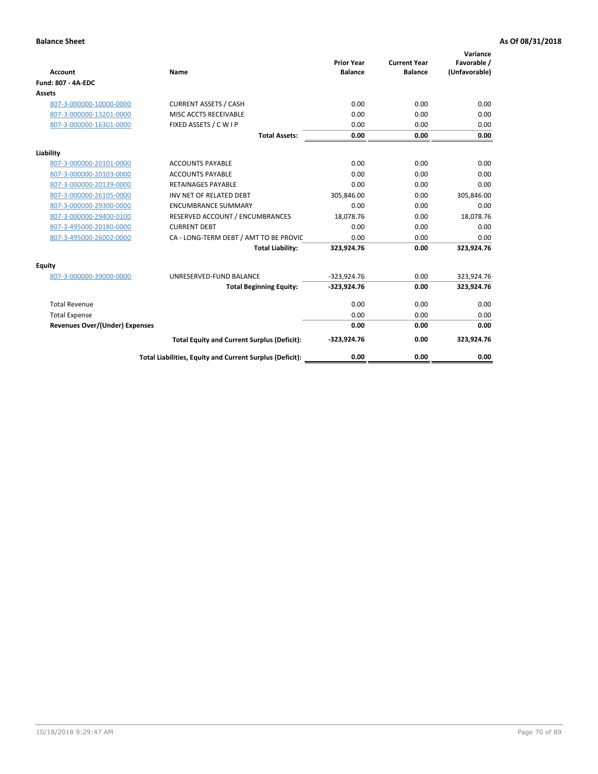| <b>Account</b>                        | Name                                                     | <b>Prior Year</b><br><b>Balance</b> | <b>Current Year</b><br><b>Balance</b> | Variance<br>Favorable /<br>(Unfavorable) |
|---------------------------------------|----------------------------------------------------------|-------------------------------------|---------------------------------------|------------------------------------------|
| <b>Fund: 807 - 4A-EDC</b>             |                                                          |                                     |                                       |                                          |
| <b>Assets</b>                         |                                                          |                                     |                                       |                                          |
| 807-3-000000-10000-0000               | <b>CURRENT ASSETS / CASH</b>                             | 0.00                                | 0.00                                  | 0.00                                     |
| 807-3-000000-13201-0000               | MISC ACCTS RECEIVABLE                                    | 0.00                                | 0.00                                  | 0.00                                     |
| 807-3-000000-16301-0000               | FIXED ASSETS / C W I P                                   | 0.00                                | 0.00                                  | 0.00                                     |
|                                       | <b>Total Assets:</b>                                     | 0.00                                | 0.00                                  | 0.00                                     |
| Liability                             |                                                          |                                     |                                       |                                          |
| 807-3-000000-20101-0000               | <b>ACCOUNTS PAYABLE</b>                                  | 0.00                                | 0.00                                  | 0.00                                     |
| 807-3-000000-20103-0000               | <b>ACCOUNTS PAYABLE</b>                                  | 0.00                                | 0.00                                  | 0.00                                     |
| 807-3-000000-20139-0000               | <b>RETAINAGES PAYABLE</b>                                | 0.00                                | 0.00                                  | 0.00                                     |
| 807-3-000000-26105-0000               | INV NET OF RELATED DEBT                                  | 305,846.00                          | 0.00                                  | 305,846.00                               |
| 807-3-000000-29300-0000               | <b>ENCUMBRANCE SUMMARY</b>                               | 0.00                                | 0.00                                  | 0.00                                     |
| 807-3-000000-29400-0100               | RESERVED ACCOUNT / ENCUMBRANCES                          | 18,078.76                           | 0.00                                  | 18,078.76                                |
| 807-3-495000-20180-0000               | <b>CURRENT DEBT</b>                                      | 0.00                                | 0.00                                  | 0.00                                     |
| 807-3-495000-26002-0000               | CA - LONG-TERM DEBT / AMT TO BE PROVIL                   | 0.00                                | 0.00                                  | 0.00                                     |
|                                       | <b>Total Liability:</b>                                  | 323,924.76                          | 0.00                                  | 323,924.76                               |
| Equity                                |                                                          |                                     |                                       |                                          |
| 807-3-000000-39000-0000               | UNRESERVED-FUND BALANCE                                  | $-323,924.76$                       | 0.00                                  | 323,924.76                               |
|                                       | <b>Total Beginning Equity:</b>                           | $-323,924.76$                       | 0.00                                  | 323,924.76                               |
| <b>Total Revenue</b>                  |                                                          | 0.00                                | 0.00                                  | 0.00                                     |
| <b>Total Expense</b>                  |                                                          | 0.00                                | 0.00                                  | 0.00                                     |
| <b>Revenues Over/(Under) Expenses</b> |                                                          | 0.00                                | 0.00                                  | 0.00                                     |
|                                       | <b>Total Equity and Current Surplus (Deficit):</b>       | $-323,924.76$                       | 0.00                                  | 323,924.76                               |
|                                       | Total Liabilities, Equity and Current Surplus (Deficit): | 0.00                                | 0.00                                  | 0.00                                     |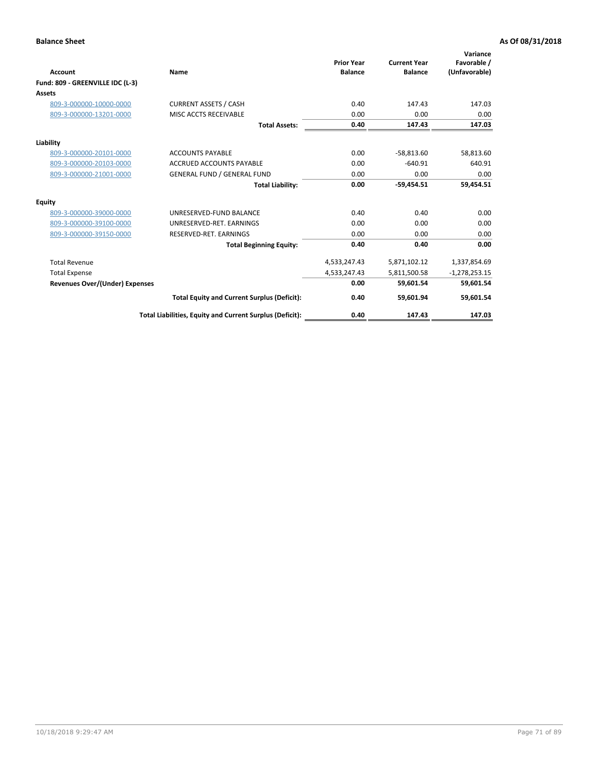|                                       |                                                          | <b>Prior Year</b> | <b>Current Year</b> | Variance<br>Favorable / |
|---------------------------------------|----------------------------------------------------------|-------------------|---------------------|-------------------------|
| Account                               | Name                                                     | <b>Balance</b>    | <b>Balance</b>      | (Unfavorable)           |
| Fund: 809 - GREENVILLE IDC (L-3)      |                                                          |                   |                     |                         |
| Assets                                |                                                          |                   |                     |                         |
| 809-3-000000-10000-0000               | <b>CURRENT ASSETS / CASH</b>                             | 0.40              | 147.43              | 147.03                  |
| 809-3-000000-13201-0000               | MISC ACCTS RECEIVABLE                                    | 0.00              | 0.00                | 0.00                    |
|                                       | <b>Total Assets:</b>                                     | 0.40              | 147.43              | 147.03                  |
| Liability                             |                                                          |                   |                     |                         |
| 809-3-000000-20101-0000               | <b>ACCOUNTS PAYABLE</b>                                  | 0.00              | $-58,813.60$        | 58,813.60               |
| 809-3-000000-20103-0000               | ACCRUED ACCOUNTS PAYABLE                                 | 0.00              | $-640.91$           | 640.91                  |
| 809-3-000000-21001-0000               | <b>GENERAL FUND / GENERAL FUND</b>                       | 0.00              | 0.00                | 0.00                    |
|                                       | <b>Total Liability:</b>                                  | 0.00              | $-59,454.51$        | 59,454.51               |
| Equity                                |                                                          |                   |                     |                         |
| 809-3-000000-39000-0000               | UNRESERVED-FUND BALANCE                                  | 0.40              | 0.40                | 0.00                    |
| 809-3-000000-39100-0000               | UNRESERVED-RET. EARNINGS                                 | 0.00              | 0.00                | 0.00                    |
| 809-3-000000-39150-0000               | RESERVED-RET. EARNINGS                                   | 0.00              | 0.00                | 0.00                    |
|                                       | <b>Total Beginning Equity:</b>                           | 0.40              | 0.40                | 0.00                    |
| <b>Total Revenue</b>                  |                                                          | 4,533,247.43      | 5,871,102.12        | 1,337,854.69            |
| <b>Total Expense</b>                  |                                                          | 4,533,247.43      | 5,811,500.58        | $-1,278,253.15$         |
| <b>Revenues Over/(Under) Expenses</b> |                                                          | 0.00              | 59,601.54           | 59,601.54               |
|                                       | <b>Total Equity and Current Surplus (Deficit):</b>       | 0.40              | 59,601.94           | 59,601.54               |
|                                       | Total Liabilities, Equity and Current Surplus (Deficit): | 0.40              | 147.43              | 147.03                  |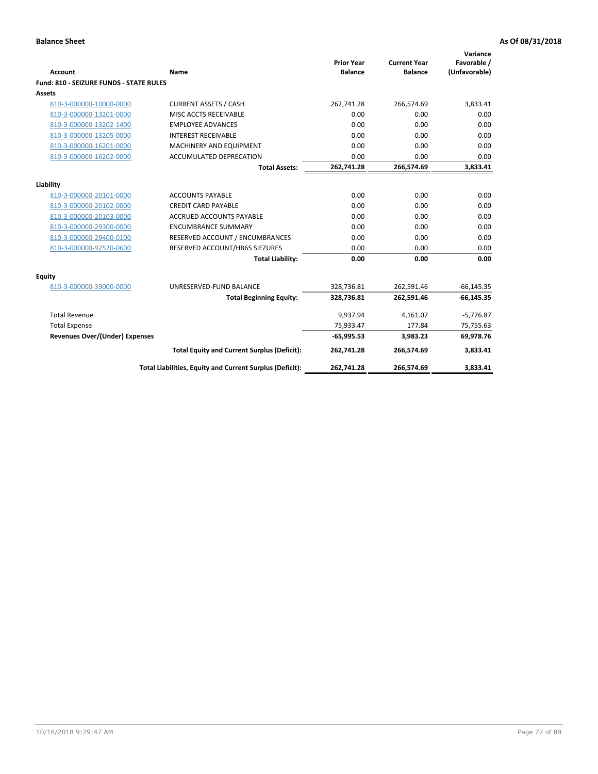| <b>Account</b>                                 | Name                                                     | <b>Prior Year</b><br><b>Balance</b> | <b>Current Year</b><br><b>Balance</b> | Variance<br>Favorable /<br>(Unfavorable) |
|------------------------------------------------|----------------------------------------------------------|-------------------------------------|---------------------------------------|------------------------------------------|
| <b>Fund: 810 - SEIZURE FUNDS - STATE RULES</b> |                                                          |                                     |                                       |                                          |
| <b>Assets</b>                                  |                                                          |                                     |                                       |                                          |
| 810-3-000000-10000-0000                        | <b>CURRENT ASSETS / CASH</b>                             | 262,741.28                          | 266,574.69                            | 3,833.41                                 |
| 810-3-000000-13201-0000                        | MISC ACCTS RECEIVABLE                                    | 0.00                                | 0.00                                  | 0.00                                     |
| 810-3-000000-13202-1400                        | <b>EMPLOYEE ADVANCES</b>                                 | 0.00                                | 0.00                                  | 0.00                                     |
| 810-3-000000-13205-0000                        | <b>INTEREST RECEIVABLE</b>                               | 0.00                                | 0.00                                  | 0.00                                     |
| 810-3-000000-16201-0000                        | <b>MACHINERY AND EQUIPMENT</b>                           | 0.00                                | 0.00                                  | 0.00                                     |
| 810-3-000000-16202-0000                        | ACCUMULATED DEPRECATION                                  | 0.00                                | 0.00                                  | 0.00                                     |
|                                                | <b>Total Assets:</b>                                     | 262,741.28                          | 266,574.69                            | 3,833.41                                 |
|                                                |                                                          |                                     |                                       |                                          |
| Liability                                      |                                                          |                                     |                                       |                                          |
| 810-3-000000-20101-0000                        | <b>ACCOUNTS PAYABLE</b>                                  | 0.00                                | 0.00                                  | 0.00                                     |
| 810-3-000000-20102-0000                        | <b>CREDIT CARD PAYABLE</b>                               | 0.00                                | 0.00                                  | 0.00                                     |
| 810-3-000000-20103-0000                        | <b>ACCRUED ACCOUNTS PAYABLE</b>                          | 0.00                                | 0.00                                  | 0.00                                     |
| 810-3-000000-29300-0000                        | <b>ENCUMBRANCE SUMMARY</b>                               | 0.00                                | 0.00                                  | 0.00                                     |
| 810-3-000000-29400-0100                        | RESERVED ACCOUNT / ENCUMBRANCES                          | 0.00                                | 0.00                                  | 0.00                                     |
| 810-3-000000-92520-0600                        | RESERVED ACCOUNT/HB65 SIEZURES                           | 0.00                                | 0.00                                  | 0.00                                     |
|                                                | <b>Total Liability:</b>                                  | 0.00                                | 0.00                                  | 0.00                                     |
| <b>Equity</b>                                  |                                                          |                                     |                                       |                                          |
| 810-3-000000-39000-0000                        | UNRESERVED-FUND BALANCE                                  | 328,736.81                          | 262,591.46                            | $-66, 145.35$                            |
|                                                | <b>Total Beginning Equity:</b>                           | 328,736.81                          | 262,591.46                            | $-66, 145.35$                            |
| <b>Total Revenue</b>                           |                                                          | 9,937.94                            | 4,161.07                              | $-5,776.87$                              |
| <b>Total Expense</b>                           |                                                          | 75,933.47                           | 177.84                                | 75,755.63                                |
| Revenues Over/(Under) Expenses                 |                                                          | $-65,995.53$                        | 3,983.23                              | 69,978.76                                |
|                                                | <b>Total Equity and Current Surplus (Deficit):</b>       | 262,741.28                          | 266,574.69                            | 3,833.41                                 |
|                                                | Total Liabilities, Equity and Current Surplus (Deficit): | 262,741.28                          | 266,574.69                            | 3,833.41                                 |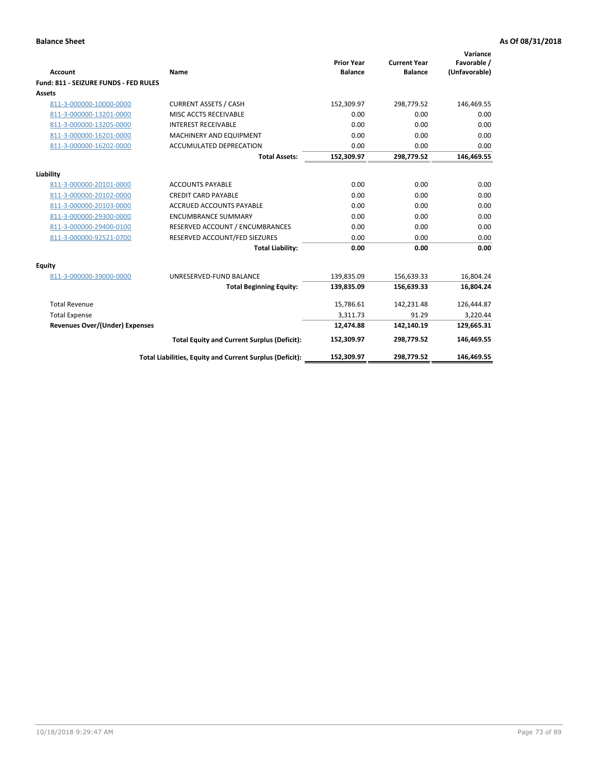| <b>Account</b>                        | Name                                                     | <b>Prior Year</b><br><b>Balance</b> | <b>Current Year</b><br><b>Balance</b> | Variance<br>Favorable /<br>(Unfavorable) |
|---------------------------------------|----------------------------------------------------------|-------------------------------------|---------------------------------------|------------------------------------------|
| Fund: 811 - SEIZURE FUNDS - FED RULES |                                                          |                                     |                                       |                                          |
| <b>Assets</b>                         |                                                          |                                     |                                       |                                          |
| 811-3-000000-10000-0000               | <b>CURRENT ASSETS / CASH</b>                             | 152,309.97                          | 298,779.52                            | 146,469.55                               |
| 811-3-000000-13201-0000               | MISC ACCTS RECEIVABLE                                    | 0.00                                | 0.00                                  | 0.00                                     |
| 811-3-000000-13205-0000               | <b>INTEREST RECEIVABLE</b>                               | 0.00                                | 0.00                                  | 0.00                                     |
| 811-3-000000-16201-0000               | <b>MACHINERY AND EQUIPMENT</b>                           | 0.00                                | 0.00                                  | 0.00                                     |
| 811-3-000000-16202-0000               | <b>ACCUMULATED DEPRECATION</b>                           | 0.00                                | 0.00                                  | 0.00                                     |
|                                       | <b>Total Assets:</b>                                     | 152,309.97                          | 298,779.52                            | 146,469.55                               |
| Liability                             |                                                          |                                     |                                       |                                          |
| 811-3-000000-20101-0000               | <b>ACCOUNTS PAYABLE</b>                                  | 0.00                                | 0.00                                  | 0.00                                     |
| 811-3-000000-20102-0000               | <b>CREDIT CARD PAYABLE</b>                               | 0.00                                | 0.00                                  | 0.00                                     |
| 811-3-000000-20103-0000               | <b>ACCRUED ACCOUNTS PAYABLE</b>                          | 0.00                                | 0.00                                  | 0.00                                     |
| 811-3-000000-29300-0000               | <b>ENCUMBRANCE SUMMARY</b>                               | 0.00                                | 0.00                                  | 0.00                                     |
| 811-3-000000-29400-0100               | RESERVED ACCOUNT / ENCUMBRANCES                          | 0.00                                | 0.00                                  | 0.00                                     |
| 811-3-000000-92521-0700               | RESERVED ACCOUNT/FED SIEZURES                            | 0.00                                | 0.00                                  | 0.00                                     |
|                                       | <b>Total Liability:</b>                                  | 0.00                                | 0.00                                  | 0.00                                     |
| Equity                                |                                                          |                                     |                                       |                                          |
| 811-3-000000-39000-0000               | UNRESERVED-FUND BALANCE                                  | 139,835.09                          | 156,639.33                            | 16,804.24                                |
|                                       | <b>Total Beginning Equity:</b>                           | 139,835.09                          | 156,639.33                            | 16,804.24                                |
| <b>Total Revenue</b>                  |                                                          | 15,786.61                           | 142,231.48                            | 126,444.87                               |
| <b>Total Expense</b>                  |                                                          | 3,311.73                            | 91.29                                 | 3,220.44                                 |
| Revenues Over/(Under) Expenses        |                                                          | 12,474.88                           | 142,140.19                            | 129,665.31                               |
|                                       | <b>Total Equity and Current Surplus (Deficit):</b>       | 152,309.97                          | 298,779.52                            | 146,469.55                               |
|                                       | Total Liabilities, Equity and Current Surplus (Deficit): | 152,309.97                          | 298.779.52                            | 146.469.55                               |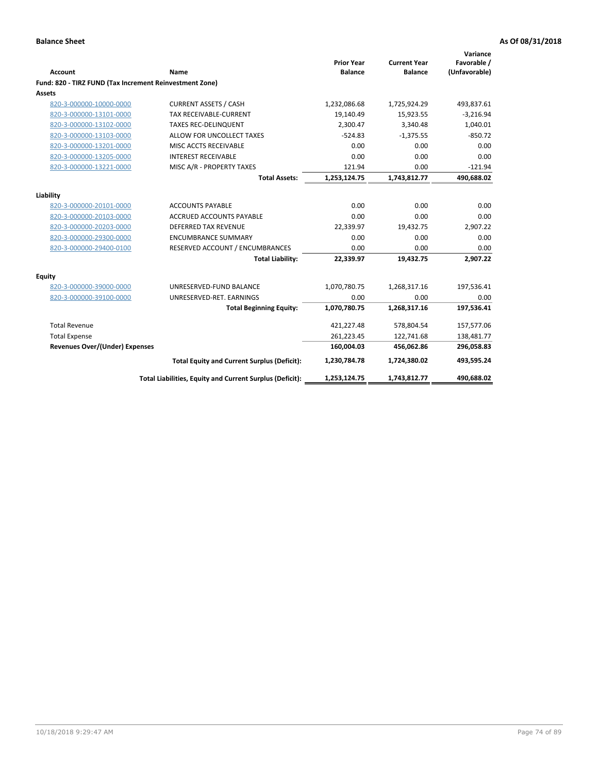| Account                                                 | Name                                                     | <b>Prior Year</b><br><b>Balance</b> | <b>Current Year</b><br><b>Balance</b> | Variance<br>Favorable /<br>(Unfavorable) |
|---------------------------------------------------------|----------------------------------------------------------|-------------------------------------|---------------------------------------|------------------------------------------|
| Fund: 820 - TIRZ FUND (Tax Increment Reinvestment Zone) |                                                          |                                     |                                       |                                          |
| <b>Assets</b>                                           |                                                          |                                     |                                       |                                          |
| 820-3-000000-10000-0000                                 | <b>CURRENT ASSETS / CASH</b>                             | 1,232,086.68                        | 1,725,924.29                          | 493,837.61                               |
| 820-3-000000-13101-0000                                 | <b>TAX RECEIVABLE-CURRENT</b>                            | 19,140.49                           | 15,923.55                             | $-3,216.94$                              |
| 820-3-000000-13102-0000                                 | <b>TAXES REC-DELINQUENT</b>                              | 2,300.47                            | 3,340.48                              | 1,040.01                                 |
| 820-3-000000-13103-0000                                 | ALLOW FOR UNCOLLECT TAXES                                | $-524.83$                           | $-1,375.55$                           | $-850.72$                                |
| 820-3-000000-13201-0000                                 | MISC ACCTS RECEIVABLE                                    | 0.00                                | 0.00                                  | 0.00                                     |
| 820-3-000000-13205-0000                                 | <b>INTEREST RECEIVABLE</b>                               | 0.00                                | 0.00                                  | 0.00                                     |
| 820-3-000000-13221-0000                                 | MISC A/R - PROPERTY TAXES                                | 121.94                              | 0.00                                  | $-121.94$                                |
|                                                         | <b>Total Assets:</b>                                     | 1,253,124.75                        | 1,743,812.77                          | 490,688.02                               |
| Liability                                               |                                                          |                                     |                                       |                                          |
| 820-3-000000-20101-0000                                 | <b>ACCOUNTS PAYABLE</b>                                  | 0.00                                | 0.00                                  | 0.00                                     |
| 820-3-000000-20103-0000                                 | <b>ACCRUED ACCOUNTS PAYABLE</b>                          | 0.00                                | 0.00                                  | 0.00                                     |
| 820-3-000000-20203-0000                                 | <b>DEFERRED TAX REVENUE</b>                              | 22,339.97                           | 19,432.75                             | 2,907.22                                 |
| 820-3-000000-29300-0000                                 | <b>ENCUMBRANCE SUMMARY</b>                               | 0.00                                | 0.00                                  | 0.00                                     |
| 820-3-000000-29400-0100                                 | RESERVED ACCOUNT / ENCUMBRANCES                          | 0.00                                | 0.00                                  | 0.00                                     |
|                                                         | <b>Total Liability:</b>                                  | 22,339.97                           | 19,432.75                             | 2.907.22                                 |
| <b>Equity</b>                                           |                                                          |                                     |                                       |                                          |
| 820-3-000000-39000-0000                                 | UNRESERVED-FUND BALANCE                                  | 1,070,780.75                        | 1,268,317.16                          | 197,536.41                               |
| 820-3-000000-39100-0000                                 | UNRESERVED-RET. EARNINGS                                 | 0.00                                | 0.00                                  | 0.00                                     |
|                                                         | <b>Total Beginning Equity:</b>                           | 1,070,780.75                        | 1,268,317.16                          | 197,536.41                               |
| <b>Total Revenue</b>                                    |                                                          | 421,227.48                          | 578,804.54                            | 157,577.06                               |
| <b>Total Expense</b>                                    |                                                          | 261,223.45                          | 122,741.68                            | 138,481.77                               |
| <b>Revenues Over/(Under) Expenses</b>                   |                                                          | 160,004.03                          | 456,062.86                            | 296,058.83                               |
|                                                         | <b>Total Equity and Current Surplus (Deficit):</b>       | 1,230,784.78                        | 1,724,380.02                          | 493,595.24                               |
|                                                         | Total Liabilities, Equity and Current Surplus (Deficit): | 1,253,124.75                        | 1,743,812.77                          | 490,688.02                               |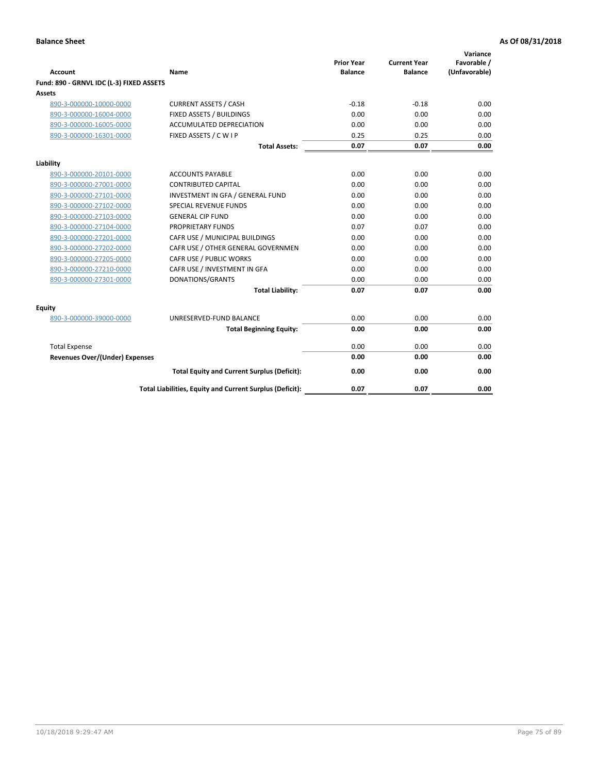| <b>Account</b>                           | Name                                                     | <b>Prior Year</b><br><b>Balance</b> | <b>Current Year</b><br><b>Balance</b> | Variance<br>Favorable /<br>(Unfavorable) |
|------------------------------------------|----------------------------------------------------------|-------------------------------------|---------------------------------------|------------------------------------------|
| Fund: 890 - GRNVL IDC (L-3) FIXED ASSETS |                                                          |                                     |                                       |                                          |
| <b>Assets</b>                            |                                                          |                                     |                                       |                                          |
| 890-3-000000-10000-0000                  | <b>CURRENT ASSETS / CASH</b>                             | $-0.18$                             | $-0.18$                               | 0.00                                     |
| 890-3-000000-16004-0000                  | FIXED ASSETS / BUILDINGS                                 | 0.00                                | 0.00                                  | 0.00                                     |
| 890-3-000000-16005-0000                  | <b>ACCUMULATED DEPRECIATION</b>                          | 0.00                                | 0.00                                  | 0.00                                     |
| 890-3-000000-16301-0000                  | FIXED ASSETS / C W I P                                   | 0.25                                | 0.25                                  | 0.00                                     |
|                                          | <b>Total Assets:</b>                                     | 0.07                                | 0.07                                  | 0.00                                     |
| Liability                                |                                                          |                                     |                                       |                                          |
| 890-3-000000-20101-0000                  | <b>ACCOUNTS PAYABLE</b>                                  | 0.00                                | 0.00                                  | 0.00                                     |
| 890-3-000000-27001-0000                  | <b>CONTRIBUTED CAPITAL</b>                               | 0.00                                | 0.00                                  | 0.00                                     |
| 890-3-000000-27101-0000                  | INVESTMENT IN GFA / GENERAL FUND                         | 0.00                                | 0.00                                  | 0.00                                     |
| 890-3-000000-27102-0000                  | SPECIAL REVENUE FUNDS                                    | 0.00                                | 0.00                                  | 0.00                                     |
| 890-3-000000-27103-0000                  | <b>GENERAL CIP FUND</b>                                  | 0.00                                | 0.00                                  | 0.00                                     |
| 890-3-000000-27104-0000                  | PROPRIETARY FUNDS                                        | 0.07                                | 0.07                                  | 0.00                                     |
| 890-3-000000-27201-0000                  | CAFR USE / MUNICIPAL BUILDINGS                           | 0.00                                | 0.00                                  | 0.00                                     |
| 890-3-000000-27202-0000                  | CAFR USE / OTHER GENERAL GOVERNMEN                       | 0.00                                | 0.00                                  | 0.00                                     |
| 890-3-000000-27205-0000                  | CAFR USE / PUBLIC WORKS                                  | 0.00                                | 0.00                                  | 0.00                                     |
| 890-3-000000-27210-0000                  | CAFR USE / INVESTMENT IN GFA                             | 0.00                                | 0.00                                  | 0.00                                     |
| 890-3-000000-27301-0000                  | DONATIONS/GRANTS                                         | 0.00                                | 0.00                                  | 0.00                                     |
|                                          | <b>Total Liability:</b>                                  | 0.07                                | 0.07                                  | 0.00                                     |
| Equity                                   |                                                          |                                     |                                       |                                          |
| 890-3-000000-39000-0000                  | UNRESERVED-FUND BALANCE                                  | 0.00                                | 0.00                                  | 0.00                                     |
|                                          | <b>Total Beginning Equity:</b>                           | 0.00                                | 0.00                                  | 0.00                                     |
| <b>Total Expense</b>                     |                                                          | 0.00                                | 0.00                                  | 0.00                                     |
| Revenues Over/(Under) Expenses           |                                                          | 0.00                                | 0.00                                  | 0.00                                     |
|                                          | <b>Total Equity and Current Surplus (Deficit):</b>       | 0.00                                | 0.00                                  | 0.00                                     |
|                                          | Total Liabilities, Equity and Current Surplus (Deficit): | 0.07                                | 0.07                                  | 0.00                                     |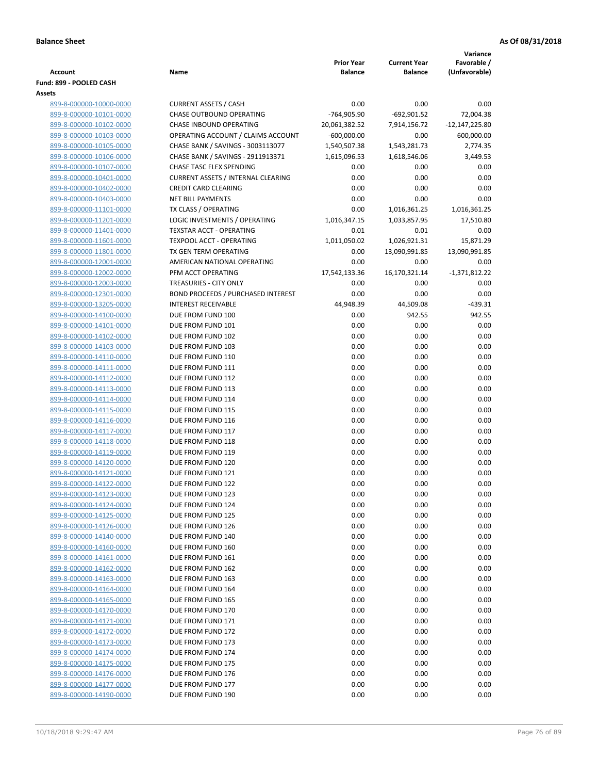|                                                    |                                                             |                                     |                                       | Variance                     |
|----------------------------------------------------|-------------------------------------------------------------|-------------------------------------|---------------------------------------|------------------------------|
| <b>Account</b>                                     | Name                                                        | <b>Prior Year</b><br><b>Balance</b> | <b>Current Year</b><br><b>Balance</b> | Favorable /<br>(Unfavorable) |
| Fund: 899 - POOLED CASH                            |                                                             |                                     |                                       |                              |
| Assets                                             |                                                             |                                     |                                       |                              |
| 899-8-000000-10000-0000                            | <b>CURRENT ASSETS / CASH</b>                                | 0.00                                | 0.00                                  | 0.00                         |
| 899-8-000000-10101-0000                            | CHASE OUTBOUND OPERATING                                    | -764,905.90                         | $-692,901.52$                         | 72,004.38                    |
| 899-8-000000-10102-0000                            | <b>CHASE INBOUND OPERATING</b>                              | 20,061,382.52                       | 7,914,156.72                          | $-12,147,225.80$             |
| 899-8-000000-10103-0000                            | OPERATING ACCOUNT / CLAIMS ACCOUNT                          | $-600,000.00$                       | 0.00                                  | 600,000.00                   |
| 899-8-000000-10105-0000                            | CHASE BANK / SAVINGS - 3003113077                           | 1,540,507.38                        | 1,543,281.73                          | 2,774.35                     |
| 899-8-000000-10106-0000                            | CHASE BANK / SAVINGS - 2911913371                           | 1,615,096.53                        | 1,618,546.06                          | 3,449.53                     |
| 899-8-000000-10107-0000                            | CHASE TASC FLEX SPENDING                                    | 0.00                                | 0.00                                  | 0.00                         |
| 899-8-000000-10401-0000                            | <b>CURRENT ASSETS / INTERNAL CLEARING</b>                   | 0.00                                | 0.00                                  | 0.00                         |
| 899-8-000000-10402-0000                            | <b>CREDIT CARD CLEARING</b>                                 | 0.00                                | 0.00                                  | 0.00                         |
| 899-8-000000-10403-0000                            | <b>NET BILL PAYMENTS</b>                                    | 0.00                                | 0.00                                  | 0.00                         |
| 899-8-000000-11101-0000                            | TX CLASS / OPERATING                                        | 0.00                                | 1,016,361.25                          | 1,016,361.25                 |
| 899-8-000000-11201-0000                            | LOGIC INVESTMENTS / OPERATING                               | 1,016,347.15                        | 1,033,857.95                          | 17,510.80                    |
| 899-8-000000-11401-0000<br>899-8-000000-11601-0000 | <b>TEXSTAR ACCT - OPERATING</b><br>TEXPOOL ACCT - OPERATING | 0.01<br>1,011,050.02                | 0.01<br>1,026,921.31                  | 0.00<br>15,871.29            |
| 899-8-000000-11801-0000                            | TX GEN TERM OPERATING                                       | 0.00                                | 13,090,991.85                         | 13,090,991.85                |
| 899-8-000000-12001-0000                            | AMERICAN NATIONAL OPERATING                                 | 0.00                                | 0.00                                  | 0.00                         |
| 899-8-000000-12002-0000                            | PFM ACCT OPERATING                                          | 17,542,133.36                       | 16,170,321.14                         | $-1,371,812.22$              |
| 899-8-000000-12003-0000                            | TREASURIES - CITY ONLY                                      | 0.00                                | 0.00                                  | 0.00                         |
| 899-8-000000-12301-0000                            | <b>BOND PROCEEDS / PURCHASED INTEREST</b>                   | 0.00                                | 0.00                                  | 0.00                         |
| 899-8-000000-13205-0000                            | <b>INTEREST RECEIVABLE</b>                                  | 44,948.39                           | 44,509.08                             | $-439.31$                    |
| 899-8-000000-14100-0000                            | DUE FROM FUND 100                                           | 0.00                                | 942.55                                | 942.55                       |
| 899-8-000000-14101-0000                            | DUE FROM FUND 101                                           | 0.00                                | 0.00                                  | 0.00                         |
| 899-8-000000-14102-0000                            | DUE FROM FUND 102                                           | 0.00                                | 0.00                                  | 0.00                         |
| 899-8-000000-14103-0000                            | DUE FROM FUND 103                                           | 0.00                                | 0.00                                  | 0.00                         |
| 899-8-000000-14110-0000                            | DUE FROM FUND 110                                           | 0.00                                | 0.00                                  | 0.00                         |
| 899-8-000000-14111-0000                            | DUE FROM FUND 111                                           | 0.00                                | 0.00                                  | 0.00                         |
| 899-8-000000-14112-0000                            | DUE FROM FUND 112                                           | 0.00                                | 0.00                                  | 0.00                         |
| 899-8-000000-14113-0000                            | DUE FROM FUND 113                                           | 0.00                                | 0.00                                  | 0.00                         |
| 899-8-000000-14114-0000                            | DUE FROM FUND 114                                           | 0.00                                | 0.00                                  | 0.00                         |
| 899-8-000000-14115-0000                            | DUE FROM FUND 115                                           | 0.00                                | 0.00                                  | 0.00                         |
| 899-8-000000-14116-0000<br>899-8-000000-14117-0000 | DUE FROM FUND 116<br>DUE FROM FUND 117                      | 0.00<br>0.00                        | 0.00<br>0.00                          | 0.00<br>0.00                 |
| 899-8-000000-14118-0000                            | DUE FROM FUND 118                                           | 0.00                                | 0.00                                  | 0.00                         |
| 899-8-000000-14119-0000                            | DUE FROM FUND 119                                           | 0.00                                | 0.00                                  | 0.00                         |
| 899-8-000000-14120-0000                            | DUE FROM FUND 120                                           | 0.00                                | 0.00                                  | 0.00                         |
| 899-8-000000-14121-0000                            | DUE FROM FUND 121                                           | 0.00                                | 0.00                                  | 0.00                         |
| 899-8-000000-14122-0000                            | DUE FROM FUND 122                                           | 0.00                                | 0.00                                  | 0.00                         |
| 899-8-000000-14123-0000                            | DUE FROM FUND 123                                           | 0.00                                | 0.00                                  | 0.00                         |
| 899-8-000000-14124-0000                            | DUE FROM FUND 124                                           | 0.00                                | 0.00                                  | 0.00                         |
| 899-8-000000-14125-0000                            | DUE FROM FUND 125                                           | 0.00                                | 0.00                                  | 0.00                         |
| 899-8-000000-14126-0000                            | DUE FROM FUND 126                                           | 0.00                                | 0.00                                  | 0.00                         |
| 899-8-000000-14140-0000                            | DUE FROM FUND 140                                           | 0.00                                | 0.00                                  | 0.00                         |
| 899-8-000000-14160-0000                            | DUE FROM FUND 160                                           | 0.00                                | 0.00                                  | 0.00                         |
| 899-8-000000-14161-0000                            | DUE FROM FUND 161                                           | 0.00                                | 0.00                                  | 0.00                         |
| 899-8-000000-14162-0000                            | DUE FROM FUND 162                                           | 0.00                                | 0.00                                  | 0.00                         |
| 899-8-000000-14163-0000                            | DUE FROM FUND 163                                           | 0.00                                | 0.00                                  | 0.00                         |
| 899-8-000000-14164-0000                            | DUE FROM FUND 164                                           | 0.00                                | 0.00                                  | 0.00                         |
| 899-8-000000-14165-0000                            | DUE FROM FUND 165                                           | 0.00                                | 0.00                                  | 0.00                         |
| 899-8-000000-14170-0000<br>899-8-000000-14171-0000 | DUE FROM FUND 170<br>DUE FROM FUND 171                      | 0.00<br>0.00                        | 0.00<br>0.00                          | 0.00<br>0.00                 |
| 899-8-000000-14172-0000                            | DUE FROM FUND 172                                           | 0.00                                | 0.00                                  | 0.00                         |
| 899-8-000000-14173-0000                            | DUE FROM FUND 173                                           | 0.00                                | 0.00                                  | 0.00                         |
| 899-8-000000-14174-0000                            | DUE FROM FUND 174                                           | 0.00                                | 0.00                                  | 0.00                         |
| 899-8-000000-14175-0000                            | DUE FROM FUND 175                                           | 0.00                                | 0.00                                  | 0.00                         |
| 899-8-000000-14176-0000                            | DUE FROM FUND 176                                           | 0.00                                | 0.00                                  | 0.00                         |
| 899-8-000000-14177-0000                            | DUE FROM FUND 177                                           | 0.00                                | 0.00                                  | 0.00                         |
| 899-8-000000-14190-0000                            | DUE FROM FUND 190                                           | 0.00                                | 0.00                                  | 0.00                         |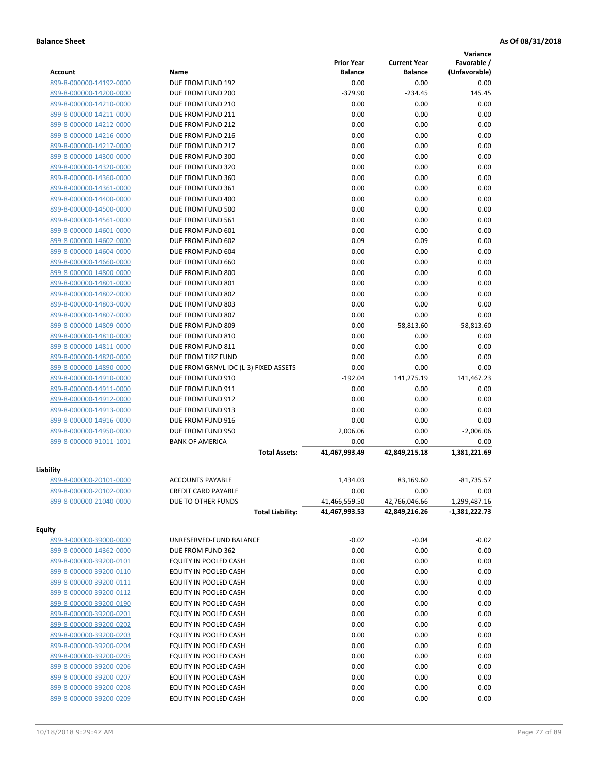|                                                    |                                        |                   |                     | Variance        |
|----------------------------------------------------|----------------------------------------|-------------------|---------------------|-----------------|
|                                                    |                                        | <b>Prior Year</b> | <b>Current Year</b> | Favorable /     |
| <b>Account</b>                                     | Name                                   | <b>Balance</b>    | <b>Balance</b>      | (Unfavorable)   |
| 899-8-000000-14192-0000<br>899-8-000000-14200-0000 | DUE FROM FUND 192<br>DUE FROM FUND 200 | 0.00<br>$-379.90$ | 0.00<br>$-234.45$   | 0.00<br>145.45  |
| 899-8-000000-14210-0000                            | DUE FROM FUND 210                      | 0.00              | 0.00                | 0.00            |
| 899-8-000000-14211-0000                            | DUE FROM FUND 211                      | 0.00              | 0.00                | 0.00            |
| 899-8-000000-14212-0000                            | DUE FROM FUND 212                      | 0.00              | 0.00                | 0.00            |
| 899-8-000000-14216-0000                            | DUE FROM FUND 216                      | 0.00              | 0.00                | 0.00            |
| 899-8-000000-14217-0000                            | DUE FROM FUND 217                      | 0.00              | 0.00                | 0.00            |
| 899-8-000000-14300-0000                            | DUE FROM FUND 300                      | 0.00              | 0.00                | 0.00            |
| 899-8-000000-14320-0000                            | DUE FROM FUND 320                      | 0.00              | 0.00                | 0.00            |
| 899-8-000000-14360-0000                            | DUE FROM FUND 360                      | 0.00              | 0.00                | 0.00            |
| 899-8-000000-14361-0000                            | DUE FROM FUND 361                      | 0.00              | 0.00                | 0.00            |
| 899-8-000000-14400-0000                            | DUE FROM FUND 400                      | 0.00              | 0.00                | 0.00            |
| 899-8-000000-14500-0000                            | DUE FROM FUND 500                      | 0.00              | 0.00                | 0.00            |
| 899-8-000000-14561-0000                            | DUE FROM FUND 561                      | 0.00              | 0.00                | 0.00            |
| 899-8-000000-14601-0000                            | DUE FROM FUND 601                      | 0.00              | 0.00                | 0.00            |
| 899-8-000000-14602-0000                            | DUE FROM FUND 602                      | $-0.09$           | $-0.09$             | 0.00            |
| 899-8-000000-14604-0000                            | DUE FROM FUND 604                      | 0.00              | 0.00                | 0.00            |
| 899-8-000000-14660-0000                            | DUE FROM FUND 660                      | 0.00              | 0.00                | 0.00            |
| 899-8-000000-14800-0000                            | DUE FROM FUND 800                      | 0.00              | 0.00                | 0.00            |
| 899-8-000000-14801-0000                            | DUE FROM FUND 801                      | 0.00              | 0.00                | 0.00            |
| 899-8-000000-14802-0000                            | DUE FROM FUND 802                      | 0.00              | 0.00                | 0.00            |
| 899-8-000000-14803-0000                            | DUE FROM FUND 803                      | 0.00              | 0.00                | 0.00            |
| 899-8-000000-14807-0000                            | DUE FROM FUND 807                      | 0.00              | 0.00                | 0.00            |
| 899-8-000000-14809-0000                            | DUE FROM FUND 809                      | 0.00              | $-58,813.60$        | $-58,813.60$    |
| 899-8-000000-14810-0000                            | DUE FROM FUND 810                      | 0.00              | 0.00                | 0.00            |
| 899-8-000000-14811-0000                            | DUE FROM FUND 811                      | 0.00              | 0.00                | 0.00            |
| 899-8-000000-14820-0000                            | DUE FROM TIRZ FUND                     | 0.00              | 0.00                | 0.00            |
| 899-8-000000-14890-0000                            | DUE FROM GRNVL IDC (L-3) FIXED ASSETS  | 0.00              | 0.00                | 0.00            |
| 899-8-000000-14910-0000                            | DUE FROM FUND 910                      | $-192.04$         | 141,275.19          | 141,467.23      |
| 899-8-000000-14911-0000                            | DUE FROM FUND 911                      | 0.00              | 0.00                | 0.00            |
| 899-8-000000-14912-0000                            | DUE FROM FUND 912                      | 0.00              | 0.00                | 0.00            |
| 899-8-000000-14913-0000                            | DUE FROM FUND 913                      | 0.00              | 0.00                | 0.00            |
| 899-8-000000-14916-0000                            | DUE FROM FUND 916                      | 0.00              | 0.00                | 0.00            |
| 899-8-000000-14950-0000                            | DUE FROM FUND 950                      | 2,006.06          | 0.00                | $-2,006.06$     |
| 899-8-000000-91011-1001                            | <b>BANK OF AMERICA</b>                 | 0.00              | 0.00                | 0.00            |
|                                                    | <b>Total Assets:</b>                   | 41,467,993.49     | 42.849.215.18       | 1,381,221.69    |
| Liability                                          |                                        |                   |                     |                 |
| 899-8-000000-20101-0000                            | <b>ACCOUNTS PAYABLE</b>                | 1,434.03          | 83,169.60           | $-81,735.57$    |
| 899-8-000000-20102-0000                            | <b>CREDIT CARD PAYABLE</b>             | 0.00              | 0.00                | 0.00            |
| 899-8-000000-21040-0000                            | DUE TO OTHER FUNDS                     | 41,466,559.50     | 42,766,046.66       | $-1,299,487.16$ |
|                                                    | <b>Total Liability:</b>                | 41,467,993.53     | 42,849,216.26       | -1,381,222.73   |
| <b>Equity</b>                                      |                                        |                   |                     |                 |
| 899-3-000000-39000-0000                            | UNRESERVED-FUND BALANCE                | $-0.02$           | $-0.04$             | $-0.02$         |
| 899-8-000000-14362-0000                            | DUE FROM FUND 362                      | 0.00              | 0.00                | 0.00            |
| 899-8-000000-39200-0101                            | EQUITY IN POOLED CASH                  | 0.00              | 0.00                | 0.00            |
| 899-8-000000-39200-0110                            | EQUITY IN POOLED CASH                  | 0.00              | 0.00                | 0.00            |
| 899-8-000000-39200-0111                            | EQUITY IN POOLED CASH                  | 0.00              | 0.00                | 0.00            |
| 899-8-000000-39200-0112                            | EQUITY IN POOLED CASH                  | 0.00              | 0.00                | 0.00            |
| 899-8-000000-39200-0190                            | EQUITY IN POOLED CASH                  | 0.00              | 0.00                | 0.00            |
| 899-8-000000-39200-0201                            | EQUITY IN POOLED CASH                  | 0.00              | 0.00                | 0.00            |
| 899-8-000000-39200-0202                            | EQUITY IN POOLED CASH                  | 0.00              | 0.00                | 0.00            |
| 899-8-000000-39200-0203                            | EQUITY IN POOLED CASH                  | 0.00              | 0.00                | 0.00            |
| 899-8-000000-39200-0204                            | EQUITY IN POOLED CASH                  | 0.00              | 0.00                | 0.00            |
| 899-8-000000-39200-0205                            | EQUITY IN POOLED CASH                  | 0.00              | 0.00                | 0.00            |
| 899-8-000000-39200-0206                            | EQUITY IN POOLED CASH                  | 0.00              | 0.00                | 0.00            |
| 899-8-000000-39200-0207                            | EQUITY IN POOLED CASH                  | 0.00              | 0.00                | 0.00            |
| 899-8-000000-39200-0208                            | EQUITY IN POOLED CASH                  | 0.00              | 0.00                | 0.00            |
| 899-8-000000-39200-0209                            | EQUITY IN POOLED CASH                  | 0.00              | 0.00                | 0.00            |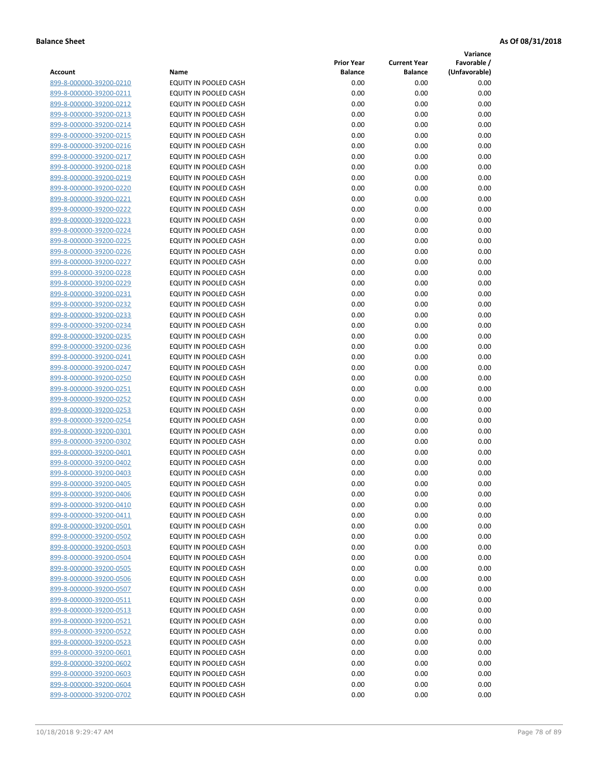**Variance**

| Account                                            | Name                                           | <b>Prior Year</b><br><b>Balance</b> | <b>Current Year</b><br><b>Balance</b> | Favorable /<br>(Unfavorable) |
|----------------------------------------------------|------------------------------------------------|-------------------------------------|---------------------------------------|------------------------------|
| 899-8-000000-39200-0210                            | EQUITY IN POOLED CASH                          | 0.00                                | 0.00                                  | 0.00                         |
| 899-8-000000-39200-0211                            | EQUITY IN POOLED CASH                          | 0.00                                | 0.00                                  | 0.00                         |
| 899-8-000000-39200-0212                            | EQUITY IN POOLED CASH                          | 0.00                                | 0.00                                  | 0.00                         |
| 899-8-000000-39200-0213                            | EQUITY IN POOLED CASH                          | 0.00                                | 0.00                                  | 0.00                         |
| 899-8-000000-39200-0214                            | <b>EQUITY IN POOLED CASH</b>                   | 0.00                                | 0.00                                  | 0.00                         |
| 899-8-000000-39200-0215                            | EQUITY IN POOLED CASH                          | 0.00                                | 0.00                                  | 0.00                         |
| 899-8-000000-39200-0216                            | EQUITY IN POOLED CASH                          | 0.00                                | 0.00                                  | 0.00                         |
| 899-8-000000-39200-0217                            | EQUITY IN POOLED CASH                          | 0.00                                | 0.00                                  | 0.00                         |
| 899-8-000000-39200-0218                            | EQUITY IN POOLED CASH                          | 0.00                                | 0.00                                  | 0.00                         |
| 899-8-000000-39200-0219                            | EQUITY IN POOLED CASH                          | 0.00                                | 0.00                                  | 0.00                         |
| 899-8-000000-39200-0220                            | EQUITY IN POOLED CASH                          | 0.00                                | 0.00                                  | 0.00                         |
| 899-8-000000-39200-0221                            | EQUITY IN POOLED CASH                          | 0.00                                | 0.00                                  | 0.00                         |
| 899-8-000000-39200-0222                            | EQUITY IN POOLED CASH                          | 0.00                                | 0.00                                  | 0.00                         |
| 899-8-000000-39200-0223                            | EQUITY IN POOLED CASH                          | 0.00                                | 0.00                                  | 0.00                         |
| 899-8-000000-39200-0224                            | EQUITY IN POOLED CASH                          | 0.00                                | 0.00                                  | 0.00                         |
| 899-8-000000-39200-0225                            | EQUITY IN POOLED CASH                          | 0.00                                | 0.00                                  | 0.00                         |
| 899-8-000000-39200-0226                            | EQUITY IN POOLED CASH                          | 0.00                                | 0.00                                  | 0.00                         |
| 899-8-000000-39200-0227                            | EQUITY IN POOLED CASH                          | 0.00                                | 0.00                                  | 0.00                         |
| 899-8-000000-39200-0228                            | EQUITY IN POOLED CASH                          | 0.00                                | 0.00                                  | 0.00                         |
| 899-8-000000-39200-0229                            | <b>EQUITY IN POOLED CASH</b>                   | 0.00                                | 0.00                                  | 0.00                         |
| 899-8-000000-39200-0231                            | <b>EQUITY IN POOLED CASH</b>                   | 0.00                                | 0.00                                  | 0.00                         |
| 899-8-000000-39200-0232                            | EQUITY IN POOLED CASH                          | 0.00                                | 0.00                                  | 0.00                         |
| 899-8-000000-39200-0233                            | <b>EQUITY IN POOLED CASH</b>                   | 0.00                                | 0.00                                  | 0.00                         |
| 899-8-000000-39200-0234                            | EQUITY IN POOLED CASH                          | 0.00                                | 0.00                                  | 0.00                         |
| 899-8-000000-39200-0235                            | EQUITY IN POOLED CASH                          | 0.00                                | 0.00                                  | 0.00                         |
| 899-8-000000-39200-0236                            | EQUITY IN POOLED CASH                          | 0.00                                | 0.00                                  | 0.00                         |
| 899-8-000000-39200-0241                            | EQUITY IN POOLED CASH                          | 0.00                                | 0.00                                  | 0.00                         |
| 899-8-000000-39200-0247                            | EQUITY IN POOLED CASH                          | 0.00                                | 0.00                                  | 0.00                         |
| 899-8-000000-39200-0250                            | EQUITY IN POOLED CASH                          | 0.00                                | 0.00                                  | 0.00                         |
| 899-8-000000-39200-0251                            | EQUITY IN POOLED CASH                          | 0.00                                | 0.00                                  | 0.00                         |
| 899-8-000000-39200-0252                            | EQUITY IN POOLED CASH                          | 0.00                                | 0.00                                  | 0.00                         |
| 899-8-000000-39200-0253                            | EQUITY IN POOLED CASH                          | 0.00                                | 0.00                                  | 0.00                         |
| 899-8-000000-39200-0254                            | EQUITY IN POOLED CASH                          | 0.00                                | 0.00                                  | 0.00                         |
| 899-8-000000-39200-0301<br>899-8-000000-39200-0302 | EQUITY IN POOLED CASH                          | 0.00<br>0.00                        | 0.00                                  | 0.00                         |
| 899-8-000000-39200-0401                            | EQUITY IN POOLED CASH<br>EQUITY IN POOLED CASH | 0.00                                | 0.00<br>0.00                          | 0.00<br>0.00                 |
| 899-8-000000-39200-0402                            | EQUITY IN POOLED CASH                          | 0.00                                | 0.00                                  | 0.00                         |
| 899-8-000000-39200-0403                            | EQUITY IN POOLED CASH                          | 0.00                                | 0.00                                  | 0.00                         |
| 899-8-000000-39200-0405                            | <b>EQUITY IN POOLED CASH</b>                   | 0.00                                | 0.00                                  | 0.00                         |
| 899-8-000000-39200-0406                            | EQUITY IN POOLED CASH                          | 0.00                                | 0.00                                  | 0.00                         |
| 899-8-000000-39200-0410                            | <b>EQUITY IN POOLED CASH</b>                   | 0.00                                | 0.00                                  | 0.00                         |
| 899-8-000000-39200-0411                            | EQUITY IN POOLED CASH                          | 0.00                                | 0.00                                  | 0.00                         |
| 899-8-000000-39200-0501                            | EQUITY IN POOLED CASH                          | 0.00                                | 0.00                                  | 0.00                         |
| 899-8-000000-39200-0502                            | EQUITY IN POOLED CASH                          | 0.00                                | 0.00                                  | 0.00                         |
| 899-8-000000-39200-0503                            | EQUITY IN POOLED CASH                          | 0.00                                | 0.00                                  | 0.00                         |
| 899-8-000000-39200-0504                            | <b>EQUITY IN POOLED CASH</b>                   | 0.00                                | 0.00                                  | 0.00                         |
| 899-8-000000-39200-0505                            | EQUITY IN POOLED CASH                          | 0.00                                | 0.00                                  | 0.00                         |
| 899-8-000000-39200-0506                            | EQUITY IN POOLED CASH                          | 0.00                                | 0.00                                  | 0.00                         |
| 899-8-000000-39200-0507                            | EQUITY IN POOLED CASH                          | 0.00                                | 0.00                                  | 0.00                         |
| 899-8-000000-39200-0511                            | <b>EQUITY IN POOLED CASH</b>                   | 0.00                                | 0.00                                  | 0.00                         |
| 899-8-000000-39200-0513                            | EQUITY IN POOLED CASH                          | 0.00                                | 0.00                                  | 0.00                         |
| 899-8-000000-39200-0521                            | EQUITY IN POOLED CASH                          | 0.00                                | 0.00                                  | 0.00                         |
| 899-8-000000-39200-0522                            | EQUITY IN POOLED CASH                          | 0.00                                | 0.00                                  | 0.00                         |
| 899-8-000000-39200-0523                            | EQUITY IN POOLED CASH                          | 0.00                                | 0.00                                  | 0.00                         |
| 899-8-000000-39200-0601                            | EQUITY IN POOLED CASH                          | 0.00                                | 0.00                                  | 0.00                         |
| 899-8-000000-39200-0602                            | EQUITY IN POOLED CASH                          | 0.00                                | 0.00                                  | 0.00                         |
| 899-8-000000-39200-0603                            | EQUITY IN POOLED CASH                          | 0.00                                | 0.00                                  | 0.00                         |
| 899-8-000000-39200-0604                            | EQUITY IN POOLED CASH                          | 0.00                                | 0.00                                  | 0.00                         |
| 899-8-000000-39200-0702                            | EQUITY IN POOLED CASH                          | 0.00                                | 0.00                                  | 0.00                         |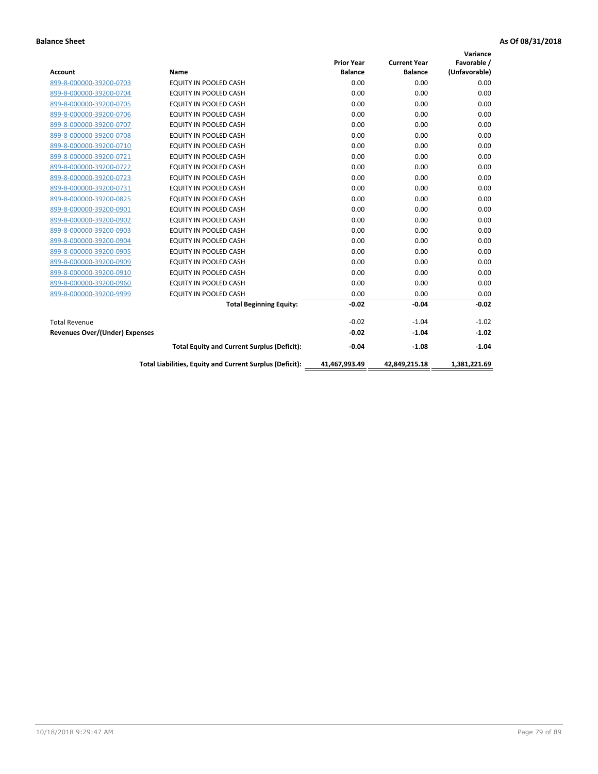|                                       |                                                          |                   |                     | Variance      |
|---------------------------------------|----------------------------------------------------------|-------------------|---------------------|---------------|
|                                       |                                                          | <b>Prior Year</b> | <b>Current Year</b> | Favorable /   |
| <b>Account</b>                        | <b>Name</b>                                              | <b>Balance</b>    | <b>Balance</b>      | (Unfavorable) |
| 899-8-000000-39200-0703               | EQUITY IN POOLED CASH                                    | 0.00              | 0.00                | 0.00          |
| 899-8-000000-39200-0704               | EQUITY IN POOLED CASH                                    | 0.00              | 0.00                | 0.00          |
| 899-8-000000-39200-0705               | <b>EQUITY IN POOLED CASH</b>                             | 0.00              | 0.00                | 0.00          |
| 899-8-000000-39200-0706               | <b>EQUITY IN POOLED CASH</b>                             | 0.00              | 0.00                | 0.00          |
| 899-8-000000-39200-0707               | <b>EQUITY IN POOLED CASH</b>                             | 0.00              | 0.00                | 0.00          |
| 899-8-000000-39200-0708               | <b>EQUITY IN POOLED CASH</b>                             | 0.00              | 0.00                | 0.00          |
| 899-8-000000-39200-0710               | <b>EQUITY IN POOLED CASH</b>                             | 0.00              | 0.00                | 0.00          |
| 899-8-000000-39200-0721               | <b>EQUITY IN POOLED CASH</b>                             | 0.00              | 0.00                | 0.00          |
| 899-8-000000-39200-0722               | <b>EQUITY IN POOLED CASH</b>                             | 0.00              | 0.00                | 0.00          |
| 899-8-000000-39200-0723               | <b>EQUITY IN POOLED CASH</b>                             | 0.00              | 0.00                | 0.00          |
| 899-8-000000-39200-0731               | <b>EQUITY IN POOLED CASH</b>                             | 0.00              | 0.00                | 0.00          |
| 899-8-000000-39200-0825               | EQUITY IN POOLED CASH                                    | 0.00              | 0.00                | 0.00          |
| 899-8-000000-39200-0901               | <b>EQUITY IN POOLED CASH</b>                             | 0.00              | 0.00                | 0.00          |
| 899-8-000000-39200-0902               | <b>EQUITY IN POOLED CASH</b>                             | 0.00              | 0.00                | 0.00          |
| 899-8-000000-39200-0903               | <b>EQUITY IN POOLED CASH</b>                             | 0.00              | 0.00                | 0.00          |
| 899-8-000000-39200-0904               | <b>EQUITY IN POOLED CASH</b>                             | 0.00              | 0.00                | 0.00          |
| 899-8-000000-39200-0905               | EQUITY IN POOLED CASH                                    | 0.00              | 0.00                | 0.00          |
| 899-8-000000-39200-0909               | EQUITY IN POOLED CASH                                    | 0.00              | 0.00                | 0.00          |
| 899-8-000000-39200-0910               | <b>EQUITY IN POOLED CASH</b>                             | 0.00              | 0.00                | 0.00          |
| 899-8-000000-39200-0960               | <b>EQUITY IN POOLED CASH</b>                             | 0.00              | 0.00                | 0.00          |
| 899-8-000000-39200-9999               | EQUITY IN POOLED CASH                                    | 0.00              | 0.00                | 0.00          |
|                                       | <b>Total Beginning Equity:</b>                           | $-0.02$           | $-0.04$             | $-0.02$       |
| <b>Total Revenue</b>                  |                                                          | $-0.02$           | $-1.04$             | $-1.02$       |
| <b>Revenues Over/(Under) Expenses</b> |                                                          | $-0.02$           | $-1.04$             | $-1.02$       |
|                                       | <b>Total Equity and Current Surplus (Deficit):</b>       | $-0.04$           | $-1.08$             | $-1.04$       |
|                                       | Total Liabilities, Equity and Current Surplus (Deficit): | 41,467,993.49     | 42,849,215.18       | 1,381,221.69  |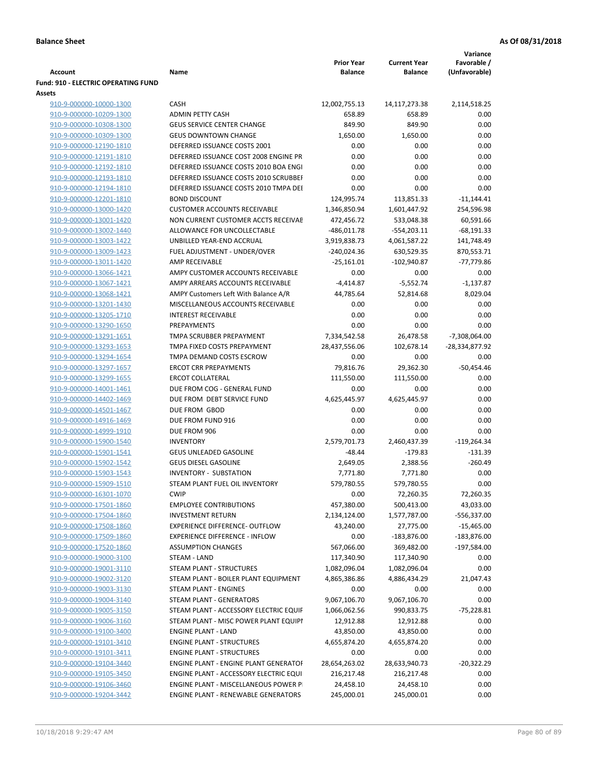| <b>Account</b>                                     | Name                                                                           | <b>Prior Year</b><br><b>Balance</b> | <b>Current Year</b><br><b>Balance</b> | Variance<br>Favorable /<br>(Unfavorable) |
|----------------------------------------------------|--------------------------------------------------------------------------------|-------------------------------------|---------------------------------------|------------------------------------------|
| <b>Fund: 910 - ELECTRIC OPERATING FUND</b>         |                                                                                |                                     |                                       |                                          |
| Assets                                             |                                                                                |                                     |                                       |                                          |
| 910-9-000000-10000-1300                            | <b>CASH</b>                                                                    | 12,002,755.13                       | 14,117,273.38                         | 2,114,518.25                             |
| 910-9-000000-10209-1300                            | <b>ADMIN PETTY CASH</b>                                                        | 658.89                              | 658.89                                | 0.00                                     |
| 910-9-000000-10308-1300                            | <b>GEUS SERVICE CENTER CHANGE</b>                                              | 849.90                              | 849.90                                | 0.00                                     |
| 910-9-000000-10309-1300                            | <b>GEUS DOWNTOWN CHANGE</b>                                                    | 1,650.00                            | 1,650.00                              | 0.00                                     |
| 910-9-000000-12190-1810                            | DEFERRED ISSUANCE COSTS 2001                                                   | 0.00                                | 0.00                                  | 0.00                                     |
| 910-9-000000-12191-1810                            | DEFERRED ISSUANCE COST 2008 ENGINE PR                                          | 0.00                                | 0.00                                  | 0.00                                     |
| 910-9-000000-12192-1810                            | DEFERRED ISSUANCE COSTS 2010 BOA ENGI<br>DEFERRED ISSUANCE COSTS 2010 SCRUBBEI | 0.00                                | 0.00                                  | 0.00                                     |
| 910-9-000000-12193-1810                            | DEFERRED ISSUANCE COSTS 2010 TMPA DEI                                          | 0.00                                | 0.00                                  | 0.00                                     |
| 910-9-000000-12194-1810<br>910-9-000000-12201-1810 | <b>BOND DISCOUNT</b>                                                           | 0.00                                | 0.00                                  | 0.00                                     |
| 910-9-000000-13000-1420                            | <b>CUSTOMER ACCOUNTS RECEIVABLE</b>                                            | 124,995.74<br>1,346,850.94          | 113,851.33<br>1,601,447.92            | $-11,144.41$<br>254,596.98               |
| 910-9-000000-13001-1420                            | NON CURRENT CUSTOMER ACCTS RECEIVAE                                            | 472,456.72                          | 533,048.38                            | 60,591.66                                |
| 910-9-000000-13002-1440                            | ALLOWANCE FOR UNCOLLECTABLE                                                    | $-486,011.78$                       | $-554,203.11$                         | -68,191.33                               |
| 910-9-000000-13003-1422                            | UNBILLED YEAR-END ACCRUAL                                                      | 3,919,838.73                        | 4,061,587.22                          | 141,748.49                               |
| 910-9-000000-13009-1423                            | FUEL ADJUSTMENT - UNDER/OVER                                                   | -240,024.36                         | 630,529.35                            | 870,553.71                               |
| 910-9-000000-13011-1420                            | <b>AMP RECEIVABLE</b>                                                          | $-25,161.01$                        | $-102,940.87$                         | -77,779.86                               |
| 910-9-000000-13066-1421                            | AMPY CUSTOMER ACCOUNTS RECEIVABLE                                              | 0.00                                | 0.00                                  | 0.00                                     |
| 910-9-000000-13067-1421                            | AMPY ARREARS ACCOUNTS RECEIVABLE                                               | $-4,414.87$                         | $-5,552.74$                           | $-1,137.87$                              |
| 910-9-000000-13068-1421                            | AMPY Customers Left With Balance A/R                                           | 44,785.64                           | 52,814.68                             | 8,029.04                                 |
| 910-9-000000-13201-1430                            | MISCELLANEOUS ACCOUNTS RECEIVABLE                                              | 0.00                                | 0.00                                  | 0.00                                     |
| 910-9-000000-13205-1710                            | <b>INTEREST RECEIVABLE</b>                                                     | 0.00                                | 0.00                                  | 0.00                                     |
| 910-9-000000-13290-1650                            | PREPAYMENTS                                                                    | 0.00                                | 0.00                                  | 0.00                                     |
| 910-9-000000-13291-1651                            | TMPA SCRUBBER PREPAYMENT                                                       | 7,334,542.58                        | 26,478.58                             | -7,308,064.00                            |
| 910-9-000000-13293-1653                            | TMPA FIXED COSTS PREPAYMENT                                                    | 28,437,556.06                       | 102,678.14                            | -28,334,877.92                           |
| 910-9-000000-13294-1654                            | TMPA DEMAND COSTS ESCROW                                                       | 0.00                                | 0.00                                  | 0.00                                     |
| 910-9-000000-13297-1657                            | <b>ERCOT CRR PREPAYMENTS</b>                                                   | 79,816.76                           | 29,362.30                             | $-50,454.46$                             |
| 910-9-000000-13299-1655                            | <b>ERCOT COLLATERAL</b>                                                        | 111,550.00                          | 111,550.00                            | 0.00                                     |
| 910-9-000000-14001-1461                            | DUE FROM COG - GENERAL FUND                                                    | 0.00                                | 0.00                                  | 0.00                                     |
| 910-9-000000-14402-1469                            | DUE FROM DEBT SERVICE FUND                                                     | 4,625,445.97                        | 4,625,445.97                          | 0.00                                     |
| 910-9-000000-14501-1467                            | DUE FROM GBOD                                                                  | 0.00                                | 0.00                                  | 0.00                                     |
| 910-9-000000-14916-1469                            | DUE FROM FUND 916                                                              | 0.00                                | 0.00                                  | 0.00                                     |
| 910-9-000000-14999-1910                            | DUE FROM 906                                                                   | 0.00                                | 0.00                                  | 0.00                                     |
| 910-9-000000-15900-1540                            | <b>INVENTORY</b>                                                               | 2,579,701.73                        | 2,460,437.39                          | $-119,264.34$                            |
| 910-9-000000-15901-1541                            | <b>GEUS UNLEADED GASOLINE</b>                                                  | $-48.44$                            | $-179.83$                             | $-131.39$                                |
| 910-9-000000-15902-1542                            | <b>GEUS DIESEL GASOLINE</b>                                                    | 2,649.05                            | 2,388.56                              | $-260.49$                                |
| 910-9-000000-15903-1543                            | <b>INVENTORY - SUBSTATION</b>                                                  | 7,771.80                            | 7,771.80                              | 0.00                                     |
| 910-9-000000-15909-1510                            | STEAM PLANT FUEL OIL INVENTORY                                                 | 579,780.55                          | 579,780.55                            | 0.00                                     |
| 910-9-000000-16301-1070                            | <b>CWIP</b>                                                                    | 0.00                                | 72,260.35                             | 72,260.35                                |
| 910-9-000000-17501-1860                            | <b>EMPLOYEE CONTRIBUTIONS</b>                                                  | 457,380.00                          | 500,413.00                            | 43,033.00                                |
| 910-9-000000-17504-1860                            | <b>INVESTMENT RETURN</b>                                                       | 2,134,124.00                        | 1,577,787.00                          | -556,337.00                              |
| 910-9-000000-17508-1860                            | EXPERIENCE DIFFERENCE- OUTFLOW                                                 | 43,240.00                           | 27,775.00                             | $-15,465.00$                             |
| 910-9-000000-17509-1860                            | <b>EXPERIENCE DIFFERENCE - INFLOW</b>                                          | 0.00                                | $-183,876.00$                         | $-183,876.00$                            |
| 910-9-000000-17520-1860                            | <b>ASSUMPTION CHANGES</b>                                                      | 567,066.00                          | 369,482.00                            | $-197,584.00$                            |
| 910-9-000000-19000-3100                            | STEAM - LAND                                                                   | 117,340.90                          | 117,340.90                            | 0.00                                     |
| 910-9-000000-19001-3110                            | STEAM PLANT - STRUCTURES                                                       | 1,082,096.04                        | 1,082,096.04                          | 0.00                                     |
| 910-9-000000-19002-3120                            | STEAM PLANT - BOILER PLANT EQUIPMENT                                           | 4,865,386.86                        | 4,886,434.29                          | 21,047.43                                |
| 910-9-000000-19003-3130                            | STEAM PLANT - ENGINES                                                          | 0.00                                | 0.00                                  | 0.00                                     |
| 910-9-000000-19004-3140                            | STEAM PLANT - GENERATORS<br>STEAM PLANT - ACCESSORY ELECTRIC EQUIF             | 9,067,106.70                        | 9,067,106.70                          | 0.00                                     |
| 910-9-000000-19005-3150<br>910-9-000000-19006-3160 | STEAM PLANT - MISC POWER PLANT EQUIPI                                          | 1,066,062.56<br>12,912.88           | 990,833.75                            | $-75,228.81$<br>0.00                     |
|                                                    | <b>ENGINE PLANT - LAND</b>                                                     |                                     | 12,912.88                             |                                          |
| 910-9-000000-19100-3400<br>910-9-000000-19101-3410 | <b>ENGINE PLANT - STRUCTURES</b>                                               | 43,850.00<br>4,655,874.20           | 43,850.00<br>4,655,874.20             | 0.00<br>0.00                             |
| 910-9-000000-19101-3411                            | <b>ENGINE PLANT - STRUCTURES</b>                                               | 0.00                                | 0.00                                  | 0.00                                     |
| 910-9-000000-19104-3440                            | ENGINE PLANT - ENGINE PLANT GENERATOF                                          | 28,654,263.02                       | 28,633,940.73                         | $-20,322.29$                             |
| 910-9-000000-19105-3450                            | ENGINE PLANT - ACCESSORY ELECTRIC EQUI                                         | 216,217.48                          | 216,217.48                            | 0.00                                     |
| 910-9-000000-19106-3460                            | ENGINE PLANT - MISCELLANEOUS POWER P                                           | 24,458.10                           | 24,458.10                             | 0.00                                     |
| 910-9-000000-19204-3442                            | ENGINE PLANT - RENEWABLE GENERATORS                                            | 245,000.01                          | 245,000.01                            | 0.00                                     |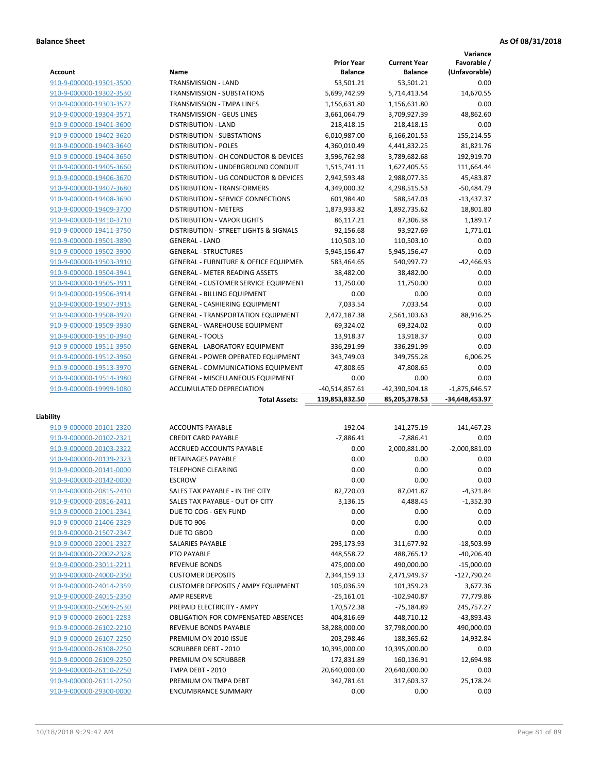**Variance**

|                                                    |                                                    | <b>Prior Year</b>  | <b>Current Year</b> | Favorable /                                                        |
|----------------------------------------------------|----------------------------------------------------|--------------------|---------------------|--------------------------------------------------------------------|
| Account                                            | Name                                               | <b>Balance</b>     | <b>Balance</b>      | (Unfavorable)                                                      |
| 910-9-000000-19301-3500                            | TRANSMISSION - LAND                                | 53,501.21          | 53,501.21           | 0.00                                                               |
| 910-9-000000-19302-3530                            | TRANSMISSION - SUBSTATIONS                         | 5,699,742.99       | 5,714,413.54        | 14,670.55                                                          |
| 910-9-000000-19303-3572                            | TRANSMISSION - TMPA LINES                          | 1,156,631.80       | 1,156,631.80        | 0.00                                                               |
| 910-9-000000-19304-3571                            | TRANSMISSION - GEUS LINES                          | 3,661,064.79       | 3,709,927.39        | 48,862.60                                                          |
| 910-9-000000-19401-3600                            | <b>DISTRIBUTION - LAND</b>                         | 218,418.15         | 218,418.15          | 0.00                                                               |
| 910-9-000000-19402-3620                            | DISTRIBUTION - SUBSTATIONS                         | 6,010,987.00       | 6,166,201.55        | 155,214.55                                                         |
| 910-9-000000-19403-3640                            | <b>DISTRIBUTION - POLES</b>                        | 4,360,010.49       | 4,441,832.25        | 81,821.76                                                          |
| 910-9-000000-19404-3650                            | DISTRIBUTION - OH CONDUCTOR & DEVICES              | 3,596,762.98       | 3,789,682.68        | 192,919.70                                                         |
| 910-9-000000-19405-3660                            | DISTRIBUTION - UNDERGROUND CONDUIT                 | 1,515,741.11       | 1,627,405.55        | 111,664.44                                                         |
| 910-9-000000-19406-3670                            | DISTRIBUTION - UG CONDUCTOR & DEVICES              | 2,942,593.48       | 2,988,077.35        | 45,483.87                                                          |
| 910-9-000000-19407-3680                            | <b>DISTRIBUTION - TRANSFORMERS</b>                 | 4,349,000.32       | 4,298,515.53        | $-50,484.79$                                                       |
| 910-9-000000-19408-3690                            | DISTRIBUTION - SERVICE CONNECTIONS                 | 601,984.40         | 588,547.03          | $-13,437.37$                                                       |
| 910-9-000000-19409-3700                            | <b>DISTRIBUTION - METERS</b>                       | 1,873,933.82       | 1,892,735.62        | 18,801.80                                                          |
| 910-9-000000-19410-3710                            | <b>DISTRIBUTION - VAPOR LIGHTS</b>                 | 86,117.21          | 87,306.38           | 1,189.17                                                           |
| 910-9-000000-19411-3750                            | DISTRIBUTION - STREET LIGHTS & SIGNALS             | 92,156.68          | 93,927.69           | 1,771.01                                                           |
| 910-9-000000-19501-3890                            | <b>GENERAL - LAND</b>                              | 110,503.10         | 110,503.10          | 0.00                                                               |
| 910-9-000000-19502-3900                            | <b>GENERAL - STRUCTURES</b>                        | 5,945,156.47       | 5,945,156.47        | 0.00                                                               |
| 910-9-000000-19503-3910                            | <b>GENERAL - FURNITURE &amp; OFFICE EQUIPMEN</b>   | 583,464.65         | 540,997.72          | $-42,466.93$                                                       |
| 910-9-000000-19504-3941                            | <b>GENERAL - METER READING ASSETS</b>              | 38,482.00          | 38,482.00           | 0.00                                                               |
| 910-9-000000-19505-3911                            | GENERAL - CUSTOMER SERVICE EQUIPMENT               | 11,750.00          | 11,750.00           | 0.00                                                               |
| 910-9-000000-19506-3914                            | <b>GENERAL - BILLING EQUIPMENT</b>                 | 0.00               | 0.00                | 0.00                                                               |
| 910-9-000000-19507-3915                            | GENERAL - CASHIERING EQUIPMENT                     | 7,033.54           | 7,033.54            | 0.00                                                               |
| 910-9-000000-19508-3920                            | <b>GENERAL - TRANSPORTATION EQUIPMENT</b>          | 2,472,187.38       | 2,561,103.63        | 88,916.25                                                          |
| 910-9-000000-19509-3930                            | <b>GENERAL - WAREHOUSE EQUIPMENT</b>               | 69,324.02          | 69,324.02           | 0.00                                                               |
| 910-9-000000-19510-3940                            | <b>GENERAL - TOOLS</b>                             | 13,918.37          | 13,918.37           | 0.00                                                               |
| 910-9-000000-19511-3950                            | <b>GENERAL - LABORATORY EQUIPMENT</b>              | 336,291.99         | 336,291.99          | 0.00                                                               |
| 910-9-000000-19512-3960                            | <b>GENERAL - POWER OPERATED EQUIPMENT</b>          | 343,749.03         | 349,755.28          | 6,006.25                                                           |
| 910-9-000000-19513-3970                            | <b>GENERAL - COMMUNICATIONS EQUIPMENT</b>          | 47,808.65          | 47,808.65           | 0.00                                                               |
| 910-9-000000-19514-3980                            | <b>GENERAL - MISCELLANEOUS EQUIPMENT</b>           | 0.00               | 0.00                | 0.00                                                               |
| 910-9-000000-19999-1080                            | ACCUMULATED DEPRECIATION                           | $-40,514,857.61$   | -42,390,504.18      | -1,875,646.57                                                      |
|                                                    | <b>Total Assets:</b>                               | 119,853,832.50     | 85,205,378.53       | -34,648,453.97                                                     |
|                                                    |                                                    |                    |                     |                                                                    |
| Liability                                          |                                                    |                    |                     |                                                                    |
| 910-9-000000-20101-2320                            | <b>ACCOUNTS PAYABLE</b>                            | $-192.04$          | 141,275.19          | $-141,467.23$                                                      |
|                                                    |                                                    |                    |                     |                                                                    |
| 910-9-000000-20102-2321                            | <b>CREDIT CARD PAYABLE</b>                         | $-7,886.41$        | $-7,886.41$         | 0.00                                                               |
| 910-9-000000-20103-2322                            | ACCRUED ACCOUNTS PAYABLE                           | 0.00               | 2,000,881.00        | $-2,000,881.00$                                                    |
| 910-9-000000-20139-2323                            | <b>RETAINAGES PAYABLE</b>                          | 0.00               | 0.00                | 0.00                                                               |
| 910-9-000000-20141-0000                            | <b>TELEPHONE CLEARING</b>                          | 0.00               | 0.00                | 0.00                                                               |
|                                                    | <b>ESCROW</b>                                      | 0.00               | 0.00                | 0.00                                                               |
| 910-9-000000-20142-0000<br>910-9-000000-20815-2410 | SALES TAX PAYABLE - IN THE CITY                    | 82,720.03          | 87,041.87           | $-4,321.84$                                                        |
|                                                    |                                                    |                    |                     |                                                                    |
| 910-9-000000-20816-2411                            | SALES TAX PAYABLE - OUT OF CITY                    | 3,136.15           | 4,488.45            |                                                                    |
| 910-9-000000-21001-2341                            | DUE TO COG - GEN FUND                              | 0.00               | 0.00                |                                                                    |
| 910-9-000000-21406-2329                            | <b>DUE TO 906</b>                                  | 0.00               | 0.00                |                                                                    |
| 910-9-000000-21507-2347                            | DUE TO GBOD                                        | 0.00               | 0.00                | 0.00                                                               |
| 910-9-000000-22001-2327                            | SALARIES PAYABLE                                   | 293,173.93         | 311,677.92          | $-18,503.99$                                                       |
| 910-9-000000-22002-2328                            | PTO PAYABLE                                        | 448,558.72         | 488,765.12          | $-40,206.40$                                                       |
| 910-9-000000-23011-2211                            | <b>REVENUE BONDS</b>                               | 475,000.00         | 490,000.00          | $-15,000.00$                                                       |
| 910-9-000000-24000-2350                            | <b>CUSTOMER DEPOSITS</b>                           | 2,344,159.13       | 2,471,949.37        | $-127,790.24$                                                      |
| 910-9-000000-24014-2359                            | <b>CUSTOMER DEPOSITS / AMPY EQUIPMENT</b>          | 105,036.59         | 101,359.23          |                                                                    |
| 910-9-000000-24015-2350                            | <b>AMP RESERVE</b>                                 | $-25,161.01$       | $-102,940.87$       | 77,779.86                                                          |
| 910-9-000000-25069-2530                            | PREPAID ELECTRICITY - AMPY                         | 170,572.38         | -75,184.89          | 245,757.27                                                         |
| 910-9-000000-26001-2283                            | <b>OBLIGATION FOR COMPENSATED ABSENCES</b>         | 404,816.69         | 448,710.12          | -43,893.43                                                         |
| 910-9-000000-26102-2210                            | REVENUE BONDS PAYABLE                              | 38,288,000.00      | 37,798,000.00       |                                                                    |
| 910-9-000000-26107-2250                            | PREMIUM ON 2010 ISSUE                              | 203,298.46         | 188,365.62          | 14,932.84                                                          |
| 910-9-000000-26108-2250                            | SCRUBBER DEBT - 2010                               | 10,395,000.00      | 10,395,000.00       | 0.00                                                               |
| 910-9-000000-26109-2250                            | PREMIUM ON SCRUBBER                                | 172,831.89         | 160,136.91          | $-1,352.30$<br>0.00<br>0.00<br>3,677.36<br>490,000.00<br>12,694.98 |
| 910-9-000000-26110-2250                            | TMPA DEBT - 2010                                   | 20,640,000.00      | 20,640,000.00       | 0.00                                                               |
| 910-9-000000-26111-2250<br>910-9-000000-29300-0000 | PREMIUM ON TMPA DEBT<br><b>ENCUMBRANCE SUMMARY</b> | 342,781.61<br>0.00 | 317,603.37<br>0.00  | 25,178.24<br>0.00                                                  |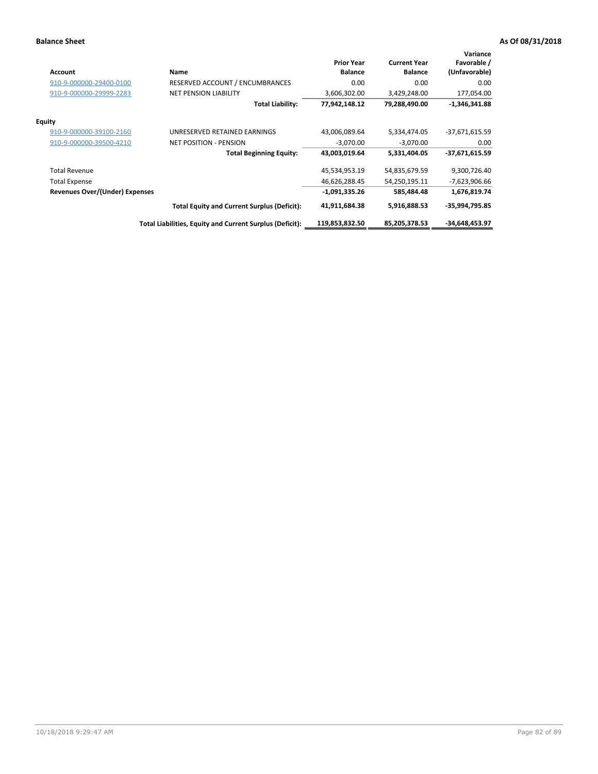| <b>Account</b>                        | Name                                                     | <b>Prior Year</b><br><b>Balance</b> | <b>Current Year</b><br><b>Balance</b> | Variance<br>Favorable /<br>(Unfavorable) |
|---------------------------------------|----------------------------------------------------------|-------------------------------------|---------------------------------------|------------------------------------------|
| 910-9-000000-29400-0100               | <b>RESERVED ACCOUNT / ENCUMBRANCES</b>                   | 0.00                                | 0.00                                  | 0.00                                     |
| 910-9-000000-29999-2283               | <b>NET PENSION LIABILITY</b>                             | 3,606,302.00                        | 3,429,248.00                          | 177,054.00                               |
|                                       | <b>Total Liability:</b>                                  | 77,942,148.12                       | 79,288,490.00                         | $-1,346,341.88$                          |
| <b>Equity</b>                         |                                                          |                                     |                                       |                                          |
| 910-9-000000-39100-2160               | UNRESERVED RETAINED EARNINGS                             | 43,006,089.64                       | 5,334,474.05                          | $-37,671,615.59$                         |
| 910-9-000000-39500-4210               | <b>NET POSITION - PENSION</b>                            | $-3,070.00$                         | $-3,070.00$                           | 0.00                                     |
|                                       | <b>Total Beginning Equity:</b>                           | 43,003,019.64                       | 5,331,404.05                          | $-37,671,615.59$                         |
| <b>Total Revenue</b>                  |                                                          | 45,534,953.19                       | 54,835,679.59                         | 9,300,726.40                             |
| <b>Total Expense</b>                  |                                                          | 46,626,288.45                       | 54,250,195.11                         | $-7,623,906.66$                          |
| <b>Revenues Over/(Under) Expenses</b> |                                                          | -1,091,335.26                       | 585.484.48                            | 1,676,819.74                             |
|                                       | <b>Total Equity and Current Surplus (Deficit):</b>       | 41,911,684.38                       | 5,916,888.53                          | -35,994,795.85                           |
|                                       | Total Liabilities, Equity and Current Surplus (Deficit): | 119,853,832.50                      | 85,205,378.53                         | $-34,648,453.97$                         |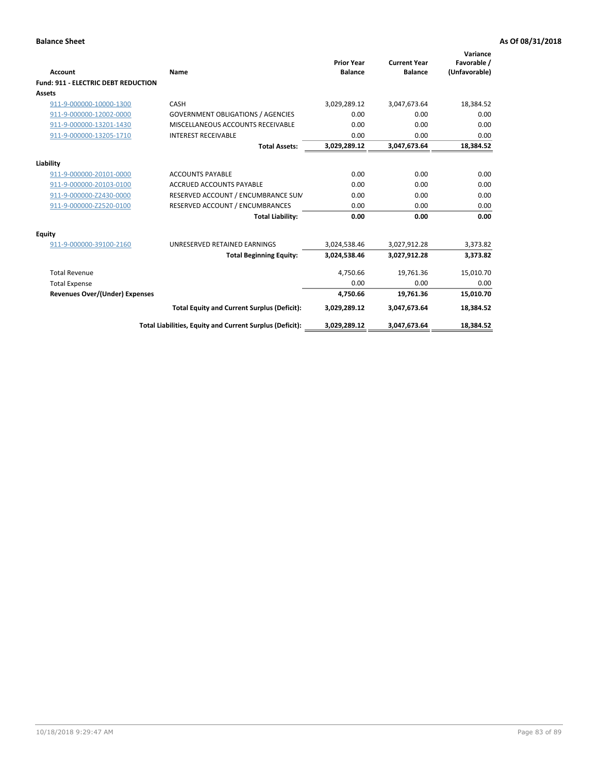| Account                                    | Name                                                     | <b>Prior Year</b><br><b>Balance</b> | <b>Current Year</b><br><b>Balance</b> | Variance<br>Favorable /<br>(Unfavorable) |
|--------------------------------------------|----------------------------------------------------------|-------------------------------------|---------------------------------------|------------------------------------------|
| <b>Fund: 911 - ELECTRIC DEBT REDUCTION</b> |                                                          |                                     |                                       |                                          |
| Assets                                     |                                                          |                                     |                                       |                                          |
| 911-9-000000-10000-1300                    | CASH                                                     | 3,029,289.12                        | 3,047,673.64                          | 18,384.52                                |
| 911-9-000000-12002-0000                    | <b>GOVERNMENT OBLIGATIONS / AGENCIES</b>                 | 0.00                                | 0.00                                  | 0.00                                     |
| 911-9-000000-13201-1430                    | MISCELLANEOUS ACCOUNTS RECEIVABLE                        | 0.00                                | 0.00                                  | 0.00                                     |
| 911-9-000000-13205-1710                    | <b>INTEREST RECEIVABLE</b>                               | 0.00                                | 0.00                                  | 0.00                                     |
|                                            | <b>Total Assets:</b>                                     | 3,029,289.12                        | 3,047,673.64                          | 18,384.52                                |
| Liability                                  |                                                          |                                     |                                       |                                          |
| 911-9-000000-20101-0000                    | <b>ACCOUNTS PAYABLE</b>                                  | 0.00                                | 0.00                                  | 0.00                                     |
| 911-9-000000-20103-0100                    | <b>ACCRUED ACCOUNTS PAYABLE</b>                          | 0.00                                | 0.00                                  | 0.00                                     |
| 911-9-000000-Z2430-0000                    | RESERVED ACCOUNT / ENCUMBRANCE SUM                       | 0.00                                | 0.00                                  | 0.00                                     |
| 911-9-000000-Z2520-0100                    | RESERVED ACCOUNT / ENCUMBRANCES                          | 0.00                                | 0.00                                  | 0.00                                     |
|                                            | <b>Total Liability:</b>                                  | 0.00                                | 0.00                                  | 0.00                                     |
| Equity                                     |                                                          |                                     |                                       |                                          |
| 911-9-000000-39100-2160                    | UNRESERVED RETAINED EARNINGS                             | 3,024,538.46                        | 3,027,912.28                          | 3,373.82                                 |
|                                            | <b>Total Beginning Equity:</b>                           | 3,024,538.46                        | 3,027,912.28                          | 3,373.82                                 |
| <b>Total Revenue</b>                       |                                                          | 4.750.66                            | 19.761.36                             | 15,010.70                                |
| <b>Total Expense</b>                       |                                                          | 0.00                                | 0.00                                  | 0.00                                     |
| Revenues Over/(Under) Expenses             |                                                          | 4,750.66                            | 19,761.36                             | 15,010.70                                |
|                                            | <b>Total Equity and Current Surplus (Deficit):</b>       | 3,029,289.12                        | 3,047,673.64                          | 18,384.52                                |
|                                            | Total Liabilities, Equity and Current Surplus (Deficit): | 3,029,289.12                        | 3,047,673.64                          | 18,384.52                                |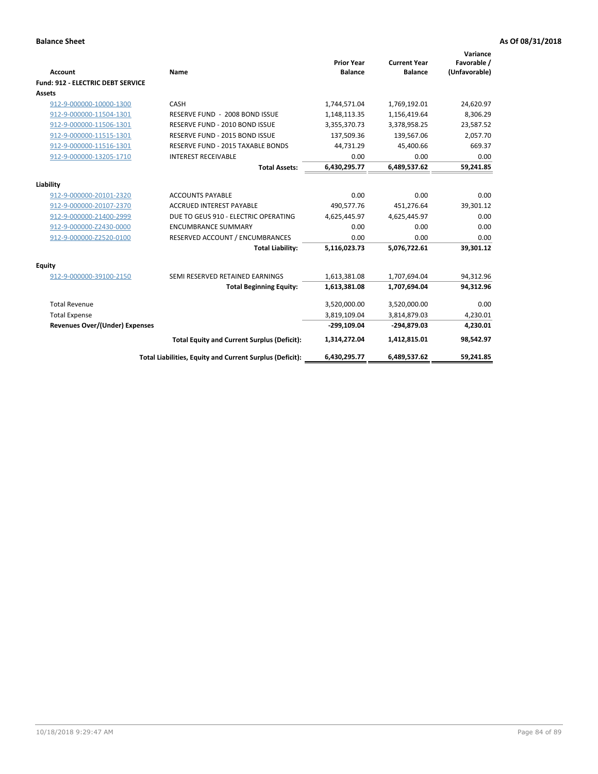| Account                                  | Name                                                     | <b>Prior Year</b><br><b>Balance</b> | <b>Current Year</b><br><b>Balance</b> | Variance<br>Favorable /<br>(Unfavorable) |
|------------------------------------------|----------------------------------------------------------|-------------------------------------|---------------------------------------|------------------------------------------|
| <b>Fund: 912 - ELECTRIC DEBT SERVICE</b> |                                                          |                                     |                                       |                                          |
| <b>Assets</b>                            |                                                          |                                     |                                       |                                          |
| 912-9-000000-10000-1300                  | CASH                                                     | 1,744,571.04                        | 1,769,192.01                          | 24,620.97                                |
| 912-9-000000-11504-1301                  | RESERVE FUND - 2008 BOND ISSUE                           | 1,148,113.35                        | 1,156,419.64                          | 8,306.29                                 |
| 912-9-000000-11506-1301                  | RESERVE FUND - 2010 BOND ISSUE                           | 3,355,370.73                        | 3,378,958.25                          | 23,587.52                                |
| 912-9-000000-11515-1301                  | RESERVE FUND - 2015 BOND ISSUE                           | 137,509.36                          | 139,567.06                            | 2,057.70                                 |
| 912-9-000000-11516-1301                  | RESERVE FUND - 2015 TAXABLE BONDS                        | 44,731.29                           | 45,400.66                             | 669.37                                   |
| 912-9-000000-13205-1710                  | <b>INTEREST RECEIVABLE</b>                               | 0.00                                | 0.00                                  | 0.00                                     |
|                                          | <b>Total Assets:</b>                                     | 6,430,295.77                        | 6,489,537.62                          | 59,241.85                                |
| Liability                                |                                                          |                                     |                                       |                                          |
| 912-9-000000-20101-2320                  | <b>ACCOUNTS PAYABLE</b>                                  | 0.00                                | 0.00                                  | 0.00                                     |
| 912-9-000000-20107-2370                  | <b>ACCRUED INTEREST PAYABLE</b>                          | 490,577.76                          | 451,276.64                            | 39,301.12                                |
| 912-9-000000-21400-2999                  | DUE TO GEUS 910 - ELECTRIC OPERATING                     | 4,625,445.97                        | 4,625,445.97                          | 0.00                                     |
| 912-9-000000-Z2430-0000                  | <b>ENCUMBRANCE SUMMARY</b>                               | 0.00                                | 0.00                                  | 0.00                                     |
| 912-9-000000-Z2520-0100                  | RESERVED ACCOUNT / ENCUMBRANCES                          | 0.00                                | 0.00                                  | 0.00                                     |
|                                          | <b>Total Liability:</b>                                  | 5,116,023.73                        | 5,076,722.61                          | 39,301.12                                |
| Equity                                   |                                                          |                                     |                                       |                                          |
| 912-9-000000-39100-2150                  | SEMI RESERVED RETAINED EARNINGS                          | 1,613,381.08                        | 1,707,694.04                          | 94,312.96                                |
|                                          | <b>Total Beginning Equity:</b>                           | 1,613,381.08                        | 1,707,694.04                          | 94,312.96                                |
| <b>Total Revenue</b>                     |                                                          | 3,520,000.00                        | 3,520,000.00                          | 0.00                                     |
| <b>Total Expense</b>                     |                                                          | 3,819,109.04                        | 3,814,879.03                          | 4,230.01                                 |
| <b>Revenues Over/(Under) Expenses</b>    |                                                          | $-299,109.04$                       | $-294,879.03$                         | 4,230.01                                 |
|                                          | <b>Total Equity and Current Surplus (Deficit):</b>       | 1,314,272.04                        | 1,412,815.01                          | 98,542.97                                |
|                                          | Total Liabilities, Equity and Current Surplus (Deficit): | 6,430,295.77                        | 6,489,537.62                          | 59.241.85                                |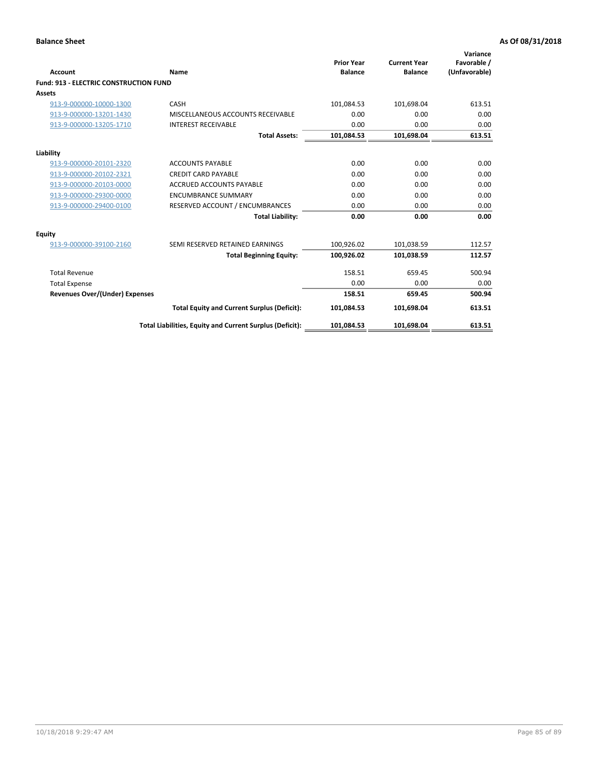| Account                                       | Name                                                     | <b>Prior Year</b><br><b>Balance</b> | <b>Current Year</b><br><b>Balance</b> | Variance<br>Favorable /<br>(Unfavorable) |
|-----------------------------------------------|----------------------------------------------------------|-------------------------------------|---------------------------------------|------------------------------------------|
| <b>Fund: 913 - ELECTRIC CONSTRUCTION FUND</b> |                                                          |                                     |                                       |                                          |
| Assets                                        |                                                          |                                     |                                       |                                          |
| 913-9-000000-10000-1300                       | CASH                                                     | 101,084.53                          | 101,698.04                            | 613.51                                   |
| 913-9-000000-13201-1430                       | MISCELLANEOUS ACCOUNTS RECEIVABLE                        | 0.00                                | 0.00                                  | 0.00                                     |
| 913-9-000000-13205-1710                       | <b>INTEREST RECEIVABLE</b>                               | 0.00                                | 0.00                                  | 0.00                                     |
|                                               | <b>Total Assets:</b>                                     | 101,084.53                          | 101,698.04                            | 613.51                                   |
| Liability                                     |                                                          |                                     |                                       |                                          |
| 913-9-000000-20101-2320                       | <b>ACCOUNTS PAYABLE</b>                                  | 0.00                                | 0.00                                  | 0.00                                     |
| 913-9-000000-20102-2321                       | <b>CREDIT CARD PAYABLE</b>                               | 0.00                                | 0.00                                  | 0.00                                     |
| 913-9-000000-20103-0000                       | <b>ACCRUED ACCOUNTS PAYABLE</b>                          | 0.00                                | 0.00                                  | 0.00                                     |
| 913-9-000000-29300-0000                       | <b>ENCUMBRANCE SUMMARY</b>                               | 0.00                                | 0.00                                  | 0.00                                     |
| 913-9-000000-29400-0100                       | RESERVED ACCOUNT / ENCUMBRANCES                          | 0.00                                | 0.00                                  | 0.00                                     |
|                                               | <b>Total Liability:</b>                                  | 0.00                                | 0.00                                  | 0.00                                     |
| Equity                                        |                                                          |                                     |                                       |                                          |
| 913-9-000000-39100-2160                       | SEMI RESERVED RETAINED EARNINGS                          | 100,926.02                          | 101,038.59                            | 112.57                                   |
|                                               | <b>Total Beginning Equity:</b>                           | 100,926.02                          | 101,038.59                            | 112.57                                   |
| <b>Total Revenue</b>                          |                                                          | 158.51                              | 659.45                                | 500.94                                   |
| <b>Total Expense</b>                          |                                                          | 0.00                                | 0.00                                  | 0.00                                     |
| <b>Revenues Over/(Under) Expenses</b>         |                                                          | 158.51                              | 659.45                                | 500.94                                   |
|                                               | <b>Total Equity and Current Surplus (Deficit):</b>       | 101,084.53                          | 101,698.04                            | 613.51                                   |
|                                               | Total Liabilities, Equity and Current Surplus (Deficit): | 101,084.53                          | 101,698.04                            | 613.51                                   |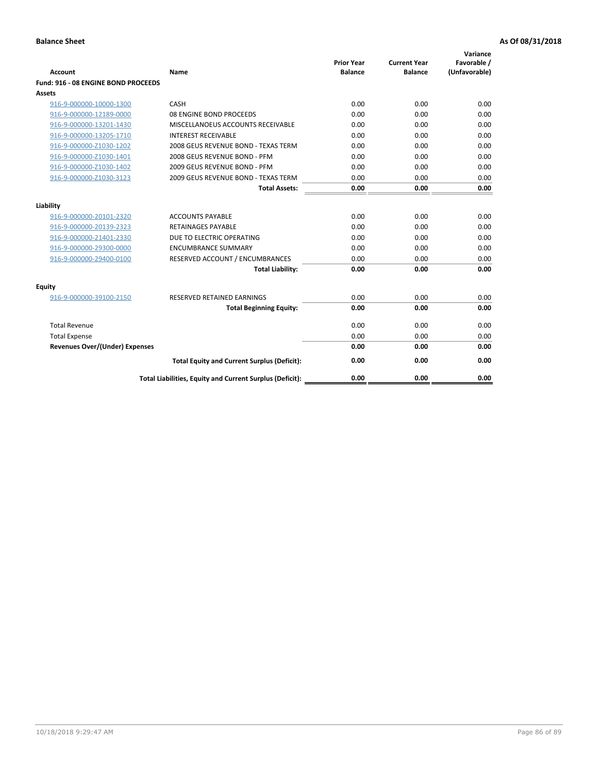| <b>Account</b>                        | Name                                                     | <b>Prior Year</b><br><b>Balance</b> | <b>Current Year</b><br><b>Balance</b> | Variance<br>Favorable /<br>(Unfavorable) |
|---------------------------------------|----------------------------------------------------------|-------------------------------------|---------------------------------------|------------------------------------------|
| Fund: 916 - 08 ENGINE BOND PROCEEDS   |                                                          |                                     |                                       |                                          |
| <b>Assets</b>                         |                                                          |                                     |                                       |                                          |
| 916-9-000000-10000-1300               | CASH                                                     | 0.00                                | 0.00                                  | 0.00                                     |
| 916-9-000000-12189-0000               | 08 ENGINE BOND PROCEEDS                                  | 0.00                                | 0.00                                  | 0.00                                     |
| 916-9-000000-13201-1430               | MISCELLANOEUS ACCOUNTS RECEIVABLE                        | 0.00                                | 0.00                                  | 0.00                                     |
| 916-9-000000-13205-1710               | <b>INTEREST RECEIVABLE</b>                               | 0.00                                | 0.00                                  | 0.00                                     |
| 916-9-000000-Z1030-1202               | 2008 GEUS REVENUE BOND - TEXAS TERM                      | 0.00                                | 0.00                                  | 0.00                                     |
| 916-9-000000-Z1030-1401               | 2008 GEUS REVENUE BOND - PFM                             | 0.00                                | 0.00                                  | 0.00                                     |
| 916-9-000000-Z1030-1402               | 2009 GEUS REVENUE BOND - PFM                             | 0.00                                | 0.00                                  | 0.00                                     |
| 916-9-000000-Z1030-3123               | 2009 GEUS REVENUE BOND - TEXAS TERM                      | 0.00                                | 0.00                                  | 0.00                                     |
|                                       | <b>Total Assets:</b>                                     | 0.00                                | 0.00                                  | 0.00                                     |
| Liability                             |                                                          |                                     |                                       |                                          |
| 916-9-000000-20101-2320               | <b>ACCOUNTS PAYABLE</b>                                  | 0.00                                | 0.00                                  | 0.00                                     |
| 916-9-000000-20139-2323               | <b>RETAINAGES PAYABLE</b>                                | 0.00                                | 0.00                                  | 0.00                                     |
| 916-9-000000-21401-2330               | DUE TO ELECTRIC OPERATING                                | 0.00                                | 0.00                                  | 0.00                                     |
| 916-9-000000-29300-0000               | <b>ENCUMBRANCE SUMMARY</b>                               | 0.00                                | 0.00                                  | 0.00                                     |
| 916-9-000000-29400-0100               | RESERVED ACCOUNT / ENCUMBRANCES                          | 0.00                                | 0.00                                  | 0.00                                     |
|                                       | <b>Total Liability:</b>                                  | 0.00                                | 0.00                                  | 0.00                                     |
| Equity                                |                                                          |                                     |                                       |                                          |
| 916-9-000000-39100-2150               | <b>RESERVED RETAINED EARNINGS</b>                        | 0.00                                | 0.00                                  | 0.00                                     |
|                                       | <b>Total Beginning Equity:</b>                           | 0.00                                | 0.00                                  | 0.00                                     |
| <b>Total Revenue</b>                  |                                                          | 0.00                                | 0.00                                  | 0.00                                     |
| <b>Total Expense</b>                  |                                                          | 0.00                                | 0.00                                  | 0.00                                     |
| <b>Revenues Over/(Under) Expenses</b> |                                                          | 0.00                                | 0.00                                  | 0.00                                     |
|                                       | <b>Total Equity and Current Surplus (Deficit):</b>       | 0.00                                | 0.00                                  | 0.00                                     |
|                                       | Total Liabilities, Equity and Current Surplus (Deficit): | 0.00                                | 0.00                                  | 0.00                                     |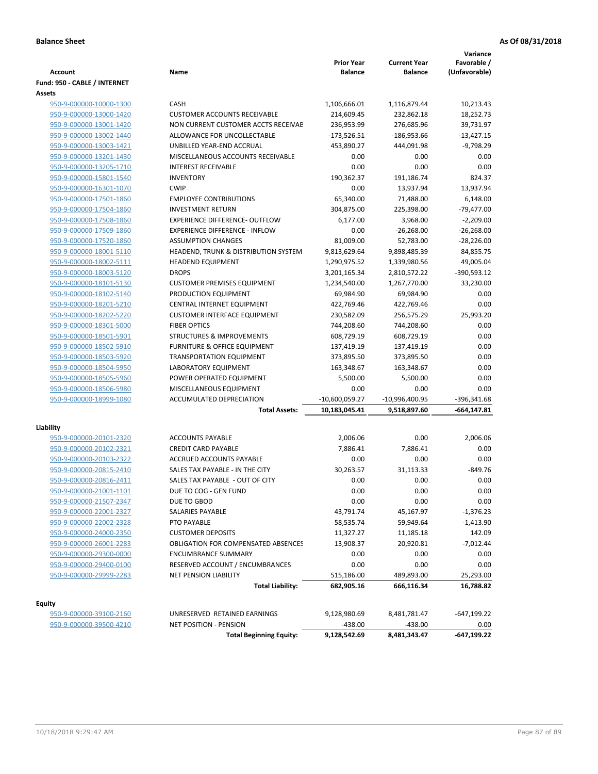| <b>Account</b>               | Name                                       | <b>Prior Year</b><br><b>Balance</b> | <b>Current Year</b><br><b>Balance</b> | Variance<br>Favorable /<br>(Unfavorable) |
|------------------------------|--------------------------------------------|-------------------------------------|---------------------------------------|------------------------------------------|
| Fund: 950 - CABLE / INTERNET |                                            |                                     |                                       |                                          |
| Assets                       |                                            |                                     |                                       |                                          |
| 950-9-000000-10000-1300      | CASH                                       | 1,106,666.01                        | 1,116,879.44                          | 10,213.43                                |
| 950-9-000000-13000-1420      | <b>CUSTOMER ACCOUNTS RECEIVABLE</b>        | 214,609.45                          | 232,862.18                            | 18,252.73                                |
| 950-9-000000-13001-1420      | NON CURRENT CUSTOMER ACCTS RECEIVAE        | 236,953.99                          | 276,685.96                            | 39,731.97                                |
| 950-9-000000-13002-1440      | ALLOWANCE FOR UNCOLLECTABLE                | $-173,526.51$                       | $-186,953.66$                         | $-13,427.15$                             |
| 950-9-000000-13003-1421      | UNBILLED YEAR-END ACCRUAL                  | 453,890.27                          | 444,091.98                            | $-9,798.29$                              |
| 950-9-000000-13201-1430      | MISCELLANEOUS ACCOUNTS RECEIVABLE          | 0.00                                | 0.00                                  | 0.00                                     |
| 950-9-000000-13205-1710      | <b>INTEREST RECEIVABLE</b>                 | 0.00                                | 0.00                                  | 0.00                                     |
| 950-9-000000-15801-1540      | <b>INVENTORY</b>                           | 190,362.37                          | 191,186.74                            | 824.37                                   |
| 950-9-000000-16301-1070      | <b>CWIP</b>                                | 0.00                                | 13,937.94                             | 13,937.94                                |
| 950-9-000000-17501-1860      | <b>EMPLOYEE CONTRIBUTIONS</b>              | 65,340.00                           | 71,488.00                             | 6,148.00                                 |
| 950-9-000000-17504-1860      | <b>INVESTMENT RETURN</b>                   | 304,875.00                          | 225,398.00                            | $-79,477.00$                             |
| 950-9-000000-17508-1860      | <b>EXPERIENCE DIFFERENCE- OUTFLOW</b>      | 6,177.00                            | 3,968.00                              | $-2,209.00$                              |
| 950-9-000000-17509-1860      | <b>EXPERIENCE DIFFERENCE - INFLOW</b>      | 0.00                                | $-26,268.00$                          | $-26,268.00$                             |
| 950-9-000000-17520-1860      | <b>ASSUMPTION CHANGES</b>                  | 81,009.00                           | 52,783.00                             | $-28,226.00$                             |
| 950-9-000000-18001-5110      | HEADEND, TRUNK & DISTRIBUTION SYSTEM       | 9,813,629.64                        | 9,898,485.39                          | 84,855.75                                |
| 950-9-000000-18002-5111      | <b>HEADEND EQUIPMENT</b>                   | 1,290,975.52                        | 1,339,980.56                          | 49,005.04                                |
| 950-9-000000-18003-5120      | <b>DROPS</b>                               | 3,201,165.34                        | 2,810,572.22                          | -390,593.12                              |
| 950-9-000000-18101-5130      | <b>CUSTOMER PREMISES EQUIPMENT</b>         | 1,234,540.00                        | 1,267,770.00                          | 33,230.00                                |
| 950-9-000000-18102-5140      | PRODUCTION EQUIPMENT                       | 69,984.90                           | 69,984.90                             | 0.00                                     |
| 950-9-000000-18201-5210      | CENTRAL INTERNET EQUIPMENT                 | 422,769.46                          | 422,769.46                            | 0.00                                     |
| 950-9-000000-18202-5220      | <b>CUSTOMER INTERFACE EQUIPMENT</b>        | 230,582.09                          | 256,575.29                            | 25,993.20                                |
| 950-9-000000-18301-5000      | <b>FIBER OPTICS</b>                        | 744,208.60                          | 744,208.60                            | 0.00                                     |
| 950-9-000000-18501-5901      | <b>STRUCTURES &amp; IMPROVEMENTS</b>       | 608,729.19                          | 608,729.19                            | 0.00                                     |
| 950-9-000000-18502-5910      | <b>FURNITURE &amp; OFFICE EQUIPMENT</b>    | 137,419.19                          | 137,419.19                            | 0.00                                     |
| 950-9-000000-18503-5920      | <b>TRANSPORTATION EQUIPMENT</b>            | 373,895.50                          | 373,895.50                            | 0.00                                     |
| 950-9-000000-18504-5950      | LABORATORY EQUIPMENT                       | 163,348.67                          | 163,348.67                            | 0.00                                     |
| 950-9-000000-18505-5960      | POWER OPERATED EQUIPMENT                   | 5,500.00                            | 5,500.00                              | 0.00                                     |
| 950-9-000000-18506-5980      | MISCELLANEOUS EQUIPMENT                    | 0.00                                | 0.00                                  | 0.00                                     |
| 950-9-000000-18999-1080      | ACCUMULATED DEPRECIATION                   | -10,600,059.27                      | -10,996,400.95                        | -396,341.68                              |
|                              | <b>Total Assets:</b>                       | 10,183,045.41                       | 9,518,897.60                          | -664,147.81                              |
| Liability                    |                                            |                                     |                                       |                                          |
| 950-9-000000-20101-2320      | <b>ACCOUNTS PAYABLE</b>                    | 2,006.06                            | 0.00                                  | 2,006.06                                 |
| 950-9-000000-20102-2321      | <b>CREDIT CARD PAYABLE</b>                 | 7,886.41                            | 7,886.41                              | 0.00                                     |
| 950-9-000000-20103-2322      | ACCRUED ACCOUNTS PAYABLE                   | 0.00                                | 0.00                                  | 0.00                                     |
| 950-9-000000-20815-2410      | SALES TAX PAYABLE - IN THE CITY            | 30,263.57                           | 31,113.33                             | $-849.76$                                |
| 950-9-000000-20816-2411      | SALES TAX PAYABLE - OUT OF CITY            | 0.00                                | 0.00                                  | 0.00                                     |
| 950-9-000000-21001-1101      | DUE TO COG - GEN FUND                      | 0.00                                | 0.00                                  | 0.00                                     |
| 950-9-000000-21507-2347      | DUE TO GBOD                                | 0.00                                | 0.00                                  | 0.00                                     |
| 950-9-000000-22001-2327      | SALARIES PAYABLE                           | 43,791.74                           | 45,167.97                             | -1,376.23                                |
| 950-9-000000-22002-2328      | PTO PAYABLE                                | 58,535.74                           | 59,949.64                             | $-1,413.90$                              |
| 950-9-000000-24000-2350      | <b>CUSTOMER DEPOSITS</b>                   | 11,327.27                           | 11,185.18                             | 142.09                                   |
| 950-9-000000-26001-2283      | <b>OBLIGATION FOR COMPENSATED ABSENCES</b> | 13,908.37                           | 20,920.81                             | $-7,012.44$                              |
| 950-9-000000-29300-0000      | <b>ENCUMBRANCE SUMMARY</b>                 | 0.00                                | 0.00                                  | 0.00                                     |
| 950-9-000000-29400-0100      | RESERVED ACCOUNT / ENCUMBRANCES            | 0.00                                | 0.00                                  | 0.00                                     |
| 950-9-000000-29999-2283      | <b>NET PENSION LIABILITY</b>               | 515,186.00                          | 489,893.00                            | 25,293.00                                |
|                              | <b>Total Liability:</b>                    | 682,905.16                          | 666,116.34                            | 16,788.82                                |
| Equity                       |                                            |                                     |                                       |                                          |
| 950-9-000000-39100-2160      | UNRESERVED RETAINED EARNINGS               | 9,128,980.69                        | 8,481,781.47                          | $-647,199.22$                            |
| 950-9-000000-39500-4210      | NET POSITION - PENSION                     | $-438.00$                           | $-438.00$                             | 0.00                                     |
|                              | <b>Total Beginning Equity:</b>             | 9,128,542.69                        | 8,481,343.47                          | -647,199.22                              |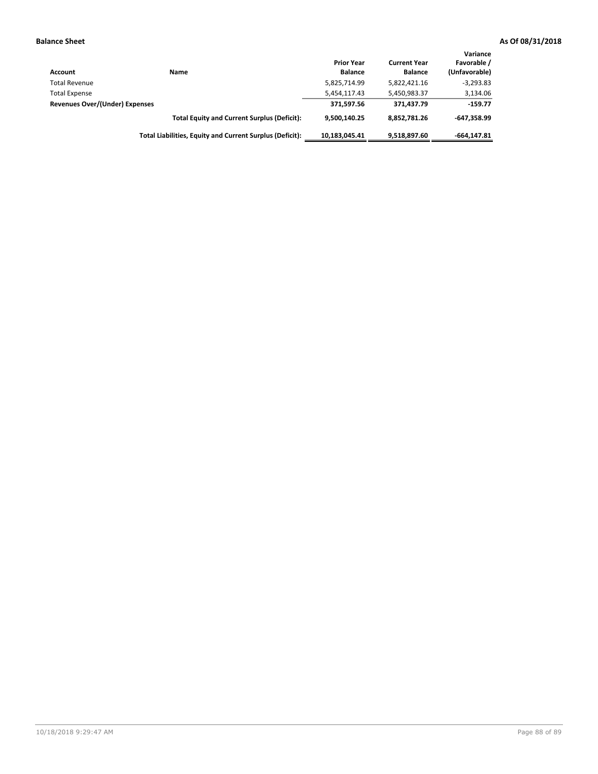| Account                        | Name                                                     | <b>Prior Year</b><br><b>Balance</b> | <b>Current Year</b><br><b>Balance</b> | Variance<br>Favorable /<br>(Unfavorable) |
|--------------------------------|----------------------------------------------------------|-------------------------------------|---------------------------------------|------------------------------------------|
| <b>Total Revenue</b>           |                                                          | 5,825,714.99                        | 5,822,421.16                          | $-3,293.83$                              |
| <b>Total Expense</b>           |                                                          | 5,454,117.43                        | 5,450,983.37                          | 3,134.06                                 |
| Revenues Over/(Under) Expenses |                                                          | 371,597.56                          | 371.437.79                            | $-159.77$                                |
|                                | <b>Total Equity and Current Surplus (Deficit):</b>       | 9.500.140.25                        | 8.852.781.26                          | $-647,358.99$                            |
|                                | Total Liabilities, Equity and Current Surplus (Deficit): | 10.183.045.41                       | 9,518,897.60                          | $-664.147.81$                            |